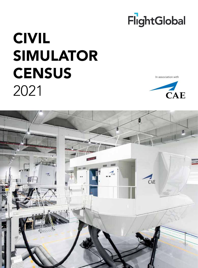

In association with



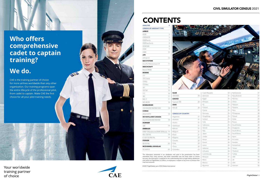# **Who offers comprehensive cadet to captain training?**

# **We do.**

CAE is the training partner of choice for more airlines worldwide than any other organization. Our training programs span the entire lifecycle of the professional pilot, from cadet to captain. Make CAE the first choice for all your pilot training needs.

Your worldwide training partner of choice



# **CONTENTS**

4

ANALYSIS

| <b>AIRBUS</b>                        |                           |
|--------------------------------------|---------------------------|
|                                      |                           |
| A220                                 | 5                         |
| A300/A310                            | 5                         |
| A320 family                          | 5                         |
| A320neo family                       | 8                         |
| A330/340                             | 8                         |
| A350                                 | 9                         |
| A380                                 | 10                        |
| <b>ATR</b>                           |                           |
| ATR 42/72                            | 10                        |
| <b>BAE SYSTEMS</b>                   |                           |
| Avro RJ/146/Jetstream 31             | 11                        |
| <b>BEECHCRAFT</b>                    |                           |
| Beech 1900D                          | 11                        |
| <b>BOEING</b>                        |                           |
| 717                                  | 11                        |
| 737 Classic                          | 11                        |
| 737NG                                | 12                        |
| 737 Max                              | 14                        |
| 747                                  | 14                        |
| 757/767                              | 15                        |
| 777                                  | <b>SAAB</b><br>16         |
| 787                                  | 340/2000<br>17            |
| <b>MD-11</b>                         | <b>SUKHOI</b><br>17       |
| MD-80/90                             | Superjet 100<br>18        |
| <b>BOMBARDIER</b>                    | <b>XIAN</b>               |
| CRJ100/200/700/900/1000              | MA-60<br>18               |
| COMAC                                |                           |
| ARJ21/C919                           | <b>CENSUS: BY 0</b><br>18 |
| DE HAVILLAND CANADA                  | Argentina                 |
| Dash 8 Q100/200/300/400              | Australia<br>18           |
| <b>DORNIER</b>                       | Austria                   |
| 328                                  | Azerbaijan<br>19          |
| <b>EMBRAER</b>                       | Bahrain                   |
| EMB-110 Bandeirante/EMB-120 Brasilia | Belgium<br>19             |
| ERJ-135/145                          | 19<br>Brazil              |
| E-170/175/190/195                    | 19<br>Bulgaria            |
| <b>FOKKER</b>                        | Canada                    |
| 50/70/100                            | Chile<br>20               |
| <b>MCDONNELL DOUGLAS</b>             | China                     |
|                                      |                           |



| 777                                                                                                                                                                                               | 16 | <b>SAAB</b>               |    | Czech Republic | 23 | Netherlands  | 27 |
|---------------------------------------------------------------------------------------------------------------------------------------------------------------------------------------------------|----|---------------------------|----|----------------|----|--------------|----|
| 787                                                                                                                                                                                               | 17 | 340/2000                  | 20 | Denmark        | 24 | New Zealand  | 27 |
| $MD-11$                                                                                                                                                                                           | 17 | <b>SUKHOI</b>             |    | Eqypt          | 24 | Norway       | 27 |
| MD-80/90                                                                                                                                                                                          | 18 | Superjet 100              | 20 | Ethiopia       | 24 | Oman         | 27 |
| <b>BOMBARDIER</b>                                                                                                                                                                                 |    | <b>XIAN</b>               |    | Fiji           | 24 | Pakistan     | 27 |
| CRJ100/200/700/900/1000                                                                                                                                                                           | 18 | MA-60                     | 20 | Finland        | 24 | Panama       | 27 |
| <b>COMAC</b>                                                                                                                                                                                      |    |                           |    | France         | 24 | Peru         | 28 |
| ARJ21/C919                                                                                                                                                                                        | 18 | <b>CENSUS: BY COUNTRY</b> |    | Germany        | 25 | Philippines  | 28 |
| DE HAVILLAND CANADA                                                                                                                                                                               |    | Argentina                 | 21 | Hong Kong      | 25 | Poland       | 28 |
| Dash 8 Q100/200/300/400                                                                                                                                                                           | 18 | Australia                 | 21 | Iceland        | 25 | Qatar        | 28 |
| <b>DORNIER</b>                                                                                                                                                                                    |    | Austria                   | 21 | India          | 25 | Russia       | 28 |
| 328                                                                                                                                                                                               | 19 | Azerbaijan                | 21 | Indonesia      | 25 | Saudi Arabia | 28 |
| <b>EMBRAER</b>                                                                                                                                                                                    |    | Bahrain                   | 21 | Ireland        | 26 | Singapore    | 28 |
| EMB-110 Bandeirante/EMB-120 Brasilia 19                                                                                                                                                           |    | Belgium                   | 21 | Italy          | 26 | South Africa | 29 |
| ERJ-135/145                                                                                                                                                                                       | 19 | Brazil                    | 21 | Japan          | 26 | South Korea  | 29 |
| E-170/175/190/195                                                                                                                                                                                 | 19 | Bulgaria                  | 22 | Jordan         | 26 | Spain        | 29 |
| <b>FOKKER</b>                                                                                                                                                                                     |    | Canada                    | 22 | Kenya          | 26 | Sri Lanka    | 29 |
| 50/70/100                                                                                                                                                                                         | 20 | Chile                     | 22 | Kuwait         | 26 | Sweden       | 29 |
| <b>MCDONNELL DOUGLAS</b>                                                                                                                                                                          |    | China                     | 22 | Latvia         | 26 | Switzerland  | 29 |
| DC-8/9/10                                                                                                                                                                                         | 20 | Colombia                  | 23 | Lebanon        | 26 | Taiwan       | 29 |
|                                                                                                                                                                                                   |    |                           |    | Lithuania      | 26 | Thailand     | 29 |
| The information contained in our databases and used in this presentation has been                                                                                                                 |    |                           |    | Luxembourg     | 27 | Turkey       | 30 |
| assembled from many sources, and whilst reasonable care has been taken to ensure                                                                                                                  |    |                           |    | Malaysia       | 27 | UAE          | 30 |
| accuracy, the information is supplied on the understanding that no legal liability whatsoever<br>shall attach to FlightGlobal, its offices, or employees in respect of any error or omission that |    |                           |    | Malta          | 27 | UK           | 30 |
| may have occurred.                                                                                                                                                                                |    |                           |    | Mexico         | 27 | <b>USA</b>   | 31 |
| © 2021 FlightGlobal, part of DW Media International                                                                                                                                               |    |                           |    | Myanmar        | 27 | Vietnam      | 35 |

© 2021 FlightGlobal, part of DVV Media International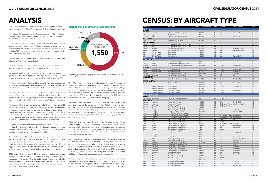# ANALYSIS

CAE holds a share of around 59% of installed civil full-flight simulators and training devices, FlightGlobal's latest annual Civil Simulator Census shows.

That follows the acquisition of the Canadian assets of TRU Simulation + Training, which CAE recently acquired. TRU accounts for a little over 4% of the installed civil simulator market.

The latest Civil Simulator Census covers data for more than 1,500 inservice devices, predominantly full-flight simulators. Manufacturer data is unrecorded for around 12% of these devices. CAE's market share, including TRU, rises to around two-thirds when these are unknown device manufacturers are excluded.

L3Harris remains the second-largest provider of civil aircraft simulators, followed by FlightSafety International.

Narrowbodies account for more than half of the all simulators and training devices covered by the census, and widebodies for around 30%.

Airbus A320-family aircraft – including Neos – account for around onequarter of installed civil flight simulators and devices. Boeing 737-family aircraft, across classic, next-generation and Max models, make up 22%.

Simulator occupancy and demand has been hit hard over the past year as pilots were furloughed, fleets grounded, and deliveries delayed. Like aircraft, hundreds of simulators have sat idle for much of the crisis.

CAE notes that the devices in its own training locations operated at around 50% capacity during the second half of 2020 and into the first three months of 2021. CAE was expecting to deliver 35 full-flight simulators in its fiscal year, which ends on 31 March, compared with 56 in the previous year.

For its part, L3Harris took orders for seven full-flight simulators in 2020, against 10 in 2019. In its full-year financial results, the diversified defence and aerospace technology company said the slump in the market had "significantly reduced" demand for flight training and simulators for its commercial aviation solutions business. This led to L3Harris temporarily closing some of its facilities and launching a "restructuring" drive to "align its resources with the outlook for the commercial aviation market".

The year was notable for further consolidation activity, though, as CAE in November announced plans to buy the Canadian-based commercial aviation arm of Textron's TRU training business – the third player in mainline airliner simulators – for around \$40 million.

Unlike its two competitors, which provide training, as well as making the devices, TRU is purely a manufacturer of commercial simulators. After winning a contract from Boeing to develop the 737 Max device – and installing the first in the airframer's Miami training centre in 2016 – TRU had supplied around three in 10 of all Max simulators. However, the grounding of the re-engined narrowbody in 2019 had put a brake on its growth.

CAE's new addition comes with 80 employees, an installed base of over 60 simulators, and, as well as the production facility in Montreal, training operations in France and Malaysia, and a minority stake in an Icelandair simulator centre. In a message to employees, CAE said the acquisition would boost its order backlog, broaden its airline customer base and strengthen the relationship with Boeing.

#### Market share by simulator manufacturer



Notes: Data for airliner civil simulators in operation \* includes TRU Simulation + Training Source: FlightGlobal Civil Simulator Census

The TRU divestment follows CAE's acquisition last November of Amsterdam-based pilot training firm Flight Simulator Company for \$83 million. That business operates a suite of mainly CAE-built full-flight simulators, including nine 737s and Airbus A320-family devices, a 747 and a 787, and an Embraer 190, operated in partnership with FlightSafety International. CAE followed that with the purchase for \$25 million of Merlot Aero, a crew management software company.

In its latest results, CAE notes that the outlook for the sector has improved since the outset of the pandemic, reflecting "the benefits of a highly regulated aviation industry and the fundamental requirement for aviation training". This gives many in the sector some hope. Even with a modest recovery later this year, the need for furloughed pilots to regain currency, or retrain on different types as the global fleet mix changes, could drive a hike in simulator hours.

"There will be a catch-up of delayed training," maintains Robin Glover-Faure, vice-president sales and marketing, commercial aviation at L3Harris. "Airlines will also be changing the types of aircraft they operate with pilots of the 747-400 or other four-engined types having to learn the ropes on an Airbus A350, perhaps. There is also the return of the Max. All these factors will give a stimulus to demand."

The resumption of Max flights and deliveries should deliver a significant boost to the market as the recovery begins. Training organisation BAA is among those planning to introduce a Max full-flight simulator at its new Spanish facility this year, with the L3Harris-manufactured device arriving in April and operational in the second half. It will join a CAE-manufactured A320 full-flight simulator installed in January, with other 737 and A320 nonfull-flight simulator flight training devices to be added this year.

Unsurprisingly, the past year has seen few high-profile simulator delivery announcements. Among the exceptions, in January L3Harris said that Air China would be acquiring three of its full-flight simulators, which will go into operation at the flag-carrier's Beijing training centre within 18 months.

# CENSUS: BY AIRCRAFT TYPE

| <b>LOCATION</b>                                |                           | <b>OPERATOR</b>                                                              | OTY                            | <b>AIRCRAFT TYPE</b> | <b>TYPE</b>                 | <b>SIM OEM</b>                                     | <b>VISUAL DISPLAY</b>                            | <b>LEVEL</b> |
|------------------------------------------------|---------------------------|------------------------------------------------------------------------------|--------------------------------|----------------------|-----------------------------|----------------------------------------------------|--------------------------------------------------|--------------|
| <b>AIRBUS A220</b>                             |                           |                                                                              |                                |                      |                             |                                                    |                                                  |              |
| <b>EUROPE</b>                                  |                           |                                                                              |                                |                      |                             |                                                    |                                                  |              |
| Germany                                        | Frankfurt                 | CAE Frankfurt - Flight Training Alliance                                     |                                | 1 A220-300           | <b>FFS</b>                  | CAE                                                | Tropos 6022                                      | LD           |
| Latvia                                         | Riga                      | Air Baltic Training                                                          |                                | A220                 | <b>FFS</b>                  | CAE                                                |                                                  | LD           |
| Switzerland                                    | Zurich                    | Lufthansa Aviation Training (Zurich)                                         | $\mathbf{1}$                   | A220-100             | <b>FFS</b>                  | CAE                                                | Tropos 6222 XR                                   | LD           |
| <b>MIDDLE EAST</b>                             | Cairo                     | Egyptair Training Academy                                                    | 1                              | A220-300             | <b>FFS</b>                  | FSI                                                |                                                  | LD           |
| Egypt<br><b>NORTH AMERICA</b>                  |                           |                                                                              |                                |                      |                             |                                                    |                                                  |              |
| Canada                                         | Toronto                   | Air Canada Flight Training Centre (Toronto)                                  |                                | 2 A220               | <b>FTD</b>                  | CAE                                                |                                                  | L4           |
| Canada                                         | Toronto                   | Air Canada Flight Training Centre (Toronto)                                  | $\mathbf{1}$                   | A220-200             | <b>FFS</b>                  | CAE                                                |                                                  | LD           |
| Canada                                         | Montreal                  | CAE Montreal Training Centre                                                 | $\mathbf{1}$                   | A220-100             | <b>FFS</b>                  | CAE                                                | Tropos 6222 XR/200                               | LD           |
| Canada                                         | Montreal                  | CAE Montreal Training Centre                                                 | $\overline{2}$                 | A220-100             | <b>FTD</b>                  | CAE                                                | Tropos 6222 XR/200                               | L6           |
| <b>USA</b>                                     | Atlanta, Georgia          | Delta Air Lines                                                              | $\overline{2}$                 | A220-100             | <b>FFS</b>                  | CAE                                                |                                                  | LD           |
| <b>USA</b>                                     | Atlanta, Georgia          | Delta Air Lines                                                              | $\mathbf{1}$                   | A220-100             | <b>FTD</b>                  |                                                    |                                                  | L7           |
| <b>USA</b>                                     | Orlando, Florida          | JetBlue Airways                                                              |                                | 3 A220-300           | <b>FFS</b>                  | CAE                                                | Tropos 6000XR                                    | LD           |
| <b>AIRBUS A300/A310</b><br><b>ASIA-PACIFIC</b> |                           |                                                                              |                                |                      |                             |                                                    |                                                  |              |
| China                                          | Pudong                    | Shanghai Eastern Flight Training Centre                                      | $\mathbf{1}$                   | A300                 | <b>FFS</b>                  | CAE                                                |                                                  | LD           |
| China                                          | Pudong                    | Shanghai Eastern Flight Training Centre                                      | $\mathbf{1}$                   | A300                 | <b>FTD</b>                  | CAE                                                |                                                  | LD           |
| Thailand                                       | Bangkok                   | Thai Airways Flight Simulator Training Center                                | $\mathbf{1}$                   | A300-600R            | <b>FFS</b>                  | L3Harris                                           | ESIG-3350/180                                    | LD           |
| <b>EUROPE</b>                                  |                           |                                                                              |                                |                      |                             |                                                    |                                                  |              |
| France                                         | Toulouse Blagnac          | Airbus Training Centre                                                       | $\overline{1}$                 | A300-F4600           | <b>FFS</b>                  | L3Harris                                           | Tropos 6000/200                                  | L3           |
| France                                         | Toulouse Blagnac          | Airbus Training Centre                                                       | $\mathbf{1}$                   | A310-300             | <b>FFS</b>                  | L3Harris                                           | Tropos 6000/200                                  | LA           |
| Germany                                        | Berlin                    | Lufthansa Aviation Training (Berlin)                                         | $\mathbf{1}$                   | A300-B4 600          | <b>FFS</b>                  | CAE                                                | EP-1000CT                                        | LCG          |
| Netherlands                                    | Amsterdam                 | CAE Amsterdam Training Centre                                                | $\mathbf{1}$                   | A300                 | <b>FFS</b>                  | CAE                                                | Vital IV                                         | LD           |
| <b>MIDDLE EAST</b>                             |                           |                                                                              |                                |                      |                             |                                                    |                                                  |              |
| Jordan<br><b>NORTH AMERICA</b>                 | Amman                     | Jordan Airline Training and Simulation                                       |                                | 1 A310-300           | <b>FFS</b>                  | L3Harris                                           | EP-1000C/150                                     | LD           |
| Canada                                         | Montreal                  | <b>CAE Montreal Training Centre</b>                                          | $\overline{1}$                 | A310-200             | <b>FFS</b>                  | CAE                                                | Tropos 6000                                      | LC           |
| <b>USA</b>                                     | Memphis, Tennessee        | FedEx (Memphis)                                                              | $\overline{2}$                 | A300-600F            | <b>FFS</b>                  | CAE                                                |                                                  | LD           |
| <b>USA</b>                                     | Memphis, Tennessee        | FedEx (Memphis)                                                              | $\mathbf{1}$                   | A300-600F            | <b>FFS</b>                  | L3Harris                                           | EP-1000CT/150                                    | L6           |
| <b>USA</b>                                     | Memphis, Tennessee        | FedEx (Memphis)                                                              | $\mathbf{1}$                   | A310-300             | <b>FFS</b>                  | CAE                                                |                                                  | LC           |
| <b>USA</b>                                     | Louisville, Kentucky      | <b>UPS Airlines (Louisville)</b>                                             | $\overline{2}$                 | A300-600F            | <b>FFS</b>                  | L3Harris                                           | ESIG-3800/180                                    | LD           |
| <b>USA</b>                                     | Louisville, Kentucky      | <b>UPS Airlines (Louisville)</b>                                             | $\mathbf{1}$                   | A300-B4600           | <b>FTD</b>                  | L3Harris                                           |                                                  | L4           |
|                                                | <b>AIRBUS A320 FAMILY</b> |                                                                              |                                |                      |                             |                                                    |                                                  |              |
| <b>AFRICA</b>                                  |                           |                                                                              |                                |                      |                             |                                                    |                                                  | LD           |
| South Africa<br><b>ASIA-PACIFIC</b>            | Johannesburg              | CAE Johannesburg Training Centre                                             |                                | 1 A320               | <b>FFS</b>                  | L3Harris                                           |                                                  |              |
| Australia                                      | Melbourne                 | Ansett Aviation Training                                                     | $\overline{2}$                 | A320-232             | <b>FFS</b>                  | CAE                                                | EP-1000CT/200                                    | LD           |
| Australia                                      | Melbourne                 | Ansett Aviation Training                                                     | $\mathbf{1}$                   | A320-232             | FFS                         |                                                    | TRU Simulation + Training aXion Front Projection | LD           |
| Australia                                      | Parafield Airport         | Flight Training Adelaide                                                     | $\mathbf{1}$                   | A320-200             | <b>FTD</b>                  | TRU Simulation + Training                          |                                                  | L5           |
| China                                          | Beijing                   | Airbus Training Centre (Beijing)                                             | $\mathbf{1}$                   | A320-200             | <b>FFS</b>                  |                                                    |                                                  | LD           |
| China                                          | Beijing                   | Airbus Training Centre (Beijing)                                             | $\mathbf{1}$                   | A320-200             | <b>FFS</b>                  | L3Harris                                           | EP-8000/200                                      | LD           |
| China                                          | Chongqing                 | Chongqing Yu Xiang Aviation                                                  | $\mathbf{1}$                   | A320 family          | FFS                         | CAE                                                | Tropos 60000XR                                   | LD           |
| China                                          | Guanghan                  | Civil Aviation Flight University of China                                    | $\mathbf{1}$                   | A320                 | <b>FFS</b>                  | CAE                                                |                                                  | LD           |
| China                                          | Guanghan                  | Civil Aviation Flight University of China                                    | $\mathbf{1}$                   | A320                 | FFS                         | TRU Simulation + Training RSi RasterFlite          |                                                  | LD           |
| China<br>China                                 | Guanghan<br>Haikou        | Civil Aviation Flight University of China<br>Hainan Airlines Training Center | $\mathbf{1}$<br>$\overline{2}$ | A320<br>A320         | <b>FTD</b><br><b>FFS</b>    | TRU Simulation + Training RSi RasterFlite<br>Indra | INVIS-2                                          | L5<br>LD     |
| China                                          | Haikou                    | Hainan Airlines Training Center                                              | 3                              | A320                 | <b>FFS</b>                  | L3Harris                                           |                                                  | LD           |
| China                                          | Beijing                   | Hua-Ou Aviation Training Centre                                              | $\mathbf{1}$                   | A320-200             | <b>FFS</b>                  | TRU Simulation + Training EP-8100/200              |                                                  | LD           |
| China                                          | Beijing                   | Hua-Ou Aviation Training Centre                                              | 3                              | A320-200             | <b>FFS</b>                  | L3Harris                                           | ESIG-3350/180                                    | LD           |
| China                                          | Pudong                    | Shanghai Eastern Flight Training Centre                                      | $\overline{4}$                 | A320                 | <b>FFS</b>                  | CAE                                                | Tropos R200                                      | LD           |
| China                                          | Pudong                    | Shanghai Eastern Flight Training Centre                                      | $\overline{2}$                 | A320                 | <b>FTD</b>                  | Atlantis                                           |                                                  | LD           |
| China                                          | Pudong                    | Shanghai Eastern Flight Training Centre                                      | $\mathbf{1}$                   | A320                 | IPT                         | CAE                                                |                                                  |              |
| China                                          | Shenzen                   | Shenzhen Airlines                                                            |                                | 3 A320               | $\ensuremath{\mathsf{FFS}}$ | L3Harris                                           | EP-1000CT/180                                    | LD           |
| China                                          | Chengdu                   | Sichuan Airlines                                                             |                                | 5 A320               | <b>FFS</b>                  | L3Harris                                           |                                                  | LD           |
| China<br>China                                 | Shanghai<br>Zuhai         | <b>Spring Airlines</b><br>Zhuhai Flight Training Center                      | 3<br>$\overline{7}$            | A320<br>A320         | <b>FFS</b><br><b>FFS</b>    | L3Harris<br>CAE                                    | RealitySeven<br>Tropos 6000 (5), Maxvue+CRT      | LD<br>LD     |
| China                                          | Zuhai                     | Zhuhai Flight Training Center                                                | $\overline{c}$                 | A321                 | <b>FFS</b>                  | CAE                                                | Tropos/180, CRT                                  | LD           |
| Hong Kong                                      | Hong Kong                 | CAE Hong Kong Training Centre                                                | $\mathbf{1}$                   | A320 family          | <b>FFS</b>                  | CAE                                                | Tropos 6022                                      | LD           |
| Hong Kong                                      | Hong Kong                 | Cathay Pacific Flight Training Center                                        | $\overline{2}$                 | A320                 | <b>FFS</b>                  | CAE                                                | EP-8000                                          | LD           |
| India                                          | Bangalore                 | CAE Bengaluru Training Centre                                                | $\overline{2}$                 | A320                 | <b>FFS</b>                  | CAE                                                | Tropos 6022/23                                   | LD           |
| India                                          | New Delhi                 | CAE New Delhi Training Centre                                                | 6                              | A320                 | <b>FFS</b>                  | CAE                                                | Tropos 6020/22                                   | LD           |
| India                                          | Gurugram                  | Flight Simulation Technique Centre                                           | $\mathbf{1}$                   | A320-200             | <b>FFS</b>                  | <b>LMCFT</b>                                       | EP-8000/200                                      | LD           |
| Indonesia                                      | Tangerang                 | Angkasa Super Services                                                       | $\mathbf{1}$                   | A320-200             | <b>FFS</b>                  | CAE                                                | Tropos 6200                                      | LD           |
| Indonesia                                      | Jakarta                   | Garuda Indonesia Training Center                                             | $\mathbf{1}$                   | A320                 | <b>FFS</b>                  | CAE                                                | Tropos 6000                                      | LD           |
| Indonesia                                      | Jakarta                   | Global Training & Aviation (Indonesia)                                       | $\mathbf{1}$                   | A320-200             | <b>FFS</b>                  | Indra                                              | Invis-3                                          | LD           |
| Indonesia<br>Indonesia                         | Jakarta<br>Jakarta        | Jakarta Training Centre<br>Lion Air Training Centre                          | $\mathbf{1}$<br>$\overline{4}$ | A320<br>A320 family  | <b>FFS</b><br><b>FFS</b>    | <b>LMCFT</b><br>CAE                                |                                                  |              |
| Japan                                          | Tokyo                     | ANA Flight Academy/PanAm                                                     | $\mathbf{1}$                   | A320                 | <b>FFS</b>                  | CAE                                                | EP-8000/200                                      |              |
| Japan                                          | Tokyo                     | ANA Flight Academy/PanAm                                                     | $\mathbf{1}$                   | A320-200             | <b>FFS</b>                  | L3Harris                                           | EP-8000/200                                      | LD           |
| Japan                                          | Tokyo                     | JAL - CAE Flight Training                                                    | $\mathbf{1}$                   | A320                 | <b>FFS</b>                  | CAE                                                | Tropos 6200/200                                  | LD           |
|                                                |                           |                                                                              |                                |                      |                             |                                                    |                                                  |              |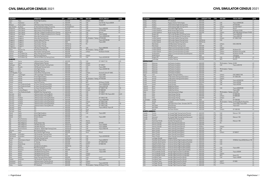#### CIVIL SIMULATOR CENSUS 2021

| <b>LOCATION</b>       |                         | <b>OPERATOR</b>                                    | QTY          | <b>AIRCRAFT TYPE</b> | <b>TYPE</b> | <b>SIM OEM</b>                                | <b>VISUAL DISPLAY</b>        | <b>LEVEL</b> |
|-----------------------|-------------------------|----------------------------------------------------|--------------|----------------------|-------------|-----------------------------------------------|------------------------------|--------------|
| Japan                 | Tokyo                   | Panda Flight Academy                               |              | 1 A320-200           | <b>FFS</b>  | L3Harris                                      | FP-8000                      | LD           |
| India                 | Hyderabad               | Air India                                          |              | 4 A320-200           | <b>FFS</b>  | CAE                                           | Vital VII/150, Tropos 6000XR |              |
| Malaysia              | Kuala Lumpur            | CAE Kuala Lumpur Training Centre                   |              | 5 A320 family        | FFS         | CAE                                           | Tropos 6020                  |              |
| New Zealand           | Auckland                | Air New Zealand Academy of Learning                | 1            | A319/A320/A321       | <b>FFS</b>  | CAE                                           |                              | LD           |
| Philippines           | Clark, Manila           | Alpha Aviation Group (Philippines)                 |              | A320-200             | <b>FFS</b>  | CAE                                           | Tropos 6000/200              | LD           |
|                       | Clark, Manila           |                                                    |              | 1 A320-200           | FFS         | L3Harris                                      | EP-8100/200                  | LD           |
| Philippines           |                         | Alpha Aviation Group (Philippines)                 |              | 2 A320 family        |             |                                               |                              | LD           |
| Philippines           | Clark, Manila           | CAE Clark - Philippine Academy for Av'n Training   |              |                      | <b>FFS</b>  | CAE<br>CAE                                    | Maxvue                       |              |
| Philippines           | Clark, Manila           | CAE Clark - Philippine Academy for Av'n Training   |              | 1 A320neo            | <b>FFS</b>  |                                               | Tropos 6000XR                | LD           |
| Singapore             | Singapore               | Airbus Asia Training Centre                        |              | 1 A320-200           | FFS         | CAE                                           | Tropos 6000XR/200            |              |
| Singapore             | Singapore               | Airbus Asia Training Centre                        |              | 1 A320-200           | <b>FFS</b>  | TRU Simulation + Training EP-8100/200         |                              | LD           |
| Singapore             | Singapore               | Aviation Safety and Training                       |              | A320-200             | <b>FFS</b>  | CAE                                           | Tropos 6221XR/200            | LD           |
| Singapore             | Singapore               | Haite Aviation Training                            |              | 1 A320               | <b>FFS</b>  | CAE                                           | Tropos 6000                  |              |
| Singapore             | Singapore               | Haite Aviation Training                            | $\mathbf{1}$ | A320 family          | FFS         | <b>FSI</b>                                    |                              |              |
| Singapore             | Singapore               | Haite Aviation Training                            | $\mathbf{1}$ | A320 family          | IPT         |                                               |                              |              |
| South Korea           | Seoul                   | <b>CAE Seoul Training Centre</b>                   |              | 2 A320 family        | <b>FFS</b>  | CAE                                           | Tropos 6000/200              | LD           |
| Taiwan                | Taoyuan City            | <b>Ansett Aviation Training</b>                    | $\mathbf{1}$ | A320-200             | <b>FFS</b>  | TRU Simulation + Training EP-8000             |                              | LD           |
| Thailand              | Bangkok                 | Asian Aviation Training Center                     |              | 2 A320-200           | <b>FFS</b>  | L3Harris                                      | RSi Raster XT4/200           | LD           |
| Vietnam               | Ho Chi Minh City        | Airbus Training Centre Vietnam                     |              | 1 A320-200           | <b>FFS</b>  |                                               |                              | LD           |
| Vietnam               | Ho Chi Minh City        | <b>BAA Training (Vietnam)</b>                      | $\mathbf{1}$ | A320 family          | <b>FFS</b>  | L3Harris                                      |                              | LD           |
| Vietnam               | Ho Chi Minh City        | CAE Ho Chi Minh City Training Centre               | 1            | A320-200             | <b>FFS</b>  | CAE                                           | Tropos 6023XR/200            | LD           |
| <b>EUROPE</b>         |                         |                                                    |              |                      |             |                                               |                              |              |
| Austria               | Vienna                  | Lufthansa Aviation Training                        |              | 3 A320-200           | <b>FFS</b>  | CAE                                           | EP-1000CT/150                | LDG          |
| Austria               | Vienna                  | Lufthansa Aviation Training                        |              | 1 A320               | <b>FTD</b>  | L3Harris                                      |                              | LB           |
| Azerbaijan            | Baku                    | Azal Flight Simulator Training Center              |              | 1 A320-200           | <b>FFS</b>  | L3Harris                                      | EP-1000CT                    | LD           |
| Belgium               | <b>Brussels</b>         | <b>CAE Brussels Training Centre</b>                | $\mathbf{1}$ | A320-200             | <b>FFS</b>  | CAE                                           | Tropos 6000                  | LD           |
| Bulgaria              | Sofia                   | Sofia Flight Training                              |              | 2 A320-200           | <b>FFS</b>  | CAE                                           | Tropos 6023XR/180            | LD           |
|                       | Sofia                   |                                                    | $\mathbf{1}$ | A320-200             | <b>FTD</b>  | <b>ECA</b>                                    |                              | L1           |
| Bulgaria              |                         | Sofia Flight Training                              | $\mathbf{1}$ |                      |             |                                               |                              | LD           |
| Czech Republic Prague |                         | Czech Airlines Training Center                     |              | A320-200             | FFS         | L3Harris                                      | Rockwell Collins EP 1000C    |              |
| Denmark               | Copenhagen              | CAE Copenhagen Training Centre                     |              | 1 A320-200           | <b>FFS</b>  | CAE                                           | Tropos 6000                  | LD           |
| Finland               | Helsinki                | Finnair Flight Academy                             | $\mathbf{1}$ | A320-200             | <b>FFS</b>  | CAE                                           | Tropos 6220                  | LD           |
| Finland               | Helsinki                | Finnair Flight Academy                             |              | 2 A320-200           | FFS         | TRU Simulation + Training EP-8100/200         |                              | LD           |
| Finland               | Helsinki                | Finnair Flight Academy                             |              | 1 A320-200           | <b>FTD</b>  | CAE                                           |                              | L1           |
| Finland               | Helsinki                | Patria Pilot Training                              |              | 1 A320-200           | <b>FTD</b>  | <b>MPS</b>                                    | RSI Raster XT4/200           | L2           |
| France                | Paris Charles de Gaulle | Air France Training Centre (CDG)                   | $\mathbf{1}$ | A320-200             | <b>FFS</b>  | Airbus                                        | Tropos 6000XR/200            | LD           |
| France                | Paris Charles de Gaulle | Air France Training Centre (CDG)                   |              | 2 A320-200           | <b>FFS</b>  | CAE                                           | Tropos 6220/180              | LD           |
| France                | Paris Orly              | Air France Training Centre (Orly)                  |              | 3 A320-200           | FFS         | L3Harris                                      | EP-1000CT/180                | LDG          |
| France                | Toulouse Blagnac        | Airbus Training Centre                             |              | 2 A320-200           | FFS         | L3Harris                                      | EP-8000/200                  | LD           |
| France                | Paris Charles de Gaulle | SIMAERO Paris Training Centre                      |              | 1 A320-200           | <b>FFS</b>  | CAE                                           | EP-1000CT                    | LD           |
| Germany               | Berlin                  | Lufthansa Aviation Training (Berlin)               |              | 3 A320-200           | FFS         | CAE                                           | EP-1000CT/180, Tropos 6023   | $D(2)$ , B   |
| Germany               | Berlin                  | Lufthansa Aviation Training (Berlin)               | $\mathbf{1}$ | A320-200             | <b>FTD</b>  | CAE                                           |                              | L1           |
| Germany               | Frankfurt               | Lufthansa Aviation Training (Frankfurt)            |              | 1 A319-100           | <b>FFS</b>  | CAE                                           | EP-1000CT/180                | LD           |
| Germany               | Frankfurt               | Lufthansa Aviation Training (Frankfurt)            |              | 4 A320-200           | FFS         | CAE                                           | Tropos 6000/6400             | LD           |
| Germany               | Frankfurt               | Lufthansa Aviation Training (Frankfurt)            | $\mathbf{1}$ | A320-200             | FFS         | L3Harris                                      | EP-1000CT/200                | LD           |
| Germany               | Frankfurt               | Lufthansa Aviation Training (Frankfurt)            |              | 1 A321-100           | <b>FFS</b>  | CAE                                           | EP-1000CT/150                | LDG          |
| Germany               | Munich                  |                                                    | $\mathbf{1}$ | A320-200             | <b>FFS</b>  | L3Harris                                      | EP-1000CT/200                | LD           |
|                       | Essen                   | Lufthansa Aviation Training (Munich)<br><b>TFC</b> |              | 3 A320-200           | <b>FFS</b>  | CAE                                           |                              | LC           |
| Germany               |                         |                                                    |              |                      |             |                                               | Tropos 6400 (2), Tropos XR   |              |
| Germany               | Essen                   | <b>TFC</b>                                         |              | 1 A320-200           | <b>FTD</b>  | Faros                                         |                              | L1           |
| Germany               | Essen                   | <b>TFC</b>                                         | $\mathbf{1}$ | A320-200             | <b>FTD</b>  | <b>MPS</b>                                    |                              | L2           |
| Ireland               | Dublin                  | Airline Flight Academy                             |              | 2 A320-200           | <b>FFS</b>  | CAE                                           | Tropos 6000                  | LD           |
| Ireland               | Dublin                  | Airline Flight Academy                             |              | 1 A320-200           | <b>FTD</b>  |                                               |                              | L1           |
| Ireland               | Dublin                  | Simtech Aviation                                   | $\mathbf{1}$ | A320-200             | <b>FFS</b>  | CAE                                           | Tropos 6000                  | LD           |
| Italy                 | Rome Fiumicino          | Alitalia                                           |              | 1 A320-200           | <b>FFS</b>  |                                               |                              | LD           |
| Italy                 | Rome Fiumicino          | Alitalia                                           |              | 1 A320-200           | <b>FTD</b>  | Atlantis                                      |                              | L1           |
| Italy                 | Milan Malpensa          | Ansett Aviation Italy                              | $\mathbf{1}$ | A320-200             | FFS         | L3Harris                                      | EP-8100                      | LD           |
| Italy                 | Milan Malpensa          | CAE Milan (EasyJet)                                |              | 3 A320 family        | <b>FFS</b>  | CAE                                           | Tropos 6000XR                |              |
| Italy                 | Milan Malpensa          | CAE Milan (EasyJet)                                |              | 1 A320 family        | <b>FTD</b>  | CAE                                           | Tropos 6000XR                |              |
| Italy                 | Rome Fiumicino          | CAE Rome - Alitalia Flight Training Centre         |              | 1 A320 family        | <b>FFS</b>  | CAE                                           | <b>Tropos R300/180</b>       | LD           |
| Lithuania             | Vilnius                 | <b>BAA Training (Vilnius)</b>                      |              | 2 A320-200           | <b>FFS</b>  | L3Harris                                      |                              |              |
| Malta                 | Luqa                    | Avion Simliner Flight Training                     |              | 1 A320-200           | <b>FFS</b>  | Avion                                         | RSI xt5                      | LD           |
| Netherlands           | Amsterdam               | CAE Amsterdam Training Centre                      |              | 3 A320               | <b>FFS</b>  |                                               |                              | LD           |
| Netherlands           | Amsterdam               | CAE Amsterdam Training Centre                      |              | 1 A320-200           | <b>FFS</b>  | CAE                                           | Tropos 6023XR/200            | LD           |
| Norway                | Oslo                    | CAE Oslo Training Centre                           |              | 1 A320 family        | <b>FFS</b>  | CAE                                           |                              | LD           |
| Russia                | Sheremetyevo Airport    | Aeroflot Flight Training                           |              | 2 A320-200           | <b>FFS</b>  | CAE                                           | Tropos 6200/210              | LD           |
| Russia                | Moscow                  | S7 Training                                        |              | 2 A320-200           | <b>FFS</b>  | L3Harris                                      | EP-1000CP/200                | LD           |
|                       |                         |                                                    |              |                      |             |                                               |                              | LD           |
| Russia                | Ekaterinburg            | Ural Airlines                                      |              | 1 A320-200           | <b>FFS</b>  | <b>LMCFT</b>                                  | EP-8000/180                  |              |
| Spain                 | Madrid                  | Aerodynamics Academy                               |              | 1 A320 family        | <b>FTD</b>  | Simloc                                        |                              | L1           |
| Spain                 | Barcelona               | <b>BAA Training (Spain)</b>                        |              | 1 A320               | <b>FFS</b>  | CAE                                           |                              | LD           |
| Spain                 | Barcelona               | CAE Barcelona Training Centre                      |              | 2 A320-200           | <b>FFS</b>  | CAE                                           | Tropos 6023                  | LD           |
| Spain                 | Madrid                  | CAE Madrid Training Centre                         | $\mathbf{1}$ | A320                 | <b>FFS</b>  | CAE                                           | Tropos 6000                  | LD           |
| Spain                 | Madrid                  | CAE Madrid Training Centre                         |              | 1 A320               | <b>FFS</b>  | L3Harris                                      |                              | LD           |
| Spain                 | Madrid                  | CAE Madrid Training Centre                         |              | 1 A320               | <b>FFS</b>  | <b>LMCFT</b>                                  |                              | LD           |
| Spain                 | Madrid                  | Global Training & Aviation (Spain)                 | $\mathbf{1}$ | A320-200             | <b>FFS</b>  | Indra                                         | Invis <sub>2</sub>           | LD           |
| Sweden                | Stockholm               | CAE Stockholm Training Centre                      |              | 1 A320 family        | <b>FFS</b>  | CAE                                           | Tropos 6023                  |              |
| Switzerland           | Zurich                  | Lufthansa Aviation Training (Zurich)               |              | 1 A320-200           | <b>FTD</b>  | L3Harris                                      |                              | L2           |
| Switzerland           | Zurich                  | Lufthansa Aviation Training (Zurich)               |              | 1 A320-200           | <b>FFS</b>  | L3Harris                                      | Tropos 6222/180              | LD           |
| Turkey                | Istanbul                | IFTC (Istanbul)                                    |              | 1 A320-200           | <b>FFS</b>  | TRU Simulation + Training RSi Raster XT Flite |                              | LD           |
|                       |                         |                                                    |              |                      |             |                                               |                              |              |

| <b>LOCATION</b>          |                           | <b>OPERATOR</b>                               | OTY                            | <b>AIRCRAFT TYPE</b> | <b>TYPE</b>       | <b>SIM OEM</b>                      | <b>VISUAL DISPLAY</b>                                    | <b>LEVEL</b> |
|--------------------------|---------------------------|-----------------------------------------------|--------------------------------|----------------------|-------------------|-------------------------------------|----------------------------------------------------------|--------------|
| Turkey                   | Istanbul                  | IFTC (Istanbul)                               | $\mathbf{1}$                   | A320-200             | <b>FFS</b>        |                                     |                                                          | LD           |
| Turkey                   | Kurtköy                   | Pegasus Aviation Technologies                 | $\mathbf{1}$                   | A320-200             | <b>FFS</b>        | CAE                                 | Tropos 6200XR/200                                        | LD           |
| Turkey                   | Istanbul                  | Turkish Airlines Flight Training Centre       | $\overline{2}$                 | A320-200             | <b>FFS</b>        | CAE                                 | EP-8100/200                                              | LD           |
| Turkey                   | Istanbul                  | Turkish Airlines Flight Training Centre       | 3                              | A320-200             | <b>FFS</b>        | L3Harris                            | EP-8100/1000CT                                           | LD           |
| UK                       | London Gatwick            | Avion IAGO Flight Training                    | $\mathbf{1}$                   | A320-200             | <b>FFS</b>        | Avion                               | RSI xt5                                                  | LD           |
| UK                       | London Heathrow           | British Airways Flight Training               | $\mathbf{1}$                   | A320-200             | <b>FFS</b>        | CAE                                 | RSi Raster XT/200                                        | LD           |
| UK                       | London Heathrow           | British Airways Flight Training               | 3                              | A320-200             | <b>FFS</b>        | L3Harris                            | ESIG-3350/180 (2), RSi Raster XT4/200 LD                 |              |
| UK                       | <b>Burgess Hill</b>       | CAE London Burgess Hill Training Center       | $\mathbf{1}$                   | A320                 | <b>FFS</b>        | CAE                                 | Tropos 6000/200                                          | LD           |
| UK                       | <b>Burgess Hill</b>       | CAE London Burgess Hill Training Center       | $\mathbf{1}$                   | A320                 | <b>FFS</b>        | CAE                                 | Tropos 6000/180                                          | LD           |
| UK                       | London Gatwick            | CAE London Gatwick Training Centre            | $\mathbf{1}$                   | A320                 | <b>FFS</b>        | L3Harris                            | EP-1000CT/200                                            | LD           |
| UK                       | London Gatwick            | CAE London Gatwick Training Centre            | 5                              | A320 family          | <b>FFS</b>        | CAE                                 |                                                          | LD           |
| UK                       | London Gatwick            | CAE London Gatwick Training Centre            | $\mathbf{1}$                   | A320 family          | <b>FFS</b>        |                                     |                                                          | LD           |
| UK                       | Manchester                | CAE Manchester Training Centre                | $\mathbf{1}$                   | A320                 | <b>FFS</b>        | L3Harris                            | ESIG-3350/180                                            | LD           |
| UK                       | Manchester                | CAE Manchester Training Centre                | $\mathbf{1}$                   | A320-200             | <b>FFS</b>        | CAE                                 |                                                          | LD           |
| UK                       | London Gatwick            | L3Harris Commercial Aviation (London)         | $\overline{2}$                 | A320-200             | <b>FFS</b>        | L3Harris                            |                                                          | LD           |
| UK                       | London Gatwick            | L3Harris Commercial Aviation (London)         | $\mathbf{1}$                   | A320-200             | <b>FFS</b>        | <b>LMCFT</b>                        | RSi Raster XT4                                           | LD           |
|                          |                           |                                               |                                |                      |                   |                                     | RSi Raster XT4 Lite/200                                  |              |
| UK                       | London Gatwick            | L3Harris Commercial Aviation (London)         | $\mathbf{1}$                   | A320-200             | <b>FTD</b>        | L3Harris                            |                                                          | L1           |
| UK                       | Southampton               | L3Harris Commercial Aviation (Southampton)    | $\mathbf{1}$                   | A320-200             | FFS               | L3Harris                            | RSi Raster XT4/180                                       | LD           |
| UK                       | Redhill Airport           | PMFlight                                      | $\mathbf{1}$                   | A320                 | <b>FTD</b>        |                                     | 160 degree                                               |              |
| UK                       | <b>Burgess Hill</b>       | Quadrant Systems                              | $\mathbf{1}$                   | A320-200             | <b>FFS</b>        | CAE                                 | EP-1000/180                                              | LD           |
| UK                       | Cambridge                 | VA Airline Training                           | $\mathbf{1}$                   | A320-200             | <b>FTD</b>        | <b>MPS</b>                          | RSIXT5                                                   | L1           |
| <b>MIDDLE EAST</b>       |                           |                                               |                                |                      |                   |                                     |                                                          |              |
| Bahrain                  | Muharraq                  | Gulf Aviation Academy                         | $\mathbf{1}$                   | A320-200             | <b>FFS</b>        | TRU Simulation + Training X2/200    |                                                          | LD           |
| Bahrain                  | Muharraq                  | Gulf Aviation Academy                         | $\mathbf{1}$                   | A320-200             | <b>FFS</b>        | CAE                                 | Tropos 6200/180                                          | LD           |
| Bahrain                  | Muharraq                  | <b>Gulf Aviation Academy</b>                  | $\overline{2}$                 | A320-200             | <b>FFS</b>        |                                     |                                                          | LD           |
| Bahrain                  | Muharraq                  | Gulf Aviation Academy                         | $\mathbf{1}$                   | A320-200             | <b>FTD</b>        | TRU Simulation + Training           |                                                          | L1           |
| Bahrain                  |                           |                                               | $\mathbf{1}$                   | A320-200             | <b>FTD</b>        | CAE                                 |                                                          | L1           |
|                          | Muharraq                  | Gulf Aviation Academy                         | $\mathbf{1}$                   |                      | <b>FTD</b>        |                                     |                                                          | L1           |
| Bahrain                  | Muharraq                  | Gulf Aviation Academy                         |                                | A320-200             |                   |                                     |                                                          |              |
| Egypt                    | Cairo                     | Egyptair Training Academy                     | $\overline{2}$                 | A320-200             | <b>FFS</b>        | L3Harris                            | ESIG-3800GT/180                                          | LD           |
| Jordan                   | Amman                     | Jordan Airline Training and Simulation        | 3                              | A320-200             | FFS               | L3Harris                            | EP-1000C/200                                             | LD           |
| Jordan                   | Amman                     | Jordan Airline Training and Simulation        | $\mathbf{1}$                   | A320-200             | <b>FTD</b>        | L3Harris                            |                                                          |              |
| Kuwait                   | Kuwait                    | Kuwait Airways                                | $\mathbf{1}$                   | A320-200             | <b>FFS</b>        | CAE                                 | Tropos 6023XR/200                                        | LD           |
| Kuwait                   | Kuwait                    | Kuwait Airways                                | $\mathbf{1}$                   | A320-200             | <b>FTD</b>        | CAE                                 | Tropos 6023XR                                            | L1           |
| Kuwait                   | Kuwait                    | Kuwait Airways                                | $\mathbf{1}$                   | A320neo              | <b>FTD</b>        | CAE                                 | Tropos 6023XR                                            | L1           |
| Lebanon                  | Beirut                    | Middle East Airlines                          | $\mathbf{1}$                   | A320-200             | <b>FFS</b>        |                                     |                                                          | LD           |
| Lebanon                  | Beirut                    | Middle East Airlines                          | $\mathbf{1}$                   | A320-200             | <b>FFS</b>        | CAE                                 | Tropos 6000XR/200                                        | LD           |
| Lebanon                  | Beirut                    | Middle East Airlines                          | $\mathbf{1}$                   | A320-200             | <b>FTD</b>        |                                     | Tropos 6000                                              | L1           |
|                          | Doha                      |                                               | $\mathbf{1}$                   | A320-200             | <b>FTD</b>        | TRU Simulation + Training aXion/200 |                                                          | L2           |
| Qatar                    |                           | Qatar Aeronautical College                    |                                |                      |                   |                                     |                                                          |              |
| Qatar                    | Doha                      | Qatar Airways Training                        | $\overline{2}$                 | A320-200             | FFS               | CAE                                 | EP-8000/200                                              | LD           |
| Qatar                    | Doha                      | Qatar Airways Training                        | $\mathbf{1}$                   | A320-200             | <b>FFS</b>        | L3Harris                            | EP-8000/200                                              | LD           |
| Qatar                    | Doha                      | Qatar Airways Training                        | $\mathbf{1}$                   | A320-200             | <b>FTD</b>        | L3Harris                            | EP1                                                      | L1           |
| Saudi Arabia             | Jeddah                    | Prince Sultan Aviation Academy                | $\overline{2}$                 | A320                 | <b>FFS</b>        | CAE                                 | EP-1000/200                                              | LD           |
| UAE                      | Sharjah                   | Air Arabia                                    | $\overline{2}$                 | A320-200             | <b>FFS</b>        |                                     | TRU Simulation + Training Simthetiq/200, Rsi RasterFlite | LD           |
| UAE                      | Dubai                     | CAE Dubai Silicon Oasis - Emirates-CAE FTC    | $\overline{2}$                 | A320-200             | <b>FFS</b>        | CAE                                 | Tropos R300, Tropos 6023                                 | LD           |
| UAE                      | Abu Dhabi                 | Etihad Airways                                | 3                              | A320-200             | <b>FFS</b>        | CAE                                 | Tropos 6221                                              | LD           |
| UAE                      | Abu Dhabi                 | Etihad Airways                                | $\overline{2}$                 | A320-200             | <b>FTD</b>        | CAE                                 |                                                          | L1           |
| <b>UAE</b>               | Sharjah                   | Pier Seven Aviation                           | $\mathbf{1}$                   | A320-200             | FFS               | L3Harris                            | EP-1000/180                                              | LD           |
| <b>NORTH AMERICA</b>     |                           |                                               |                                |                      |                   |                                     |                                                          |              |
| Canada                   | Toronto                   | Air Canada Flight Training Centre (Toronto)   |                                | 2 A320-200           | FFS               | CAE                                 | Maxvue+/150                                              | LD           |
|                          |                           |                                               |                                |                      |                   |                                     |                                                          |              |
| Canada                   | Toronto                   | Air Canada Flight Training Centre (Toronto)   | $\overline{2}$                 | A320-214             | <b>FTD</b>        | CAE                                 |                                                          | L4           |
| Canada                   | Vancouver                 | Air Canada Flight Training Centre (Vancouver) | $\mathbf{1}$                   | A320-200             | FFS               | CAE                                 | Maxvue+/150                                              | LD           |
| Canada                   | Montreal                  | CAE Montreal Training Centre                  | $\overline{4}$                 | A320-200             | <b>FFS</b>        | CAE                                 |                                                          | LD           |
| <b>USA</b>               | Kissimmee, Florida        | AeroStar Training Services                    | $\mathbf{1}$                   | A320-232             | <b>FFS</b>        | CAE                                 | Maxvue+/180                                              | LD           |
| <b>USA</b>               | Denver, Colorado          | Airbus Training Centre (Denver)               | $\mathbf{1}$                   | A320-200             | <b>FFS</b>        | <b>FSI</b>                          |                                                          | LD           |
| <b>USA</b>               | Denver, Colorado          | Airbus Training Centre (Denver)               |                                | 2 A320-200           | <b>FFS</b>        |                                     |                                                          | LD           |
| <b>USA</b>               | Denver, Colorado          | Airbus Training Centre (Denver)               | $\mathbf{1}$                   | A320neo              | <b>FFS</b>        | L3Harris                            |                                                          | LD           |
| <b>USA</b>               | Miami, Florida            | Airbus Training Centre (Miami)                | $\overline{2}$                 | A320-200             | <b>FFS</b>        | CAE                                 |                                                          | LD           |
| <b>USA</b>               | Miami, Florida            | Airbus Training Centre (Miami)                | $\overline{2}$                 | A320-200             | <b>FFS</b>        | <b>FSI</b>                          |                                                          | LD           |
| <b>USA</b>               | Miami, Florida            | Airbus Training Centre (Miami)                | 3                              | A320-200             | <b>FFS</b>        | L3Harris                            | EP-8000CT                                                | LD           |
| <b>USA</b>               | Miami, Florida            | Airbus Training Centre (Miami)                | $\overline{2}$                 | A320-200             | <b>FFS</b>        |                                     |                                                          | LD           |
|                          |                           |                                               |                                |                      |                   |                                     |                                                          |              |
| <b>USA</b>               | Miami, Florida            | Airbus Training Centre (Miami)                | 3                              | A320-200             | <b>FTD</b>        |                                     |                                                          | L4           |
| <b>USA</b>               | Las Vegas, Nevada         | Allegiant Airlines                            | $\mathbf{1}$                   | A320-200             | <b>FFS</b>        |                                     |                                                          | LD           |
| <b>USA</b>               | Charlotte, North Carolina | American Airlines Flight Academy (Charlotte)  | $\overline{4}$                 | A320-200             | <b>FFS</b>        | CAE                                 | SPX200/4w, Tropos 6000 (2), Maxvue+180 LD                |              |
| <b>USA</b>               | Charlotte, North Carolina | American Airlines Flight Academy (Charlotte)  | $\overline{2}$                 | A320-232             | <b>FTD</b>        | CAE                                 |                                                          | L4           |
| <b>USA</b>               | Dallas/Fort Worth, Texas  | American Airlines Flight Academy (Dallas)     | 6                              | A320-200             | <b>FFS</b>        | CAE                                 |                                                          | LD           |
| <b>USA</b>               | Dallas/Fort Worth, Texas  | American Airlines Flight Academy (Dallas)     | $\overline{2}$                 | A320-200             | <b>FFS</b>        |                                     |                                                          | LD           |
| <b>USA</b>               | Dallas/Fort Worth, Texas  | American Airlines Flight Academy (Dallas)     | $\mathbf{1}$                   | A320-232             | <b>FFS</b>        | CAE                                 | Tropos 6000                                              | LD           |
| <b>USA</b>               | Dallas/Fort Worth, Texas  | American Airlines Flight Academy (Dallas)     | $\overline{4}$                 | A320-232             | <b>FTD</b>        | CAE                                 |                                                          | L4           |
| <b>USA</b>               | Fort Lauderdale, Florida  | Avenger Flight Group (Fort Lauderdale)        | $\overline{2}$                 | A320-200             | <b>FFS</b>        | CAE                                 | Tropos 6000XR                                            | LD           |
| <b>USA</b>               | Fort Lauderdale, Florida  | Avenger Flight Group (Fort Lauderdale)        | $\overline{2}$                 | A320-200             | <b>FFS</b>        | L3Harris                            |                                                          | LD           |
|                          |                           |                                               |                                |                      |                   |                                     |                                                          |              |
| <b>USA</b>               | Fort Lauderdale, Florida  | Avenger Flight Group (Fort Lauderdale)        | $\mathbf{1}$                   | A320-200             | <b>FTD</b>        | <b>MPS</b>                          | Raster XT5                                               | L5           |
| <b>USA</b>               | Fort Worth, Texas         | Avenger Flight Group (Fort Worth)             | $\overline{2}$                 | A320-200             | <b>FFS</b>        | CAE                                 | Tropos 6000XR                                            | LD           |
|                          | Fort Worth, Texas         | Avenger Flight Group (Fort Worth)             | $\mathbf{1}$                   | A320-200             | <b>FFS</b>        |                                     |                                                          | LD           |
| <b>USA</b>               |                           |                                               |                                |                      |                   |                                     |                                                          |              |
| <b>USA</b>               | Fort Worth, Texas         | Avenger Flight Group (Fort Worth)             | $\mathbf{1}$                   | A320-200             | <b>FTD</b>        | <b>LMCFT</b>                        | EP-8000                                                  | L5           |
| <b>USA</b><br><b>USA</b> | Las Vegas, Nevada         | Avenger Flight Group (Las Vegas)              | $\mathbf{1}$<br>$\overline{2}$ | A320-200<br>A320-200 | FFS<br><b>FFS</b> | L3Harris                            |                                                          | LD<br>LD     |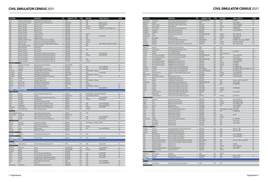#### CIVIL SIMULATOR CENSUS 2021

| <b>LOCATION</b>         |                              | <b>OPERATOR</b>                                      | OTY            | <b>AIRCRAFT TYPE</b>     | <b>TYPE</b>       | <b>SIM OEM</b>                   | <b>VISUAL DISPLAY</b>                 | LEVEL |
|-------------------------|------------------------------|------------------------------------------------------|----------------|--------------------------|-------------------|----------------------------------|---------------------------------------|-------|
| <b>USA</b>              | Dallas/Fort Worth, Texas     | CAE Dallas East Training Centre                      |                | 1 A320                   | <b>FFS</b>        | CAE                              |                                       |       |
| <b>USA</b>              | San Francisco, California    | CAE San Francisco Training Centre                    |                | 1 A320 family            | <b>FFS</b>        | CAE                              | Maxvue+/180                           | LD    |
| <b>USA</b>              | Atlanta, Georgia             | Delta Air Lines                                      | $\mathbf{1}$   | A320-200                 | FFS               | CAE                              | ESIG-3350/180                         | LD    |
| <b>USA</b>              | Atlanta, Georgia             | Delta Air Lines                                      | $\mathbf{1}$   | A320-200                 | <b>FFS</b>        | L3Harris                         | SPX250CT                              | LD    |
| <b>USA</b>              | Atlanta, Georgia             | Delta Air Lines                                      |                | 1 A320-200               | <b>FFS</b>        | L3Harris                         | SPX500HT/150, SPX250CT/4w             | LC    |
| <b>USA</b>              | Atlanta, Georgia             | Delta Air Lines                                      |                | 2 A320-200               | FFS               |                                  |                                       | LD    |
| <b>USA</b>              | Atlanta, Georgia             | Delta Air Lines                                      | $\overline{2}$ | A320-200                 | <b>FTD</b>        |                                  |                                       | L7    |
| <b>USA</b>              | Honolulu, Hawaii             | Hawaiian Airlines                                    |                | 1 A320-200               | <b>FFS</b>        | <b>LMCFT</b>                     |                                       | LD    |
| <b>USA</b>              | Orlando, Florida             | JetBlue Airways                                      |                | 5 A320-232               | <b>FFS</b>        | CAE                              | Tropos/180                            | LD    |
| <b>USA</b>              | Orlando, Florida             | JetBlue Airways                                      |                | 6 A320-232               | <b>FTD</b>        | CAE                              |                                       | L5    |
| <b>USA</b>              | Dallas/Fort Worth, Texas     | L3Harris Commercial Aviation (Dallas)                |                | 1 A320-200               | <b>FTD</b>        | L3Harris                         |                                       | L4    |
| <b>USA</b>              | Sanford, Florida             | L3Harris Commercial Aviation (Sanford)               | $\mathbf{1}$   | A320-200                 | <b>FTD</b>        | L3Harris                         |                                       | L4    |
| <b>USA</b>              | Miami, Florida               | PanAm International Flight Academy (Miami)           | $\overline{2}$ | A320-200                 | <b>FFS</b>        | CAE                              | ESIG-3350GT, Rsi Raster XT4/200       | LD    |
| <b>USA</b>              | West Lafayatte, Indiana      | Purdue University                                    |                | 1 A320-200               | <b>FTD</b>        | <b>MPS</b>                       |                                       | L5    |
| <b>USA</b>              | Miramar, Florida             | <b>Spirit Airlines</b>                               | $\mathbf{1}$   | A320-200                 | <b>FFS</b>        |                                  |                                       | LD    |
| <b>USA</b>              | Miramar, Florida             | <b>Spirit Airlines</b>                               | $\mathbf{1}$   | A320-200                 | <b>FTD</b>        | CAE                              |                                       | L4    |
| <b>USA</b>              | Miramar, Florida             | <b>Spirit Airlines</b>                               |                | 5 A320-200               | <b>FTD</b>        |                                  |                                       | L4    |
| <b>USA</b>              | Denver, Colorado             | United Airlines Training Center (Denver)             | $\mathbf{1}$   | A320-200                 | <b>FFS</b>        | CAE                              | ESIG-3350/150                         | LD    |
| <b>USA</b>              | Denver, Colorado             | United Airlines Training Center (Denver)             |                | 4 A320-200               | <b>FFS</b>        | L3Harris                         | ESIG-3350/150                         | LD    |
| <b>USA</b>              | Denver, Colorado             | United Airlines Training Center (Denver)             |                | 1 A320-200               | <b>FFS</b>        | CAE                              |                                       | LD    |
| <b>USA</b>              | Denver, Colorado             | United Airlines Training Center (Denver)             | $\mathbf{1}$   | A320-200                 | <b>FTD</b>        |                                  |                                       | L5    |
| <b>USA</b>              | Denver, Colorado             | United Airlines Training Center (Denver)             | $\mathbf{1}$   | A320-200                 | <b>FTD</b>        | L3Harris                         |                                       | L5    |
| <b>SOUTH AMERICA</b>    |                              |                                                      |                |                          |                   |                                  |                                       | LD    |
| Brazil                  | Campinas, Sao Paulo          | Airbus Training Center (Brazil)<br>CAE Sao Paulo     |                | 1 A320-100/200           | <b>FFS</b>        |                                  |                                       | LD    |
| Brazil<br>Chile         | Sao Paulo                    |                                                      |                | 3 A320-200<br>3 A320-200 | FFS<br><b>FFS</b> | CAE<br>CAE                       | Tropos 6000/180<br>Tropos 6000/200    | LD    |
|                         | Santiago                     | CAE Santiago Training Centre                         | 1              | A320-200                 | FFS               | TRU Simulation + Training        |                                       | LD    |
| Colombia<br>Colombia    | Medellin                     | Avenger Flight Group (Colombia)                      |                | 3 A320 family            | FFS               | CAE                              | Tropos 6000                           |       |
|                         | Bogota                       | CAE Bogota Training Centre                           |                |                          |                   | TRU Simulation + Training        |                                       |       |
| Colombia                | Bogota                       | CAE Bogota Training Centre                           | $\mathbf{1}$   | 1 A320 family<br>A320    | <b>FFS</b><br>FFS |                                  |                                       | LD    |
| Colombia                | Bogota                       | Global Training & Aviation (Colombia)                | $\mathbf{1}$   | A320-200                 | <b>FFS</b>        | Indra<br>CAE                     | Invis-3                               |       |
| Mexico                  | Monterrey                    | Avenger Flight Group                                 |                | 1 A320-200               | <b>FFS</b>        | TRU Simulation + Training        |                                       |       |
| Mexico                  | Cancun<br>Mexico City        | Avenger Flight Group<br>CAE Mexico Training Centre   | $\mathbf{1}$   | A320 family              | FFS               | CAE                              |                                       |       |
| Mexico<br>Mexico        | Mexico City                  | CAE Mexico Training Centre                           | $\mathbf{1}$   | A320 family              | <b>FFS</b>        | L3Harris                         |                                       | LC    |
|                         | Mexico City                  |                                                      |                | 1 A320                   | <b>FFS</b>        | TRU Simulation + Training        |                                       | LD    |
| Mexico<br>Peru          | Lima                         | InterJet Flight Training<br>CAE Lima Training Centre | $\mathbf{1}$   | A320-200                 | <b>FFS</b>        | CAE                              | ESIG-3350/180                         | LD    |
|                         | <b>AIRBUS A320NEO FAMILY</b> |                                                      |                |                          |                   |                                  |                                       |       |
| <b>ASIA-PACIFIC</b>     |                              |                                                      |                |                          |                   |                                  |                                       |       |
| China                   | Beijing                      | Hua-Ou Aviation Training Centre                      |                | 1 A320neo                | <b>FFS</b>        |                                  | TRU Simulation + Training EP-8100/200 | LD    |
| China                   | Shanghai                     | Juneyao                                              | $\overline{2}$ | A320ceo/neo              | FFS               | China Simulation Sciences        |                                       | LD    |
| China                   | Pudong                       | Shanghai Eastern Flight Training Centre              |                | 1 A320neo                | FFS               | CAE                              | Tropos 6000XR                         | LD    |
| China                   | Shanghai                     | <b>Spring Airlines</b>                               |                | 2 A320neo                | FFS               | L3Harris                         | RealitySeven                          |       |
| India                   | Gurugram                     | Airbus Training Centre (India)                       |                | 2 A320neo                | FFS               |                                  |                                       | LD    |
| India                   | Gurugram                     | Flight Simulation Technique Centre                   |                | 1 A320neo                | FFS               | CAE                              | Tropos 6023XR/201                     | LD    |
| India                   | Hyderabad                    | Flight Simulation Technique Centre                   |                | 1 A320neo                | FFS               | CAE                              | Tropos 6023XR/200                     | LD    |
| Philippines             | Clark, Manila                | Alpha Aviation Group (Philippines)                   | $\mathbf{1}$   | A320neo                  | FFS               | L3Harris                         | EP-8100/200                           | LD    |
| Vietnam                 | Ho Chi Minh City             | <b>BAA Training (Vietnam)</b>                        |                | 1 A320neo                | FFS               | L3Harris                         |                                       | LD    |
| <b>EUROPE</b>           |                              |                                                      |                |                          |                   |                                  |                                       |       |
| Czech Republic Prague   |                              | Czech Airlines Training Center                       |                | 1 A320neo                | <b>FFS</b>        | CAE                              |                                       | LD    |
| Netherlands             | Amsterdam                    | CAE Amsterdam Training Centre                        |                | 1 A320ceo/neo            | FFS               |                                  |                                       | LD    |
| Turkey                  | Kurtköy                      | Pegasus Aviation Technologies                        |                | 2 A320neo                | <b>FFS</b>        | CAE                              | Tropos 6200/200                       | LD    |
| Turkey                  | Istanbul                     | Turkish Airlines Flight Training Centre              |                | 2 A320neo                | FFS               | CAE                              | EP-8100/200                           | LD    |
| <b>MIDDLE EAST</b>      |                              |                                                      |                |                          |                   |                                  |                                       |       |
| Bahrain                 | Muharraq                     | <b>Gulf Aviation Academy</b>                         |                | 2 A320neo                | <b>FFS</b>        | TRU Simulation + Training X2/200 |                                       | LD    |
| Bahrain                 | Muharrad                     | Gulf Aviation Academy                                |                | 1 A320neo                | <b>FTD</b>        |                                  |                                       | L1    |
| Egypt                   | Cairo                        | Egyptair Training Academy                            |                | 1 A320neo                | FFS               | L3Harris                         |                                       | LD    |
| Kuwait                  | Kuwait                       | Kuwait Airways                                       |                | 1 A320neo                | FFS               | CAE                              | Tropos 6023XR/200                     | LD    |
| Lebanon                 | Beirut                       | Middle East Airlines                                 |                | 1 A320neo                | <b>FFS</b>        |                                  |                                       | LD    |
| <b>NORTH AMERICA</b>    |                              |                                                      |                |                          |                   |                                  |                                       |       |
| Canada                  | Montreal                     | CAE Montreal Training Centre                         |                | 1 A320neo                | <b>FTD</b>        | CAE                              |                                       | L4    |
| <b>SOUTH AMERICA</b>    |                              |                                                      |                |                          |                   |                                  |                                       |       |
| Brazil                  | Sao Paulo                    | CAE Sao Paulo                                        |                | 1 A320neo                | <b>FFS</b>        | CAE                              | Tropos 6023                           |       |
| <b>AIRBUS A330/A340</b> |                              |                                                      |                |                          |                   |                                  |                                       |       |
| <b>AFRICA</b>           |                              |                                                      |                |                          |                   |                                  |                                       |       |
| South Africa            | Johannesburg                 | CAE Johannesburg Training Centre                     |                | 1 A330                   | <b>FFS</b>        | CAE                              | Tropos 6000                           | LD    |
| <b>ASIA-PACIFIC</b>     |                              |                                                      |                |                          |                   |                                  |                                       |       |
| Australia               | Melbourne                    | Qantas                                               |                | 1 A330-200/300           | <b>FFS</b>        | CAE                              | Tropos 6000/210                       | LD    |
| Australia               | Sydney                       | Qantas                                               |                | 1 A330-200/300           | <b>FFS</b>        | L3Harris                         | EP-8000/200                           | LD    |
| Australia               | Sydney                       | Qantas                                               |                | 1 A330-200               | <b>FTD</b>        |                                  |                                       | L1    |
| China                   | Beijing                      | Airbus Training Centre (Beijing)                     |                | 1 A330-200               | <b>FFS</b>        | CAE                              | EP-8000/200                           | LD    |
| China                   | Beijing                      | Hua-Ou Aviation Training Centre                      |                | 1 A330/340               | <b>FFS</b>        | CAE                              | Tropos 6000                           | LD    |
| China                   | Pudong                       | Shanghai Eastern Flight Training Centre              |                | 1 A330/340               | FFS               | CAE                              | Tropos R300                           | LD    |
| China                   | Pudong                       | Shanghai Eastern Flight Training Centre              | $\mathbf{1}$   | A330/340                 | IPT               | CAE                              |                                       |       |
| China                   | Zuhai                        | Zhuhai Flight Training Center                        |                | 2 A330                   | <b>FFS</b>        | CAE                              | Tropos 6200/200                       | LD    |
| Fiji                    | Fiji                         | Air Pacific                                          |                | 1 A330-200               | <b>FFS</b>        | CAE                              | Tropos 6223XR/200                     | LD    |
| Hong Kong               | Hong Kong                    | CAE Hong Kong Training Centre                        | $\mathbf{1}$   | A330/A340                | <b>FFS</b>        | CAE                              |                                       | LD    |

| <b>LOCATION</b>      |                           | <b>OPERATOR</b>                               | OTY            | <b>AIRCRAFT TYPE</b> | <b>TYPE</b> | <b>SIM OEM</b>                      | <b>VISUAL DISPLAY</b>                | <b>LEVEL</b> |
|----------------------|---------------------------|-----------------------------------------------|----------------|----------------------|-------------|-------------------------------------|--------------------------------------|--------------|
| Hong Kong            | Hong Kong                 | Cathay Pacific Flight Training Center         |                | 2 A330-300/A340-300  | FFS         | CAE                                 | EP-8000                              | LD           |
| Indonesia            | Jakarta                   | Garuda Indonesia Training Center              | $\mathbf{1}$   | A330                 | <b>FFS</b>  | CAE                                 | Tropos 6000                          | LD           |
| Malaysia             | Kuala Lumpur              | CAE Kuala Lumpur Training Centre              | $\overline{c}$ | A330-300             | FFS         | CAE                                 | Tropos 6000/200                      | LD           |
| Malaysia             | Kuala Lumpur              | MAB Academy                                   | $\mathbf{1}$   | A330-300             | FFS         | L3Harris                            | Image IV-600PT                       |              |
| Philippines          | Clark, Manila             | Alpha Aviation Group (Philippines)            | $\mathbf{1}$   | A330-200E            | FFS         | CAE                                 | EP-8000/200                          | LD           |
| Singapore            | Singapore                 | Airbus Asia Training Centre                   | $\mathbf{1}$   | A330-200             | <b>FFS</b>  | CAE                                 | Tropos 6200/210                      | LD           |
| Singapore            | Singapore                 | Airbus Asia Training Centre                   | $\mathbf{1}$   | A330-200             | FFS         |                                     |                                      | LD           |
| South Korea          | Seoul                     | <b>CAE Seoul Training Centre</b>              | $\mathbf{1}$   | A330-200/A340-300    | FFS         | L3Harris                            | ESIG-3350/180                        | LD           |
| South Korea          | Inchon                    | Korean Air                                    | $\mathbf{1}$   | A330-300             | <b>FFS</b>  | L3Harris                            | ESIG-3350/180                        | LD           |
| Sri Lanka            | Katunayake                | SriLankan Airlines                            | $\mathbf{1}$   | A330-200             | FFS         | <b>LMCFT</b>                        | EP-8000/200                          | LD           |
|                      |                           |                                               | $\overline{2}$ |                      |             | CAE                                 |                                      |              |
| Taiwan               | Taoyuan                   | China Airlines Flight Training Center         |                | A330-200/300         | FFS         |                                     | EP-8000 LCOS, Tropos 6000XR          | LD           |
| Thailand             | Bangkok                   | Asian Aviation Training Center                | $\mathbf{1}$   | A330-200E            | <b>FFS</b>  | L3Harris                            | RSi Raster XT4/200                   | LD           |
| Thailand             | Bangkok                   | Thai Airways Flight Simulator Training Center | $\overline{2}$ | A330/340             | FFS         | L3Harris                            | ESIG-3350GT/180                      | LD           |
| <b>EUROPE</b>        |                           |                                               |                |                      |             |                                     |                                      |              |
| Belgium              | <b>Brussels</b>           | <b>CAE Brussels Training Centre</b>           | $\mathbf{1}$   | A330                 | <b>FFS</b>  | CAE                                 |                                      |              |
| Denmark              | Copenhagen                | CAE Copenhagen Training Centre                | $\mathbf{1}$   | A330                 | FFS         | CAE                                 |                                      | LD           |
| Finland              | Helsinki                  | Finnair Flight Academy                        | $\mathbf{1}$   | A330-200             | FFS         | CAE                                 | EP-1000CT                            | LDG          |
| Finland              | Helsinki                  | Finnair Flight Academy                        | $\mathbf{1}$   | A330-200             | <b>FFS</b>  | Sim International                   |                                      | LD           |
| France               | Paris Charles de Gaulle   | Air France Training Centre (CDG)              | $\mathbf{1}$   | A330-200/A340-300    | FFS         | CAE                                 | Tropos 6220/180                      | LD           |
| France               | Paris Charles de Gaulle   | Air France Training Centre (CDG)              | $\mathbf{1}$   | A340-300             | FFS         | L3Harris                            | Tropos 6220                          | LDG          |
| France               | Toulouse Blagnac          | Airbus Training Centre                        | $\overline{2}$ | A330-200/A340-300    | FFS         | CAE                                 | Tropos 6000/200                      | LD           |
| France               | Paris Charles de Gaulle   | SIMAERO Paris Training Centre                 | $\mathbf{1}$   | A330-200             | FFS         | CAE                                 | Tropos 6222XR2                       | LD           |
|                      |                           |                                               | $\mathbf{1}$   | A330-200             | FFS         |                                     | EP-1000CT                            | LD           |
| France               | Paris Charles de Gaulle   | SIMAERO Paris Training Centre                 |                |                      |             | L3Harris                            |                                      |              |
| France               | Paris Charles de Gaulle   | SIMAERO Paris Training Centre                 | $\mathbf{1}$   | A340-300             | FFS         | L3Harris                            | EP-1000CT                            | LD           |
| Germany              | Frankfurt                 | Lufthansa Aviation Training (Frankfurt)       | $\overline{2}$ | A330-300             | FFS         | CAE                                 | EP-1000CT/200                        | LD           |
| Germany              | Frankfurt                 | Lufthansa Aviation Training (Frankfurt)       | 3              | A340-300/600         | FFS         | CAE                                 | EP-1000CT/150 (2), EP-1000CT/180 LDG |              |
| Germany              | Munich                    | Lufthansa Aviation Training (Munich)          | $\mathbf{1}$   | A330-300E/A340-600   | FFS         | CAE                                 | EP-1000CT/200                        | LD           |
| Italy                | Rome Fiumicino            | CAE Rome - Alitalia Flight Training Centre    | $\mathbf{1}$   | A330-200             | FFS         | L3Harris                            | Tropos 6000/180                      | LD           |
| Netherlands          | Amsterdam                 | <b>KLM</b>                                    | $\mathbf{1}$   | A330-200E            | FFS         | L3Harris                            | EP-1000CT/180                        | LD           |
| Russia               | Sheremetyevo Airport      | Aeroflot Flight Training                      | $\mathbf{1}$   | A330-200             | FFS         | CAE                                 | Tropos 6220/200                      | LD           |
| Spain                | Madrid                    | CAE Madrid Training Centre                    | $\mathbf{1}$   | A330-200             | FFS         |                                     |                                      | LD           |
| Spain                | Madrid                    | CAE Madrid Training Centre                    | $\overline{3}$ | A330-300             | FFS         | CAE                                 | Maxvue+/180, Tropos 6022             | LD           |
| Switzerland          | Zurich                    | Lufthansa Aviation Training (Zurich)          | $\mathbf{1}$   | A330-200/A340-300    | FFS         | CAE                                 | Tropos 6000                          | LD           |
|                      |                           | Turkish Airlines Flight Training Centre       | $\mathbf{1}$   | A330-200             |             | CAE                                 |                                      | LD           |
| Turkey               | Istanbul                  |                                               |                |                      | FFS         |                                     | EP-8100/200                          |              |
| Turkey               | Istanbul                  | Turkish Airlines Flight Training Centre       | $\overline{3}$ | A330-200             | FFS         |                                     |                                      | LD           |
| Turkey               | Istanbul                  | Turkish Airlines Flight Training Centre       | $\mathbf{1}$   | A330-200E            | FFS         | L3Harris                            | EP-8000/200                          | LD           |
| Turkey               | Istanbul                  | Turkish Airlines Flight Training Centre       | $\overline{2}$ | A340-300E            | <b>FTD</b>  | L3Harris                            |                                      | LD           |
| UK                   | London Gatwick            | CAE London Gatwick Training Centre            | $\mathbf{1}$   | A330-200             | FFS         | CAE                                 | Tropos 6023                          | LD           |
| UK                   | Manchester                | CAE Manchester Training Centre                | $\mathbf{1}$   | A330                 | FFS         |                                     |                                      | LD           |
| UK                   | London Gatwick            | L3Harris Commercial Aviation (London)         | $\mathbf{1}$   | A330-200             | <b>FFS</b>  | L3Harris                            | Epic 88 XT5                          | LD           |
| <b>MIDDLE EAST</b>   |                           |                                               |                |                      |             |                                     |                                      |              |
| Bahrain              | Muharraq                  | Gulf Aviation Academy                         | $\mathbf{1}$   | A330-200             | FFS         | CAE                                 | Tropos 6220/210                      | LD           |
| Egypt                | Cairo                     | Egyptair Training Academy                     | $\mathbf{1}$   | A330-200             | <b>FFS</b>  | L3Harris                            | ESIG-3800GT/200                      | LD           |
|                      | Cairo                     |                                               | $\mathbf{1}$   | A340-300             | FFS         | L3Harris                            | ESIG-3800GT/200                      | LD           |
| Egypt                |                           | Egyptair Training Academy                     |                |                      |             |                                     |                                      |              |
| Kuwait               | Kuwait                    | Kuwait Airways                                | $\mathbf{1}$   | A330-200             | <b>FTD</b>  | CAE                                 | Tropos 6023XR                        | L1           |
| Lebanon              | Beirut                    | Middle East Airlines                          | $\mathbf{1}$   | A330-200E            | <b>FTD</b>  |                                     | Tropos 6000                          | L1           |
| Oman                 | Seeb                      | Oman Air Flight Training Centre               | $\mathbf{1}$   | A330-200             | FFS         | TRU Simulation + Training aXion/200 |                                      | LD           |
| Qatar                | Doha                      | Qatar Airways Training                        | $\mathbf{1}$   | A330-200             | FFS         | CAE                                 | EP-8000/200                          | LD           |
| Qatar                | Doha                      | Qatar Airways Training                        | $\mathbf{1}$   | A330-200             | <b>FFS</b>  |                                     |                                      | LD           |
| Qatar                | Doha                      | Qatar Airways Training                        | $\mathbf{1}$   | A330-200             | <b>FTD</b>  | CAE                                 | EP-80                                | L1           |
| Qatar                | Doha                      | Qatar Airways Training                        | $\mathbf{1}$   | A330-200             | <b>FTD</b>  | L3Harris                            |                                      | L1           |
| Saudi Arabia         | Jeddah                    | Prince Sultan Aviation Academy                |                | 2 A330/A340          | <b>FFS</b>  | CAE                                 | EP-1000/200                          | LD           |
| <b>UAE</b>           | Abu Dhabi                 | Etihad Airways                                |                | 1 A330-200E          | FFS         | CAE                                 | Tropos 6222                          | LD           |
|                      |                           |                                               |                | A340-600             | FFS         |                                     |                                      |              |
| <b>UAE</b>           | Abu Dhabi                 | Etihad Airways                                | $\mathbf{1}$   |                      |             | CAE                                 | Tropos 6222                          | LD           |
| <b>UAE</b>           | Abu Dhabi                 | Etihad Airways                                | $\mathbf{1}$   | A330-200             | <b>FTD</b>  | CAE                                 |                                      | L1           |
| <b>NORTH AMERICA</b> |                           |                                               |                |                      |             |                                     |                                      |              |
| Canada               | Toronto                   | Air Canada Flight Training Centre (Toronto)   |                | 1 A330-300           | <b>FFS</b>  | CAE                                 | Maxvue+/180                          | LD           |
| Canada               | Montreal                  | CAE Montreal Training Centre                  | $\mathbf{1}$   | A330-200             | <b>FFS</b>  | CAE                                 | Maxvue+/180                          | LD           |
| Canada               | Montreal                  | CAE Montreal Training Centre                  | $\overline{2}$ | A330-200             | <b>FTD</b>  | CAE                                 |                                      | L4           |
| <b>USA</b>           | Miami, Florida            | Airbus Training Centre (Miami)                |                | 1 A330-200           | FFS         | CAE                                 | Tropos 6000/200                      | LD           |
| <b>USA</b>           | Miami, Florida            | Airbus Training Centre (Miami)                | $\mathbf{1}$   | A340-300             | FFS         | CAE                                 | Tropos 6000/200                      | LD           |
| <b>USA</b>           | Miami, Florida            | Airbus Training Centre (Miami)                | $\overline{2}$ | A330-200             | <b>FTD</b>  |                                     |                                      | L4           |
| <b>USA</b>           | Charlotte, North Carolina | American Airlines Flight Academy (Charlotte)  |                | 2 A330-223/323       | FFS         | CAE                                 | Maxvue+/180, Tropos 6000             | LD           |
|                      |                           |                                               |                | 3 A330-243           |             | CAE                                 |                                      | L4           |
| <b>USA</b>           | Charlotte, North Carolina | American Airlines Flight Academy (Charlotte)  |                |                      | <b>FTD</b>  |                                     |                                      |              |
| <b>USA</b>           | Atlanta, Georgia          | Delta Air Lines                               | $\mathbf{1}$   | A330/A340            | FFS         | CAE                                 | Vital VIII                           | LD           |
| <b>USA</b>           | Atlanta, Georgia          | Delta Air Lines                               |                | 2 A330-300           | FFS         | L3Harris                            | ESIG-3350/180                        | LD           |
| <b>USA</b>           | Oklahoma City, Oklahoma   | FAA, Simulation Branch                        | 1              | A330-200             | FFS         | CAE                                 | Tropos 6000                          | LD           |
| <b>USA</b>           | Honolulu, Hawaii          | Hawaiian Airlines                             | $\mathbf{1}$   | A330-200             | <b>FFS</b>  | <b>LMCFT</b>                        |                                      | LD           |
| <b>SOUTH AMERICA</b> |                           |                                               |                |                      |             |                                     |                                      |              |
| Argentina            | <b>Buenos Aires</b>       | CEFEPRA                                       |                | 1 A340               | FFS         | <b>LMCFT</b>                        |                                      |              |
| Brazil               | Sao Paulo                 | CAE Sao Paulo                                 | $\mathbf{1}$   | A330/A340            | FFS         | CAE                                 | Maxvue+/180                          | LD           |
| Colombia             | Bogota                    | CAE Bogota Training Centre                    |                | 1 A330/340           | FFS         | CAE                                 | Tropos 6023                          |              |
| <b>AIRBUS A350</b>   |                           |                                               |                |                      |             |                                     |                                      |              |
| <b>AFRICA</b>        |                           |                                               |                |                      |             |                                     |                                      |              |
|                      |                           |                                               |                |                      |             |                                     |                                      |              |
| Ethiopia             | Addis Ababa               | Ethiopian Airlines Aviation Academy           |                | 1 A350               | <b>FFS</b>  | CAE                                 |                                      |              |
| <b>ASIA-PACIFIC</b>  |                           |                                               |                |                      |             |                                     |                                      |              |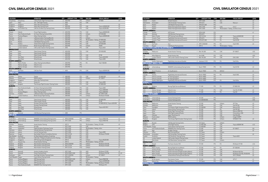| <b>LOCATION</b>       |                         | <b>OPERATOR</b>                                  | OTY            | <b>AIRCRAFT TYPE</b>              | <b>TYPE</b> | <b>SIM OEM</b>                               | <b>VISUAL DISPLAY</b>            | <b>LEVEL</b> |
|-----------------------|-------------------------|--------------------------------------------------|----------------|-----------------------------------|-------------|----------------------------------------------|----------------------------------|--------------|
| Hong Kong             | Hong Kong               | Cathay Pacific Flight Training Center            |                | 2 A350-900                        | <b>FFS</b>  | L3Harris                                     | EP-8000                          | LD           |
| Japan                 | Tokyo                   | JAL - CAE Flight Training                        | $\mathbf{1}$   | A350                              | <b>FFS</b>  | CAE                                          |                                  |              |
| Singapore             | Singapore               | Airbus Asia Training Centre                      |                | A350                              | <b>FFS</b>  |                                              |                                  | LD           |
| Singapore             | Singapore               | Airbus Asia Training Centre                      | $\overline{2}$ | A350-900                          | <b>FFS</b>  | CAE                                          | Tropos 6200XR/200                | LD           |
| Vietnam               | Ho Chi Minh City        | CAE Ho Chi Minh City Training Centre             | $\mathbf{1}$   | A350-900                          | <b>FFS</b>  | CAE                                          | Tropos 6023R/200                 | LD           |
| <b>EUROPE</b>         |                         |                                                  |                |                                   |             |                                              |                                  |              |
| Finland               | Helsinki                | Finnair Flight Academy                           |                | 2 A350-900                        | <b>FFS</b>  | CAE                                          | Tropos 6000XR/200                | LD           |
|                       | Paris Charles de Gaulle |                                                  | $\mathbf{1}$   | A350-900                          | <b>FFS</b>  |                                              | EP-8100/200                      | LD           |
| France                |                         | Air France Training Centre (CDG)                 |                |                                   |             | L3Harris                                     |                                  | LD           |
| France                | Toulouse Blagnac        | Airbus Training Centre                           |                | A350-900                          | <b>FFS</b>  | CAE                                          | Tropos 6200XR/200                |              |
| Germany               | Munich                  | Lufthansa Aviation Training (Munich)             |                | 1 A350-900                        | <b>FFS</b>  | L3Harris                                     |                                  |              |
| Germany               | Munich                  | Lufthansa Aviation Training (Munich)             | $\mathbf{1}$   | A350-900                          | <b>FFS</b>  | TRU Simulation + Training EP-8000/200        |                                  | LD           |
| Spain                 | Madrid                  | <b>CAE Madrid Training Centre</b>                |                | A350-900                          | <b>FFS</b>  | CAE                                          | Tropos 6000                      | LD           |
| Turkey                | Istanbul                | Turkish Airlines Flight Training Centre          | $\mathbf{1}$   | A350-900                          | <b>FFS</b>  | CAE                                          | EP-8100/200                      | LD           |
| UΚ                    | London Heathrow         | British Airways Flight Training                  | $\mathbf{1}$   | A350-900                          | <b>FFS</b>  | L3Harris                                     | <b>RS200</b>                     | LD           |
| UK                    | London Gatwick          | CAE London Gatwick Training Centre               | $\mathbf{1}$   | A350                              | <b>FFS</b>  | CAE                                          | Tropos 6023                      | LD           |
| <b>MIDDLE EAST</b>    |                         |                                                  |                |                                   |             |                                              |                                  |              |
| Qatar                 | Doha                    | Qatar Airways Training                           |                | 2 A350-900                        | <b>FFS</b>  | CAE                                          | EP-8100/200                      | LD           |
| Qatar                 | Doha                    | Qatar Airways Training                           | $\mathbf{1}$   | A350-900                          | <b>FFS</b>  |                                              |                                  | LD           |
| Qatar                 | Doha                    | Qatar Airways Training                           |                | 1 A350-900                        | <b>FTD</b>  | CAE                                          | EP-80                            | L1           |
| UAE                   | Abu Dhabi               | Etihad Airways                                   | $\mathbf{1}$   | A350-900                          | <b>FFS</b>  | CAE                                          | Tropos 6023/200                  | LD           |
| UAE                   | Abu Dhabi               | Etihad Airways                                   | $\mathbf{1}$   | A350-900                          | <b>FTD</b>  | CAE                                          | Tropos 6000                      | L1           |
| NORTH AMERICA         |                         |                                                  |                |                                   |             |                                              |                                  |              |
| USA                   | Miami, Florida          | Airbus Training Centre (Miami)                   |                | 1 A350-900                        | <b>FFS</b>  | FSI                                          | Vital 1100/200                   | LD           |
|                       |                         |                                                  |                | A350-900                          | <b>FFS</b>  |                                              |                                  | LD           |
| USA                   | Atlanta, Georgia        | Delta Air Lines                                  |                |                                   |             |                                              |                                  |              |
| <b>USA</b>            | Atlanta, Georgia        | Delta Air Lines                                  |                | 1 A350-900                        | <b>FTD</b>  |                                              |                                  | L7           |
| <b>SOUTH AMERICA</b>  |                         |                                                  |                |                                   |             |                                              |                                  |              |
| Brazil                | Sao Paulo               | CAE Sao Paulo                                    |                | 1 A350                            | <b>FFS</b>  | CAE                                          | Tropos 6000XR/200                | LD           |
| <b>AIRBUS A380</b>    |                         |                                                  |                |                                   |             |                                              |                                  |              |
| <b>ASIA-PACIFIC</b>   |                         |                                                  |                |                                   |             |                                              |                                  |              |
| Australia             | Sydney                  | Qantas                                           |                | 2 A380-800                        | <b>FFS</b>  | CAE                                          | EP-8000/200                      | LD           |
| Malaysia              | Kuala Lumpur            | MAB Academy                                      |                | 1 A380-800                        | <b>FFS</b>  | L3Harris                                     | EP-1000CT                        |              |
| Singapore             | Singapore               | Airbus Asia Training Centre                      | $\mathbf{1}$   | A380-800                          | <b>FFS</b>  |                                              |                                  | LD           |
| South Korea           | Inchon                  | Korean Air                                       | $\mathbf{1}$   | A380-800                          | <b>FFS</b>  | CAE                                          | Tropos 6000                      | LD           |
| Thailand              | Bangkok                 | Thai Airways Flight Simulator Training Center    |                | 1 A380-800                        | <b>FFS</b>  | CAE                                          | EP-8000/200                      | LD           |
| <b>EUROPE</b>         |                         |                                                  |                |                                   |             |                                              |                                  |              |
| France                | Paris Charles de Gaulle | Air France Training Centre (CDG)                 |                | 1 A380-800                        | <b>FFS</b>  | CAE                                          | Tropos 6000                      | LD           |
| France                | Paris Orly              | Air France Training Centre (Orly)                | $\mathbf{1}$   | A380-800                          | <b>FFS</b>  | CAE                                          | Tropos 6000/200                  | LD           |
|                       | Toulouse Blagnac        | Airbus Training Centre                           | $\mathbf{1}$   | A380-800                          | <b>FFS</b>  | CAE                                          | Tropos 6000/200                  | LD           |
| France                |                         |                                                  |                | A380-800                          | <b>FFS</b>  |                                              | EP-1000CT/200                    | LD           |
| Germany               | Frankfurt               | Lufthansa Aviation Training (Frankfurt)          | $\mathbf{1}$   |                                   |             | L3Harris                                     |                                  |              |
| UK                    | London Heathrow         | British Airways Flight Training                  |                | 1 A380-800                        | <b>FFS</b>  | L3Harris                                     | RSi Raster XT4/200               | LD           |
| <b>MIDDLE EAST</b>    |                         |                                                  |                |                                   |             |                                              |                                  |              |
| Qatar                 | Doha                    | Qatar Airways Training                           |                | 1 A380-800                        | <b>FFS</b>  | CAE                                          | EP-8000/200                      | LD           |
| Qatar                 | Doha                    | Qatar Airways Training                           |                | 1 A380-800                        | <b>FTD</b>  | CAE                                          | EP-80                            | L1           |
| UAE                   | Dubai                   | <b>Emirates Training Center</b>                  |                | 4 A380-800                        | <b>FFS</b>  | CAE                                          | EP-8000/200 (3), Tropos 6220/200 | LD           |
| UAE                   | Dubai                   | <b>Emirates Training Center</b>                  | $\mathbf{1}$   | A380-800                          | <b>FTD</b>  | CAE                                          |                                  | L1           |
| <b>UAE</b>            | Abu Dhabi               | Etihad Airways                                   | $\mathbf{1}$   | A380-800                          | <b>FFS</b>  | CAE                                          | Tropos 6222 XR 2                 | LD           |
| UAE                   | Abu Dhabi               | Etihad Airways                                   | $\mathbf{1}$   | A380-800                          | <b>FTD</b>  | CAE                                          |                                  | L1           |
| NORTH AMERICA         |                         |                                                  |                |                                   |             |                                              |                                  |              |
| Canada                | Montreal                | <b>CAE Montreal Training Centre</b>              |                | 1 A380                            | FFS         |                                              |                                  |              |
| <b>ATR 42/72</b>      |                         |                                                  |                |                                   |             |                                              |                                  |              |
| <b>AFRICA</b>         |                         |                                                  |                |                                   |             |                                              |                                  |              |
| South Africa          | Johannesburg            | SIMAERO Johannesburg Training Centre             |                | 2 ATR 42-300/500                  | <b>FFS</b>  | L3Harris                                     | <b>Tropos R300/180</b>           | LC           |
| South Africa          | Johannesburg            | SIMAERO Johannesburg Training Centre             |                | 2 ATR 72-200                      | <b>FFS</b>  | L3Harris                                     | <b>Tropos R300/180</b>           | LC           |
| <b>ASIA-PACIFIC</b>   |                         |                                                  |                |                                   |             |                                              |                                  |              |
|                       |                         |                                                  |                |                                   |             |                                              |                                  |              |
| Australia             | <b>Brisbane</b>         | <b>Ansett Aviation Training</b>                  |                | ATR72                             | <b>FFS</b>  | TRU Simulation + Training EP-8100            |                                  | LD           |
| India                 | Hyderabad               | Air India                                        | $\mathbf{1}$   | ATR 72-600                        | <b>FFS</b>  | CAE                                          |                                  |              |
| India                 | Hyderabad               | Flight Simulation Technique Centre               |                | 1 ATR 72-200                      | <b>FFS</b>  | TRU Simulation + Training aXion              |                                  | LD           |
| Indonesia             | Jakarta                 | Garuda Indonesia Training Center                 |                | 1 ATR 72-600                      | <b>FFS</b>  | CAE                                          |                                  |              |
| Indonesia             | Jakarta                 | Lion Air Training Centre                         | $\mathbf{1}$   | ATR 72-500                        | <b>FFS</b>  | CAE                                          | Tropos 6000                      | LD           |
| Myanmar               | Yangon                  | Asia Golden Phoenix Consultancy Services         | $\mathbf{1}$   | ATR 72-212A                       | <b>FFS</b>  | AXIS                                         | RSi Raster XT4/200               | LD           |
| New Zealand           | Auckland                | Air New Zealand Academy of Learning              | $\mathbf{1}$   | ATR 72-600                        | <b>FFS</b>  | CAE                                          |                                  | LD           |
| Philippines           | Clark, Manila           | CAE Clark - Philippine Academy for Av'n Training | $\mathbf{1}$   | ATR 72-600                        | <b>FFS</b>  | CAE                                          |                                  | LD           |
| Singapore             | Singapore               | ATR Training Center (Singapore)                  | $\mathbf{1}$   | ATR72                             | <b>FFS</b>  | L3Harris                                     | Tropos R6220/200                 | LD           |
| Taiwan                | Taoyuan City            | Ansett Aviation Training                         | $\mathbf{1}$   | ATR72                             | <b>FFS</b>  | TRU Simulation + Training EP-8100            |                                  | LD           |
| Thailand              | Bangkok                 | Asian Aviation Training Center                   | $\overline{2}$ | ATR 42-300/500                    | <b>FFS</b>  | L3Harris                                     | RSi Raster XT4/185               | LC           |
| Thailand              | Bangkok                 | Asian Aviation Training Center                   |                | 4 ATR 72-212A                     | <b>FFS</b>  | L3Harris                                     | RSi Raster XT4/200               | LD           |
| Thailand              | Bangkok                 | Asian Aviation Training Center                   | $\mathbf{1}$   | ATR 72-212A                       | <b>FTD</b>  | L3Harris                                     |                                  | L1           |
| <b>EUROPE</b>         |                         |                                                  |                |                                   |             |                                              |                                  |              |
|                       |                         |                                                  |                |                                   |             |                                              | RSi Raster XT/200                | LD           |
| Austria               | Neusiedl                | Aviation Academy Austria                         |                | 1 ATR 72-600<br>ATR 42-300/72-500 | <b>FFS</b>  | AXIS                                         |                                  |              |
| Austria               | Neusiedl                | Farnair Training Centre                          | $\mathbf{1}$   |                                   | <b>FFS</b>  | AXIS                                         | RSi Raster XT4/180               | LC, LD       |
| Azerbaijan            | Baku                    | Azal Flight Simulator Training Center            |                | 2 ATR 72-200/500                  | <b>FFS</b>  | L3Harris                                     | EP-1000CT                        | LD           |
| Czech Republic Prague |                         | Czech Airlines Training Center                   |                | 1 ATR 42/72                       | <b>FTD</b>  | TRU Simulation + Training                    |                                  |              |
| France                | Toulouse Blagnac        | <b>ATR Training Center</b>                       | $\mathbf{1}$   | ATR 42-500/72-500                 | <b>FFS</b>  | L3Harris                                     | <b>Tropos R300/180</b>           | LC           |
| France                | Toulouse Blagnac        | ATR Training Center                              |                | 2 ATR 72-200/600                  | <b>FFS</b>  | CAE                                          | Tropos 6220XR/200                | LD           |
| France                | Toulouse Blagnac        | <b>ATR Training Center</b>                       |                | 1 ATR 72-600                      | <b>FFS</b>  | TRU Simulation + Training RSi Raster XT4/200 |                                  | LD           |
| France                | Paris Charles de Gaulle | SIMAERO Paris Training Centre                    | $\mathbf{1}$   | ATR 72-500                        | <b>FFS</b>  | L3Harris                                     | RSI Raster XT4                   | LD           |

### CIVIL SIMULATOR CENSUS 2021

| <b>LOCATION</b>                                                               |                                             | <b>OPERATOR</b>                               | <b>OTY</b>     | <b>AIRCRAFT TYPE</b> | <b>TYPE</b> | <b>SIM OEM</b>                            | <b>VISUAL DISPLAY</b>         | <b>LEVEL</b> |
|-------------------------------------------------------------------------------|---------------------------------------------|-----------------------------------------------|----------------|----------------------|-------------|-------------------------------------------|-------------------------------|--------------|
| Ireland                                                                       | Dublin                                      | Simtech Aviation                              |                | 1 ATR 72-600         | FFS         | Axis                                      |                               | LD           |
| Netherlands                                                                   | Amsterdam                                   | CAE Amsterdam Training Centre                 | 1              | ATR 42/72            | <b>FFS</b>  | CAE                                       | Maxvue+                       | LD           |
| Spain                                                                         | Madrid                                      | CAE Madrid Training Centre                    | $\mathbf{1}$   | ATR 42/72-600        | <b>FFS</b>  |                                           |                               | LD           |
| Spain                                                                         | Madrid                                      | Global Training & Aviation (Spain)            | $\mathbf{1}$   | ATR 72-500           | <b>FFS</b>  | Indra                                     | Invis <sub>2</sub>            | LD           |
| Spain                                                                         | Madrid                                      | Global Training & Aviation (Spain)            | $\mathbf{1}$   | ATR 72-600           | <b>FFS</b>  | TRU Simulation + Training Simthetic Axion |                               | LD           |
| <b>NORTH AMERICA</b>                                                          |                                             |                                               |                |                      |             |                                           |                               |              |
| Canada                                                                        | Toronto                                     | ATR Toronto                                   |                | 1 ATR 42-300         | FFS         |                                           |                               | LC           |
| Canada                                                                        | Montreal                                    | CAE Montreal Training Centre                  | 1              | ATR 42/72            | <b>FFS</b>  |                                           |                               |              |
| <b>USA</b>                                                                    | Miami, Florida                              | ATR Training Center (Miami)                   | $\mathbf{1}$   | ATR 72-212A          | <b>FFS</b>  | CAE                                       | Tropos 6220XR/200             | LD           |
| <b>USA</b>                                                                    | Houston, Texas                              | FlightSafety International (Houston)          | $\overline{2}$ | ATR 42/72            | <b>FFS</b>  | FSI                                       | Vital X/4w                    | LC           |
| <b>USA</b>                                                                    | Houston, Texas                              | FlightSafety International (Houston)          |                | 2 ATR 42/72-500      | <b>FFS</b>  | <b>FSI</b>                                | Vital IX/180                  | LD           |
| <b>SOUTH AMERICA</b>                                                          |                                             |                                               |                |                      |             |                                           |                               |              |
| Brazil                                                                        | Sao Paulo                                   | Azul                                          |                | 2 ATR 72-500/600     | FFS         | <b>FSI</b>                                | Vital X/180                   | LD           |
| Colombia                                                                      | Bogota                                      | CAE Bogota Training Centre                    | 1              | ATR72                | <b>FFS</b>  | TRU Simulation + Training                 |                               |              |
|                                                                               | <b>BAE SYSTEMS AVRO RJ/146/JETSTREAM 31</b> |                                               |                |                      |             |                                           |                               |              |
| <b>ASIA-PACIFIC</b>                                                           |                                             |                                               |                |                      |             |                                           |                               |              |
| Australia                                                                     | Melbourne                                   | <b>Ansett Aviation Training</b>               | $\mathbf{1}$   | BAe 146-300          | <b>FFS</b>  | CAE                                       | EP-1000CT                     | LDG          |
| <b>EUROPE</b>                                                                 |                                             |                                               |                |                      |             |                                           |                               |              |
| Italy                                                                         | Milan Malpensa                              | Ansett Aviation Italy                         |                | 1 Avro RJ85          | <b>FFS</b>  | CAE                                       |                               | LDG          |
| <b>UK</b>                                                                     | London Gatwick                              | CAE London Gatwick Training Centre            | $\mathbf{1}$   | BAe 146-200          | <b>FFS</b>  | CAE                                       | <b>ESIG-3350</b>              | LD           |
| <b>NORTH AMERICA</b>                                                          |                                             |                                               |                |                      |             |                                           |                               |              |
| <b>USA</b>                                                                    | Seattle, Washington                         | FlightSafety International (Seattle)          |                | 2 Jetstream 31/32    | FFS         | <b>FSI</b>                                | Vital IV/4w                   | LC           |
|                                                                               | <b>BEECHCRAFT BEECH 1900D</b>               |                                               |                |                      |             |                                           |                               |              |
| <b>AFRICA</b>                                                                 |                                             |                                               |                |                      |             |                                           |                               |              |
| South Africa                                                                  | Johannesburg                                | SIMAERO Johannesburg Training Centre          |                | 1 Beech 1900D        | <b>FFS</b>  | <b>FSI</b>                                | Vital IX/180                  | LD           |
| <b>EUROPE</b>                                                                 |                                             |                                               |                |                      |             |                                           |                               |              |
| France                                                                        | Aix en Provence                             | Air Qualifications                            | $\mathbf{1}$   | Beech 1900D          | <b>FTD</b>  | 6MOUV                                     |                               | L2           |
| <b>NORTH AMERICA</b>                                                          |                                             |                                               |                |                      |             |                                           |                               |              |
| Canada                                                                        | Toronto                                     | FlightSafety International (Toronto)          | $\mathbf{1}$   | Beech 1900D          | <b>FFS</b>  | <b>FSI</b>                                | Vital X/180                   | LD           |
| <b>USA</b>                                                                    | Denver, Colorado                            | Air Training Support                          | $\mathbf{1}$   | Beech 1900D          | <b>FFS</b>  |                                           |                               | LD           |
| <b>USA</b>                                                                    | Denver, Colorado                            | Air Training Support                          | $\overline{2}$ | Beech 1900D          | <b>FTD</b>  |                                           |                               | LC           |
| <b>USA</b>                                                                    | Seattle, Washington                         | FlightSafety International (Seattle)          | $\mathbf{1}$   | Beech 1900D          | <b>FFS</b>  | FSI                                       | Vital VII/4w                  | LD           |
| <b>BOEING 717</b>                                                             |                                             |                                               |                |                      |             |                                           |                               |              |
| <b>ASIA-PACIFIC</b>                                                           |                                             |                                               |                |                      |             |                                           |                               |              |
| Australia                                                                     | Brisbane                                    | Boeing Flight Services (Brisbane)             |                | 1 717-200            | <b>FFS</b>  | FSI                                       | EP-8000/180                   | LD           |
| <b>NORTH AMERICA</b>                                                          |                                             |                                               |                |                      |             |                                           |                               |              |
| <b>USA</b>                                                                    | Atlanta, Georgia                            | Delta Air Lines                               |                | 1 717-200            | <b>FFS</b>  | CAE                                       | Vital VIII, EP-8000           | LD           |
| <b>USA</b>                                                                    | Atlanta, Georgia                            | Delta Air Lines                               |                | 1 717-200            | <b>FFS</b>  | <b>FSI</b>                                | Vital VIII                    | LD           |
| <b>BOEING 737 CLASSIC</b>                                                     |                                             |                                               |                |                      |             |                                           |                               |              |
| <b>AFRICA</b>                                                                 |                                             |                                               |                |                      |             |                                           |                               |              |
| South Africa                                                                  | Johannesburg                                | Comair Training Centre                        |                | 1 737-200            | <b>FFS</b>  |                                           |                               | LCG          |
| South Africa                                                                  | Johannesburg                                | Comair Training Centre                        | $\mathbf{1}$   | 737-300/400/500      | FFS         |                                           |                               | LDG          |
| <b>ASIA-PACIFIC</b>                                                           |                                             |                                               |                |                      |             |                                           |                               |              |
| Australia                                                                     | Melbourne                                   | <b>Ansett Aviation Training</b>               |                | 1 737-300            | <b>FFS</b>  | L3Harris                                  | SP1T/6w                       | LD           |
| Australia                                                                     | Melbourne                                   | Qantas                                        | $\mathbf{1}$   | 737-400              | FFS         | CAE                                       | Vital VII/150                 | LD           |
| China                                                                         | Guanghan                                    | Civil Aviation Flight University of China     | $\mathbf{1}$   | 737-300/500          | <b>FFS</b>  | CAE                                       | Maxvue/150                    | LD           |
| China                                                                         | Haikou                                      | Hainan Airlines Training Center               | $\mathbf{1}$   | 737-300              | FFS         | <b>FSI</b>                                | Vital VIII/180                | LC           |
| China                                                                         | Zuhai                                       | Zhuhai Flight Training Center                 | $\mathbf{1}$   | 737-300              | <b>FFS</b>  | CAE                                       | Maxvue 2000/150               | LC           |
| Japan                                                                         | Tokyo                                       | ANA Flight Academy/PanAm                      | $\mathbf{1}$   | 737-500              | <b>FFS</b>  | CAE                                       | ChromaView+/200               | LD           |
| Japan                                                                         | Okinawa                                     | Japan TransOcean Air                          | 1              | 737-400              | FFS         | CAE                                       | Vital VIIe/225                |              |
| Malaysia                                                                      | Kuala Lumpur                                | MAB Academy                                   | $\overline{2}$ | 737-400              | <b>FFS</b>  | L3Harris                                  | Image IV-600PT                |              |
| Thailand                                                                      | Bangkok                                     | Thai Airways Flight Simulator Training Center | $\mathbf{1}$   | 737-400              | <b>FFS</b>  | L3Harris                                  | SPX550HT/150                  | LD           |
| <b>EUROPE</b>                                                                 |                                             |                                               |                |                      |             |                                           |                               |              |
| Belgium                                                                       | <b>Brussels</b>                             | <b>CAE Brussels Training Centre</b>           |                | 1 737 Classic        | <b>FFS</b>  | L3Harris                                  |                               |              |
| Bulgaria                                                                      | Sofia                                       | Sofia Flight Training                         |                | 737-400/-500         | FFS         | CAE                                       | Tropos 6000XR/180             | <b>LCG</b>   |
| Czech Republic Prague                                                         |                                             | Czech Airlines Training Center                | 1              | 737-400/500          | <b>FFS</b>  | CAE                                       |                               |              |
| France                                                                        | Paris Charles de Gaulle                     | SIMAERO Paris Training Centre                 | $\mathbf{1}$   | 737-300              | <b>FFS</b>  | CAE                                       | EP-1000CT                     | DG           |
| Latvia                                                                        | Riga                                        | Air Baltic Training                           | $\mathbf{1}$   | 737-300              | <b>FFS</b>  | CAE                                       |                               | LD           |
| Lithuania                                                                     | Vilnius                                     | <b>BAA Training (Vilnius)</b>                 |                | 1 737 Classic        | <b>FFS</b>  | L3Harris                                  |                               |              |
|                                                                               |                                             | CAE Amsterdam Training Centre                 | $\mathbf{1}$   | 737 Classic          | <b>FFS</b>  | CAE                                       |                               | LD           |
|                                                                               | Amsterdam                                   |                                               |                |                      |             |                                           | Tropos 6023                   |              |
|                                                                               | Stockholm                                   | CAE Stockholm Training Centre                 | $\mathbf{1}$   | 737 Classic          | <b>FFS</b>  | CAE                                       |                               |              |
|                                                                               | London Gatwick                              | CAE London Gatwick Training Centre            |                | 1 737 Classic        | <b>FFS</b>  | CAE                                       |                               |              |
|                                                                               | Manchester                                  | CAE Manchester Training Centre                | $\mathbf{1}$   | 737 Classic          | <b>FFS</b>  | L3Harris                                  |                               |              |
|                                                                               |                                             |                                               |                |                      |             |                                           |                               |              |
| Netherlands<br>Sweden<br>UK<br>UK<br><b>MIDDLE EAST</b><br><b>UAE</b>         | Sharjah                                     | Pier Seven Aviation FZC                       |                | 1 737-300            | <b>FFS</b>  | FSI                                       | RSi Raster XT/180             | LCG          |
|                                                                               |                                             |                                               |                |                      |             |                                           |                               |              |
|                                                                               | Miami, Florida                              | Boeing Flight Services (Miami)                |                | 1 737-300            | <b>FFS</b>  | <b>FSI</b>                                | EP-1000/4W                    | LC           |
|                                                                               | Sanford, Florida                            | Global One Training Group                     | $\mathbf{1}$   | 737-3B7              | <b>FFS</b>  | CAE                                       |                               | LC           |
|                                                                               | Miami, Florida                              | PanAm International Flight Academy (Miami)    | $\mathbf{1}$   | 737-200              | <b>FFS</b>  | CAE                                       | RSi Raster NX1/4w             | LC           |
| <b>NORTH AMERICA</b><br><b>USA</b><br><b>USA</b><br><b>USA</b><br><b>USA</b>  | Miami, Florida                              | PanAm International Flight Academy (Miami)    | $\overline{2}$ | 737-400              | <b>FFS</b>  | CAE                                       | RSi Raster XT3/180, SPX200/4W | LC           |
|                                                                               | Denver, Colorado                            | United Airlines Training Center (Denver)      |                | 2 737-300            | <b>FFS</b>  | CAE                                       | SP3-T, SPX550                 | LD           |
|                                                                               |                                             |                                               |                |                      |             |                                           |                               |              |
|                                                                               | Rio de Janeiro                              | Flex Aviation Center                          |                | 2 737-300            | <b>FFS</b>  | CAE                                       | SPT3-T                        | LC           |
| <b>USA</b><br><b>SOUTH AMERICA</b><br>Brazil<br>Mexico<br><b>BOEING 737NG</b> | Mexico City                                 | CAE Mexico Training Centre                    |                | 1 737 Classic        | <b>FFS</b>  | CAE                                       |                               | LC           |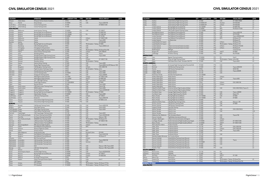|  |  |  | <b>CIVIL SIMULATOR CENSUS 2021</b> |  |
|--|--|--|------------------------------------|--|
|--|--|--|------------------------------------|--|

| <b>LOCATION</b>                   |                         | <b>OPERATOR</b>                           | OTY | <b>AIRCRAFT TYPE</b>          | <b>TYPE</b> | <b>SIM OEM</b>                                | <b>VISUAL DISPLAY</b>                | <b>LEVEL</b> |
|-----------------------------------|-------------------------|-------------------------------------------|-----|-------------------------------|-------------|-----------------------------------------------|--------------------------------------|--------------|
| Ethiopia                          | Addis Ababa             | Ethiopian Airlines Aviation Academy       |     | 1 737NG                       | <b>FFS</b>  | <b>FSI</b>                                    |                                      | LD           |
| Kenya                             | Nairobi                 | Kenya Airways                             |     | 1 737-800W                    | FFS         | CAE                                           | Tropos 6200/180                      | LD           |
| South Africa                      | Johannesburg            | Comair Training Centre                    |     | 1 737-800                     | FFS         |                                               | EP-8000CT/200                        | LD           |
| South Africa                      | Johannesburg            | Comair Training Centre                    |     | 737-800                       | <b>FTD</b>  |                                               |                                      |              |
| <b>ASIA-PACIFIC</b>               |                         |                                           |     |                               |             |                                               |                                      |              |
| Australia                         | Melbourne               | Ansett Aviation Training                  |     | 1 737-800W                    | <b>FFS</b>  | CAE                                           | EP-1000CT                            | LD           |
| Australia                         | Brisbane                | Boeing Flight Services (Brisbane)         |     | 737-700/800                   | FFS         |                                               | EP-8000/180                          | LD           |
| Australia                         | Brisbane                | Boeing Flight Services (Brisbane)         |     | 1 737-700/800                 | FFS         | <b>FSI</b>                                    | EP-1000/180                          | LD           |
| Australia                         | Brisbane                | Boeing Flight Services (Brisbane)         |     | 1 737-800W                    | <b>FTD</b>  |                                               | EP-10/180                            | L2           |
| Australia                         | Melbourne               | Qantas                                    |     | 1 737-800                     | <b>FFS</b>  | L3Harris                                      | EP-1000CT/200                        | LD           |
| Australia                         | Melbourne               | Qantas                                    |     | 1 737-800                     | FFS         | CAE                                           | Tropos 6000                          | LD           |
| Australia                         | Sydney                  | Qantas                                    |     | 1 737-800                     | <b>FFS</b>  |                                               | EP-8100/200                          | LD           |
| China                             | Shanghai                | Boeing Flight Services (Shanghai)         |     | 737-800<br>$\mathbf{1}$       | <b>FFS</b>  | TRU Simulation + Training EP-8000             |                                      | LD           |
| China                             | Shandong                | CAE at Shandong Airlines                  |     | 1 737NG                       | FFS         | CAE                                           | Tropos 6000/LCoS                     | LD           |
| China                             | Chongqing               | Chongqing Yu Xiang Aviation               |     | 1 737NG                       | <b>FFS</b>  | CAE                                           |                                      |              |
| China                             | Guanghan                | Civil Aviation Flight University of China |     | 737-800<br>$\mathbf{1}$       | <b>FFS</b>  | TRU Simulation + Training RSi RasterFlite/180 |                                      | LD           |
| China                             | Haikou                  | Hainan Airlines Training Center           |     | 2 737-800                     | <b>FFS</b>  | L3Harris                                      | ESIG-3800/W                          | LD           |
| China                             | Jinan                   | Shandong Airlines                         |     | 1 737NG                       | <b>FFS</b>  | CAE                                           | Tropos                               | LD           |
| China                             | Pudong                  | Shanghai Eastern Flight Training Centre   |     | 737-800<br>$\mathbf{1}$       | <b>FFS</b>  | CAE                                           | Tropos R200                          | LD           |
| China                             | Pudong                  | Shanghai Eastern Flight Training Centre   |     | 1 737-800                     | IPT         | CAE                                           |                                      |              |
| China                             | Shenzen                 | Shenzhen Airlines                         |     | 4 737NG                       | <b>FFS</b>  | L3Harris                                      | EP-1000CT/180                        | LD           |
| China                             | Shenzen                 | Shenzhen Airlines                         |     | 1 737NG                       | <b>FFS</b>  | TRU Simulation + Training                     |                                      | LB           |
| China                             | Xiamen                  | Xiamen Airlines Training                  |     | 3 737-800                     | <b>FFS</b>  | CAE                                           | Tropos 6000                          | LD           |
| China                             | Zuhai                   | Zhuhai Flight Training Center             |     | 6 737-800                     | <b>FFS</b>  | CAE                                           | Tropos 6200/LCoS,CRT, Maxvue+/180 LD |              |
| India                             | Bangalore               | CAE Bengaluru Training Centre             |     | 737NG<br>$\mathbf{1}$         | <b>FFS</b>  | L3Harris                                      | ESIG-3800/180                        | LD           |
| India                             | Gurugram                | Flight Simulation Technique Centre        |     | 1 737NG                       | <b>FFS</b>  | TRU Simulation + Training aXion               |                                      | LD           |
| Indonesia                         | Jakarta                 | Garuda Indonesia Training Center          |     | $\overline{2}$<br>737NG       | <b>FFS</b>  | CAE                                           | Tropos 6000                          | LD           |
| Indonesia                         | Jakarta                 | Lion Air Training Centre                  |     | 3 737-900ER                   | <b>FFS</b>  | CAE                                           | Tropos 6000                          | LD           |
| Indonesia                         | Jakarta                 | Sriwijaya Air Training Center             |     | 1 737NG                       | <b>FFS</b>  | CAE                                           | Tropos 6000XR                        | LD           |
| Japan                             | Tokyo                   | ANA Flight Academy/PanAm                  |     | 2 737-700W                    | <b>FFS</b>  | L3Harris                                      | EP-1000CT/200                        | LD           |
| Japan                             | Tokyo                   | ANA Flight Academy/PanAm                  |     | 1 737-7W/8W                   | <b>FFS</b>  | <b>LMCFT</b>                                  | EP-8000/180                          | LD           |
| Japan                             | Tokyo                   | JAL - CAE Flight Training                 |     | 3 737-800                     | <b>FFS</b>  | CAE                                           | Tropos 6023                          | LD           |
| Japan                             | Tokyo                   | Panda Flight Academy                      |     | 737-700W/800W<br>$\mathbf{1}$ | <b>FFS</b>  | <b>LMCFT</b>                                  | EP-8000                              | LD           |
| Japan                             | Tokyo                   | Skymark Airlines                          |     | $\overline{2}$<br>737-800     | <b>FFS</b>  | CAE                                           | Tropos 6000                          | LD           |
| Malaysia                          | Kuala Lumpur            | CAE Kuala Lumpur Training Centre          |     | 1 737NG                       | <b>FFS</b>  | CAE                                           | Tropos/180                           | LD           |
| Malaysia                          | Kuala Lumpur            | MAB Academy                               |     | 737-800<br>$\mathbf{1}$       | <b>FFS</b>  | CAE                                           | Tropos 6000                          | LD           |
| Singapore                         | Singapore               | Aviation Safety and Training              |     | 737-800W<br>$\mathbf{1}$      | <b>FFS</b>  | CAE                                           | Tropos 6220XR/200                    | LD           |
| Singapore                         | Singapore               | Boeing Flight Services (Singapore)        |     | 2 737-700/800                 | <b>FFS</b>  | TRU Simulation + Training EP-8000             |                                      | LD           |
| Singapore                         | Singapore               | Haite Aviation Training                   |     | 1 737-800W                    | <b>FFS</b>  | CAE                                           | Tropos 6000                          |              |
| South Korea                       | Seoul                   | <b>CAE Seoul Training Centre</b>          |     | 3 737NG                       | <b>FFS</b>  | L3Harris                                      | EP-1000CT                            | LD           |
| South Korea                       | Inchon                  | Korean Air                                |     | 1 737-900                     | <b>FFS</b>  | CAE                                           | Tropos 6000/180                      | LD           |
| Taiwan                            | Taoyuan                 | China Airlines Flight Training Center     |     | 737-800<br>$\mathbf{1}$       | <b>FFS</b>  | CAE                                           | EP-8000 LCOS                         | LD           |
| Taiwan                            | Taoyuan                 | China Airlines Flight Training Center     |     | 1 737-800                     | <b>FTD</b>  | CAE                                           |                                      | L6           |
| <b>EUROPE</b>                     |                         |                                           |     |                               |             |                                               |                                      |              |
| Belgium                           | <b>Brussels</b>         | CAE Brussels Training Centre              |     | 1 737-800                     | FFS         | CAE                                           | Tropos 6000/180                      | LD           |
|                                   | Sofia                   | Sofia Flight Training                     |     | 1 737-800                     | <b>FFS</b>  | CAE                                           | Tropos 6030                          | LD           |
| Bulgaria<br>Czech Republic Prague |                         | CAE Prague Training Centre                |     | 1 737NG                       | <b>FFS</b>  | CAE                                           | Tropos 6020                          |              |
| Czech Republic Praque             |                         | Czech Airlines Training Center            |     | 1 737-800                     | <b>FFS</b>  | CAE                                           |                                      | LD           |
|                                   |                         |                                           |     | 1 737-700                     | <b>FFS</b>  | CAE                                           | Tropos 6023                          | LD           |
| Denmark                           | Copenhagen              | CAE Copenhagen Training Centre            |     |                               | <b>FFS</b>  | CAE                                           |                                      | LD           |
| France                            | Paris Charles de Gaulle | Air France Training Centre (CDG)          |     | 1 737-800W                    |             |                                               | Tropos 6022XR/200                    |              |
| France                            | Paris Orly              | Air France Training Centre (Orly)         |     | 1 737-800                     | <b>FFS</b>  | CAE                                           | Maxvue+/180                          | LD           |
| France                            | Paris Charles de Gaulle | SIMAERO Paris Training Centre             |     | 1 737-800                     | <b>FFS</b>  | TRU Simulation + Training RSi Raster XT5      |                                      | LD           |
| Germany                           | Berlin                  | Lufthansa Aviation Training (Berlin)      |     | 2 737-800                     | FFS         | L3Harris                                      | EP-1000CT/180                        | LD           |
| Germany                           | Berlin                  | Lufthansa Aviation Training (Berlin)      |     | 1 737-800                     | <b>FFS</b>  | TRU Simulation + Training                     |                                      | LB           |
| Germany                           | Monchengladbach         | RWL German Flight Academy                 |     | $1 / 3/ -800$                 | FFS         | L3Harris                                      | ESIG-3350/180                        | LD           |
| Ireland                           | Dublin                  | East Midlands Training (Ryanair)          |     | 1 737-800                     | <b>FTD</b>  | <b>MPS</b>                                    |                                      |              |
| Ireland                           | Shannon                 | Shannon Flight Sim Centre                 |     | 1 737-800                     | <b>FFS</b>  |                                               |                                      |              |
| Ireland                           | Dublin                  | Simtech Aviation                          |     | 1 737-800                     | <b>FTD</b>  | <b>MPS</b>                                    |                                      | L1           |
| Italy                             | Milan Malpensa          | Ansett Aviation Italy                     |     | 1 737-800                     | <b>FFS</b>  | Rockwell Collins                              | EP-8100                              | LD           |
| Italy                             | Bergamo                 | East Midlands Training (Ryanair)          |     | 2 737-800                     | <b>FFS</b>  | CAE                                           | Tropos 6222/180                      | LD           |
| Italy                             | Bergamo                 | East Midlands Training (Ryanair)          |     | 1 737-800                     | <b>FTD</b>  | <b>MPS</b>                                    | RSi Raster XT                        | L1           |
| Lithuania                         | Vilnius                 | <b>BAA Training (Vilnius)</b>             |     | 1 737NG                       | <b>FFS</b>  | L3Harris                                      |                                      |              |
| Netherlands                       | Amsterdam               | CAE Amsterdam Training Centre             |     | 2 737-800                     | <b>FFS</b>  | CAE                                           | Tropos R300/180                      | LD           |
| Netherlands                       | Amsterdam               | CAE Amsterdam Training Centre             |     | 1 737-800                     | <b>FFS</b>  | SimCom                                        | RSi Q4                               | LD           |
| Netherlands                       | Amsterdam               | CAE Amsterdam Training Centre             |     | 3 737-800                     | <b>FFS</b>  |                                               |                                      | LD           |
| Netherlands                       | Amsterdam               | <b>KLM</b>                                |     | 2 737-800                     | FFS         | CAE                                           | Maxvue+/200, Tropos 6030             | LD           |
| Norway                            | Oslo                    | CAE Oslo Training Centre                  |     | 2 737-800                     | <b>FFS</b>  | CAE                                           | Maxvue+/180, Tropos 6200             | LD           |
| Poland                            | Warsaw                  | Enter Air                                 |     | 1 737-800                     | <b>FFS</b>  | CAE                                           |                                      | LD           |
| Russia                            | Sheremetyevo Airport    | Aeroflot Flight Training                  |     | 1 737-800W                    | <b>FFS</b>  | CAE                                           | Tropos 60220XR/200                   | LD           |
| Russia                            | Moscow                  | <b>Boeing Flight Services (Moscow)</b>    |     | 1 737-800W                    | <b>FFS</b>  | L3Harris                                      | EP-1000CT                            | LD           |
| Russia                            | Moscow                  | S7 Training                               |     | 1 737-800W                    | <b>FFS</b>  | L3Harris                                      | EP-8000/200                          | LD           |
| Spain                             | Mallorca                | Air Europa Training Centre                |     | 1 737NG                       | <b>FFS</b>  | CAE                                           |                                      |              |
|                                   | Madrid                  | Global Training & Aviation (Spain)        |     | 1 737-800                     | <b>FFS</b>  | Indra                                         |                                      | LD           |
| Spain                             |                         |                                           |     | 1 737NG                       | <b>FFS</b>  | CAE                                           | Invis <sub>3</sub>                   |              |
| Turkey                            |                         | CAE Pegasus                               |     |                               |             |                                               |                                      |              |
| Turkey                            | Antalya                 | IFTC (Antalya)                            |     | 1 737-800W                    | FFS         | TRU Simulation + Training RSi Raster XT Flite |                                      | LD           |
| Turkey                            | Istanbul                | IFTC (Istanbul)                           |     | 2 737-800W                    | <b>FFS</b>  | TRU Simulation + Training RSi Raster XT Flite |                                      | LD           |

| Turkey                          |                                                | <b>OPERATOR</b>                                 | OTY            | <b>AIRCRAFT TYPE</b>      | <b>TYPE</b>       | <b>SIM OEM</b>                                | <b>VISUAL DISPLAY</b>          | <b>LEVEL</b>         |
|---------------------------------|------------------------------------------------|-------------------------------------------------|----------------|---------------------------|-------------------|-----------------------------------------------|--------------------------------|----------------------|
|                                 | Istanbul                                       | Turkish Airlines Flight Training Centre         |                | 3 737-800                 | <b>FFS</b>        | CAE                                           | EP-1000CT/8000                 | LD                   |
| Turkey                          | Istanbul                                       | Turkish Airlines Flight Training Centre         | $\mathbf{1}$   | 737-800W SFP              | FFS               | Havelsan                                      | EP-8100/200                    | LD                   |
| Turkey                          | Istanbul                                       | Turkish Airlines Flight Training Centre         |                | 1 737-800W SFP            | FFS               | L3Harris                                      | EP-8100/200                    | LD                   |
| UK                              | London Gatwick                                 | Boeing Flight Services (Gatwick)                |                | 737-700/800               | <b>FFS</b>        | <b>FSI</b>                                    | EP-8000/180                    | LD<br>L <sup>2</sup> |
| UK                              | London Gatwick                                 | Boeing Flight Services (Gatwick)                | $\mathbf{1}$   | 737-800W<br>2 737-700/800 | <b>FTD</b>        | <b>MPS</b>                                    | RSi Raster XT/200              |                      |
| UK                              | London Gatwick                                 | CAE London Gatwick Training Centre              |                |                           | FFS<br><b>FFS</b> | CAE<br>CAE                                    |                                | LB                   |
| UK                              | East Midlands Airport<br>East Midlands Airport | East Midlands Training (Ryanair)                |                | 737-800<br>2 737-800      | <b>FTD</b>        | <b>MPS</b>                                    | Tropos 6200/180<br>RSi XT4/200 | L <sub>2</sub>       |
| UK                              |                                                | East Midlands Training (Ryanair)                |                |                           |                   |                                               |                                |                      |
| UK                              | London Stansted                                | East Midlands Training (Ryanair)                |                | 6 737-800                 | <b>FFS</b>        | CAE                                           | Tropos 6000XR/6200             | LD                   |
| UK                              | London Stansted                                | East Midlands Training (Ryanair)                | $\mathbf{3}$   | 737-800                   | <b>FTD</b>        | <b>MPS</b>                                    | RSi Raster XT4                 | L1<br>L1             |
| UK                              | London Gatwick                                 | Jet Masterclass                                 | $\mathbf{1}$   | 737-800                   | <b>FTD</b>        |                                               | RSi Raster XT                  |                      |
| UK                              | Leeds Bradford Int'l airport                   | Jet2                                            | 1              | 737-800                   | FFS               | L3Harris                                      | RSi Raster XT5                 | LD                   |
| UK                              | Leeds Bradford Int'l airport                   | Jet2                                            |                | 737-800                   | <b>FFS</b>        | TRU Simulation + Training                     | RSi Raster XT4                 | LD                   |
| UK                              | London Gatwick                                 | L3Harris Commercial Aviation (London)           |                | 2 737-800                 | FFS               | L3Harris                                      | RSi Raster XT5/200             | LD                   |
| UK                              | London Gatwick                                 | L3Harris Commercial Aviation (London)           | $\mathbf{1}$   | 737-700                   | <b>FTD</b>        | L3Harris                                      | RSi Raster XT                  | L2                   |
| UK                              | Redhill Airport                                | PMFlight                                        |                | 737-800                   | <b>FTD</b>        |                                               | 4 channel Vital                | LD                   |
| UK                              | <b>Burgess Hill</b>                            | Quadrant Systems                                | $\mathbf{1}$   | 737-800                   | FFS               | <b>LMCFT</b>                                  | EP-8000                        | LD                   |
| UK                              | Cambridge                                      | VA Airline Training                             |                | 1 737-800                 | <b>FTD</b>        | <b>MPS</b>                                    | RSi XT4/200                    | L1                   |
| <b>MIDDLE EAST</b>              |                                                |                                                 |                |                           |                   |                                               |                                |                      |
| Egypt                           | Cairo                                          | Egyptair Training Academy                       |                | 1 737-800W                | FFS               | <b>FSI</b>                                    | Vital X                        | LD                   |
| Oman                            | Seeb                                           | Oman Air Flight Training Centre                 | $\overline{2}$ | 737-800W                  | <b>FFS</b>        | TRU Simulation + Training aXion/200           |                                | LD                   |
| <b>UAE</b>                      | Dubai                                          | CAE Dubai Silicon Oasis - Emirates-CAE FTC      |                | 3 737-800                 | <b>FFS</b>        | CAE                                           | Tropos 6023                    | LD                   |
| <b>NORTH AMERICA</b>            |                                                |                                                 |                |                           |                   |                                               |                                |                      |
| Canada                          | Toronto                                        | Air Canada Flight Training Centre (Toronto)/CAE |                | 1 737-800                 | <b>FTD</b>        | CAE                                           |                                | L4                   |
| Canada                          | Montreal                                       | CAE Montreal Training Centre                    | $\overline{2}$ | 737-800                   | <b>FFS</b>        | CAE                                           | Tropos 6000/200                | LD                   |
| Canada                          | Toronto                                        | CAE Toronto Training Centre                     | $\mathbf{1}$   | 737NG                     | FFS               | CAE                                           | <b>SEOS/180</b>                | LD                   |
| Canada                          | Calgary, Alberta                               | WestJet Airlines                                |                | 3 737-700                 | FFS               | CAE                                           | Tropos 6000XR                  | LD                   |
| Canada                          | Calgary, Alberta                               | WestJet Airlines                                | $\mathbf{1}$   | 737-700                   | <b>FTD</b>        | CAE                                           |                                | L5                   |
| <b>USA</b>                      | Kissimmee, Florida                             | AeroStar Training Services                      |                | 2 737-700/800             | FFS               |                                               |                                | LD                   |
| <b>USA</b>                      | Seattle, Washington                            | Alaska Airlines                                 | 1              | 737-700                   | FFS               | L3Harris                                      |                                | LD                   |
| <b>USA</b>                      | Seattle, Washington                            | Alaska Airlines                                 |                | 737-800                   | <b>FFS</b>        | CAE                                           | Tropos 6000                    | LD                   |
| <b>USA</b>                      | Seattle, Washington                            | Alaska Airlines                                 |                | 2 737-900                 | FFS               |                                               |                                | LD                   |
| <b>USA</b>                      | Seattle, Washington                            | Alaska Airlines                                 | $\mathbf{1}$   | 737NG                     | FFS               | L3Harris                                      | ESIG-3800/180                  | LD                   |
| <b>USA</b>                      | Seattle, Washington                            | Alaska Airlines                                 |                | 737-700                   | <b>FTD</b>        | L3Harris                                      |                                | L5                   |
| <b>USA</b>                      | Seattle, Washington                            | Alaska Airlines                                 | $\mathbf{1}$   | 737-800                   | <b>FTD</b>        |                                               |                                | L5                   |
| <b>USA</b>                      | Dallas/Fort Worth, Texas                       | American Airlines Flight Academy (Dallas)       | $7^{\circ}$    | 737-800                   | FFS               | CAE                                           | ESIG-3350/180 (4), Tropos (1)  | LD                   |
| <b>USA</b>                      | Dallas/Fort Worth, Texas                       | American Airlines Flight Academy (Dallas)       |                | 737-800                   | <b>FFS</b>        |                                               |                                | LD                   |
| <b>USA</b>                      | Fort Worth, Texas                              | Avenger Flight Group (Fort Worth)               |                | 2 737-800                 | FFS               | CAE                                           | Tropos 6000XR                  | LD                   |
| <b>USA</b>                      | Fort Worth, Texas                              | Avenger Flight Group (Fort Worth)               | 1              | 737-800                   | <b>FTD</b>        | <b>MPS</b>                                    | Raster XT4                     | L5                   |
| <b>USA</b>                      | Miami, Florida                                 | Boeing Flight Services (Miami)                  | $\overline{4}$ | 737-700/800               | <b>FFS</b>        | CAE                                           | EP-8000                        | LD                   |
| <b>USA</b>                      | Miami, Florida                                 | Boeing Flight Services (Miami)                  | $\mathbf{1}$   | 737-700/800               | FFS               | FSI                                           | EP-8000                        | LD                   |
| <b>USA</b>                      | Miami, Florida                                 | Boeing Flight Services (Miami)                  | $\mathbf{1}$   | 737-800                   | FFS               |                                               |                                | LD                   |
| <b>USA</b>                      | Dallas/Fort Worth, Texas                       | CAE Dallas East Training Centre                 |                | 737-800                   | <b>FFS</b>        | CAE                                           | Maxvue+/180                    | LD                   |
| <b>USA</b>                      | Phoenix, Arizona                               | CAE Phoenix Training Centre                     | $\mathbf{1}$   | 737-800                   | FFS               | CAE                                           | EP-8000                        | LD                   |
| <b>USA</b>                      | Phoenix, Arizona                               | CAE Phoenix Training Centre                     | $\mathbf{1}$   | 737-800                   | <b>FTD</b>        | CAE                                           |                                | L4                   |
| <b>USA</b>                      | Freeport, Florida                              | Crew Pilot Training                             |                | 737-800                   | <b>FTD</b>        |                                               |                                | L4                   |
| <b>USA</b>                      | Atlanta, Georgia                               | Delta Air Lines                                 |                | 5 737-800                 | FFS               | CAE                                           | ESIG-3350/180(3)               | LD                   |
| <b>USA</b>                      | Atlanta, Georgia                               | Delta Air Lines                                 |                | 2 737-800                 | <b>FTD</b>        | CAE                                           |                                | L5/6                 |
| <b>USA</b>                      | Atlanta, Georgia                               | Delta Air Lines                                 |                | 737-900                   | <b>FTD</b>        |                                               |                                | L7                   |
| <b>USA</b>                      | Oklahoma City, Oklahoma                        | FAA, Simulation Branch                          |                | 1 737-800                 | FFS               | CAE                                           | Tropos/180                     | LD                   |
| <b>USA</b>                      | Denver, Colorado                               | FlightSafety International (Denver)             |                | 1 737-800                 | <b>FFS</b>        | CAE                                           |                                | LD                   |
| <b>USA</b>                      | Arlington, Washington                          | L3Harris Commercial Aviation (Arlington)        |                | 737-800                   | <b>FFS</b>        | L3Harris                                      |                                | LD                   |
| <b>USA</b>                      | Las Vegas, Nevada                              | PanAm International Flight Academy (Las Vegas)  | $\mathbf{1}$   | 737-800W                  | FFS               | <b>LMCFT</b>                                  | EP-1000CT/200                  | LD                   |
| <b>USA</b>                      | Miami, Florida                                 | PanAm International Flight Academy (Miami)      |                | 2 737-800W                | <b>FFS</b>        | <b>LMCFT</b>                                  | EP-1000CT/200                  | LD                   |
| <b>USA</b>                      | West Lafayatte, Indiana                        | Purdue University                               |                | 1 737-800                 | <b>FTD</b>        | <b>MPS</b>                                    |                                | L5                   |
| <b>USA</b>                      | Dallas, Texas                                  | Southwest Airlines                              |                | 4 737-700                 | <b>FFS</b>        | CAE                                           | ESIG-3350/180                  | LD                   |
| <b>USA</b>                      | Dallas, Texas                                  | Southwest Airlines                              |                | 1 737-700                 | <b>FFS</b>        | L3Harris                                      | ESIG-3350/180                  | LD                   |
| <b>USA</b>                      | Dallas, Texas                                  | Southwest Airlines                              |                | 3 737-800                 | <b>FFS</b>        | CAE                                           | Tropos 6000                    | LD                   |
| <b>USA</b>                      | Dallas, Texas                                  | Southwest Airlines                              |                | 8 737-800                 | <b>FFS</b>        |                                               |                                | LD                   |
| <b>USA</b>                      | Dallas, Texas                                  | Southwest Airlines                              |                | 2 737-700                 | <b>FTD</b>        | CAE                                           |                                | L6                   |
| <b>USA</b>                      | Mendota Heights, Minnesota                     | Sun Country Airlines                            | $\mathbf{1}$   | 737-800                   | <b>FFS</b>        |                                               |                                | LD                   |
| <b>USA</b>                      | Denver, Colorado                               | United Airlines Training Center (Denver)        |                | 1 737-800                 | <b>FFS</b>        | CAE                                           |                                | LD                   |
| <b>USA</b>                      | Denver, Colorado                               | United Airlines Training Center (Denver)        |                | 4 737-800                 | <b>FFS</b>        | CAE                                           | Tropos                         | LD                   |
| <b>USA</b>                      | Denver, Colorado                               | United Airlines Training Center (Denver)        |                | 3 737-900ER               | <b>FFS</b>        | CAE                                           |                                | LD                   |
| <b>USA</b>                      | Denver, Colorado                               | United Airlines Training Center (Denver)        |                | 2 737-800                 | <b>FTD</b>        | CAE                                           |                                | L5                   |
| <b>USA</b>                      | Denver, Colorado                               | United Airlines Training Center (Denver)        | $\mathbf{1}$   | 737-800                   | <b>FTD</b>        |                                               |                                | L5                   |
| <b>USA</b>                      | Houston, Texas                                 | United Airlines Training Center (Houston)       |                | 1 737-800                 | <b>FFS</b>        | CAE                                           |                                | LD                   |
| <b>SOUTH AMERICA</b>            |                                                |                                                 |                |                           |                   |                                               |                                |                      |
|                                 | <b>Buenos Aires</b>                            | <b>CEFEPRA</b>                                  |                | 1 737-700                 | FFS               | <b>FSI</b>                                    |                                |                      |
|                                 | <b>Buenos Aires</b>                            | <b>CEFEPRA</b>                                  |                | 737-800                   | <b>FFS</b>        | CAE                                           |                                |                      |
| Argentina                       |                                                | CAE Sao Paulo                                   |                | 3 737NG                   | <b>FFS</b>        | <b>LMCFT</b>                                  | EP-1000                        |                      |
| Argentina                       |                                                |                                                 |                |                           |                   |                                               |                                |                      |
| Brazil                          | Sao Paulo                                      |                                                 |                |                           |                   |                                               |                                |                      |
| Mexico                          | Mexico City                                    | Aeromexico                                      | $\mathbf{1}$   | 737NG                     | <b>FFS</b>        | CAE                                           |                                |                      |
| Panama                          | Panama City                                    | Copa Airlines                                   |                | 2 737NG                   | <b>FFS</b>        | TRU Simulation + Training RSi RasterFlite     |                                | LD                   |
| Panama<br><b>BOEING 737 MAX</b> | Panama City                                    | Copa Airlines                                   |                | 2 737NG                   | <b>FTD</b>        | TRU Simulation + Training RSi RasterFlite/150 |                                |                      |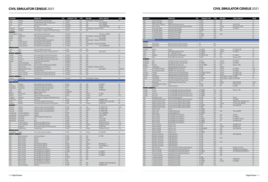#### CIVIL SIMULATOR CENSUS 2021

| <b>LOCATION</b>       |                          | <b>OPERATOR</b>                               | OTY            | <b>AIRCRAFT TYPE</b> | <b>TYPE</b>                 | <b>SIM OEM</b>                        | <b>VISUAL DISPLAY</b>       | <b>LEVEL</b> |
|-----------------------|--------------------------|-----------------------------------------------|----------------|----------------------|-----------------------------|---------------------------------------|-----------------------------|--------------|
| China                 | Shanghai                 | Boeing Flight Services (Shanghai)             |                | 1 737 Max 8          | <b>FFS</b>                  | TRU Simulation + Training EP-8100     |                             | LD           |
| China                 | Pudong                   | Shanghai Eastern Flight Training Centre       |                | 2 737 Max            | <b>FFS</b>                  | CAE                                   | Tropos 6000XR               |              |
| China                 | Xiamen                   | Xiamen Airlines Training                      |                | 2 737-8 Max          | <b>FFS</b>                  | CAE                                   | Tropos 6000XR               |              |
| Fiji                  | Fiji                     | Air Pacific                                   | $\mathbf{1}$   | 737 Max 8            | <b>FFS</b>                  | CAE                                   | Tropos 6223XR/200           | LD           |
| Singapore             | Singapore                | Boeing Flight Services (Singapore)            | $\mathbf{1}$   | 737 Max 8            | <b>FFS</b>                  | TRU Simulation + Training EP-8100     |                             | LC           |
| Singapore             | Singapore                | CAE Singapore - Singapore CAE Flight Training |                | 1 737 Max            | <b>FFS</b>                  | CAE                                   |                             |              |
| <b>EUROPE</b>         |                          |                                               |                |                      |                             |                                       |                             |              |
| Czech Republic Prague |                          | Czech Airlines Training Center                |                | 1 737-8 Max          | <b>FFS</b>                  |                                       | CAE Tropos-6000XR           | LD           |
| Iceland               | Hafnarfjörður            | TRU Flight Training Iceland /Icelandair       | 1              | 737 Max 8            | <b>FFS</b>                  | TRU Simulation + Training EP-8100/200 |                             | LD           |
| Ireland               | Dublin                   | Airline Flight Academy                        | $\mathbf{1}$   | 737 Max 8            | <b>FFS</b>                  | CAE                                   | Tropos 6030                 | LD           |
| Turkey                | Istanbul                 | Turkish Airlines Flight Training Centre       |                | 2 737 Max 8          | <b>FFS</b>                  | TRU Simulation + Training EP-8100/200 |                             | LD           |
| UK                    | London Gatwick           | Boeing Flight Services (Gatwick)              | 1              | 737 Max 8            | <b>FFS</b>                  | CAE                                   |                             | D            |
| UK                    |                          |                                               | $\overline{2}$ | 737 Max 8            | <b>FFS</b>                  | TRU Simulation + Training EP-8100/200 |                             | LD           |
| UK                    | London Gatwick           | Boeing Flight Services (Gatwick)              |                | 3 737 Max 8          | <b>FFS</b>                  | CAE                                   |                             | LD           |
|                       | London Stansted          | East Midlands Training (Ryanair)              |                |                      |                             |                                       | Tropos 6000XR/200           |              |
| <b>MIDDLE EAST</b>    |                          |                                               |                |                      |                             |                                       |                             |              |
| Oman                  | Seeb                     | Oman Air Flight Training Centre               |                | 1 737 Max            | <b>FTD</b>                  | <b>MPS</b>                            |                             | L1           |
| UAE                   | Dubai                    | CAE Dubai Silicon Oasis - Emirates-CAE FTC    | 1              | 737 Max              | <b>FFS</b>                  | CAE                                   | Tropos 6023                 | LD           |
| <b>NORTH AMERICA</b>  |                          |                                               |                |                      |                             |                                       |                             |              |
| Canada                | Toronto                  | Air Canada Flight Training Centre (Toronto)   |                | 2 737 Max 8          | <b>FFS</b>                  | CAE                                   |                             | LC           |
| Canada                | Toronto                  | Air Canada Flight Training Centre (Toronto)   | $\mathbf{1}$   | 737 Max 8            | <b>FTD</b>                  | CAE                                   |                             | L4           |
| Canada                | Vancouver                | Air Canada Flight Training Centre (Vancouver) | $\mathbf{1}$   | 737 Max 8            | <b>FTD</b>                  | CAE                                   |                             | L4           |
| Canada                | Toronto                  | CAE Toronto Training Centre                   | $\mathbf{1}$   | 737 Max 8            | <b>FFS</b>                  | CAE                                   |                             | LD           |
| <b>USA</b>            | Seattle, Washington      | Alaska Airlines                               | $\mathbf{1}$   | 737 Max 9            | <b>FFS</b>                  | CAE                                   |                             | LD           |
| <b>USA</b>            | Dallas/Fort Worth, Texas | American Airlines Flight Academy (Dallas)     | 1              | 737 Max 8            | <b>FFS</b>                  | CAE                                   |                             | D            |
| <b>USA</b>            | Miami, Florida           | Boeing Flight Services (Miami)                |                | 3 737 Max 8          | <b>FFS</b>                  | TRU Simulation + Training EP-8100     |                             | LD           |
| <b>USA</b>            | Dallas/Fort Worth, Texas | CAE Dallas East Training Centre               |                | 2 737 Max            | <b>FFS</b>                  | CAE                                   | Tropos 6023                 | LC interim   |
| <b>USA</b>            | Dallas, Texas            | Southwest Airlines                            |                | 9 737 Max 8          | <b>FFS</b>                  | CAE                                   |                             | LD           |
| <b>USA</b>            | Denver, Colorado         | United Airlines Training Center (Denver)      | 3              | 737 Max 9            | <b>FFS</b>                  | CAE                                   |                             | LD           |
| <b>USA</b>            | Denver, Colorado         | United Airlines Training Center (Denver)      | $\mathbf{3}$   | 737 Max 9            | <b>FTD</b>                  | CAE                                   |                             | L5           |
| <b>SOUTH AMERICA</b>  |                          |                                               |                |                      |                             |                                       |                             |              |
|                       |                          |                                               |                |                      |                             |                                       |                             | LD           |
| Panama                | Panama City              | Copa Airlines                                 |                | 1 737 Max 8          | <b>FFS</b>                  | TRU Simulation + Training             |                             |              |
| <b>BOEING 747</b>     |                          |                                               |                |                      |                             |                                       |                             |              |
| <b>ASIA-PACIFIC</b>   |                          |                                               |                |                      |                             |                                       |                             |              |
| China                 | Shanghai                 | Boeing Flight Services (Shanghai)             |                | 1 747-400            | <b>FFS</b>                  | CAE                                   | EP-1000CT                   | LD           |
| Hong Kong             | Hong Kong                | Cathay Pacific Flight Training Center         | $\mathbf{1}$   | 747-400              | <b>FFS</b>                  | CAE                                   | EP-8000                     | LD           |
| Hong Kong             | Hong Kong                | Cathay Pacific Flight Training Center         | $\mathbf{1}$   | 747-8                | <b>FFS</b>                  | CAE                                   | EP-8000                     | LD           |
| Japan                 | Tokyo                    | ANA Flight Academy/PanAm                      | $\mathbf{1}$   | 747-400              | <b>FFS</b>                  | CAE                                   | SPX550/200                  | LD           |
| Japan                 | Narita                   | Nippon Cargo Airlines                         | $\mathbf{1}$   | 747-400F/8F          | <b>FFS</b>                  | CAE                                   |                             | LD           |
| Malaysia              | Kuala Lumpur             | MAB Academy                                   | 1              | 747-400              | <b>FFS</b>                  | L3Harris                              | EP-1000                     | LD           |
| Pakistan              | Karachi                  | Pakistan International Airlines               | $\mathbf{1}$   | 747-200              | <b>FFS</b>                  | L3Harris                              | SP1/T                       | LGC          |
| Singapore             | Singapore                | CAE Singapore - Singapore CAE Flight Training | $\mathbf{1}$   | 747                  | <b>FFS</b>                  | L3Harris                              |                             |              |
| South Korea           | Inchon                   | Korean Air                                    | $\overline{2}$ | 747-400              | <b>FFS</b>                  | CAE                                   | SPX500HT/150                | LD           |
| Taiwan                | Taoyuan                  | China Airlines Flight Training Center         | $\overline{2}$ | 747-400              | <b>FFS</b>                  | CAE                                   | EP-8000 LCOS, Tropos R300   | LD           |
| Thailand              | Bangkok                  | Thai Airways Flight Simulator Training Center | $\mathbf{1}$   | 747-400              | <b>FFS</b>                  | L3Harris                              | SPX550/150                  | LD           |
| <b>EUROPE</b>         |                          |                                               |                |                      |                             |                                       |                             |              |
| Germany               | Frankfurt                | Lufthansa Aviation Training (Frankfurt)       |                | 1 747-400            | <b>FFS</b>                  | CAE                                   | EP-1000CT/150               | LDG          |
| Germany               | Frankfurt                | Lufthansa Aviation Training (Frankfurt)       | $\mathbf{1}$   | 747-400              | <b>FFS</b>                  | L3Harris                              | EP-1000CT/200               | LD           |
| Germany               | Frankfurt                | Lufthansa Aviation Training (Frankfurt)       | $\mathbf{1}$   | 747-8                | <b>FFS</b>                  | CAE                                   | EP-1000CT/200               | LD           |
|                       | Luxembourg Airport       |                                               | $\mathbf{1}$   | 747-400              | <b>FFS</b>                  | CAE                                   |                             | LD           |
| Luxembourg            |                          | Cargolux                                      |                |                      |                             |                                       | Tropos 6000/200             | LD           |
| Luxembourg            | Luxembourg Airport       | Cargolux                                      | $\mathbf{1}$   | 747-8F               | <b>FFS</b>                  | CAE                                   | Tropos 6000IG               |              |
| Netherlands           | Amsterdam                | CAE Amsterdam Training Centre                 | 1              | 747-400              | <b>FFS</b>                  | CAE                                   | L3Harris                    | LD           |
| Netherlands           | Amsterdam                | <b>FSC</b>                                    |                | 747-400              | <b>FFS</b>                  | CAE                                   | Tropos 6220                 | LD           |
| Netherlands           | Amsterdam                | <b>KLM</b>                                    | $\mathbf{1}$   | 747-400              | <b>FFS</b>                  | CAE                                   | Tropos 6220                 | LD           |
| UK                    | London Heathrow          | British Airways Flight Training               |                | 2 747-400            | <b>FFS</b>                  | CAE                                   | RSi Raster XT4/150          | LCG          |
| UK                    | London Heathrow          | British Airways Flight Training               |                | 1 747-400            | $\ensuremath{\mathsf{FFS}}$ | L3Harris                              | Rsi Raster XT4/150          | LDG          |
| ${\sf UK}$            | <b>Burgess Hill</b>      | CAE London Burgess Hill Training Center       |                | 1 747-400/8          | FFS                         | CAE                                   | SPX500/180                  | LD           |
| UK                    | Cardiff Rhoose           | Cardiff Aviation                              |                | 1 747-400            | <b>FFS</b>                  | L3Harris                              | RSi Raster XT5/150          | LCG          |
| <b>MIDDLE EAST</b>    |                          |                                               |                |                      |                             |                                       |                             |              |
| Saudi Arabia          | Jeddah                   | Prince Sultan Aviation Academy                |                | 1 747-400            | <b>FFS</b>                  | L3Harris                              | EP-1000/200                 | LD           |
| <b>NORTH AMERICA</b>  |                          |                                               |                |                      |                             |                                       |                             |              |
| <b>USA</b>            | Denver, Colorado         | Air Training Support                          |                | 1 747-200            | FFS                         | CAE                                   | EP-1000                     | LC           |
| <b>USA</b>            | Miami, Florida           | Atlas Air                                     | $\mathbf{1}$   | 747-400              | <b>FTD</b>                  | CAE                                   |                             | L4           |
| <b>USA</b>            | Miami, Florida           | Atlas Air                                     |                | 1 747-400            | <b>FTD</b>                  | L3Harris                              |                             | L5           |
| <b>USA</b>            | Miami, Florida           | Atlas Air                                     |                | 747-8                | <b>FTD</b>                  | CAE                                   |                             | L4           |
| <b>USA</b>            | Miami, Florida           | Atlas Air/PanAm (Miami)                       |                | 1 747-200            | <b>FFS</b>                  | L3Harris                              | RSi Raster XT               | LC           |
| <b>USA</b>            | Miami, Florida           | Atlas Air/PanAm (Miami)                       |                | 1 747-400            | <b>FFS</b>                  | CAE                                   | Tropos 6000/Lcos            | LC           |
|                       |                          |                                               |                | 1 747-400F           |                             |                                       |                             |              |
| <b>USA</b>            | Miami, Florida           | Atlas Air/PanAm (Miami)                       |                |                      | <b>FFS</b>                  | L3Harris                              | Tropos                      | LD           |
| <b>USA</b>            | Miami, Florida           | Boeing Flight Services (Miami)                |                | 1 747-400            | <b>FFS</b>                  | CAE                                   |                             | LD           |
| <b>USA</b>            | Miami, Florida           | Boeing Flight Services (Miami)                |                | 1 747-400F           | <b>FFS</b>                  | CAE                                   | EP-1000CT                   | LD           |
| <b>USA</b>            | Miami, Florida           | Boeing Flight Services (Miami)                | $\mathbf{1}$   | 747-8                | <b>FFS</b>                  | CAE                                   | EP-1000CT                   | LD           |
| <b>USA</b>            | Miami, Florida           | Boeing Flight Services (Miami)                |                | 1 747-8F             | <b>FFS</b>                  | CAE                                   | EP-1000CT                   | LD           |
| <b>USA</b>            | Miami, Florida           | Boeing Flight Services (Miami)                |                | 1 747-400F           | <b>FTD</b>                  | CAE                                   |                             | L4           |
| <b>USA</b>            | Miami, Florida           | Boeing Flight Services (Miami)                | $\mathbf{1}$   | 747-8                | <b>FTD</b>                  | CAE                                   |                             | L4           |
| <b>USA</b>            | Miami, Florida           | Boeing Flight Services (Miami)                |                | 1 747-8F             | <b>FTD</b>                  |                                       |                             | L4           |
| <b>USA</b>            | Miami, Florida           | International Aviation Services               |                | 2 747-400            | FFS                         | CAE                                   | SPX500HT/150, ESIG-3350/150 | LD           |
| <b>USA</b>            | Ypsilanti, Michigan      | Kalitta Air                                   |                | 1 747-400            | <b>FFS</b>                  | CAE                                   | SPX500HT/150                | LD           |

|                                                                                                                                                                                                  |                                              | <b>OPERATOR</b>                                                      | <b>OTY</b>     | <b>AIRCRAFT TYPE</b>  | <b>TYPE</b>              | <b>SIM OEM</b>                        | <b>VISUAL DISPLAY</b>       | <b>LEVEL</b> |
|--------------------------------------------------------------------------------------------------------------------------------------------------------------------------------------------------|----------------------------------------------|----------------------------------------------------------------------|----------------|-----------------------|--------------------------|---------------------------------------|-----------------------------|--------------|
| <b>USA</b>                                                                                                                                                                                       | Ypsilanti, Michigan                          | Kalitta Air                                                          |                | 1 747-400             | <b>FFS</b>               | CAE                                   |                             | LC           |
| <b>USA</b>                                                                                                                                                                                       | Ypsilanti, Michigan                          | Kalitta Air                                                          | $\mathbf{1}$   | 747-400               | <b>FTD</b>               | CAE                                   |                             | L5           |
| <b>USA</b>                                                                                                                                                                                       | San Francisco, California                    | NASA Ames Research Center                                            | $\mathbf{1}$   | 747-400               | <b>FFS</b>               | CAE                                   | Vital VIII/180              | LD           |
| <b>USA</b>                                                                                                                                                                                       | Miami, Florida                               | PanAm International Flight Academy (Miami)                           | $\mathbf{1}$   | 747-400               | FFS                      | L3Harris                              | RSi Raster XT4/200          | LD           |
| <b>USA</b>                                                                                                                                                                                       |                                              |                                                                      |                |                       |                          |                                       |                             |              |
|                                                                                                                                                                                                  | Anchorage, Alaska                            | UPS Airlines (Anchorage)                                             | $\mathbf{1}$   | 747-400               | FFS                      | CAE                                   | EP-1000CT                   | LD           |
| <b>USA</b>                                                                                                                                                                                       | Anchorage, Alaska                            | UPS Airlines (Anchorage)                                             | $\mathbf{1}$   | 747-400F              | <b>FTD</b>               | CAE                                   |                             | L4           |
| <b>USA</b>                                                                                                                                                                                       | Anchorage, Alaska                            | UPS Airlines (Anchorage)                                             | $\mathbf{1}$   | 747-8                 | <b>FTD</b>               |                                       |                             | L4           |
| <b>USA</b>                                                                                                                                                                                       | Louisville, Kentucky                         | UPS Airlines (Louisville)                                            | $\mathbf{1}$   | 747-400F              | <b>FTD</b>               | CAE                                   |                             | L4           |
| <b>USA</b>                                                                                                                                                                                       | Louisville, Kentucky                         | UPS Airlines (Louisville)                                            | $\mathbf{1}$   | 747-400F              | <b>FTD</b>               |                                       |                             | LD           |
| <b>USA</b>                                                                                                                                                                                       | Louisville, Kentucky                         | <b>UPS Airlines (Louisville)</b>                                     | $\mathbf{1}$   | 747-8                 | <b>FTD</b>               |                                       |                             | L4           |
| <b>BOEING 757/767</b>                                                                                                                                                                            |                                              |                                                                      |                |                       |                          |                                       |                             |              |
| <b>AFRICA</b>                                                                                                                                                                                    |                                              |                                                                      |                |                       |                          |                                       |                             |              |
| Ethiopia                                                                                                                                                                                         | Addis Ababa                                  | Ethiopian Airlines Aviation Academy                                  |                | 1 757                 | <b>FFS</b>               |                                       |                             |              |
| Ethiopia                                                                                                                                                                                         | Addis Ababa                                  |                                                                      | $\mathbf{1}$   | 767                   | FFS                      |                                       |                             |              |
|                                                                                                                                                                                                  |                                              | Ethiopian Airlines Aviation Academy                                  |                |                       |                          |                                       |                             |              |
| <b>ASIA-PACIFIC</b>                                                                                                                                                                              |                                              |                                                                      |                |                       |                          |                                       |                             |              |
| Australia                                                                                                                                                                                        | Sydney                                       | Qantas                                                               | $\mathbf{1}$   | 767-300ER             | <b>FFS</b>               | L3Harris                              | EP-1000CT/200               | LD           |
| Japan                                                                                                                                                                                            | Tokyo                                        | ANA Flight Academy/PanAm                                             | 3              | 767-300/ER            | FFS                      | L3Harris                              | EP-1000CT                   | LD           |
| Japan                                                                                                                                                                                            | Tokyo                                        | JAL - CAE Flight Training                                            | $\mathbf{1}$   | 767-300ER             | <b>FFS</b>               | CAE                                   |                             | LD           |
| China                                                                                                                                                                                            | Shanghai                                     | Boeing Flight Services (Shanghai)                                    | $\mathbf{1}$   | 757-200/767-300       | FFS                      | FSI                                   | EP-1000CT                   | LD           |
| China                                                                                                                                                                                            | Zuhai                                        | Zhuhai Flight Training Center                                        | $\mathbf{1}$   | 757-200               | FFS                      | CAE                                   | Maxvue+/CRT                 | LC           |
| <b>EUROPE</b>                                                                                                                                                                                    |                                              |                                                                      |                |                       |                          |                                       |                             |              |
| Azerbaijan                                                                                                                                                                                       | Baku                                         | Azal Flight Simulator Training Center                                | $\overline{1}$ | 757-200               | <b>FFS</b>               | L3Harris                              | EP-1000CT                   | LD           |
|                                                                                                                                                                                                  | Baku                                         |                                                                      |                | 767-300ER             |                          | L3Harris                              | EP-1000CT                   | LD           |
| Azerbaijan                                                                                                                                                                                       |                                              | Azal Flight Simulator Training Center                                | $\mathbf{1}$   |                       | FFS                      |                                       |                             |              |
| Belgium                                                                                                                                                                                          | <b>Brussels</b>                              | CAE Brussels Training Centre                                         | $\overline{1}$ | 757/767-300ER         | <b>FFS</b>               | CAE                                   | Maxvue+/180                 | LD           |
| Denmark                                                                                                                                                                                          | Copenhagen                                   | CAE Copenhagen Training Centre                                       | $\mathbf{1}$   | 757-200               | FFS                      | L3Harris                              |                             | LD           |
| France                                                                                                                                                                                           | Paris Charles de Gaulle                      | SIMAERO Paris Training Centre                                        | $\mathbf{1}$   | 757-200               | FFS                      | L3Harris                              | EP-1000CT                   | LCG          |
| France                                                                                                                                                                                           | Paris Charles de Gaulle                      | SIMAERO Paris Training Centre                                        | $\mathbf{1}$   | 767-300               | <b>FFS</b>               | L3Harris                              | EP-1000CT                   | LCG          |
| Germany                                                                                                                                                                                          | Frankfurt                                    | Lufthansa Aviation Training (Frankfurt)                              | $\mathbf{1}$   | 757-200/B767-300 ER   | FFS                      | L3Harris                              | EP-1000CT/150               | LCG          |
|                                                                                                                                                                                                  | Frankfurt                                    | Lufthansa Aviation Training (Frankfurt)                              | $\mathbf{1}$   | 767-300ER             | FFS                      | L3Harris                              | EP-1000CT/180               | LD           |
| Germany                                                                                                                                                                                          |                                              |                                                                      | $\mathbf{1}$   | 757-200               | <b>FFS</b>               |                                       |                             | LD           |
| Iceland                                                                                                                                                                                          | Hafnarfjörður                                | TRU Flight Training Iceland /Icelandair                              |                |                       |                          | TRU Simulation + Training EP-8000     |                             |              |
| Iceland                                                                                                                                                                                          | Hafnarfjörður                                | TRU Flight Training Iceland /Icelandair                              | $\mathbf{1}$   | 767-300ER             | FFS                      | TRU Simulation + Training EP-8100/200 |                             | LD           |
| UK                                                                                                                                                                                               | London Gatwick                               | CAE London Gatwick Training Centre                                   | $\mathbf{1}$   | 767-300               | FFS                      | CAE                                   |                             |              |
| UK                                                                                                                                                                                               | Manchester                                   | CAE Manchester Training Centre                                       | $\mathbf{1}$   | 757                   | <b>FFS</b>               | L3Harris                              | ESIG-3250/150               | LB/LC        |
| UK                                                                                                                                                                                               | Leeds Bradford Int'l airport                 | Jet2                                                                 | $\mathbf{1}$   | 757-200               | FFS                      | CAE                                   | RSi Raster XT4              | LCG          |
| UK                                                                                                                                                                                               | <b>Burgess Hill</b>                          | Quadrant Systems                                                     | $\mathbf{1}$   | 757-200               | FFS                      | <b>FSI</b>                            | EP-1000                     | LD           |
|                                                                                                                                                                                                  |                                              |                                                                      |                |                       |                          |                                       |                             |              |
| <b>NORTH AMERICA</b>                                                                                                                                                                             |                                              |                                                                      |                |                       |                          |                                       |                             |              |
| Canada                                                                                                                                                                                           | Toronto                                      | Air Canada Flight Training Centre (Toronto)                          | $\mathbf{1}$   | 767-300ER             | <b>FFS</b>               | CAE                                   | Maxvue+/180                 | LD           |
| Canada                                                                                                                                                                                           | Toronto                                      | Air Canada Flight Training Centre (Toronto)                          | $\mathbf{1}$   | 767-300ER             | <b>FTD</b>               | CAE                                   |                             | L4           |
| Canada                                                                                                                                                                                           | Vancouver                                    | Air Canada Flight Training Centre (Vancouver)                        | $\mathbf{1}$   | 767-300ER             | <b>FTD</b>               | CAE                                   |                             | L4           |
| Canada                                                                                                                                                                                           | Vancouver                                    | Air Canada Flight Training Centre (Vancouver)                        | $\mathbf{1}$   | 767-300ER             | IPT                      | CAE                                   |                             | LC           |
| <b>USA</b>                                                                                                                                                                                       | Wilmington, Ohio                             | Airborne Training Services                                           | $\mathbf{1}$   | 767-200               | FFS                      | CAE                                   | SP3/4w                      | LC           |
| <b>USA</b>                                                                                                                                                                                       | Charlotte, North Carolina                    | American Airlines Flight Academy (Charlotte)                         | $\mathbf{1}$   | 757-200               | <b>FFS</b>               | CAE                                   | Vital IV/4w                 | LC           |
|                                                                                                                                                                                                  |                                              |                                                                      |                |                       |                          | CAE                                   |                             |              |
| <b>USA</b>                                                                                                                                                                                       | Dallas/Fort Worth, Texas                     | American Airlines Flight Academy (Dallas)                            | $\overline{2}$ | 757-200               | FFS                      |                                       | SPX200T/150, SPX500HT/150   | LD           |
| <b>USA</b>                                                                                                                                                                                       | Dallas/Fort Worth, Texas                     | American Airlines Flight Academy (Dallas)                            | $\mathbf{1}$   | 767-200               | FFS                      | L3Harris                              | SP1/4w, ESIG-3350/4W        | LC           |
| <b>USA</b>                                                                                                                                                                                       | Dallas/Fort Worth, Texas                     | American Airlines Flight Academy (Dallas)                            | $\mathbf{1}$   | 767-300ER             | <b>FFS</b>               | CAE                                   | ESIG-3350/180               | LD           |
| <b>USA</b>                                                                                                                                                                                       | Dallas/Fort Worth, Texas                     | American Airlines Flight Academy (Dallas)                            | $\mathbf{1}$   | 757-200               | <b>FTD</b>               | CAE                                   |                             | L5           |
| <b>USA</b>                                                                                                                                                                                       | Miami, Florida                               | Atlas Air                                                            | $\mathbf{1}$   | 767-300ER             | <b>FTD</b>               |                                       |                             | L4           |
| <b>USA</b>                                                                                                                                                                                       |                                              |                                                                      |                |                       |                          |                                       |                             |              |
|                                                                                                                                                                                                  |                                              |                                                                      |                |                       |                          |                                       |                             |              |
|                                                                                                                                                                                                  | Dallas, Texas                                | Avenger Flight Group                                                 | $\overline{2}$ | 767-300ER             | <b>FFS</b>               | CAE                                   | Tropos 6000XR               | LD           |
|                                                                                                                                                                                                  | Dallas, Texas                                | Avenger Flight Group                                                 | $\mathbf{1}$   | 767-300ER             | <b>FTD</b>               |                                       |                             | L4           |
|                                                                                                                                                                                                  | Miami, Florida                               | Boeing Flight Services (Miami)                                       | $\mathbf{1}$   | 757-200               | FFS                      | CAE                                   | Vital VIII                  | LD           |
|                                                                                                                                                                                                  | Miami, Florida                               | Boeing Flight Services (Miami)                                       | $\mathbf{1}$   | 757-200               | <b>FFS</b>               | <b>FSI</b>                            | EP-1000CT                   | LC           |
|                                                                                                                                                                                                  | Miami, Florida                               | Boeing Flight Services (Miami)                                       | $\overline{2}$ | 767-300ER             | FFS                      | CAE                                   | EP-1000CT, Vital VIII       | LC           |
| <b>USA</b>                                                                                                                                                                                       | Miami, Florida                               | Boeing Flight Services (Miami)                                       | $\mathbf{1}$   | 767-300ER             | FFS                      | FSI                                   | EP-1000CT/4W                | LC           |
|                                                                                                                                                                                                  | Miami, Florida                               | Boeing Flight Services (Miami)                                       | $\mathbf{1}$   | 767-300ER             | <b>FFS</b>               |                                       |                             | LD           |
|                                                                                                                                                                                                  |                                              |                                                                      | $\mathbf{1}$   |                       |                          |                                       |                             |              |
|                                                                                                                                                                                                  | Atlanta, Georgia                             | Delta Air Lines                                                      |                | 757-200               | FFS                      | CAE                                   | SPX500HT/150                | LC           |
|                                                                                                                                                                                                  | Atlanta, Georgia                             | Delta Air Lines                                                      |                | 2 757-200             | <b>FFS</b>               | L3Harris                              | SPX250CT/4w                 | LC           |
|                                                                                                                                                                                                  | Atlanta, Georgia                             | Delta Air Lines                                                      | $\overline{4}$ | 767-300/400ER         | <b>FFS</b>               | CAE                                   | ESIG-3350/180               | LD           |
|                                                                                                                                                                                                  | Atlanta, Georgia                             | Delta Air Lines                                                      | $\mathbf{1}$   | 757-200               | <b>FTD</b>               | CAE                                   |                             | L5           |
| <b>USA</b><br><b>USA</b><br><b>USA</b><br><b>USA</b><br><b>USA</b><br><b>USA</b><br><b>USA</b><br><b>USA</b><br><b>USA</b><br><b>USA</b>                                                         | Atlanta, Georgia                             | Delta Air Lines                                                      | $\overline{2}$ | 767-300ER             | <b>FTD</b>               | CAE                                   |                             | L5/6         |
|                                                                                                                                                                                                  | Memphis, Tennessee                           | FedEx (Memphis)                                                      | $\overline{4}$ | 757-200               | FFS                      | CAE                                   | ESIG-3350/180               | LD           |
|                                                                                                                                                                                                  | Memphis, Tennessee                           | FedEx (Memphis)                                                      | $\mathbf{1}$   | 757-200               | FFS                      |                                       |                             | LD           |
|                                                                                                                                                                                                  |                                              |                                                                      | $\mathbf{1}$   |                       |                          |                                       |                             | LD           |
|                                                                                                                                                                                                  | Memphis, Tennessee                           | FedEx (Memphis)                                                      |                | 767-300               | <b>FFS</b>               | CAE                                   |                             |              |
|                                                                                                                                                                                                  | Memphis, Tennessee                           | FedEx (Memphis)                                                      | $\overline{4}$ | 767-300               | FFS                      |                                       |                             | LD           |
|                                                                                                                                                                                                  | Memphis, Tennessee                           | FedEx (Memphis)                                                      | $\mathbf{1}$   | 757-200               | <b>FTD</b>               | CAE                                   |                             | L6           |
|                                                                                                                                                                                                  | Memphis, Tennessee                           | FedEx (Memphis)                                                      | $\mathbf{1}$   | 757-200               | <b>FTD</b>               |                                       |                             | L6           |
|                                                                                                                                                                                                  | Memphis, Tennessee                           | FedEx (Memphis)                                                      | $\mathbf{1}$   | 767-300               | <b>FTD</b>               |                                       |                             | L6           |
|                                                                                                                                                                                                  | Miami, Florida                               | PanAm International Flight Academy (Miami)                           | $\overline{2}$ | 767-200               | FFS                      | CAE                                   | RSi Raster XT3/150          | LC           |
|                                                                                                                                                                                                  | Denver, Colorado                             | United Airlines Training Center (Denver)                             | 3              | 757-200               | <b>FFS</b>               | CAE                                   | SPX500/150 (2), SPX250/4w   | LD           |
|                                                                                                                                                                                                  |                                              |                                                                      |                |                       |                          |                                       |                             |              |
|                                                                                                                                                                                                  | Denver, Colorado                             | United Airlines Training Center (Denver)                             | $\overline{c}$ | 767-300ER             | <b>FFS</b>               | CAE                                   | SP-X 500/150, ESIG-3350/150 | LC           |
|                                                                                                                                                                                                  | Denver, Colorado                             | United Airlines Training Center (Denver)                             | $\overline{2}$ | 757-200               | <b>FTD</b>               | CAE                                   |                             | L5           |
|                                                                                                                                                                                                  | Louisville, Kentucky                         | UPS Airlines (Louisville)                                            | $\mathbf{1}$   | 757                   | FFS                      | CAE                                   |                             | LD           |
|                                                                                                                                                                                                  | Louisville, Kentucky                         | <b>UPS Airlines (Louisville)</b>                                     | $\mathbf{1}$   | 757-200               | FFS                      |                                       |                             | LD           |
| <b>USA</b><br><b>USA</b><br><b>USA</b><br><b>USA</b><br><b>USA</b><br><b>USA</b><br><b>USA</b><br><b>USA</b><br><b>USA</b><br><b>USA</b><br><b>USA</b><br><b>USA</b><br><b>USA</b><br><b>USA</b> | Louisville, Kentucky                         | <b>UPS Airlines (Louisville)</b>                                     | $\mathbf{1}$   | 757-200PF             | FFS                      | CAE                                   | SPX250/150                  | LD           |
| <b>USA</b>                                                                                                                                                                                       |                                              |                                                                      | $\mathbf{1}$   |                       |                          |                                       |                             | LD           |
| <b>USA</b>                                                                                                                                                                                       | Louisville, Kentucky<br>Louisville, Kentucky | <b>UPS Airlines (Louisville)</b><br><b>UPS Airlines (Louisville)</b> | $\mathbf{1}$   | 767-300ER<br>767-300F | <b>FFS</b><br><b>FFS</b> | L3Harris                              | EP-1000CT                   | LD           |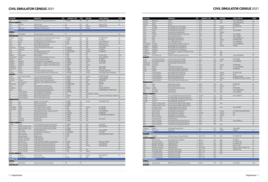#### CIVIL SIMULATOR CENSUS 2021

| <b>LOCATION</b>              |                          | <b>OPERATOR</b>                                                  | OΤY            | <b>AIRCRAFT TYPE</b>   | <b>TYPE</b>       | <b>SIM OEM</b>            | <b>VISUAL DISPLAY</b>                  | <b>LEVEL</b>   |
|------------------------------|--------------------------|------------------------------------------------------------------|----------------|------------------------|-------------------|---------------------------|----------------------------------------|----------------|
| <b>USA</b>                   | Denver, Colorado         | United Airlines Training Center (Denver)                         |                | 2 767-400ER            | <b>FFS</b>        | CAE                       | Maxvue+/180                            | ID             |
| <b>SOUTH AMERICA</b>         |                          |                                                                  |                |                        |                   |                           |                                        |                |
| Brazil                       | Sao Paulo                | CAE Sao Paulo                                                    |                | 1 767                  | <b>FFS</b>        | CAE                       | Maxvue+/180                            | LD             |
| Peru                         | Lima                     | CAE Lima Training Centre                                         |                | 1 767                  | <b>FFS</b>        | L3Harris                  | SPX550HT/180                           |                |
| Mexico                       | Mexico City              | CAE Mexico Training Centre                                       |                | 1 757/767              | FFS               | L3Harris                  |                                        |                |
| <b>BOEING 777</b>            |                          |                                                                  |                |                        |                   |                           |                                        |                |
| <b>AFRICA</b>                |                          |                                                                  |                |                        |                   |                           |                                        |                |
| Ethiopia                     | Addis Ababa              | Ethiopian Airlines Aviation Academy                              |                | 1 777                  | FFS               |                           |                                        | LD             |
| <b>ASIA-PACIFIC</b>          |                          |                                                                  |                |                        |                   |                           |                                        |                |
| Australia                    | Brisbane                 | Boeing Flight Services (Brisbane)/Virgin Australia               |                | 1 777-300ER            | FFS               | CAE                       | EP-1000CT/200                          | LD             |
| China                        | Shanghai                 | Boeing Flight Services (Shanghai)                                |                | 1 777-300ER            | <b>FFS</b>        | CAE                       | EP-1000CT                              | LD             |
| China                        | Beijing                  | CAE Beijing at Air China Training Centre                         | $\mathbf{1}$   | 777-200                | <b>FFS</b>        | CAE                       | Tropos 6000/LCoS                       | LD             |
| China                        | Zuhai                    | Zhuhai Flight Training Center                                    |                | 1 777-200              | <b>FFS</b>        | CAE                       | Maxvue A+/150                          | LD             |
| China                        | Zuhai                    | Zhuhai Flight Training Center                                    |                | 1 777                  | <b>FFS</b>        | CAE                       | Tropos 6200/LCoS                       |                |
| Hong Kong                    | Hong Kong                | Cathay Pacific Flight Training Center                            | $\mathbf{3}$   | 777-200/300            | <b>FFS</b>        | CAE                       | Tropos 6000                            | L5             |
| India                        | Hyderabad                | Air India                                                        |                | 1 777-200/300          | FFS               | L3Harris                  | EP-1000CT                              | LD             |
| Japan                        | Tokyo                    | ANA Flight Academy/PanAm                                         | $\overline{2}$ | 3 777-200ER/300ER      | <b>FFS</b>        | L3Harris                  | EP-8000/200                            | LD<br>L5       |
| Japan                        | Tokyo                    | JAL - CAE Flight Training                                        |                | 777-200<br>1 777-200   | <b>FFS</b><br>FFS | CAE<br>FSI                | Vital VIII+/180                        | LDG            |
| Malaysia<br>New Zealand      | Kuala Lumpur<br>Auckland | MAB Academy<br>Air New Zealand Academy of Learning               |                | 1 777-300              | <b>FFS</b>        | CAE                       | Tropos 6400/200                        | LD             |
| Pakistan                     | Karachi                  | Pakistan International Airlines                                  | 1              | 777-300ER              | <b>FFS</b>        | L3Harris                  | EP-1000CT                              | LD             |
| Singapore                    | Singapore                | Boeing Flight Services (Singapore)                               |                | 1 777-300ER            | <b>FFS</b>        | L3Harris                  | EP-8000/200                            | LD             |
| Singapore                    | Singapore                | CAE Singapore - Singapore CAE Flight Training                    |                | 2 777-200/300          | <b>FFS</b>        | CAE                       | Tropos 6000                            | LD             |
| Singapore                    | Singapore                | CAE Singapore - Singapore CAE Flight Training                    | $\mathbf{1}$   | 777-200ER              | <b>FFS</b>        | L3Harris                  |                                        | LD             |
| South Korea                  | Inchon                   | Korean Air                                                       |                | 1 777-200              | FFS               | CAE                       | Maxvue/180                             | LD             |
| South Korea                  | Inchon                   | Korean Air                                                       |                | 1 777-300ER            | FFS               | CAE                       | Tropos 6000                            | LD             |
| Taiwan                       | Taoyuan                  | China Airlines Flight Training Center                            | $\mathbf{1}$   | 777-300ER              | <b>FFS</b>        | I 3Harris                 | RSi Raster XT4EP, DLP                  | LD             |
| Thailand                     | Bangkok                  | Thai Airways Flight Simulator Training Center                    |                | 2 777-200/300          | FFS               | L3Harris                  | ESIG-3350GT/180, EP-8000/200           | LD             |
| <b>EUROPE</b>                |                          |                                                                  |                |                        |                   |                           |                                        |                |
| France                       | Paris Charles de Gaulle  | Air France Training Centre (CDG)                                 |                | 4 777-300ER            | FFS               | L3Harris                  | EP-8000/180/200                        | L <sub>2</sub> |
| Germany                      | Berlin                   | Lufthansa Aviation Training (Berlin)                             |                | 1 777-200LR            | FFS               | CAE                       | Tropos 6200/200                        | LD             |
| Germany                      | Frankfurt                | Lufthansa Aviation Training (Frankfurt)                          |                | 1 777-300ER            | <b>FFS</b>        | <b>LMCFT</b>              | EP-8000/200                            | LD             |
| Italy                        | Rome Fiumicino           | CAE Rome - Alitalia Flight Training Centre                       | 1              | 777-200ER              | <b>FFS</b>        | CAE                       | Maxvue+                                | L6             |
| Netherlands                  | Amsterdam                | <b>KLM</b>                                                       |                | 2 777-200ER/300ER      | FFS               | L3Harris                  | EP-8100                                | LD             |
| Russia                       | Moscow                   | Boeing Flight Services (Moscow)                                  |                | 1 777-300ER            | <b>FFS</b>        | CAE                       | Tropos                                 | LD             |
| Switzerland                  | Zurich                   | Lufthansa Aviation Training (Zurich)                             | $\mathbf{1}$   | 777-300ER              | <b>FFS</b>        | CAE                       | Tropos 6222XR/180                      | LD             |
| Turkey                       | Istanbul                 | Turkish Airlines Flight Training Centre                          |                | 3 777-300ER            | FFS               | CAE                       | EP-8000/200 (2), EP-1000CT/200         | LD             |
| UK                           | London Gatwick           | Boeing Flight Services (Gatwick)                                 |                | 1 777-200/300          | <b>FFS</b>        | CAE                       |                                        | LD             |
| UK                           | London Gatwick           | Boeing Flight Services (Gatwick)                                 | $\overline{2}$ | 777X                   | <b>FFS</b>        | TRU Simulation + Training |                                        | L1             |
| UK                           | London Heathrow          | British Airways Flight Training                                  |                | 3 777-200ER            | FFS               | CAE                       | RSi Raster XT4/180 (2), EP-1000/150 LD |                |
| UK                           | London Heathrow          | British Airways Flight Training                                  |                | 1 777-200              | <b>FTD</b>        | CAE                       |                                        | LD             |
| <b>MIDDLE EAST</b>           |                          |                                                                  |                |                        |                   |                           |                                        |                |
| Egypt                        | Cairo                    | Egyptair Training Academy                                        |                | 1 777-200ER            | FFS               | L3Harris                  | ESIG-3800GT/180                        | LD             |
| Qatar                        | Doha                     | Qatar Airways Training                                           | 1              | 3 777-300ER            | FFS               |                           |                                        | LD             |
| Qatar                        | Doha                     | Qatar Airways Training                                           |                | 777-300ER              | <b>FTD</b>        |                           |                                        | LD<br>LD       |
| Saudi Arabia<br>Saudi Arabia | Jeddah<br>Jeddah         | Prince Sultan Aviation Academy<br>Prince Sultan Aviation Academy |                | 1 777-200<br>1 777-300 | FFS<br>FFS        | L3Harris<br>CAE           | EP-1000/200<br>EP-8100/200             | LD             |
| <b>UAE</b>                   | Dubai                    | CAE Dubai Silicon Oasis - Emirates-CAE FTC                       | $\mathbf{1}$   | 777-200ER              | <b>FFS</b>        | CAE                       | <b>Tropos R300/200</b>                 | LD             |
| UAE                          | Dubai                    | <b>Emirates Training Center</b>                                  |                | 1 777-200 IGW          | FFS               | CAE                       | EP-8000/180                            | LD             |
| UAE                          | Dubai                    | <b>Emirates Training Center</b>                                  |                | 5 777-300ER            | <b>FFS</b>        | CAE                       | EP-8000/200 (4), EP-8000/180           | LD             |
| <b>UAE</b>                   | Dubai                    | <b>Emirates Training Center</b>                                  | $\mathbf{1}$   | 777-300ER              | <b>FTD</b>        | CAE                       |                                        | LD             |
| UAE                          | Abu Dhabi                | Etihad Airways                                                   |                | 2 777-300ER            | FFS               | CAE                       | Tropos 6221                            | LD             |
| <b>UAE</b>                   | Abu Dhabi                | Etihad Airways                                                   |                | 1 777-300ER            | <b>FTD</b>        | CAE                       |                                        | LD             |
| <b>NORTH AMERICA</b>         |                          |                                                                  |                |                        |                   |                           |                                        |                |
| Canada                       | Toronto                  | Air Canada Flight Training Centre (Toronto)                      |                | 1 777-300ER            | <b>FFS</b>        | CAE                       | Tropos/200                             | LD             |
| <b>USA</b>                   | Dallas/Fort Worth, Texas | American Airlines Flight Academy (Dallas)                        |                | 3 777-200              | FFS               | CAE                       | ESIG-3350/180                          | LD             |
| <b>USA</b>                   | Dallas/Fort Worth, Texas | American Airlines Flight Academy (Dallas)                        |                | 1 777-300ER            | <b>FFS</b>        | CAE                       |                                        | LD             |
| <b>USA</b>                   | Dallas, Texas            | Avenger Flight Group                                             |                | 1 777-300ER            | <b>FFS</b>        | CAE                       | Tropos 6000XR                          | LD             |
| <b>USA</b>                   | Miami, Florida           | Boeing Flight Services (Miami)                                   |                | 2 777-200/300ER        | <b>FFS</b>        | CAE                       | EP-1000CT                              | LD             |
| <b>USA</b>                   | Atlanta, Georgia         | Delta Air Lines                                                  |                | 2 777-200              | <b>FFS</b>        | CAE                       | ESIG-3350/180, EP-1000CT               | LD             |
| <b>USA</b>                   | Atlanta, Georgia         | Delta Air Lines                                                  |                | 1 777-200              | <b>FTD</b>        | CAE                       |                                        | L1             |
| <b>USA</b>                   | Memphis, Tennessee       | FedEx (Memphis)                                                  |                | 4 777F                 | <b>FFS</b>        | CAE                       |                                        | LD             |
| <b>USA</b>                   | Memphis, Tennessee       | FedEx (Memphis)                                                  |                | 1 777F                 | <b>FTD</b>        | CAE                       |                                        | L1             |
| <b>USA</b>                   | Miami, Florida           | PanAm International Flight Academy (Miami)                       |                | 2 777-200ER            | <b>FFS</b>        | CAE                       | RSI Raster XT4/200                     | LD             |
| <b>USA</b>                   | Denver, Colorado         | United Airlines Training Center (Denver)                         |                | 3 777-200              | <b>FFS</b>        | CAE                       | ESIG-3350/150                          | LD             |
| <b>USA</b>                   | Denver, Colorado         | United Airlines Training Center (Denver)                         | 1              | 777-200                | <b>FFS</b>        | L3Harris                  | ESIG-3350/150                          | LD             |
| <b>USA</b>                   | Denver, Colorado         | United Airlines Training Center (Denver)                         |                | 2 777-300ER            | <b>FFS</b>        |                           |                                        | LD             |
| <b>USA</b>                   | Denver, Colorado         | United Airlines Training Center (Denver)                         |                | 1 777-200              | <b>FTD</b>        | $\mathsf{CAE}\xspace$     |                                        | L6             |
| <b>USA</b>                   | Denver, Colorado         | United Airlines Training Center (Denver)                         |                | 1 777-200              | <b>FTD</b>        | L3Harris                  |                                        |                |
| <b>SOUTH AMERICA</b>         | Sao Paulo                |                                                                  |                | 1777                   |                   |                           |                                        | LC             |
| Brazil                       | Rio de Janeiro           | CAE Sao Paulo<br>Flex Aviation Center                            |                | 1 767-200              | FFS<br>FFS        | L3Harris<br>CAE           | ESIG-3350/150<br>SPT3-T                |                |
| Brazil<br><b>BOEING 787</b>  |                          |                                                                  |                |                        |                   |                           |                                        |                |
| <b>AFRICA</b>                |                          |                                                                  |                |                        |                   |                           |                                        |                |
| Ethiopia                     | Addis Ababa              | Ethiopian Airlines Aviation Academy                              |                | 1 787                  | FFS               |                           |                                        |                |
| <b>ASIA-PACIFIC</b>          |                          |                                                                  |                |                        |                   |                           |                                        |                |

| <b>LOCATION</b>        |                          | <b>OPERATOR</b>                               | QTY            | <b>AIRCRAFT TYPE</b> | <b>TYPE</b> | <b>SIM OEM</b> | <b>VISUAL DISPLAY</b>           | <b>LEVEL</b> |
|------------------------|--------------------------|-----------------------------------------------|----------------|----------------------|-------------|----------------|---------------------------------|--------------|
| Australia              | Melbourne                | Qantas                                        |                | 2 787-8              | <b>FFS</b>  | CAE            | Tropos 6000 XR/210              | LD           |
| Australia              | Sydney                   | Qantas                                        | $\overline{2}$ | 787-9                | <b>FFS</b>  | CAE            | Tropos 6000 XR/210              | LD           |
| Australia              | Sydney                   | Qantas                                        | $\mathbf{1}$   | 787-9                | <b>FFS</b>  |                | EP-8100/210                     | LD           |
| China                  | Shanghai                 | Boeing Flight Services (Shanghai)             | $\mathbf{1}$   | 787-8                | <b>FFS</b>  | L3Harris       | EP-1000CT/200                   | LD           |
| China                  | Shanghai                 | Boeing Flight Services (Shanghai)             | $\overline{2}$ | 787-8                | <b>FTD</b>  | L3Harris       | EP1                             | L5           |
|                        | Haikou                   |                                               |                | 787-8                |             | CAE            |                                 | LD           |
| China                  |                          | Hainan Airlines Training Center               | $\mathbf{1}$   |                      | <b>FFS</b>  |                | Tropos 6000XR                   |              |
| China                  | Haikou                   | Hainan Airlines Training Center               | $\mathbf{1}$   | 787                  | <b>FFS</b>  | L3Harris       |                                 | LD           |
| China                  | Pudong                   | Shanghai Eastern Flight Training Centre       | $\mathbf{1}$   | 787-8                | <b>FFS</b>  | CAE            | Tropos R4000                    | LD           |
| China                  | Xiamen                   | Xiamen Airlines Training                      | $\mathbf{1}$   | 787-9                | <b>FFS</b>  | CAE            | Tropos 6000XR                   | LD           |
| China                  | Zuhai                    | Zhuhai Flight Training Center                 | $\mathbf{1}$   | 787                  | <b>FFS</b>  | CAE            | Tropos 6200/LCoS                | LD           |
| Japan                  | Tokyo                    | ANA Flight Academy/PanAm                      | $\mathbf{1}$   | 787-8                | <b>FFS</b>  | L3Harris       | EP-1000CT/200                   | LC           |
| Japan                  | Tokyo                    | JAL - CAE Flight Training                     | $\overline{2}$ | 787-8                | <b>FFS</b>  | CAE            | Tropos 6000/200                 | LC           |
| New Zealand            | Auckland                 | Air New Zealand Academy of Learning           | $\mathbf{1}$   | 787-8                | <b>FFS</b>  | CAE            | Tropos 6000XR/200               | LD           |
| Singapore              | Singapore                | Boeing Flight Services (Singapore)            | $\overline{2}$ | 787-9                | <b>FFS</b>  | L3Harris       | EP-8000                         | LD           |
| Singapore              | Singapore                | Boeing Flight Services (Singapore)            | $\mathbf{1}$   | 787-9                | <b>FFS</b>  |                |                                 | LD           |
| Singapore              | Singapore                | Boeing Flight Services (Singapore)            | $\overline{2}$ | 787-9                | <b>FTD</b>  |                |                                 | L1           |
|                        | Singapore                | CAE Singapore - Singapore CAE Flight Training | $\mathbf{1}$   | 787                  | <b>FFS</b>  | CAE            |                                 |              |
| Singapore              |                          |                                               |                |                      |             |                |                                 |              |
| South Korea            | Inchon                   | Korean Air                                    | $\mathbf{1}$   | 787                  | <b>FFS</b>  | CAE            |                                 | LD           |
| Vietnam                | Ho Chi Minh City         | CAE Ho Chi Minh City Training Centre          | $\mathbf{1}$   | 787-9                | <b>FFS</b>  | CAE            | Tropos 6023XR/200               | LD           |
| <b>EUROPE</b>          |                          |                                               |                |                      |             |                |                                 |              |
| France                 | Paris Charles de Gaulle  | Air France Training Centre (CDG)              | $\mathbf{1}$   | 787-9                | <b>FFS</b>  | L3Harris       | EP-8100/200                     | LD           |
| France                 | Paris Charles de Gaulle  | Air France Training Centre (CDG)              | $\mathbf{1}$   | 787-9                | <b>FTD</b>  | CAE            | Tropos 6000XR                   | L1           |
| Netherlands            | Amsterdam                | CAE Amsterdam Training Centre                 | $\mathbf{1}$   | 787                  | <b>FFS</b>  |                |                                 | LD           |
| Netherlands            | Amsterdam                | <b>KLM</b>                                    | $\overline{2}$ | 787-9                | <b>FFS</b>  | L3Harris       | EP-8000/8100                    | LD           |
| Spain                  | Madrid                   | CAE Madrid Training Centre                    | $\mathbf{1}$   | 787-9                | <b>FFS</b>  | CAE            | Tropos 6023XR/200               | LD           |
| Turkey                 | Istanbul                 | Turkish Airlines Flight Training Centre       | $\mathbf{1}$   | 787-9                | <b>FFS</b>  | CAE            | EP-8100/200                     | LD           |
|                        |                          |                                               | $\mathbf{1}$   | 787-9                |             |                |                                 | LD           |
| Turkey                 | Istanbul                 | Turkish Airlines Flight Training Centre       |                |                      | <b>FFS</b>  |                |                                 |              |
| UK                     | London Gatwick           | Boeing Flight Services (Gatwick)              | $\overline{4}$ | 787-9                | <b>FFS</b>  | L3Harris       | EP-8100CT/200                   | LD           |
| UK                     | London Gatwick           | Boeing Flight Services (Gatwick)              | $\mathbf{3}$   | 787-9                | <b>FTD</b>  | L3Harris       | EP-80                           | L1           |
| UK                     | London Heathrow          | British Airways Flight Training               | $\mathbf{1}$   | 787-8                | <b>FFS</b>  | CAE            | RSi Raster XT4/200              | LD           |
| UK                     | London Heathrow          | British Airways Flight Training               | $\overline{2}$ | 787-9                | <b>FFS</b>  | L3Harris       | EP-8000/200, RSi Raster XT5/200 | LD           |
| <b>UK</b>              | London Gatwick           | CAE London Gatwick Training Centre            | $\mathbf{1}$   | 787                  | <b>FFS</b>  | CAE            |                                 | LD           |
| <b>MIDDLE EAST</b>     |                          |                                               |                |                      |             |                |                                 |              |
| Qatar                  | Doha                     | Qatar Airways Training                        | $\mathbf{1}$   | 787-8                | <b>FTD</b>  | CAE            | EP-8000/200                     | LD           |
| Qatar                  | Doha                     | Qatar Airways Training                        | $\mathbf{1}$   | 787-8                | <b>FTD</b>  | L3Harris       | EP1                             | L2           |
| Saudi Arabia           | Jeddah                   | Prince Sultan Aviation Academy                | $\mathbf{1}$   | 787-9                | <b>FFS</b>  | CAE            | EP-8100/200                     | LD           |
| <b>UAE</b>             | Abu Dhabi                | Etihad Airways                                | $\mathfrak{Z}$ | 787-9                | <b>FFS</b>  | CAE            | Tropos 6000 XR/200              | LD           |
| <b>UAE</b>             |                          |                                               | $\overline{2}$ |                      |             | CAE            |                                 | L1           |
|                        | Abu Dhabi                | Etihad Airways                                |                | 787-9                | <b>FTD</b>  |                | Tropos 6000XR                   |              |
| <b>NORTH AMERICA</b>   |                          |                                               |                |                      |             |                |                                 |              |
| Canada                 | Toronto                  | Air Canada Flight Training Centre (Toronto)   | $\mathbf{3}$   | 787-8/9              | <b>FFS</b>  | CAE            | Tropos 6000/210                 | LD           |
| Canada                 | Toronto                  | Air Canada Flight Training Centre (Toronto)   | $\mathbf{1}$   | 787-8                | <b>FTD</b>  | CAE            |                                 | L4           |
| Canada                 | Vancouver                | Air Canada Flight Training Centre (Vancouver) | $\mathbf{1}$   | 787-8                | <b>FTD</b>  | CAE            |                                 | L4           |
| Canada                 | Toronto                  | Boeing Flight Services (Toronto)              | $\mathbf{1}$   | 787-8                | <b>FFS</b>  |                |                                 | LD           |
| <b>USA</b>             | Dallas/Fort Worth, Texas | American Airlines Flight Academy (Dallas)     | $\overline{2}$ | 787-8                | <b>FFS</b>  | CAE            |                                 | LD           |
| <b>USA</b>             | Dallas/Fort Worth, Texas | American Airlines Flight Academy (Dallas)     | 3              | 787-9                | <b>FFS</b>  |                |                                 | LD           |
| <b>USA</b>             | Fort Worth, Texas        | Avenger Flight Group (Fort Worth)             | $\mathbf{1}$   | 787-9                | <b>FFS</b>  | CAE            | Tropos 6000XR                   | LD           |
| <b>USA</b>             | Fort Worth, Texas        | Avenger Flight Group (Fort Worth)             | $\mathbf{1}$   | 787-9                | <b>FTD</b>  |                |                                 | L5           |
| <b>USA</b>             | Miami, Florida           |                                               | $\overline{4}$ | 787-9                | <b>FFS</b>  | L3Harris       | EP-1000CT/200 (2), EP8100/200   | LD           |
|                        |                          | Boeing Flight Services (Miami)                |                |                      |             |                |                                 |              |
| <b>USA</b>             | Miami, Florida           | Boeing Flight Services (Miami)                | $\overline{2}$ | 787-8/9              | <b>FTD</b>  | L3Harris       | EP1                             | L5           |
| <b>USA</b>             | Miami, Florida           | Boeing Flight Services (Miami)                | $\mathbf{1}$   | 787-9                | <b>FTD</b>  | L3Harris       | $EP-1$                          | L1           |
| <b>USA</b>             | Denver, Colorado         | FlightSafety International (Denver)           | $\mathbf{1}$   | 787-9                | <b>FFS</b>  | CAE            |                                 | LD           |
| <b>USA</b>             | Honolulu, Hawaii         | Hawaiian Airlines                             | $\mathbf{1}$   | 787-9                | <b>FFS</b>  | CAE            |                                 | LD           |
| <b>USA</b>             | Denver, Colorado         | United Airlines Training Center (Denver)      | $\mathbf{1}$   | 787-8                | <b>FFS</b>  | CAE            | Tropos 6000LCos                 | LD           |
| <b>USA</b>             | Denver, Colorado         | United Airlines Training Center (Denver)      | 3              | 787-9                | <b>FFS</b>  |                |                                 | LD           |
| <b>USA</b>             | Denver, Colorado         | United Airlines Training Center (Denver)      | $\overline{2}$ | 787-8                | <b>FTD</b>  | CAE            |                                 | L5           |
| <b>SOUTH AMERICA</b>   |                          |                                               |                |                      |             |                |                                 |              |
| Colombia               | Bogota                   | CAE Bogota Training Centre                    |                | 1 787                | <b>FFS</b>  | CAE            | Tropos 6000                     |              |
| Mexico                 | Mexico City              | Aeromexico                                    |                | 1 787                | FFS         | <b>LMCFT</b>   | EP-8000                         | LD           |
|                        |                          |                                               |                |                      |             |                |                                 |              |
| <b>BOEING MD-11</b>    |                          |                                               |                |                      |             |                |                                 |              |
| <b>EUROPE</b>          |                          |                                               |                |                      |             |                |                                 |              |
| Germany                | Frankfurt                | Lufthansa Aviation Training (Frankfurt)       |                | 1 MD-11/11F          | <b>FFS</b>  | CAE            | EP-1000CT/180                   | LD           |
| <b>NORTH AMERICA</b>   |                          |                                               |                |                      |             |                |                                 |              |
| <b>USA</b>             | Miami, Florida           | Boeing Flight Services (Miami)                |                | 1 MD-11              | <b>FFS</b>  | CAE            | EP-1000CT                       | LD           |
| <b>USA</b>             | Anchorage, Alaska        | FedEx (Anchorage)                             | $\mathbf{1}$   | MD-11F               | <b>FFS</b>  | CAE            | EP-1000CT/150                   | LD           |
| <b>USA</b>             | Memphis, Tennessee       | FedEx (Memphis)                               | $\mathbf{3}$   | MD-11F               | <b>FFS</b>  | CAE            | EP-1000CT/150                   | LD           |
| <b>USA</b>             | Memphis, Tennessee       | FedEx (Memphis)                               | $\overline{2}$ | MD-11F               | <b>FTD</b>  | CAE            | Maxvue+/150                     | L6           |
| <b>USA</b>             | Memphis, Tennessee       | FedEx (Memphis)                               | $\overline{2}$ | MD-10-30F            | <b>FFS</b>  | CAE            | Maxvue+/150, EP-1000CT/150      | LC           |
| <b>USA</b>             | Anchorage, Alaska        | UPS Airlines (Anchorage)                      | $\mathbf{1}$   | MD-11-11F            | <b>FFS</b>  | CAE            | SPX500HT/150                    | LD           |
|                        |                          |                                               |                |                      |             |                |                                 |              |
| <b>USA</b>             | Anchorage, Alaska        | UPS Airlines (Anchorage)                      | $\mathbf{1}$   | MD-11-11F            | <b>FTD</b>  | CAE            |                                 | L4           |
| <b>USA</b>             | Louisville, Kentucky     | <b>UPS Airlines (Louisville)</b>              | $\mathbf{1}$   | MD-11-11             | <b>FFS</b>  | CAE            |                                 | LD           |
| <b>USA</b>             | Louisville, Kentucky     | <b>UPS Airlines (Louisville)</b>              | $\mathbf{1}$   | MD-11-11             | <b>FFS</b>  |                |                                 | LD           |
| <b>USA</b>             | Louisville, Kentucky     | UPS Airlines (Louisville)                     | 1              | MD-11-11F            | <b>FTD</b>  |                |                                 | L4           |
| <b>BOEING MD-80/90</b> |                          |                                               |                |                      |             |                |                                 |              |
| <b>AFRICA</b>          |                          |                                               |                |                      |             |                |                                 |              |
| South Africa           | Johannesburg             | SIMAERO Johannesburg Training Centre          |                | 1 MD-82              | <b>FFS</b>  | CAE            | Vital VIII/180                  | LDG          |
| <b>EUROPE</b>          |                          |                                               |                |                      |             |                |                                 |              |
|                        |                          |                                               |                |                      |             |                |                                 |              |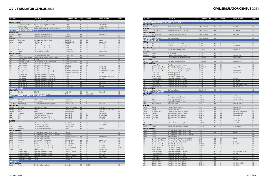| <b>LOCATION</b><br>Sweden        | Stockholm                                   | <b>OPERATOR</b><br>CAE Stockholm Training Centre                               | OTY                            | <b>AIRCRAFT TYPE</b><br>1 MD-82   | <b>TYPE</b><br>FFS | <b>SIM OEM</b><br>L3Harris | <b>VISUAL DISPLAY</b>              | <b>LEVEL</b> |
|----------------------------------|---------------------------------------------|--------------------------------------------------------------------------------|--------------------------------|-----------------------------------|--------------------|----------------------------|------------------------------------|--------------|
| <b>NORTH AMERICA</b>             |                                             |                                                                                |                                |                                   |                    |                            |                                    |              |
| <b>USA</b>                       | Dallas/Fort Worth, Texas                    | American Airlines Flight Academy (Dallas)                                      |                                | 1 MD-82                           | <b>FFS</b>         | CAE                        | ESIG-3350/4w                       | LD           |
| <b>USA</b>                       | Atlanta, Georgia                            | Delta Air Lines                                                                |                                | 2 MD-88/90                        | FFS                | CAE                        | SPX550HT/150                       | LD           |
| <b>USA</b>                       | Las Vegas, Nevada                           | PanAm International Flight Academy (Las Vegas)                                 |                                | 1 MD-87/88                        | <b>FFS</b>         | CAE                        | RSi Raster XT4                     | LC           |
|                                  | BOMBARDIER CRJ100/200/700/900/1000          |                                                                                |                                |                                   |                    |                            |                                    |              |
| <b>ASIA-PACIFIC</b>              |                                             |                                                                                |                                |                                   |                    |                            |                                    |              |
| Indonesia                        | Jakarta<br>Tokyo                            | Garuda Indonesia Training Center                                               | $\mathbf{1}$                   | 1 CRJ1000<br>CRJ200/700           | FFS<br>FFS         | CAE<br>FSI                 | Tropos 6000                        | LD<br>LD     |
| Japan<br><b>EUROPE</b>           |                                             | FlightSafety International (Tokyo)                                             |                                |                                   |                    |                            |                                    |              |
| Denmark                          | Copenhagen                                  | CAE Copenhagen Training Centre                                                 | $\mathbf{1}$                   | CRJ200/900                        | FFS                | CAE                        | Maxvue+                            | LD           |
| France                           | Morlaix                                     | HOP! Training                                                                  | $\mathbf{1}$                   | CRJ100/200/700                    | <b>FFS</b>         | CAE                        | Maxvue+/180                        | LD           |
| France                           | Morlaix                                     | HOP! Training                                                                  | $\overline{2}$                 | <b>CRJ1000</b>                    | FFS                | <b>FSI</b>                 | Vital X/180                        | LD           |
| Germany                          | Berlin                                      | Lufthansa Aviation Training (Berlin)                                           | $\mathbf{1}$                   | <b>CRJ100</b>                     | FFS                | CAE                        | Tropos 6200                        | LD           |
| Germany                          | Berlin                                      | Lufthansa Aviation Training (Berlin)                                           | $\overline{2}$                 | <b>CRJ900</b>                     | FFS                | CAE                        | Tropos 6200/180                    | LD           |
| Netherlands                      | Amsterdam                                   | CAE Amsterdam Training Centre                                                  | $\mathbf{1}$                   | CRJ900/1000                       | <b>FFS</b>         | CAE                        | Tropos 6223                        | LD           |
| Spain                            | Madrid                                      | CAE Madrid Training Centre                                                     | $\mathbf{1}$                   | CRJ200/900/1000                   | FFS                | CAE                        | Maxvue+/150                        | LD           |
| <b>NORTH AMERICA</b>             |                                             |                                                                                |                                |                                   | FFS                | CAE                        |                                    | LD           |
| Canada<br><b>USA</b>             | Toronto<br>Charlotte, North Carolina        | CAE Toronto Training Centre<br>American Airlines Flight Academy (Charlotte)    | $\mathbf{1}$                   | 2 CRJ100/200/700<br><b>CRJ900</b> | FFS                | CAE                        | Tropos 6023                        | LD           |
| <b>USA</b>                       | Dallas Texas                                | ATP Jets                                                                       | 5                              | CRJ100/200                        | <b>FTD</b>         |                            |                                    | L4           |
| <b>USA</b>                       | Eagan, Minneapolis                          | CAE Minneapolis St-Paul Training Centre                                        | 3                              | CRJ200/700/900/1000               | <b>FFS</b>         | CAE                        |                                    | LD           |
| <b>USA</b>                       | Phoenix, Arizona                            | CAE Phoenix Training Centre                                                    | 3                              | CRJ200/700                        | FFS                | CAE                        |                                    | LD           |
| <b>USA</b>                       | Phoenix, Arizona                            | CAE Phoenix Training Centre                                                    | $\mathbf{1}$                   | CRJ700/900                        | <b>FTD</b>         | CAE                        |                                    | L4           |
| <b>USA</b>                       | Atlanta, Georgia                            | FlightSafety International (Atlanta)                                           |                                | 3 CRJ100/200                      | FFS                | FSI                        | Vital VIII+/180                    | LD           |
| <b>USA</b>                       | Atlanta, Georgia                            | FlightSafety International (Atlanta)                                           | $\mathbf{1}$                   | <b>CRJ700</b>                     | FFS                | FSI                        | Vital 1100/180                     | LD           |
| <b>USA</b>                       | Erlanger, Kentucky                          | FlightSafety International (Cincinnati)                                        | $\overline{4}$                 | CRJ100/200/700/900/1000 FFS       |                    | <b>FSI</b>                 | Vital VIII/180 (3), Vital IX/180   | LD           |
| <b>USA</b>                       | Denver, Colorado                            | FlightSafety International (Denver)                                            | $\overline{2}$                 | CRJ100/200/700/900/1000 FFS       |                    | FSI                        | Vital 1100                         | LD           |
| <b>USA</b>                       | Fort Worth, Texas                           | FlightSafety International (Fort Worth)                                        | $\mathbf{1}$                   | <b>CRJ900</b>                     | FFS                | FSI                        |                                    | LD           |
| <b>USA</b>                       | Salt Lake, Utah                             | FlightSafety International (Salt Lake City)                                    | 3                              | CRJ100/200                        | FFS                | <b>FSI</b>                 | Vital VIII/180 (2), Vital VIII/180 | LD           |
| <b>USA</b>                       | Salt Lake, Utah                             | FlightSafety International (Salt Lake City)                                    | $\overline{2}$                 | <b>CRJ700</b>                     | FFS                | FSI                        | Vital X/180                        | LD           |
| <b>USA</b>                       | Salt Lake, Utah                             | FlightSafety International (Salt Lake City)                                    | 3                              | CRJ200/700                        | <b>FTD</b>         | FSI                        |                                    | L4           |
| <b>USA</b><br><b>USA</b>         | St Louis, Missouri<br>St Louis, Missouri    | FlightSafety International (St Louis)<br>FlightSafety International (St Louis) | $\mathbf{1}$<br>$\overline{2}$ | <b>CRJ200</b><br>CRJ550/700       | FFS<br>FFS         | FSI<br>FSI                 | Vital IX/180<br>Vital X            | LD<br>LD     |
| <b>USA</b>                       | St Louis, Missouri                          | FlightSafety International (St Louis)                                          | 3                              | CRJ550/700/900                    | FFS                | FSI                        | Vital 1100                         | LD           |
| COMAC ARJ21/C919                 |                                             |                                                                                |                                |                                   |                    |                            |                                    |              |
|                                  |                                             |                                                                                |                                |                                   |                    |                            |                                    |              |
|                                  |                                             |                                                                                |                                |                                   |                    |                            |                                    |              |
| <b>ASIA-PACIFIC</b>              |                                             | COMAC                                                                          |                                |                                   | FFS                | CAE                        |                                    | LC           |
| China<br>China                   | Shanghai<br>Xi'an                           | Xi'an Aircraft Industry Company                                                | $\mathbf{1}$                   | 2 ARJ21-700<br>C919               | FFS                | Rockwell Collins           | Tropos 6000                        | LD           |
|                                  | DE HAVILLAND CANADA DASH 8 Q100/200/300/400 |                                                                                |                                |                                   |                    |                            |                                    |              |
| <b>AFRICA</b>                    |                                             |                                                                                |                                |                                   |                    |                            |                                    |              |
| Ethiopia                         | Addis Ababa                                 | Ethiopian Airlines Aviation Academy                                            |                                | 1 Dash 8 Q400                     | <b>FFS</b>         |                            |                                    |              |
| Kenya                            | Nairobi                                     | Kenya Airways                                                                  | $\mathbf{1}$                   | Dash 8 Q400                       | FFS                | FSI                        |                                    | LD           |
| South Africa                     | Johannesburg                                | SIMAERO Johannesburg Training Centre                                           | $\overline{2}$                 | Dash 8-100/300                    | FFS                | FSI                        | Vital IX/180                       | LCG          |
| <b>ASIA-PACIFIC</b>              |                                             |                                                                                |                                |                                   |                    |                            |                                    |              |
| Australia                        | Melbourne                                   | Ansett Aviation Training                                                       |                                | 1 Dash 8-Q100/200/300             | FFS                | <b>FSI</b>                 | EP-1000CT                          | LD           |
| Australia                        | Sydney                                      | Qantas                                                                         | $\overline{c}$                 | Dash 8 Q300/401                   | FFS                | FSI                        | EP-1000/180,EP1000CT/200           | LD           |
| Australia                        | Sydney                                      | Qantas                                                                         | $\overline{2}$                 | Dash 8 Q300/400                   | <b>FTD</b>         |                            | Prepar3D                           | L5           |
| India                            | Hyderabad                                   | Flight Simulation Technique Centre                                             | $\mathbf{1}$<br>1              | Dash 8 Q300<br>Dash 8 Q400        | FFS<br><b>FFS</b>  | <b>FSI</b><br>CAE          | Vital 1100/200<br>EP-1000CT/200    | LD<br>LD     |
| Japan<br>Japan                   | Tokyo<br>Tokyo                              | ANA Flight Academy/PanAm<br>FlightSafety International (Tokyo)                 | $\mathbf{1}$                   | Dash 8 Q400                       | FFS                | FSI                        | Vital X/180                        | LD           |
| New Zealand                      | Auckland                                    | Air New Zealand Academy of Learning                                            | $\mathbf{1}$                   | Dash 8 Q300                       | FFS                | FSI                        | Vital IX/180                       | LD           |
| <b>EUROPE</b>                    |                                             |                                                                                |                                |                                   |                    |                            |                                    |              |
| Austria                          | Vienna                                      | Lufthansa Aviation Training                                                    |                                | 1 Dash 8 Q400                     | FFS                | CAE                        | Tropos 6400/180                    | ID           |
| Norway                           | Oslo                                        | CAE Oslo Training Centre                                                       |                                | 1 Dash 8 Q100/300                 | <b>FFS</b>         | CAE                        | Maxvue/180                         | LDG          |
| Spain                            | Madrid                                      | CAE Madrid Training Centre                                                     |                                | Dash 8 100/300                    | FFS                |                            |                                    | LD           |
| Sweden                           | Stockholm                                   | CAE Stockholm Training Centre                                                  | $\mathbf{1}$                   | Dash 8                            | FFS                | CAE                        | Maxvue+                            |              |
| <b>NORTH AMERICA</b>             |                                             |                                                                                |                                |                                   |                    |                            |                                    |              |
| Canada                           | Toronto                                     | Air Canada Flight Training Centre (Toronto)                                    |                                | 2 Dash 8-300                      | <b>FTD</b>         | CAE                        |                                    | L4           |
| Canada                           | Toronto                                     | Air Canada Flight Training Centre (Toronto)/CAE                                | $\overline{2}$                 | Dash 8 Q400                       | <b>FTD</b>         | CAE                        |                                    | L4           |
| Canada                           | Toronto                                     | CAE Toronto Training Centre                                                    | $\overline{2}$                 | Dash 8 Q100/300/400               | FFS                | CAE                        | Tropos 6000/200                    |              |
| Canada                           | Toronto<br>Vancouver                        | CAE Toronto Training Centre                                                    |                                | Dash 8-100<br>1 Dash 8 Q100/300   | <b>FTD</b>         | CAE                        | Maxvue+/180                        | L4           |
| Canada<br>Canada                 | Vancouver                                   | CAE Vancouver Training Centre<br>CAE Vancouver Training Centre                 | $\mathbf{1}$                   | Dash 8 Q400                       | FFS<br>FFS         | CAE<br>CAE                 | Tropos 6023                        | LD<br>LD     |
| Canada                           | Vancouver                                   | CAE Vancouver Training Centre                                                  | $\overline{c}$                 | Dash 8 Q100/300                   | <b>FTD</b>         | CAE                        |                                    | L4           |
| Canada                           | Toronto                                     | FlightSafety International (Toronto)                                           | $\overline{2}$                 | Dash 8 Q400                       | FFS                | FSI                        | Vital X/180                        | LD           |
| Canada                           | Toronto                                     | FlightSafety International (Toronto)                                           |                                | 4 Dash 8-100/200/300              | FFS                | FSI                        | Vital IX/180                       | LC/D         |
| Canada                           | Calgary                                     | WestJet Airlines                                                               | $\mathbf{1}$                   | Dash 8 Q400                       | <b>FFS</b>         | CAE                        | Tropos 6000XR                      | LD           |
| <b>USA</b>                       | Atlanta, Georgia                            | FlightSafety International (Atlanta)                                           |                                | 3 Dash 8-100/200/300              | FFS                | FSI                        | Vital VIII/180                     | LC           |
| <b>USA</b>                       | Seattle, Washington                         | FlightSafety International (Seattle)                                           |                                | 3 Dash 8 Q400                     | FFS                | FSI                        | Vital IX/180                       | LD           |
| <b>USA</b>                       | Seattle, Washington                         | FlightSafety International (Seattle)                                           | $\overline{c}$                 | Dash 8-100/200/300                | <b>FFS</b>         | FSI                        | Vital X/180                        | LD           |
| <b>USA</b>                       | Concord, North Carolina                     | FlyRight                                                                       | $\mathbf{1}$                   | Dash 8-100A                       | FFS                | CAE                        | Image IIT/4w                       | LC           |
| <b>USA</b><br><b>DORNIER 328</b> | Concord, North Carolina                     | FlyRight                                                                       |                                | 2 Dash 8-300                      | FFS                | CAE                        |                                    | LC           |

Canada Toronto CAE Toronto Training Centre 1 Dornier 328 FFS LMCFT LOCK CAE Toronto CAE Toronto Training Centre

| <b>LOCATION</b>                |                                                     | <b>OPERATOR</b>                                                         | OTY                          | <b>AIRCRAFT TYPE</b>          | <b>TYPE</b>              | <b>SIM OEM</b>    | <b>VISUAL DISPLAY</b>            | <b>LEVEL</b> |
|--------------------------------|-----------------------------------------------------|-------------------------------------------------------------------------|------------------------------|-------------------------------|--------------------------|-------------------|----------------------------------|--------------|
| <b>USA</b>                     | Orlando, Florida                                    | SimCom (Orlando)                                                        |                              | 1 Dornier 328-300             | FFS                      | CAE               |                                  | LD           |
|                                | <b>EMBRAER EMB-110 BANDEIRANTE/EMB-120 BRASILIA</b> |                                                                         |                              |                               |                          |                   |                                  |              |
| <b>ASIA-PACIFIC</b>            |                                                     |                                                                         |                              |                               |                          |                   |                                  |              |
| Australia<br><b>EUROPE</b>     | Melbourne                                           | <b>Ansett Aviation Training</b>                                         |                              | 1 EMB-120 Brasilia            | <b>FFS</b>               | <b>FSI</b>        | Vital IV/4w                      | LB           |
| France<br>NORTH AMERICA        | Le Bourget, Paris                                   | FlightSafety International (Le Bourget)                                 |                              | 1 EMB-120 Brasilia            | <b>FFS</b>               | <b>FSI</b>        | Vital VIII+/4w                   | LCG          |
| <b>USA</b><br>SOUTH AMERICA    | Atlanta, Georgia                                    | FlightSafety International (Atlanta)                                    |                              | 1 EMB-120 Brasilia            | <b>FFS</b>               | <b>FSI</b>        | Vital IV/4w                      | LC           |
| Brazil                         | Bacacheri Airport                                   | <b>EPA Training Center</b>                                              |                              | 1 EMB-120 Brasilia            | <b>FFS</b>               |                   |                                  | LB           |
| <b>EMBRAER ERJ-135/145</b>     |                                                     |                                                                         |                              |                               |                          |                   |                                  |              |
| <b>AFRICA</b>                  |                                                     |                                                                         |                              |                               |                          |                   |                                  |              |
| South Africa                   | Johannesburg                                        | FlightSafety International (Johannesburg)                               | $\mathbf{1}$                 | <b>ERJ-145</b>                | <b>FFS</b>               | <b>FSI</b>        | Vital 8                          | LD           |
| South Africa                   | Johannesburg                                        | SIMAERO Johannesburg Training Centre                                    | $\mathbf{1}$                 | ERJ-145                       | <b>FFS</b>               | FSI               | Vital VIII/180                   | LD           |
| <b>ASIA-PACIFIC</b>            | Haikou                                              | Hainan Airlines Training Center                                         |                              | 1 ERJ-145 LR                  | <b>FFS</b>               | CAE               |                                  | LD           |
| China<br><b>EUROPE</b>         |                                                     |                                                                         |                              |                               |                          |                   | Tropos 6000                      |              |
| France                         | Morlaix                                             | HOP! Training                                                           | $\mathbf{1}$                 | <b>ERJ-145</b>                | <b>FFS</b>               | <b>FSI</b>        |                                  | LD           |
| Switzerland                    | Zurich                                              | Lufthansa Aviation Training (Zurich)                                    |                              | ERJ-145                       | <b>FFS</b>               | CAE               | Tropos 6000XR                    | LD           |
| UK                             | <b>Burgess Hill</b>                                 | CAE London Burgess Hill Training Center                                 | $\mathbf{1}$                 | ERJ-135/145                   | <b>FFS</b>               | CAE               | <b>Tropos R300/180</b>           | LD           |
| <b>MIDDLE EAST</b>             |                                                     |                                                                         |                              |                               |                          |                   |                                  |              |
| <b>UAE</b>                     | Abu Dhabi                                           | CAE Abu Dhabi Training Centre                                           |                              | 1 ERJ-135/145                 | <b>FFS</b>               | CAE               | Tropos 6000XR                    | LD           |
| <b>NORTH AMERICA</b>           |                                                     |                                                                         |                              |                               |                          |                   |                                  |              |
| <b>USA</b><br><b>USA</b>       | Houston, Texas<br>Dallas/Fort Worth, Texas          | FlightSafety International (Houston)<br>CAE Dallas East Training Centre | $\mathbf{1}$                 | <b>ERJ-145</b><br>ERJ-135/145 | <b>FTD</b><br><b>FFS</b> | CAE<br>CAE        | Maxvue+/180                      | L6<br>LD     |
| <b>USA</b>                     | Charlotte, North Carolina                           | American Airlines Flight Academy (Charlotte)                            | $\mathbf{1}$                 | <b>ERJ-145</b>                | <b>FFS</b>               | CAE               |                                  | LD           |
| <b>USA</b>                     | Dallas/Fort Worth, Texas                            | American Airlines Flight Academy (Dallas)                               | $\overline{2}$               | <b>ERJ-145</b>                | <b>FFS</b>               | CAE               | ESIG-3350/180                    | LD           |
| <b>USA</b>                     | Dallas, Texas                                       | Avenger Flight Group                                                    | $\mathbf{1}$                 | ERJ-145                       | <b>FFS</b>               | CAE               | Tropos 6000XR                    | LD           |
| <b>USA</b>                     | Dallas, Texas                                       | Avenger Flight Group                                                    | $\mathbf{1}$                 | ERJ-145                       | <b>FTD</b>               | CAE               |                                  | L4           |
| <b>USA</b>                     | Phoenix, Arizona                                    | CAE Phoenix Training Centre                                             | $\mathbf{1}$                 | ERJ-145                       | <b>FFS</b>               | CAE               |                                  | LD           |
| <b>USA</b>                     | Atlanta, Georgia                                    | FlightSafety International (Atlanta)                                    | $\overline{1}$               | <b>ERJ-145</b>                | <b>FFS</b>               | <b>FSI</b>        | Vital VIII+                      | LD           |
| <b>USA</b>                     | Erlanger, Kentucky                                  | FlightSafety International (Cincinnati)                                 | $\mathbf{1}$                 | ERJ-145                       | <b>FFS</b>               | FSI               | Vital VIII/180                   | LD           |
| <b>USA</b>                     | Dallas, Texas                                       | FlightSafety International (Fort Worth)                                 | $\mathbf{1}$                 | ERJ-145                       | <b>FFS</b>               | <b>FSI</b>        | Vital IX/180                     | LD           |
| <b>USA</b><br><b>USA</b>       | Houston, Texas                                      | FlightSafety International (Houston)                                    | 3<br>3                       | ERJ-145<br><b>ERJ-145</b>     | <b>FFS</b><br>FFS        | <b>FSI</b><br>FSI | Vital 1100, Vital VIII, Vital IX | LD<br>LD     |
| <b>SOUTH AMERICA</b>           | St Louis, Missouri                                  | FlightSafety International (St Louis)                                   |                              |                               |                          |                   | Vital VIII, IX, X/180            |              |
| Brazil                         | Bacacheri Airport                                   | <b>EPA Training Center</b>                                              |                              | 1 ERJ-135/145                 | <b>FFS</b>               | <b>FSI</b>        |                                  | LD           |
|                                | EMBRAER E-170/175/190/195                           |                                                                         |                              |                               |                          |                   |                                  |              |
| <b>ASIA-PACIFIC</b>            |                                                     |                                                                         |                              |                               |                          |                   |                                  |              |
| Australia                      | Brisbane                                            | <b>Ansett Aviation Training</b>                                         |                              | 1 E-190                       | <b>FFS</b>               | CAE               | EP-8100                          | LD           |
| China                          | Haikou                                              | Hainan Airlines Training Center                                         | $\mathbf{1}$                 | E-190                         | <b>FFS</b>               | CAE               | Tropos 6000/210                  | LD           |
| China                          | Zuhai                                               | Zhuhai Flight Training Center                                           | $\overline{2}$               | E-170/190                     | <b>FFS</b>               | CAE               | Tropos 6220XR/200                | LD           |
| Japan                          | Tokyo                                               | FlightSafety International (Tokyo)                                      | $\mathbf{1}$                 | E-170/190                     | <b>FFS</b>               | <b>FSI</b>        |                                  | LD           |
| Japan                          | Shizuoka airport                                    | Fuji Dream Airlines                                                     | $\mathbf{1}$                 | $E-170$                       | FFS                      | CAE               | Tropos 6000XR/200                | LD           |
| <b>EUROPE</b><br>Austria       | Vienna                                              | Lufthansa Aviation Training                                             |                              | 1 E-190                       | <b>FFS</b>               | CAE               | Tropos 6000/200                  | LD           |
| Finland                        | Helsinki                                            | Finnair Flight Academy                                                  | $\mathbf{1}$                 | $E-170$                       | <b>FFS</b>               | CAE               | Tropos 6220                      | LD           |
| France                         | Le Bourget, Paris                                   | FlightSafety International (Le Bourget)                                 | $\overline{2}$               | E-170/190                     | <b>FFS</b>               | <b>FSI</b>        | Vital IX/180, Vital 1100/180     | LD           |
| Germany                        | Frankfurt                                           | Lufthansa Aviation Training (Frankfurt)                                 | $\mathbf{1}$                 | E-190                         | <b>FFS</b>               | CAE               | Tropos 6000XR/200                | LD           |
| Netherlands                    | Amsterdam                                           | CAE Amsterdam Training Centre                                           | $\overline{2}$               | E-170-100                     | <b>FFS</b>               | CAE               | Tropos 6200/180                  | LD           |
| Netherlands                    | Amsterdam                                           | CAE Amsterdam Training Centre                                           | $\mathbf{1}$                 | E-190                         | <b>FFS</b>               | CAE               |                                  | LD           |
| Netherlands                    | Amsterdam                                           | <b>KLM</b>                                                              | $\mathbf{1}$                 | E190 E2                       | <b>FFS</b>               | CAE               | Tropos 6230                      | LD           |
| Russia                         | Moscow                                              | S7 Training                                                             | $\mathbf{1}$                 | $E-170$                       | <b>FFS</b>               | FSI               | EP-8100/200                      | LD           |
| UK<br><b>MIDDLE EAST</b>       | London Gatwick                                      | CAE London Gatwick Training Centre                                      |                              | 1 E-170/190                   | <b>FFS</b>               | CAE               | Tropos/180                       | LD           |
|                                |                                                     |                                                                         |                              |                               |                          |                   |                                  |              |
| Jordan<br><b>NORTH AMERICA</b> | Amman                                               | Jordan Airline Training and Simulation                                  |                              | 3 E-170/190                   | <b>FFS</b>               | <b>FSI</b>        | EP-1000Ct/200                    | LD           |
| Canada                         | Toronto                                             | Air Canada Flight Training Centre (Toronto)                             |                              | 2 E-170                       | <b>FTD</b>               | CAE               |                                  | L4           |
| Canada                         | Toronto                                             | Air Canada Flight Training Centre (Toronto)                             | $\mathbf{1}$                 | E-190                         | <b>FFS</b>               | CAE               | Maxvue+                          | LD           |
| Canada                         | Toronto                                             | Air Canada Flight Training Centre (Toronto)/CAE                         |                              | 2 E-190                       | <b>FTD</b>               | CAE               |                                  | L4           |
| Canada                         | Toronto                                             | Sky Regional Airlines                                                   | $\mathbf{1}$                 | $E-170$                       | <b>FTD</b>               |                   |                                  | L4           |
| <b>USA</b>                     | Charlotte, North Carolina                           | American Airlines Flight Academy (Charlotte)                            | $\mathbf{1}$                 | $E-170$                       | <b>FFS</b>               | CAE               | Maxvue                           | LD           |
| <b>USA</b>                     | Charlotte, North Carolina                           | American Airlines Flight Academy (Charlotte)                            | $\overline{2}$               | E-190                         | <b>FTD</b>               | CAE               |                                  | L4           |
| <b>USA</b>                     | Fort Worth, Texas                                   | Avenger Flight Group (Fort Worth)                                       | $\mathbf{1}$                 | $E-170$                       | <b>FFS</b>               | CAE               | EP-8000                          | LD           |
| <b>USA</b>                     | Dallas/Fort Worth, Texas                            | CAE Dallas East Training Centre                                         | $\mathbf{1}$                 | E-170/190                     | <b>FFS</b>               | CAE               | Tropos/180                       | LD           |
| <b>USA</b><br><b>USA</b>       | Dallas/Fort Worth, Texas<br>Phoenix, Arizona        | CAE Dallas East Training Centre<br>CAE Phoenix Training Centre          | $\mathbf{1}$<br>$\mathbf{1}$ | E-170-100<br>$E-170$          | <b>FTD</b><br><b>FFS</b> | CAE               |                                  | LD<br>LD     |
| <b>USA</b>                     | Phoenix, Arizona                                    | CAE Phoenix Training Centre                                             | $\mathbf{1}$                 | $E-170$                       | <b>FTD</b>               | CAE               |                                  | L4           |
| <b>USA</b>                     | Erlanger, Kentucky                                  | FlightSafety International (Cincinnati)                                 | $\overline{2}$               | E-170                         | <b>FFS</b>               | <b>FSI</b>        | Vital X/200, Vital 1100/200      | LD           |
| <b>USA</b>                     | Denver, Colorado                                    | FlightSafety International (Denver)                                     | 3                            | E-170                         | <b>FFS</b>               | <b>FSI</b>        | Vital 1100                       | LD           |
| <b>USA</b>                     | Denver, Colorado                                    | FlightSafety International (Denver)                                     | $\overline{2}$               | $E-170$                       | <b>FTD</b>               | $FSI$             |                                  | L4           |
| <b>USA</b>                     | Dallas, Texas                                       | FlightSafety International (Fort Worth)                                 | $\mathbf{1}$                 | $E-170$                       | <b>FFS</b>               | <b>FSI</b>        | Vital IX                         | LD           |
| <b>USA</b>                     | Salt Lake, Utah                                     | FlightSafety International (Salt Lake City)                             | $\mathbf{1}$                 | ERJ-170                       | <b>FFS</b>               | <b>FSI</b>        | Vital 1100                       | LD           |
| <b>USA</b>                     | Seattle, Washington                                 | FlightSafety International (Seattle)                                    | $\mathbf{1}$                 | $E-170$                       | <b>FFS</b>               | $FSI$             |                                  | LD           |
| <b>USA</b>                     | St Louis, Missouri                                  | FlightSafety International (St Louis)                                   |                              | 8 E-170                       | FFS                      | <b>FSI</b>        | Vital 1100, IX, X/200            | LD           |
| <b>USA</b>                     | St Louis, Missouri                                  | FlightSafety International (St Louis)                                   | $\overline{2}$               | E-170/190                     | <b>FFS</b>               | <b>FSI</b>        | Vital IX/180                     | LD           |

Toronto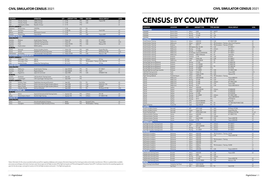| <b>LOCATION</b>         |                             | <b>OPERATOR</b>                              | QTY          | <b>AIRCRAFT TYPE</b> | <b>TYPE</b> | <b>SIM OEM</b>                          | <b>VISUAL DISPLAY</b> | <b>LEVEL</b>   |
|-------------------------|-----------------------------|----------------------------------------------|--------------|----------------------|-------------|-----------------------------------------|-----------------------|----------------|
| <b>USA</b>              | Orlando, Florida            | JetBlue Airways                              |              | 2 E-190              | <b>FFS</b>  | CAE                                     | Tropos/180            | LD             |
| <b>USA</b>              | Orlando, Florida            | JetBlue Airways                              |              | 2 E-190              | <b>FTD</b>  | CAE                                     |                       | L <sub>5</sub> |
| <b>USA</b>              | Indianapolis, Indiana       | Republic Airways                             |              | 5 E-170              | <b>FTD</b>  |                                         |                       | L4             |
| <b>SOUTH AMERICA</b>    |                             |                                              |              |                      |             |                                         |                       |                |
| Argentina               | <b>Buenos Aires</b>         | <b>CEFEPRA</b>                               |              | 1 E-190              | <b>FFS</b>  | <b>FSI</b>                              |                       |                |
| Brazil                  | Sao Paulo                   | Azul                                         |              | 2 E-190/195          | FFS         | FSI                                     | Vital X/180           | ID             |
| Mexico                  | Apodaca                     | Aeromexico Connect                           |              | 2 E-190              | <b>FFS</b>  | FSI                                     |                       | LD             |
| Panama                  | Panama City                 | Copa Airlines                                |              | $E-190$              | <b>FFS</b>  | CAE                                     | Tropos 6000           | LD             |
| <b>FOKKER 50/70/100</b> |                             |                                              |              |                      |             |                                         |                       |                |
| <b>ASIA-PACIFIC</b>     |                             |                                              |              |                      |             |                                         |                       |                |
| Australia               | <b>Brisbane</b>             | Ansett Aviation Training                     |              | 1 Fokker 100         | <b>FFS</b>  | CAE                                     | EP-1000CT             | LC             |
| Australia               | Perth                       | CAE Perth Training Centre                    | $\mathbf{1}$ | Fokker 50            | FFS         | CAE                                     | Tropos 6020           | LCG            |
| Australia               | Perth                       | CAE Perth Training Centre                    |              | Fokker 70/100        | FFS         | CAE                                     | Maxvue/150            | ID             |
| Malaysia                | Kuala Lumpur                | MAB Academy                                  | $\mathbf 1$  | Fokker 50            | <b>FFS</b>  |                                         |                       |                |
| <b>EUROPE</b>           |                             |                                              |              |                      |             |                                         |                       |                |
| Austria                 | Neusiedl                    | Aviation Academy Austria                     |              | 1 Fokker 100         | <b>FFS</b>  | AXIS                                    | Equipe Blue Sky       | LD             |
| France                  | Dinard                      | SIMAERO Dinard Training Centre               | $\mathbf{1}$ | Fokker 100           | FFS         | <b>FSI</b>                              | RSI Raster XT/180     | LCG            |
| Netherlands             | Amsterdam                   | CAE Amsterdam Training Centre                |              | 2 Fokker 70/100      | FFS         | CAE                                     | Maxvue+/180           | ID             |
|                         | MCDONNELL DOUGLAS DC-8/9/10 |                                              |              |                      |             |                                         |                       |                |
| <b>NORTH AMERICA</b>    |                             |                                              |              |                      |             |                                         |                       |                |
| <b>USA</b>              | Wilmington, Ohio            | ABX Air                                      |              | 1 DC-8-62            | <b>FTD</b>  | L3Harris                                | <b>SP1/4w</b>         | LB             |
| <b>USA</b>              | Wilmington, Ohio            | <b>ABX Air</b>                               | $\mathbf{1}$ | DC-9-30              | FFS         | TRU Simulation + Training ESIG-3350/180 |                       | LC             |
| <b>USA</b>              | Sanford, Florida            | Global One Training Group                    |              | 1 DC-10-10           | <b>FFS</b>  | CAE                                     | <b>SP1/4w</b>         | LC             |
| <b>SAAB 340/2000</b>    |                             |                                              |              |                      |             |                                         |                       |                |
| <b>ASIA-PACIFIC</b>     |                             |                                              |              |                      |             |                                         |                       |                |
| Australia               | Melbourne                   | Ansett Aviation Training                     |              | Saab 340A/B          | <b>FFS</b>  | <b>FSI</b>                              | EP-1000CT             | LD             |
| Australia               | Forest Hill                 | Regional Express                             |              | Saab 340A/B          | FFS         | FSI                                     | Vital 9               | LC             |
| Japan                   | Kagoshima                   | Japan Air Commuter                           | 1            | Saab 340B            | <b>FFS</b>  | CAE                                     | SPX500HT/180          | PII            |
| <b>EUROPE</b>           |                             |                                              |              |                      |             |                                         |                       |                |
| Sweden                  | Stockholm                   | CAE Stockholm Training Centre                |              | 1 Saab 340           | FFS         |                                         |                       |                |
| Denmark                 | Copenhagen                  | CAE Copenhagen Training Centre               |              | Saab 2000            | <b>FFS</b>  |                                         |                       |                |
| <b>NORTH AMERICA</b>    |                             |                                              |              |                      |             |                                         |                       |                |
| <b>USA</b>              | Houston, Texas              | FlightSafety International (Houston)         | 1            | Saab 340             | <b>FFS</b>  | <b>FSI</b>                              | Vital VII/4w          | LD             |
| <b>USA</b>              | Miami, Florida              | PanAm International Flight Academy (Miami)   |              | Saab 340B            | <b>FFS</b>  | CAE                                     | MAXVUE+/150           | LD             |
| <b>USA</b>              | Miami, Florida              | PanAm International Flight Academy (Miami)   |              | Saab 340B            | FFS         | CAE                                     | SPX200T               | LC             |
| <b>USA</b>              | Orlando, Florida            | SimCom (Orlando)                             | $\mathbf{1}$ | Saab 2000            | <b>FFS</b>  | FSI                                     | RSi Raster XT/180     | <b>LDG</b>     |
|                         | <b>SUKHOI SUPERJET 100</b>  |                                              |              |                      |             |                                         |                       |                |
| <b>EUROPE</b>           |                             |                                              |              |                      |             |                                         |                       |                |
| Italy                   | Venice                      | SuperJet International (SJI) Training Center |              | Superjet 100         | <b>FFS</b>  | L3Harris                                | EPt-100               | LD             |
| Russia                  | Sheremetyevo Airport        | Aeroflot Flight Training                     |              | 1 Superjet 100       | FFS         | L3Harris                                | EP-1000CT/180         | LD             |
| XIAN MA-60              |                             |                                              |              |                      |             |                                         |                       |                |
| <b>ASIA-PACIFIC</b>     |                             |                                              |              |                      |             |                                         |                       |                |
| China                   | Xi'an                       | Xi'an Aircraft Industry Company              |              | MA60                 | <b>FFS</b>  | Rockwell Collins                        |                       | LD             |
| China                   | Guanghan                    | Civil Aviation Flight University of China    | $\mathbf{1}$ | MA600                | <b>FFS</b>  | TRU Simulation + Training               |                       | LC             |

# CENSUS: BY COUNTRY

| <b>OPERATOR</b>                                                        | <b>LOCATION</b>                | OTY                                                | <b>AIRCRAFT TYPE</b>           | <b>TYPE SIM OEM</b>                             | <b>VISUAL DISPLAY</b>                            | <b>LEVEL</b>   |
|------------------------------------------------------------------------|--------------------------------|----------------------------------------------------|--------------------------------|-------------------------------------------------|--------------------------------------------------|----------------|
| <b>ARGENTINA</b>                                                       |                                |                                                    |                                |                                                 |                                                  |                |
| <b>CEFEPRA</b>                                                         | <b>Buenos Aires</b>            | Airbus<br>$\mathbf{1}$                             | A340                           | <b>FFS</b><br>LMCFT                             |                                                  |                |
| <b>CEFEPRA</b>                                                         | <b>Buenos Aires</b>            | Boeing<br>$\mathbf{1}$                             | 737-700                        | FFS<br>FSI                                      |                                                  |                |
| <b>CEFEPRA</b>                                                         | <b>Buenos Aires</b>            | $\mathbf{1}$<br>Boeing                             | 737-800                        | <b>FFS</b><br>CAE                               |                                                  |                |
| CEFEPRA                                                                | <b>Buenos Aires</b>            | Embraer<br>$\mathbf{1}$                            | E-190                          | <b>FFS</b><br>FSI                               |                                                  |                |
| <b>AUSTRALIA</b>                                                       |                                |                                                    |                                |                                                 |                                                  |                |
| Ansett Aviation Training                                               | Melbourne                      | $\overline{2}$<br>Airbus                           | A320-232                       | <b>FFS</b><br>CAE                               | EP-1000CT/200                                    | LD             |
| <b>Ansett Aviation Training</b>                                        | Melbourne                      | Airbus<br>$\mathbf{1}$                             | A320-232                       | <b>FFS</b>                                      | TRU Simulation + Training aXion Front Projection | LD             |
| Ansett Aviation Training                                               | Brisbane                       | ATR<br>$\mathbf{1}$                                | ATR72                          | <b>FFS</b><br>TRU Simulation + Training EP-8100 |                                                  | LD             |
| <b>Ansett Aviation Training</b>                                        | Melbourne                      | $\mathbf{1}$                                       | BAE Systems BAe 146-300        | <b>FFS</b><br>CAE                               | EP-1000CT                                        | LDG            |
| <b>Ansett Aviation Training</b>                                        | Melbourne                      | Boeing<br>$\mathbf{1}$                             | 737-300                        | L3Harris<br><b>FFS</b>                          | SP1T/6w                                          | LD             |
| Ansett Aviation Training                                               | Melbourne                      | Boeing<br>$\mathbf{1}$                             | 737-800W                       | FFS<br>CAE                                      | EP-1000CT                                        | LD             |
| <b>Ansett Aviation Training</b>                                        | Melbourne                      | $\mathbf{1}$                                       | Bombardier Dash 8-Q100/200/300 | FSI<br><b>FFS</b>                               | EP-1000CT                                        | LD             |
| Ansett Aviation Training                                               | Melbourne                      | $\mathbf{1}$<br>Embraer                            | EMB-120 Brasilia               | FFS<br>FSI                                      | Vital IV/4w                                      | LB             |
| <b>Ansett Aviation Training</b>                                        | Brisbane                       | Embraer<br>$\mathbf{1}$                            | E-190                          | FFS<br>CAE                                      | EP-8100                                          | LD             |
| <b>Ansett Aviation Training</b>                                        | Brisbane                       | $\mathbf{1}$<br>Fokker                             | Fokker 100                     | FFS<br>CAE                                      | EP-1000CT                                        | LC             |
| Ansett Aviation Training                                               | Melbourne                      | Saab<br>$\overline{1}$                             | Saab 340A/B                    | FFS<br>FSI<br>FSI                               | EP-1000CT                                        | LD<br>LD       |
| Boeing Flight Services (Brisbane)                                      | <b>Brisbane</b>                | Boeing<br>$\mathbf{1}$                             | 717-200                        | FFS                                             | EP-8000/180                                      |                |
| Boeing Flight Services (Brisbane)                                      | Brisbane                       | $\mathbf{1}$<br>Boeing                             | 737-700/800<br>737-700/800     | FFS<br>FSI                                      | EP-8000/180                                      | LD<br>LD       |
| Boeing Flight Services (Brisbane)<br>Boeing Flight Services (Brisbane) | Brisbane<br>Brisbane           | Boeing                                             | 737-800W                       | FFS<br><b>FTD</b>                               | EP-1000/180<br>EP-10/180                         | L2             |
|                                                                        |                                | $\mathbf{1}$<br>Boeing                             |                                |                                                 |                                                  |                |
| Boeing Flight Services/Virgin Australia<br>CAE Perth Training Centre   | Brisbane<br>Perth              | $\mathbf{1}$<br>Boeing<br>Fokker<br>$\overline{1}$ | 777-300ER<br>Fokker 50         | FFS<br>CAE<br>FFS<br>CAE                        | EP-1000CT/200                                    | LD<br>LCG      |
| CAE Perth Training Centre                                              | Perth                          | Fokker<br>$\mathbf{1}$                             | Fokker 70/100                  | FFS<br>CAE                                      | Tropos 6020<br>Maxvue/150                        | LD             |
|                                                                        |                                | $\mathbf{1}$                                       | A320-200                       | <b>FTD</b>                                      |                                                  | L5             |
| Flight Training Adelaide<br>Qantas                                     | Parafield Airport<br>Melbourne | Airbus<br>Airbus                                   | A330-200/300                   | TRU Simulation + Training<br>FFS<br>CAE         | Tropos 6000/210                                  | LD             |
| Qantas                                                                 | Melbourne                      | Boeing<br>$\mathbf{1}$                             | 737-400                        | FFS<br>CAE                                      | Vital VII/150                                    | LD             |
| Qantas                                                                 | Melbourne                      | $\mathbf{1}$<br>Boeing                             | 737-800                        | FFS<br>L3Harris                                 | EP-1000CT/200                                    | LD             |
| Qantas                                                                 | Melbourne                      | Boeing<br>$\overline{1}$                           | 737-800                        | CAE<br><b>FFS</b>                               | Tropos 6000                                      | LD             |
| Qantas                                                                 | Melbourne                      | $\overline{2}$<br>Boeing                           | 787-8                          | FFS<br>CAE                                      | Tropos 6000 XR/210                               | LD             |
| Qantas                                                                 | Sydney                         | $\mathbf{1}$<br>Airbus                             | A330-200                       | <b>FTD</b>                                      |                                                  | L1             |
| Qantas                                                                 | Sydney                         | Airbus                                             | A330-200/300                   | FFS<br>L3Harris                                 | EP-8000/200                                      | LD             |
| Qantas                                                                 | Sydney                         | $\overline{2}$<br>Airbus                           | A380-800                       | FFS<br>CAE                                      | EP-8000/200                                      | LD             |
| Qantas                                                                 | Sydney                         | $\mathbf{1}$<br>Boeing                             | 737-800                        | <b>FFS</b>                                      | EP-8100/200                                      | LD             |
| Qantas                                                                 | Sydney                         | $\overline{1}$<br>Boeing                           | 767-300ER                      | <b>FFS</b><br>L3Harris                          | EP-1000CT/200                                    | LD             |
| Qantas                                                                 | Sydney                         | $\overline{2}$<br>Boeing                           | 787-9                          | <b>FFS</b><br>CAE                               | Tropos 6000 XR/210                               | LD             |
| Qantas                                                                 | Sydney                         | $\mathbf{1}$<br>Boeing                             | 787-9                          | <b>FFS</b>                                      | EP-8100/210                                      | LD             |
| Qantas                                                                 | Sydney                         | $\overline{2}$<br>DHC                              | Dash 8 Q300/400                | <b>FTD</b>                                      | Prepar3D                                         | L <sub>5</sub> |
| Qantas                                                                 | Sydney                         | DHC<br>$\overline{2}$                              | Dash 8 Q300/401                | <b>FFS</b><br>FSI                               | EP-1000/180,EP1000CT/200                         | LD             |
| Regional Express                                                       | Forest Hill                    | $\mathbf{1}$<br>Saab                               | Saab 340A/B                    | <b>FFS</b><br>FSI                               | Vital 9                                          | LC             |
| <b>AUSTRIA</b>                                                         |                                |                                                    |                                |                                                 |                                                  |                |
| Aviation Academy Austria                                               | Neusiedl                       | ATR<br>$\mathbf{1}$                                | ATR 72-600                     | <b>FFS</b><br>AXIS                              | RSi Raster XT/200                                | LD             |
| Aviation Academy Austria                                               | Neusiedl                       | $\mathbf{1}$<br>Fokker                             | Fokker 100                     | AXIS<br><b>FFS</b>                              | Equipe Blue Sky                                  | LD             |
| <b>Farnair Training Centre</b>                                         | Neusiedl                       | ATR<br>$\mathbf{1}$                                | ATR 42-300/72-500              | <b>FFS</b><br>AXIS                              | RSi Raster XT4/180                               | LC, LD         |
| Lufthansa Aviation Training                                            | Vienna                         | 3<br>Airbus                                        | A320-200                       | CAE<br><b>FFS</b>                               | EP-1000CT/150                                    | LDG            |
| Lufthansa Aviation Training                                            | Vienna                         | $\mathbf{1}$<br>Airbus                             | A320                           | <b>FTD</b><br>L3Harris                          |                                                  | LB             |
| Lufthansa Aviation Training                                            | Vienna                         | DHC<br>$\mathbf{1}$                                | Dash 8 Q400                    | CAE<br><b>FFS</b>                               | Tropos 6400/180                                  | LD             |
| Lufthansa Aviation Training                                            | Vienna                         | $\mathbf{1}$<br>Embraer                            | E-190                          | FFS<br>CAE                                      | Tropos 6000/200                                  | LD             |
| <b>AZERBAIJAN</b>                                                      |                                |                                                    |                                |                                                 |                                                  |                |
| Azal Flight Simulator Training Center                                  | Baku                           | Airbus<br>$\mathbf{1}$                             | A320-200                       | <b>FFS</b><br>L3Harris                          | EP-1000CT                                        | LD             |
| Azal Flight Simulator Training Center                                  | Baku                           | ATR<br>$\overline{2}$                              | ATR 72-200/500                 | <b>FFS</b><br>L3Harris                          | EP-1000CT                                        | LD             |
| Azal Flight Simulator Training Center                                  | Baku                           | Boeing<br>$\mathbf{1}$                             | 757-200                        | <b>FFS</b><br>L3Harris                          | EP-1000CT                                        | LD             |
| Azal Flight Simulator Training Center                                  | Baku                           | Boeing                                             | 767-300ER                      | <b>FFS</b><br>L3Harris                          | EP-1000CT                                        | LD             |
| <b>BAHRAIN</b>                                                         |                                |                                                    |                                |                                                 |                                                  |                |
| Gulf Aviation Academy                                                  | Muharraq                       | Airbus<br>1                                        | A320-200                       | FFS TRU Simulation + Training X2/200            |                                                  | LD             |
| <b>Gulf Aviation Academy</b>                                           | Muharraq                       | Airbus<br>$\mathbf{1}$                             | A320-200                       | <b>FFS</b><br>CAE                               | Tropos 6200/180                                  | LD             |
| Gulf Aviation Academy                                                  | Muharraq                       | $\overline{2}$<br>Airbus                           | A320-200                       | <b>FFS</b>                                      |                                                  | LD             |
| Gulf Aviation Academy                                                  | Muharraq                       | Airbus<br>$\mathbf{1}$                             | A320-200                       | <b>FTD</b><br>TRU Simulation + Training         |                                                  | L1             |
| <b>Gulf Aviation Academy</b>                                           | Muharraq                       | Airbus<br>$\mathbf{1}$                             | A320-200                       | <b>FTD</b><br>CAE                               |                                                  | L1             |
| Gulf Aviation Academy                                                  | Muharraq                       | $\mathbf{1}$<br>Airbus                             | A320-200                       | <b>FTD</b>                                      |                                                  | L1             |
| Gulf Aviation Academy                                                  | Muharraq                       | $\overline{2}$<br>Airbus                           | A320neo                        | <b>FFS</b><br>TRU Simulation + Training X2/200  |                                                  | LD             |
| <b>Gulf Aviation Academy</b>                                           | Muharraq                       | Airbus                                             | A320neo                        | <b>FTD</b>                                      |                                                  | L1             |
| Gulf Aviation Academy                                                  | Muharraq                       | $\mathbf{1}$<br>Airbus                             | A330-200                       | FFS<br>CAE                                      | Tropos 6220/210                                  | LD             |
| <b>BELGIUM</b>                                                         |                                |                                                    |                                |                                                 |                                                  |                |
| CAE Brussels Training Centre                                           | <b>Brussels</b>                | Airbus<br>$\mathbf{1}$                             | A320-200                       | <b>FFS</b><br>CAE                               | Tropos 6000                                      | LD             |
| <b>CAE Brussels Training Centre</b>                                    | <b>Brussels</b>                | Airbus<br>$\mathbf{1}$                             | A330                           | CAE<br><b>FFS</b>                               |                                                  |                |
| CAE Brussels Training Centre                                           | <b>Brussels</b>                | $\mathbf{1}$<br>Boeing                             | 737 Classic                    | <b>FFS</b><br>L3Harris                          |                                                  |                |
| CAE Brussels Training Centre                                           | <b>Brussels</b>                | $\mathbf{1}$<br>Boeing                             | 737-800                        | CAE<br><b>FFS</b>                               | Tropos 6000/180                                  | LD             |
| CAE Brussels Training Centre                                           | <b>Brussels</b>                | Boeing<br>$\mathbf{1}$                             | 757/767-300ER                  | <b>FFS</b><br>CAE                               | Maxvue+/180                                      | LD             |
| <b>BRAZIL</b>                                                          |                                |                                                    |                                |                                                 |                                                  |                |
| Airbus Training Center (Brazil)                                        | Campinas, Sao Paulo            | Airbus<br>$\mathbf{1}$                             | A320-100/200                   | FFS                                             |                                                  | LD             |
| Azul                                                                   | Sao Paulo                      | 2 ATR                                              | ATR 72-500/600                 | FFS FSI                                         | Vital X/180                                      | LD             |
|                                                                        |                                |                                                    |                                |                                                 |                                                  |                |

Notes: Information for this census is predominantly sourced from regulatory databases and company information/responses from training providers and simulator manufacturers. Where no updated data is available,<br>previously so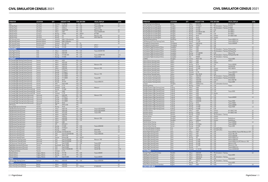|  |  |  | <b>CIVIL SIMULATOR CENSUS 2021</b> |  |
|--|--|--|------------------------------------|--|
|--|--|--|------------------------------------|--|

| <b>OPERATOR</b>                                            | <b>LOCATION</b>    | OTY                            |                  | <b>AIRCRAFT TYPE</b>      |                          | <b>TYPE SIM OEM</b> | <b>VISUAL DISPLAY</b>            | <b>LEVEL</b> |
|------------------------------------------------------------|--------------------|--------------------------------|------------------|---------------------------|--------------------------|---------------------|----------------------------------|--------------|
| Azul                                                       | Sao Paulo          |                                | 2 Embraer        | E-190/195                 | FFS FSI                  |                     | Vital X/180                      | LD           |
| CAE Sao Paulo                                              | Sao Paulo          | $\mathbf{3}$                   | Airbus           | A320-200                  | <b>FFS</b>               | CAE                 | Tropos 6000/180                  | LD           |
| CAE Sao Paulo                                              | Sao Paulo          |                                | Airbus           | A320neo                   | <b>FFS</b>               | CAE                 | Tropos 6023                      |              |
| CAE Sao Paulo                                              | Sao Paulo          | $\mathbf{1}$                   | Airbus           | A330/A340                 | FFS                      | CAE                 | Maxvue+/180                      | LD           |
| CAE Sao Paulo                                              | Sao Paulo          | 1                              | Airbus           | A350                      | FFS                      | CAE                 | Tropos 6000XR/200                | LD           |
| CAE Sao Paulo                                              | Sao Paulo          | 3                              | Boeing           | 737NG                     | FFS                      | <b>LMCFT</b>        | EP-1000                          |              |
| CAE Sao Paulo                                              | Sao Paulo          | $\mathbf{1}$                   | Boeing           | 767                       | <b>FFS</b>               | CAE                 | Maxvue+/180                      | LD           |
| CAE Sao Paulo                                              | Sao Paulo          |                                | Boeing           | 777                       | FFS                      | L3Harris            | ESIG-3350/150                    | LD           |
| <b>EPA Training Center</b>                                 | Bacacheri Airport  |                                | Embraer          | EMB-110 Bandeirante       | FFS                      |                     |                                  | LD           |
| <b>EPA Training Center</b>                                 | Bacacheri Airport  | 1                              | Embraer          | EMB-120 Brasilia          | FFS                      |                     |                                  | LB           |
| <b>EPA Training Center</b>                                 | Bacacheri Airport  | $\mathbf{1}$                   | Embraer          | ERJ-135/145               | <b>FFS</b>               | <b>FSI</b>          |                                  | LD           |
| Flex Aviation Center                                       | Rio de Janeiro     |                                | Boeing           | 767-200                   | <b>FFS</b>               | CAE                 | SPT3-T                           |              |
| Flex Aviation Center                                       | Rio de Janeiro     | $\overline{2}$                 | Boeing           | 737-300                   | <b>FFS</b>               | CAE                 | SPT3-T                           | LC           |
| <b>BULGARIA</b>                                            |                    |                                |                  |                           |                          |                     |                                  |              |
| Sofia Flight Training                                      | Sofia<br>Sofia     | $\overline{2}$<br>$\mathbf{1}$ | Airbus<br>Airbus | A320-200<br>A320-200      | <b>FFS</b>               | CAE<br>ECA          | Tropos 6023XR/180                | LD<br>L1     |
| Sofia Flight Training                                      | Sofia              | $\mathbf{1}$                   | Boeing           | 737-400/-500              | <b>FTD</b><br>FFS        | CAE                 |                                  | LCG          |
| Sofia Flight Training<br>Sofia Flight Training             | Sofia              |                                | Boeing           | 737-800                   | <b>FFS</b>               | CAE                 | Tropos 6000XR/180<br>Tropos 6030 | LD           |
| <b>CANADA</b>                                              |                    |                                |                  |                           |                          |                     |                                  |              |
| Air Canada Flight Training Centre (Toronto)                | Toronto            |                                | 2 Airbus         | A220                      | <b>FTD</b>               | CAE                 |                                  | L4           |
| Air Canada Flight Training Centre (Toronto)                | Toronto            |                                | Airbus           | A220-200                  | FFS                      | CAE                 |                                  | LD           |
| Air Canada Flight Training Centre (Toronto)                | Toronto            |                                | 2 Airbus         | A320-200                  | <b>FFS</b>               | CAE                 | Maxvue+/150                      | LD           |
| Air Canada Flight Training Centre (Toronto)                | Toronto            | $\overline{2}$                 | Airbus           | A320-214                  | <b>FTD</b>               | CAE                 |                                  | L4           |
| Air Canada Flight Training Centre (Toronto)                | Toronto            |                                | Airbus           | A330-300                  | FFS                      | CAE                 | Maxvue+/180                      | LD           |
| Air Canada Flight Training Centre (Toronto)                | Toronto            | $\mathbf{1}$                   | Boeing           | 737 Max 8                 | <b>FTD</b>               | CAE                 |                                  | L4           |
| Air Canada Flight Training Centre (Toronto)                | Toronto            | $\overline{2}$                 | Boeing           | 737 Max 8                 | FFS                      | CAE                 |                                  | LC           |
| Air Canada Flight Training Centre (Toronto)                | Toronto            |                                | Boeing           | 767-300ER                 | FFS                      | CAE                 | Maxvue+/180                      | LD           |
| Air Canada Flight Training Centre (Toronto)                | Toronto            | $\mathbf{1}$                   | Boeing           | 767-300ER                 | <b>FTD</b>               | CAE                 |                                  | L4           |
| Air Canada Flight Training Centre (Toronto)                | Toronto            | $\mathbf{1}$                   | Boeing           | 777-300ER                 | FFS                      | CAE                 | Tropos/200                       | LD           |
| Air Canada Flight Training Centre (Toronto)                | Toronto            |                                | Boeing           | 787-8                     | <b>FTD</b>               | CAE                 |                                  | L4           |
| Air Canada Flight Training Centre (Toronto)                | Toronto            | 3                              | Boeing           | 787-8/9                   | FFS                      | CAE                 | Tropos 6000/210                  | LD           |
| Air Canada Flight Training Centre (Toronto)                | Toronto            | $\overline{2}$                 | DHC              | Dash 8-300                | <b>FTD</b>               | CAE                 |                                  | L4           |
| Air Canada Flight Training Centre (Toronto)                | Toronto            | $\overline{2}$                 | Embraer          | E-170                     | <b>FTD</b>               | CAE                 |                                  | L4           |
| Air Canada Flight Training Centre (Toronto)                | Toronto            | $\mathbf{1}$                   | Embraer          | E-190                     | <b>FFS</b>               | CAE                 | Maxvue+                          | LD           |
| Air Canada Flight Training Centre (Toronto)/CAE            | Toronto            | $\mathbf{1}$                   | Boeing           | 737-800                   | <b>FTD</b>               | CAE                 |                                  | L4           |
| Air Canada Flight Training Centre (Toronto)/CAE            | Toronto            | $\overline{2}$                 | DHC              | Q400                      | <b>FTD</b>               | CAE                 |                                  | L4           |
| Air Canada Flight Training Centre (Toronto)/CAE            | Toronto            | $\overline{2}$                 | Embraer          | E-190                     | <b>FTD</b>               | CAE                 |                                  | L4           |
| Air Canada Flight Training Centre (Vancouver)              | Vancouver          |                                | Airbus           | A320-200                  | <b>FFS</b>               | CAE                 | Maxvue+/150                      | LD           |
| Air Canada Flight Training Centre (Vancouver)              | Vancouver          |                                | Boeing           | 737 Max 8                 | <b>FTD</b>               | CAE                 |                                  | L4           |
| Air Canada Flight Training Centre (Vancouver)              | Vancouver          | $\mathbf{1}$                   | Boeing           | 767-300ER                 | IPT                      | CAE                 |                                  | LC           |
| Air Canada Flight Training Centre (Vancouver)              | Vancouver          | $\mathbf{1}$                   | Boeing           | 767-300ER                 | <b>FTD</b>               | CAE                 |                                  | L4           |
| Air Canada Flight Training Centre (Vancouver)              | Vancouver          | $\mathbf{1}$                   | Boeing           | 787-8                     | <b>FTD</b>               | CAE                 |                                  | L4           |
| <b>ATR</b> Toronto                                         | Toronto            | $\mathbf{1}$                   | ATR              | ATR 42-300                | FFS                      |                     |                                  | LC           |
| Boeing Flight Services (Toronto)                           | Toronto            | $\mathbf{1}$                   | Boeing           | 787-8                     | FFS                      |                     |                                  | LD           |
| <b>CAE Montreal Training Centre</b>                        | Montreal           | $\mathbf{1}$                   | Airbus           | A220-100                  | <b>FFS</b>               | CAE                 | Tropos 6222 XR/200               | LD           |
| CAE Montreal Training Centre                               | Montreal           | $\overline{2}$                 | Airbus           | A220-100                  | <b>FTD</b>               | CAE                 | Tropos 6222 XR/200               | L6           |
| CAE Montreal Training Centre                               | Montreal           | $\mathbf{1}$                   | Airbus           | A310-200                  | FFS                      | CAE                 | Tropos 6000                      | LC           |
| CAE Montreal Training Centre                               | Montreal           | $\overline{4}$                 | Airbus           | A320-200                  | <b>FFS</b>               | CAE                 |                                  | LD           |
| CAE Montreal Training Centre                               | Montreal           | $\mathbf{1}$                   | Airbus           | A320neo                   | <b>FTD</b>               | CAE                 |                                  | L4           |
| CAE Montreal Training Centre                               | Montreal           | $\mathbf{1}$                   | Airbus           | A330-200<br>A330-200      | FFS                      | CAE                 | Maxvue+/180                      | LD           |
| CAE Montreal Training Centre                               | Montreal           | $\overline{2}$                 | Airbus           |                           | <b>FTD</b>               | CAE                 |                                  | L4           |
| CAE Montreal Training Centre                               | Montreal           | $\mathbf{1}$                   | Airbus           | A380                      | <b>FFS</b>               |                     |                                  |              |
| CAE Montreal Training Centre                               | Montreal           | $\mathbf{1}$                   | ATR              | ATR 42/72                 | FFS                      | CAE                 |                                  | LD           |
| CAE Montreal Training Centre                               | Montreal           | $\overline{2}$                 | Boeing           | 737-800                   | <b>FFS</b>               |                     | Tropos 6000/200                  |              |
| CAE Toronto Training Centre<br>CAE Toronto Training Centre | Toronto<br>Toronto | 1                              | Boeing<br>Boeing | 737 Max 8<br>737NG        | <b>FFS</b><br><b>FFS</b> | CAE<br>CAE          | <b>SEOS/180</b>                  | LD<br>LD     |
| CAE Toronto Training Centre                                | Toronto            | $\overline{c}$                 |                  | Bombardier CRJ100/200/700 | FFS                      | CAE                 | Tropos 6023                      | LD           |
| CAE Toronto Training Centre                                | Toronto            | $\overline{2}$                 | DHC              | Dash 8 Q100/300/400       | FFS                      | CAE                 | Tropos 6000/200                  |              |
| CAE Toronto Training Centre                                | Toronto            | $\mathbf{1}$                   | DHC              | Dash 8-100                | <b>FTD</b>               | CAE                 |                                  | L4           |
| CAE Toronto Training Centre                                | Toronto            |                                | Dornier          | Dornier 328               | <b>FFS</b>               | <b>LMCFT</b>        |                                  | LD           |
| CAE Vancouver Training Centre                              | Vancouver          | $\mathbf{1}$                   | DHC              | Dash 8 Q100/300           | <b>FFS</b>               | CAE                 | Maxvue+/180                      | LD           |
| CAE Vancouver Training Centre                              | Vancouver          | $\overline{2}$                 | DHC              | Dash 8 Q100/300           | <b>FTD</b>               | CAE                 |                                  | L4           |
| CAE Vancouver Training Centre                              | Vancouver          | $\mathbf{1}$                   | DHC              | Dash 8 Q400               | <b>FFS</b>               | CAE                 | Tropos 6023                      | LD           |
| FlightSafety International (Toronto)                       | Toronto            | $\mathbf{1}$                   | Beechcraft       | Beech 1900D               | <b>FFS</b>               | FSI                 | Vital X/180                      | LD           |
| FlightSafety International (Toronto)                       | Toronto            | $\overline{2}$                 | DHC              | Dash 8 Q400               | <b>FFS</b>               | FSI                 | Vital X/180                      | LD           |
| FlightSafety International (Toronto)                       | Toronto            | $\overline{4}$                 | DHC              | Dash 8-100/200/300        | FFS                      | $FSI$               | Vital IX/180                     | LC/D         |
| Sky Regional Airlines                                      | Toronto            | $\mathbf{1}$                   | Embraer          | E-170                     | <b>FTD</b>               |                     |                                  | L4           |
| WestJet Airlines                                           | Calgary, Alberta   | 3                              | Boeing           | 737-700                   | <b>FFS</b>               | CAE                 | Tropos 6000XR                    | LD           |
| <b>WestJet Airlines</b>                                    | Calgary, Alberta   |                                | Boeing           | 737-700                   | <b>FTD</b>               | CAE                 |                                  | L5           |
| WestJet Airlines                                           | Calgary, Alberta   | $\mathbf{1}$                   | DHC              | Dash 8 Q400               | <b>FFS</b>               | CAE                 | Tropos 6000XR                    | LD           |
| <b>CHILE</b>                                               |                    |                                |                  |                           |                          |                     |                                  |              |
| CAE Santiago Training Centre                               | Santiago           |                                | 3 Airbus         | A320-200                  | <b>FFS</b>               | CAE                 | Tropos 6000/200                  | LD           |
| <b>CHINA</b>                                               |                    |                                |                  |                           |                          |                     |                                  |              |
| Airbus Training Centre (Beijing)                           | Beijing            |                                | 1 Airbus         | A320-200                  | FFS                      |                     |                                  | LD           |
| Airbus Training Centre (Beijing)                           | Beijing            |                                | Airbus           | A320-200                  |                          | FFS L3Harris        | EP-8000/200                      | LD           |

| <b>OPERATOR</b>                                                                    | <b>LOCATION</b>        | <b>OTY</b>                   |                  | <b>AIRCRAFT TYPE</b>    |                          | <b>TYPE SIM OEM</b>                           | <b>VISUAL DISPLAY</b>                   | <b>LEVEL</b> |
|------------------------------------------------------------------------------------|------------------------|------------------------------|------------------|-------------------------|--------------------------|-----------------------------------------------|-----------------------------------------|--------------|
| Airbus Training Centre (Beijing)                                                   | Beijing                | $\mathbf{1}$                 | Airbus           | A330-200                | <b>FFS</b>               | CAE                                           | EP-8000/200                             | LD           |
| Boeing Flight Services (Shanghai)                                                  | Shanghai               | $\mathbf{1}$                 | Boeing           | 737 Max 8               | FFS                      | TRU Simulation + Training EP-8100             |                                         | LD           |
| Boeing Flight Services (Shanghai)                                                  | Shanghai               | $\mathbf{1}$                 | Boeing           | 737-800                 | <b>FFS</b>               | TRU Simulation + Training EP-8000             |                                         | LD           |
| Boeing Flight Services (Shanghai)                                                  | Shanghai               | $\mathbf{1}$                 | Boeing           | 747-400                 | <b>FFS</b>               | CAE                                           | EP-1000CT                               | LD           |
| Boeing Flight Services (Shanghai)                                                  | Shanghai               | $\mathbf{1}$                 | Boeing           | 757-200/767-300         | <b>FFS</b>               | FSI                                           | EP-1000CT                               | LD           |
| Boeing Flight Services (Shanghai)                                                  | Shanghai               | $\mathbf{1}$                 | Boeing           | 777-300ER               | FFS                      | CAE                                           | EP-1000CT                               | LD           |
| Boeing Flight Services (Shanghai)                                                  | Shanghai               | $\mathbf{1}$                 | Boeing           | 787-8                   | FFS                      | L3Harris                                      | EP-1000CT/200                           | LD           |
| Boeing Flight Services (Shanghai)                                                  | Shanghai               | $\overline{2}$               | Boeing           | 787-8                   | <b>FTD</b>               | L3Harris                                      |                                         | L5           |
| CAE at Shandong Airlines                                                           | Shandong               | $\mathbf{1}$                 | Boeing           | 737NG                   | FFS                      | CAE                                           | Tropos 6000/LCoS                        | LD           |
| CAE Beijing at Air China Training Centre<br>Chongging Yu Xiang Aviation            | Beijing                | $\mathbf{1}$<br>$\mathbf{1}$ | Boeing<br>Airbus | 777-200<br>A320 family  | FFS<br><b>FFS</b>        | CAE<br>CAE                                    | Tropos 6000/LCoS<br>Tropos 60000XR      | LD<br>LD     |
| Chongqing Yu Xiang Aviation                                                        | Chongqing<br>Chongging | $\mathbf{1}$                 | Boeing           | 737NG                   | FFS                      | CAE                                           |                                         |              |
| Civil Aviation Flight University of China                                          | Guanghan               | $\overline{1}$               | Airbus           | A320                    | FFS                      | CAE                                           |                                         | LD           |
| Civil Aviation Flight University of China                                          | Guanghan               | $\mathbf{1}$                 | Airbus           | A320                    | <b>FFS</b>               | TRU Simulation + Training RSi RasterFlite     |                                         | LD           |
| Civil Aviation Flight University of China                                          | Guanghan               | $\mathbf{1}$                 | Airbus           | A320                    | <b>FTD</b>               | TRU Simulation + Training RSi RasterFlite     |                                         | L5           |
| Civil Aviation Flight University of China                                          | Guanghan               | $\mathbf{1}$                 | Boeing           | 737-300/500             | FFS                      | CAE                                           | Maxvue/150                              | LD           |
| Civil Aviation Flight University of China                                          | Guanghan               | $\mathbf{1}$                 | Boeing           | 737-800                 | <b>FFS</b>               | TRU Simulation + Training RSi RasterFlite/180 |                                         | LD           |
| Civil Aviation Flight University of China                                          | Guanghan               | $\mathbf{1}$                 | Xian             | MA600                   | FFS                      | TRU Simulation + Training                     |                                         | LC           |
| COMAC                                                                              | Shanghai               | $\overline{2}$               | Comac            | ARJ21-700               | FFS                      | CAE                                           | Tropos 6000                             | LC           |
| Hainan Airlines Training Center                                                    | Haikou                 | $\overline{2}$               | Airbus           | A320                    | FFS                      | Indra                                         | INVIS-2                                 | LD           |
| Hainan Airlines Training Center                                                    | Haikou                 | 3                            | Airbus           | A320                    | FFS                      | L3Harris                                      |                                         | LD           |
| Hainan Airlines Training Center                                                    | Haikou                 | $\mathbf{1}$                 | Boeing           | 787-8                   | FFS                      | CAE                                           | Tropos 6000XR                           | LD           |
| Hainan Airlines Training Center                                                    | Haikou                 | $\mathbf{1}$                 | Boeing           | 737-300                 | <b>FFS</b>               | FSI                                           | Vital VIII/180                          | LC           |
| Hainan Airlines Training Center                                                    | Haikou                 | $\overline{c}$               | Boeing           | 737-800                 | FFS                      | L3Harris                                      | ESIG-3800/W                             | LD           |
| Hainan Airlines Training Center                                                    | Haikou                 | $\overline{1}$               | Boeing           | 787                     | FFS                      | L3Harris                                      |                                         | LD           |
| Hainan Airlines Training Center                                                    | Haikou                 | $\mathbf{1}$                 | Embraer          | E-190                   | <b>FFS</b>               | CAE                                           | Tropos 6000/210                         | LD           |
| Hainan Airlines Training Center                                                    | Haikou                 | $\overline{1}$               | Embraer          | <b>ERJ-145 LR</b>       | <b>FFS</b>               | CAE                                           | Tropos 6000                             | LD           |
| Hua-Ou Aviation Training Centre                                                    | Beijing                | $\mathbf{1}$                 | Airbus           | A320-200                | <b>FFS</b>               | TRU Simulation + Training EP-8100/200         |                                         | LD           |
| Hua-Ou Aviation Training Centre                                                    | Beijing                | $\mathbf{1}$                 | Airbus           | A320neo                 | <b>FFS</b>               | TRU Simulation + Training EP-8100/200         |                                         | LD           |
| Hua-Ou Aviation Training Centre                                                    | Beijing                | 3                            | Airbus           | A320-200                | FFS                      | L3Harris                                      | ESIG-3350/180                           | LD           |
| Hua-Ou Aviation Training Centre                                                    | Beijing                | $\mathbf{1}$                 | Airbus           | A330/340                | <b>FFS</b>               | CAE                                           | Tropos 6000                             | LD           |
| Juneyao                                                                            | Shanghai               | $\overline{2}$               | Airbus           | A320ceo/neo             | FFS                      | China Simulation Sciences                     |                                         | LD           |
| Shandong Airlines                                                                  | Jinan                  | $\overline{1}$               | Boeing           | 737NG                   | <b>FFS</b>               | CAE                                           | Tropos                                  | LD           |
| Shanghai Eastern Flight Training Centre                                            | Pudong                 | $\mathbf{1}$                 | Airbus           | A300                    | FFS                      | CAE                                           |                                         | LD           |
| Shanghai Eastern Flight Training Centre                                            | Pudong                 | 1                            | Airbus           | A300                    | <b>FTD</b>               | CAE                                           |                                         | LD           |
| Shanghai Eastern Flight Training Centre                                            | Pudong                 | $\overline{4}$               | Airbus           | A320                    | FFS                      | CAE                                           | Tropos R200                             | LD           |
| Shanghai Eastern Flight Training Centre                                            | Pudong                 | $\overline{2}$<br>1          | Airbus           | A320<br>A320            | <b>FTD</b>               | Atlantis<br>CAE                               |                                         | LD           |
| Shanghai Eastern Flight Training Centre                                            | Pudong                 | $\mathbf{1}$                 | Airbus           |                         | IPT                      | CAE                                           |                                         | LD           |
| Shanghai Eastern Flight Training Centre<br>Shanghai Eastern Flight Training Centre | Pudong<br>Pudong       | 1                            | Airbus<br>Airbus | A320neo<br>A330/340     | <b>FFS</b><br>IPT        | CAE                                           | Tropos 6000XR                           |              |
| Shanghai Eastern Flight Training Centre                                            | Pudong                 | 1                            | Airbus           | A330/340                | <b>FFS</b>               | CAE                                           | Tropos R300                             | LD           |
| Shanghai Eastern Flight Training Centre                                            | Pudong                 | $\mathbf{1}$                 | Boeing           | 787-8                   | FFS                      | CAE                                           | Tropos R4000                            | LD           |
| Shanghai Eastern Flight Training Centre                                            | Pudong                 | $\overline{2}$               | Boeing           | 737 Max                 | FFS                      | CAE                                           | Tropos 6000XR                           |              |
| Shanghai Eastern Flight Training Centre                                            | Pudong                 |                              | Boeing           | 737-800                 | <b>FFS</b>               | CAE                                           | Tropos R200                             | LD           |
| Shanghai Eastern Flight Training Centre                                            | Pudong                 | $\mathbf{1}$                 | Boeing           | 737-800                 | IPT                      | CAE                                           |                                         |              |
| Shenzhen Airlines                                                                  | Shenzen                | $\mathbf{3}$                 | Airbus           | A320                    | FFS                      | L3Harris                                      | EP-1000CT/180                           | LD           |
| Shenzhen Airlines                                                                  | Shenzen                | $\overline{4}$               | Boeing           | 737NG                   | <b>FFS</b>               | L3Harris                                      | EP-1000CT/180                           | LD           |
| Shenzhen Airlines                                                                  | Shenzen                | $\mathbf{1}$                 | Boeing           | 737NG                   | <b>FFS</b>               | TRU Simulation + Training                     |                                         | LB           |
| Sichuan Airlines                                                                   | Chengdu                | 5                            | Airbus           | A320                    | FFS                      | L3Harris                                      |                                         | LD           |
| Spring Airlines                                                                    | Shanghai               | 3                            | Airbus           | A320                    | FFS                      | L3Harris                                      | RealitySeven                            | LD           |
| <b>Spring Airlines</b>                                                             | Shanghai               | $\overline{2}$               | Airbus           | A320neo                 | <b>FFS</b>               | L3Harris                                      | RealitySeven                            |              |
| Xiamen Airlines Training                                                           | Xiamen                 | $\mathbf{1}$                 | Boeing           | 787-9                   | FFS                      | CAE                                           | Tropos 6000XR                           | LD           |
| Xiamen Airlines Training                                                           | Xiamen                 | $\overline{2}$               | Boeing           | 737-8 Max               | <b>FFS</b>               | CAE                                           | Tropos 6000XR                           |              |
| Xiamen Airlines Training                                                           | Xiamen                 | 3                            | Boeing           | 737-800                 | <b>FFS</b>               | CAE                                           | Tropos 6000                             | LD           |
| Xi'an Aircraft Industry Company                                                    | Xi'an                  |                              | Comac            | C919                    | <b>FFS</b>               | Rockwell Collins                              |                                         | LD           |
| Xi'an Aircraft Industry Company                                                    | Xi'an                  | $\mathbf{1}$                 | Xian             | MA-60                   | <b>FFS</b>               | Rockwell Collins                              |                                         | LD           |
| Zhuhai Flight Training Center                                                      | Zuhai                  | $\overline{7}$               | Airbus           | A320                    | <b>FFS</b>               | CAE                                           | Tropos 6000 (5), Tropos/180, Maxvue+CRT | LD           |
| Zhuhai Flight Training Center                                                      | Zuhai                  | $\overline{2}$               | Airbus           | A321                    | FFS                      | $\mathsf{CAE}\xspace$                         | Tropos/180, CRT                         | LD           |
| Zhuhai Flight Training Center                                                      | Zuhai                  | $\overline{2}$               | Airbus           | A330                    | <b>FFS</b>               | CAE                                           | Tropos 6200/200                         | LD           |
| Zhuhai Flight Training Center                                                      | Zuhai                  | $\mathbf{1}$                 | Boeing           | 787                     | <b>FFS</b>               | CAE                                           | Tropos 6200/LCoS                        | LD           |
| Zhuhai Flight Training Center                                                      | Zuhai                  |                              | Boeing           | 737-300                 | FFS                      | CAE                                           | Maxvue 2000/150                         | LC           |
| Zhuhai Flight Training Center                                                      | Zuhai                  | 6                            | Boeing           | 737-800                 | <b>FFS</b>               | CAE                                           | Tropos 6200/LCoS, CRT, Maxvue+/180      | LD           |
| Zhuhai Flight Training Center                                                      | Zuhai                  |                              | Boeing           | 757-200                 | <b>FFS</b>               | CAE                                           | Maxvue+/CRT                             | LC           |
| Zhuhai Flight Training Center                                                      | Zuhai                  | $\mathbf{1}$                 | Boeing           | 777-200                 | FFS                      | CAE                                           | Maxvue A+/150                           | LC           |
| Zhuhai Flight Training Center                                                      | Zuhai                  | $\hat{1}$                    | Boeing           | 777                     | FFS                      | CAE                                           | Tropos 6200/LCoS                        | LD           |
| Zhuhai Flight Training Center                                                      | Zuhai                  | $\overline{2}$               | Embraer          | E-170/190               | <b>FFS</b>               | CAE                                           | Tropos 6220XR/200                       | LD           |
| <b>COLOMBIA</b>                                                                    |                        |                              |                  |                         |                          |                                               |                                         |              |
| Avenger Flight Group (Colombia)<br>CAE Bogota Training Centre                      | Medellin<br>Bogota     | $\mathbf{1}$<br>3            | Airbus<br>Airbus | A320-200<br>A320 family | <b>FFS</b><br><b>FFS</b> | TRU Simulation + Training<br>CAE              | Tropos 6000                             | LD           |
| CAE Bogota Training Centre                                                         | Bogota                 | $\mathbf{1}$                 | Airbus           | A320 family             | FFS                      | TRU Simulation + Training                     |                                         |              |
| CAE Bogota Training Centre                                                         | Bogota                 | $\mathbf{1}$                 | Airbus           | A330/340                | <b>FFS</b>               | CAE                                           | Tropos 6023                             |              |
| CAE Bogota Training Centre                                                         | Bogota                 | $\mathbf{1}$                 | ATR              | ATR72                   | <b>FFS</b>               | TRU Simulation + Training                     |                                         |              |
| CAE Bogota Training Centre                                                         | Bogota                 | $\mathbf{1}$                 | Boeing           | 787                     | <b>FFS</b>               | CAE                                           | Tropos 6000                             |              |
| Global Training & Aviation (Colombia)                                              | Bogotá                 | $\mathbf{1}$                 | Airbus           | A320                    |                          | FFS Indra                                     | Invis-3                                 | LD           |
| <b>CZECH REPUBLIC</b>                                                              |                        |                              |                  |                         |                          |                                               |                                         |              |
|                                                                                    |                        |                              |                  |                         |                          |                                               |                                         |              |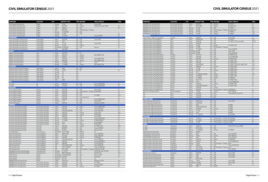| <b>OPERATOR</b>                                  | <b>LOCATION</b>         | OTY            |                    | <b>AIRCRAFT TYPE</b>      |            | <b>TYPE SIM OEM</b>                   | <b>VISUAL DISPLAY</b>        | <b>LEVEL</b> |
|--------------------------------------------------|-------------------------|----------------|--------------------|---------------------------|------------|---------------------------------------|------------------------------|--------------|
| CAE Praque Training Centre                       | Prague                  | $\mathbf{1}$   | Boeing             | 737NG                     | <b>FFS</b> | CAE                                   | Tropos 6020                  |              |
| Czech Airlines Training Center                   | Prague                  | $\mathbf{1}$   | Airbus             | A320-200                  | <b>FFS</b> | L3Harris                              | Rockwell Collins EP 1000C    | LD           |
| Czech Airlines Training Center                   | Prague                  | $\mathbf{1}$   | Airbus             | A320neo                   | <b>FFS</b> | CAE                                   |                              | LD           |
| Czech Airlines Training Center                   | Prague                  | $\mathbf{1}$   | ATR                | ATR 42/72                 | <b>FTD</b> | TRU Simulation + Training             |                              |              |
| Czech Airlines Training Center                   | Prague                  | $\mathbf{1}$   | Boeing             | 737-400/500               | <b>FFS</b> | CAE                                   |                              |              |
| Czech Airlines Training Center                   | Prague                  | $\mathbf{1}$   | Boeing             | 737-800                   | <b>FFS</b> | CAE                                   |                              | LD           |
|                                                  |                         |                |                    |                           |            |                                       |                              |              |
| Czech Airlines Training Center                   | Prague                  | $\mathbf{1}$   | Boeing             | 737-8 Max                 | FFS        |                                       | Tropos-6000XR                | LD           |
| <b>DENMARK</b><br>CAE Copenhagen Training Centre |                         | $\overline{1}$ | Airbus             | A320-200                  | <b>FFS</b> | CAE                                   |                              | LD           |
|                                                  | Copenhagen              | $\mathbf{1}$   | Airbus             | A330                      | <b>FFS</b> | CAE                                   | Tropos 6000                  | LD           |
| CAE Copenhagen Training Centre                   | Copenhagen              |                |                    |                           |            |                                       |                              |              |
| CAE Copenhagen Training Centre                   | Copenhagen              | $\mathbf{1}$   | Airbus             | 737-700                   | <b>FFS</b> | CAE                                   | Tropos 6023                  | LD           |
| CAE Copenhagen Training Centre                   | Copenhagen              | $\mathbf{1}$   | Boeing             | 757-200                   | <b>FFS</b> | L3Harris                              |                              | LD           |
| CAE Copenhagen Training Centre                   | Copenhagen              | $\mathbf{1}$   |                    | Bombardier CRJ200/900     | FFS        | CAE                                   | Maxvue+                      | LD           |
| CAE Copenhagen Training Centre                   | Copenhagen              | $\mathbf{1}$   | Saab               | Saab 2000                 | FFS        |                                       |                              |              |
| <b>EGYPT</b>                                     |                         |                |                    |                           |            |                                       |                              |              |
| Egyptair Training Academy                        | Cairo                   | 1              | Airbus             | A220-300                  | <b>FFS</b> | FSI                                   |                              | LD           |
| Egyptair Training Academy                        | Cairo                   | $\overline{2}$ | Airbus             | A320-200                  | <b>FFS</b> | L3Harris                              | ESIG-3800GT/180              | LD           |
| Egyptair Training Academy                        | Cairo                   | $\mathbf{1}$   | Airbus             | A320neo                   | <b>FFS</b> | L3Harris                              |                              | LD           |
| Egyptair Training Academy                        | Cairo                   | $\mathbf{1}$   | Airbus             | A330-200                  | FFS        | L3Harris                              | ESIG-3800GT/200              | LD           |
| Egyptair Training Academy                        | Cairo                   | $\mathbf{1}$   | Airbus             | A340-300                  | <b>FFS</b> | L3Harris                              | ESIG-3800GT/200              | LD           |
| Egyptair Training Academy                        | Cairo                   | $\mathbf{1}$   | Boeing             | 737-800W                  | <b>FFS</b> | <b>FSI</b>                            | Vital X                      | LD           |
| Egyptair Training Academy                        | Cairo                   | $\mathbf{1}$   | Boeing             | 777-200ER                 | FFS        | L3Harris                              | ESIG-3800GT/180              | LD           |
| <b>ETHIOPIA</b>                                  |                         |                |                    |                           |            |                                       |                              |              |
| Ethiopian Airlines Aviation Academy              | Addis Ababa             | $\mathbf{1}$   | Airbus             | A350                      | <b>FFS</b> | CAE                                   |                              |              |
| Ethiopian Airlines Aviation Academy              | Addis Ababa             | 1              | Boeing             | 737NG                     | <b>FFS</b> | FSI                                   |                              | LD           |
| Ethiopian Airlines Aviation Academy              | Addis Ababa             | $\mathbf{1}$   | Boeing             | 757                       | FFS        |                                       |                              |              |
| Ethiopian Airlines Aviation Academy              | Addis Ababa             | $\mathbf{1}$   | Boeing             | 767                       | FFS        |                                       |                              |              |
| Ethiopian Airlines Aviation Academy              | Addis Ababa             | $\mathbf{1}$   | Boeing             | 777                       | FFS        |                                       |                              |              |
| Ethiopian Airlines Aviation Academy              | Addis Ababa             | $\mathbf{1}$   | Boeing             | 787                       | FFS        |                                       |                              |              |
| Ethiopian Airlines Aviation Academy              | Addis Ababa             | $\mathbf{1}$   | <b>DHC</b>         | Q400                      | FFS        |                                       |                              |              |
| <b>FIJI</b>                                      |                         |                |                    |                           |            |                                       |                              |              |
| Air Pacific                                      | Fiji                    | $\mathbf{1}$   | Airbus             | A330-200                  | <b>FFS</b> | CAE                                   | Tropos 6223XR/200            | LD           |
| Air Pacific                                      | Fiji                    | $\mathbf{1}$   | Boeing             | 737 Max 8                 | FFS        | CAE                                   | Tropos 6223XR/200            | LD           |
| <b>FINLAND</b>                                   |                         |                |                    |                           |            |                                       |                              |              |
| Finnair Flight Academy                           | Helsinki                | $\mathbf{1}$   | Airbus             | A320-200                  | FFS        | CAE                                   | Tropos 6220                  | LD           |
| Finnair Flight Academy                           | Helsinki                | $\overline{2}$ | Airbus             | A320-200                  | <b>FFS</b> | TRU Simulation + Training EP-8100/200 |                              | LD           |
| Finnair Flight Academy                           | Helsinki                | $\mathbf{1}$   | Airbus             | A320-200                  | <b>FTD</b> | CAE                                   |                              | LD           |
| Finnair Flight Academy                           | Helsinki                | $\mathbf{1}$   | Airbus             | A330-200                  | <b>FFS</b> | CAE                                   | EP-1000CT                    | LDG          |
| Finnair Flight Academy                           | Helsinki                | $\mathbf{1}$   | Airbus             | A330-200                  | <b>FFS</b> | Sim International                     |                              | LD           |
| Finnair Flight Academy                           | Helsinki                | $\overline{2}$ | Airbus             | A350-900                  | FFS        | CAE                                   | Tropos 6000XR/200            | LD           |
| Finnair Flight Academy                           | Helsinki                | $\mathbf{1}$   | Embraer            | E-170                     | FFS        | CAE                                   | Tropos 6220                  | LD           |
| Patria Pilot Training                            | Helsinki                | $\mathbf{1}$   | Airbus             | A320-200                  | <b>FTD</b> | <b>MPS</b>                            | RSI Raster XT4/200           | L2           |
| <b>FRANCE</b>                                    |                         |                |                    |                           |            |                                       |                              |              |
| Air France Training Centre (CDG)                 | Paris Charles de Gaulle | $\mathbf{1}$   | Airbus             | A320-200                  | <b>FFS</b> | Airbus                                | Tropos 6000XR/200            | LD           |
| Air France Training Centre (CDG)                 | Paris Charles de Gaulle | $\overline{2}$ | Airbus             | A320-200                  | <b>FFS</b> | CAE                                   | Tropos 6220/180              | LD           |
| Air France Training Centre (CDG)                 | Paris Charles de Gaulle | $\mathbf{1}$   | Airbus             | A330-200/A340-300         | <b>FFS</b> | CAE                                   | Tropos 6220/180              | LD           |
| Air France Training Centre (CDG)                 | Paris Charles de Gaulle | 1              | Airbus             | A340-300                  | FFS        | L3Harris                              | Tropos 6220                  | LDG          |
| Air France Training Centre (CDG)                 | Paris Charles de Gaulle | $\mathbf{1}$   | Airbus             | A350-900                  | <b>FFS</b> | L3Harris                              | EP-8100/200                  | LD           |
| Air France Training Centre (CDG)                 | Paris Charles de Gaulle | $\mathbf{1}$   | Airbus             | A380-800                  | FFS        | CAE                                   | Tropos 6000                  | LD           |
| Air France Training Centre (CDG)                 | Paris Charles de Gaulle | $\mathbf{1}$   | Boeing             | 737-800W                  | <b>FFS</b> | CAE                                   | Tropos 6022XR/200            | LD           |
| Air France Training Centre (CDG)                 | Paris Charles de Gaulle | $\overline{4}$ | Boeing             | 777-300ER                 | <b>FFS</b> | L3Harris                              | EP-8000/180/200              | LD           |
| Air France Training Centre (CDG)                 | Paris Charles de Gaulle | $\mathbf{1}$   | Boeing             | 787-9                     | <b>FTD</b> | CAE                                   | Tropos 6000XR                | L1           |
| Air France Training Centre (CDG)                 | Paris Charles de Gaulle | $\mathbf{1}$   | Boeing             | 787-9                     | FFS        | L3Harris                              | EP-8100/200                  | LD           |
| Air France Training Centre (Orly)                | Paris Orly              | 3              | Airbus             | A320-200                  | <b>FFS</b> | L3Harris                              | EP-1000CT/180                | LDG          |
| Air France Training Centre (Orly)                | Paris Orly              |                | Airbus             | A380-800                  | FFS        | CAE                                   | Tropos 6000/200              | LD           |
| Air France Training Centre (Orly)                | Paris Orly              | $\mathbf{1}$   | Boeing             | 737-800                   | <b>FFS</b> | CAE                                   | Maxvue+/180                  | LD           |
| Air Qualifications                               | Aix en Provence         | $\mathbf{1}$   | Beechcraft         | Beech 1900D               | <b>FTD</b> | 6MOUV                                 | $L^2$                        |              |
| Airbus Training Centre                           | Toulouse Blagnac        | $\mathbf{1}$   | Airbus             | A300-F4 600               | FFS        | L3Harris                              | Tropos 6000/200              | L3           |
| Airbus Training Centre                           | Toulouse Blagnac        | $\mathbf{1}$   | Airbus             | A310-300                  | FFS        | L3Harris                              | Tropos 6000/200              | LA           |
| Airbus Training Centre                           | Toulouse Blagnac        | $\overline{2}$ | Airbus             | A320-200                  | <b>FFS</b> | L3Harris                              | EP-8000/200                  | LD           |
| Airbus Training Centre                           | Toulouse Blagnac        | $\overline{2}$ | Airbus             | A330-200/A340-300         | <b>FFS</b> | CAE                                   | Tropos 6000/200              | LD           |
| Airbus Training Centre                           | Toulouse Blagnac        | $\mathbf{1}$   | Airbus             | A350-900                  | <b>FFS</b> | CAE                                   | Tropos 6200XR/200            | LD           |
| Airbus Training Centre                           | Toulouse Blagnac        | $\mathbf{1}$   | Airbus             | A380-800                  | FFS        | CAE                                   | Tropos 6000/200              | LD           |
| ATR Training Center                              | Toulouse Blagnac        | $\mathbf{1}$   | ATR                | ATR 42-500/72-500         | FFS        | L3Harris                              | <b>Tropos R300/180</b>       | LC           |
| ATR Training Center                              | Toulouse Blagnac        |                | 2 ATR              | ATR 72-200/600            | FFS        | CAE                                   | Tropos 6220XR/200            | LD           |
| <b>ATR Training Center</b>                       | Toulouse Blagnac        | $\mathbf{1}$   | ATR                | ATR 72-600                | <b>FFS</b> | TRU Simulation + Training             | RSi Raster XT4/200           | LD           |
| FlightSafety International (Le Bourget)          | Le Bourget, Paris       | $\sqrt{2}$     | Embraer            | E-170/190                 | <b>FFS</b> | FSI                                   | Vital IX/180, Vital 1100/180 | LD           |
| FlightSafety International (Le Bourget)          | Le Bourget, Paris       | $\mathbf{1}$   | Embraer            | EMB-120 Brasilia          | <b>FFS</b> | FSI                                   | Vital VIII+/4w               | LCG          |
| HOP! Training                                    | Morlaix                 | $\mathbf{1}$   |                    | Bombardier CRJ100/200/700 | <b>FFS</b> | CAE                                   | Maxvue+/180                  | LD           |
| HOP! Training                                    | Morlaix                 | $\sqrt{2}$     | Bombardier CRJ1000 |                           | <b>FFS</b> | FSI                                   | Vital X/180                  | LD           |
| HOP! Training                                    | Morlaix                 | $\mathbf{1}$   | Embraer            | ERJ-145                   | <b>FFS</b> | <b>FSI</b>                            | LD                           |              |
| SIMAERO Dinard Training Centre                   | Dinard                  | $\mathbf{1}$   | Fokker             | Fokker 100                | <b>FFS</b> | FSI                                   | RSI Raster XT/180            | LCG          |
| SIMAERO Paris Training Centre                    | Paris Charles de Gaulle | $\mathbf{1}$   | Airbus             | A320-200                  | FFS        | CAE                                   | EP-1000CT                    | LD           |
| SIMAERO Paris Training Centre                    | Paris Charles de Gaulle | 1              | Airbus             | A330-200                  | <b>FFS</b> | CAE                                   | Tropos 6222XR2               | LD           |
| SIMAERO Paris Training Centre                    | Paris Charles de Gaulle |                | Airbus             | A330-200                  | <b>FFS</b> | L3Harris                              | EP-1000CT                    | LD           |

| <b>OPERATOR</b>                                                                    | <b>LOCATION</b>         | QTY                            |                             | <b>AIRCRAFT TYPE</b> |                          | <b>TYPE SIM OEM</b>                      | <b>VISUAL DISPLAY</b>             | LEVEL      |
|------------------------------------------------------------------------------------|-------------------------|--------------------------------|-----------------------------|----------------------|--------------------------|------------------------------------------|-----------------------------------|------------|
| SIMAERO Paris Training Centre                                                      | Paris Charles de Gaulle |                                | 1 Airbus                    | A340-300             | FFS                      | L3Harris                                 | EP-1000CT                         | LD         |
| SIMAERO Paris Training Centre                                                      | Paris Charles de Gaulle | $\mathbf{1}$                   | ATR                         | ATR 72-500           | <b>FFS</b>               | L3Harris                                 | RSI Raster XT4                    | LD         |
| SIMAERO Paris Training Centre                                                      | Paris Charles de Gaulle | $\mathbf{1}$                   | Boeing                      | 737-300              | <b>FFS</b>               | CAE                                      | EP-1000CT                         | LDG        |
| SIMAERO Paris Training Centre                                                      | Paris Charles de Gaulle | $\mathbf{1}$                   | Boeing                      | 737-800              | <b>FFS</b>               | TRU Simulation + Training RSi Raster XT5 |                                   | LD         |
| SIMAERO Paris Training Centre                                                      | Paris Charles de Gaulle | $\mathbf{1}$                   | Boeing                      | 757-200              | <b>FFS</b>               | L3Harris                                 | EP-1000CT                         | LCG        |
| SIMAERO Paris Training Centre                                                      | Paris Charles de Gaulle | $\mathbf{1}$                   | Boeing                      | 767-300              | <b>FFS</b>               | L3Harris                                 | EP-1000CT                         | LCG        |
| <b>GERMANY</b>                                                                     |                         |                                |                             |                      |                          |                                          |                                   |            |
| CAE Frankfurt - Flight Training Alliance                                           | Frankfurt               |                                | 1 Airbus                    | A220-300             | <b>FFS</b>               | CAE                                      | Tropos 6022                       | LD         |
| Lufthansa Aviation Training (Berlin)                                               | Berlin                  | $\mathbf{1}$                   | Airbus                      | A300-B4 600          | <b>FFS</b>               | CAE                                      | EP-1000CT                         | LCG        |
| Lufthansa Aviation Training (Berlin)                                               | Berlin                  | $\mathbf{3}$                   | Airbus                      | A320-200             | <b>FFS</b>               | CAE                                      | EP-1000CT/180, Tropos 6023        | $D(2)$ , B |
| Lufthansa Aviation Training (Berlin)                                               | Berlin                  | $\mathbf{1}$                   | Airbus                      | A320-200             | <b>FTD</b>               | CAE                                      |                                   | L1         |
| Lufthansa Aviation Training (Berlin)                                               | Berlin                  | 2                              | Boeing                      | 737-800              | <b>FFS</b>               | L3Harris                                 | EP-1000CT/180                     | LD         |
| Lufthansa Aviation Training (Berlin)                                               | Berlin                  | 1                              | Boeing                      | 737-800              | <b>FFS</b>               | TRU Simulation + Training                |                                   | B          |
| Lufthansa Aviation Training (Berlin)                                               | Berlin                  | $\mathbf{1}$                   | Boeing                      | 777-200LR            | FFS                      | CAE                                      | Tropos 6200/200                   | LD         |
| Lufthansa Aviation Training (Berlin)                                               | Berlin                  | $\mathbf{1}$<br>$\overline{2}$ | Bombardier CRJ100           |                      | <b>FFS</b><br><b>FFS</b> | CAE<br>CAE                               | Tropos 6200<br>Tropos 6200/180    | LD<br>LD   |
| Lufthansa Aviation Training (Berlin)                                               | Berlin<br>Frankfurt     | $\mathbf{1}$                   | Bombardier CRJ900<br>Airbus | A319-100             | FFS                      | CAE                                      | EP-1000CT/180                     | LD         |
| Lufthansa Aviation Training (Frankfurt)                                            |                         |                                | Airbus                      |                      | <b>FFS</b>               | CAE                                      |                                   | LD         |
| Lufthansa Aviation Training (Frankfurt)                                            | Frankfurt<br>Frankfurt  | $\overline{4}$<br>$\mathbf{1}$ | Airbus                      | A320-200<br>A320-200 | <b>FFS</b>               | L3Harris                                 | Tropos 6000/6400<br>EP-1000CT/200 | LD         |
| Lufthansa Aviation Training (Frankfurt)<br>Lufthansa Aviation Training (Frankfurt) | Frankfurt               | $\mathbf{1}$                   | Airbus                      | A321-100             | FFS                      | CAE                                      | EP-1000CT/150                     | LDG        |
| Lufthansa Aviation Training (Frankfurt)                                            | Frankfurt               | $\overline{2}$                 | Airbus                      | A330-300             | <b>FFS</b>               | CAE                                      | EP-1000CT/200                     | LD         |
| Lufthansa Aviation Training (Frankfurt)                                            | Frankfurt               | $\mathbf{3}$                   | Airbus                      | A340-300/600         | FFS                      | CAE                                      | EP-1000CT/150 (2), EP-1000CT/180  | LDG        |
| Lufthansa Aviation Training (Frankfurt)                                            | Frankfurt               | $\mathbf{1}$                   | Airbus                      | A380-800             | FFS                      | L3Harris                                 | EP-1000CT/200                     | LD         |
| Lufthansa Aviation Training (Frankfurt)                                            | Frankfurt               | $\mathbf{1}$                   | Boeing                      | 747-400              | <b>FFS</b>               | CAE                                      | EP-1000CT/150                     | LDG        |
| Lufthansa Aviation Training (Frankfurt)                                            | Frankfurt               | $\mathbf{1}$                   | Boeing                      | 747-400              | <b>FFS</b>               | L3Harris                                 | EP-1000CT/200                     | LD         |
| Lufthansa Aviation Training (Frankfurt)                                            | Frankfurt               | $\mathbf{1}$                   | Boeing                      | 747-8                | FFS                      | CAE                                      | EP-1000CT/200                     | LD         |
| Lufthansa Aviation Training (Frankfurt)                                            | Frankfurt               | $\mathbf{1}$                   | Boeing                      | 757-200/B767-300 ER  | <b>FFS</b>               | L3Harris                                 | EP-1000CT/150                     | LCG        |
| Lufthansa Aviation Training (Frankfurt)                                            | Frankfurt               | $\mathbf{1}$                   | Boeing                      | 767-300ER            | FFS                      | L3Harris                                 | EP-1000CT/180                     | LD         |
| Lufthansa Aviation Training (Frankfurt)                                            | Frankfurt               | $\overline{1}$                 | Boeing                      | 777-300ER            | FFS                      | <b>LMCFT</b>                             | EP-8000/200                       | LD         |
| Lufthansa Aviation Training (Frankfurt)                                            | Frankfurt               | $\mathbf{1}$                   | Boeing                      | MD-11/11F            | <b>FFS</b>               | CAE                                      | EP-1000CT/180                     | LD         |
| Lufthansa Aviation Training (Frankfurt)                                            | Frankfurt               | $\mathbf{1}$                   | Embraer                     | $E-190$              | <b>FFS</b>               | CAE                                      | Tropos 6000XR/200                 | LD         |
| Lufthansa Aviation Training (Munich)                                               | Munich                  | $\mathbf{1}$                   | Airbus                      | A320-200             | <b>FFS</b>               | L3Harris                                 | EP-1000CT/200                     | LD         |
| Lufthansa Aviation Training (Munich)                                               | Munich                  | $\mathbf{1}$                   | Airbus                      | A330-300E/A340-600   | <b>FFS</b>               | CAE                                      | EP-1000CT/200                     | LD         |
| Lufthansa Aviation Training (Munich)                                               | Munich                  | $\mathbf{1}$                   | Airbus                      | A350-900             | <b>FFS</b>               | L3Harris                                 |                                   |            |
| Lufthansa Aviation Training (Munich)                                               | Munich                  | $\overline{1}$                 | Airbus                      | A350-900             | <b>FFS</b>               | TRU Simulation + Training EP-8000/200    |                                   | LD         |
| RWL German Flight Academy                                                          | Monchengladbach         | $\mathbf{1}$                   | Boeing                      | 737-800              | <b>FFS</b>               | L3Harris                                 | ESIG-3350/180                     | LD         |
| <b>TFC</b>                                                                         | Essen                   | $\mathbf{3}$                   | Airbus                      | A320-200             | <b>FFS</b>               | CAE                                      | Tropos 6400 (2), Tropos XR        | LC         |
| <b>TFC</b>                                                                         | Essen                   | $\mathbf{1}$                   | Airbus                      | A320-200             | <b>FTD</b>               | Faros                                    |                                   | L1         |
| <b>TFC</b>                                                                         | Essen                   | $\mathbf{1}$                   | Airbus                      | A320-200             | <b>FTD</b>               | <b>MPS</b>                               |                                   | L2         |
| <b>HONG KONG</b>                                                                   |                         |                                |                             |                      |                          |                                          |                                   |            |
| CAE Hong Kong Training Centre                                                      | Hong Kong               |                                | 1 Airbus                    | A320 family          | <b>FFS</b>               | CAE                                      | Tropos 6022                       | LD         |
| CAE Hong Kong Training Centre                                                      | Hong Kong               | $\mathbf{1}$                   | Airbus                      | A330/A340            | <b>FFS</b>               | CAE                                      |                                   | LD         |
| Cathay Pacific Flight Training Center                                              | Hong Kong               |                                | 2 Airbus                    | A320                 | <b>FFS</b>               | CAE                                      | EP-8000                           | LD         |
| Cathay Pacific Flight Training Center                                              | Hong Kong               | 2                              | Airbus                      | A330-300/A340-300    | <b>FFS</b>               | CAE                                      | EP-8000                           | LD         |
| Cathay Pacific Flight Training Center                                              | Hong Kong               | $\overline{2}$                 | Airbus                      | A350-900             | <b>FFS</b>               | L3Harris                                 | EP-8000                           | LD         |
| Cathay Pacific Flight Training Center                                              | Hong Kong               | $\mathbf{1}$                   | Boeing                      | 747-400              | <b>FFS</b>               | CAE                                      | EP-8000                           | LD         |
| Cathay Pacific Flight Training Center                                              | Hong Kong               | $\mathbf{1}$                   | Boeing                      | 747-8                | <b>FFS</b>               | CAE                                      | EP-8000                           | LD         |
| Cathay Pacific Flight Training Center                                              | Hong Kong               |                                | 3 Boeing                    | 777-200/300          | <b>FFS</b>               | CAE                                      | Tropos 6000                       | LD         |
| <b>ICELAND</b>                                                                     |                         |                                |                             |                      |                          |                                          |                                   |            |
| TRU Flight Training Iceland /Icelandair                                            | Hafnarfjörður           | $\mathbf{1}$                   | Boeing                      | 737 Max 8            | <b>FFS</b>               | TRU Simulation + Training EP-8100/200    |                                   | LD         |
| TRU Flight Training Iceland /Icelandair                                            | Hafnarfiörður           | $\mathbf{1}$                   | Boeing                      | 767-300ER            | <b>FFS</b>               | TRU Simulation + Training EP-8100/200    |                                   | LD         |
| TRU Flight Training Iceland /Icelandair                                            | Hafnarfjörður           | $\mathbf{1}$                   | Boeing                      | 757-200              | <b>FFS</b>               | TRU Simulation + Training EP-8000        |                                   | LD         |
| <b>INDIA</b>                                                                       |                         |                                |                             |                      |                          |                                          |                                   |            |
| Air India                                                                          | Hyderabad               |                                | 4 Airbus                    | A320-200             |                          | FFS CAE                                  | Vital VII/150, Tropos 6000XR      |            |
| Air India                                                                          | Hyderabad               |                                | 1 ATR                       | ATR 72-600           | <b>FFS</b>               | CAE                                      |                                   |            |
| Air India                                                                          | Hyderabad               | $\mathbf{1}$                   | Boeing                      | 777-200/300          | <b>FFS</b>               | L3Harris                                 | EP-1000CT                         | LD         |
| Airbus Training Centre (India)                                                     | Gurugram                | $\overline{2}$                 | Airbus                      | A320neo              | <b>FFS</b>               |                                          |                                   | LD         |
|                                                                                    |                         |                                |                             |                      |                          | CAE                                      | Tropos 6022/23                    | LD         |
| CAE Bengaluru Training Centre                                                      | Bangalore               |                                | 2 Airbus                    | A320                 | <b>FFS</b>               |                                          |                                   |            |
| CAE Bengaluru Training Centre                                                      | Bangalore               | $\mathbf{1}$                   | Boeing                      | 737NG                | <b>FFS</b>               | L3Harris                                 | ESIG-3800/180                     | LD         |
| CAE New Delhi Training Centre                                                      | New Delhi               | 6                              | Airbus                      | A320                 | <b>FFS</b>               | CAE                                      | Tropos 6020/22                    | LD         |
| Flight Simulation Technique Centre                                                 | Gurugram                | $\mathbf{1}$                   | Airbus                      | A320-200             | <b>FFS</b>               | <b>LMCFT</b>                             | EP-8000/200                       | LD         |
| Flight Simulation Technique Centre                                                 | Gurugram                | $\mathbf{1}$                   | Airbus                      | A320neo              | <b>FFS</b>               | CAE                                      | Tropos 6023XR/201                 | LD         |
| Flight Simulation Technique Centre                                                 | Gurugram                | $\mathbf{1}$                   | Boeing                      | 737NG                | <b>FFS</b>               | TRU Simulation + Training aXion          |                                   | LD         |
| Flight Simulation Technique Centre                                                 | Hyderabad               | $\mathbf{1}$                   | Airbus                      | A320neo              | <b>FFS</b>               | CAE                                      | Tropos 6023XR/200                 | LD         |
| Flight Simulation Technique Centre                                                 | Hyderabad               | $\mathbf{1}$                   | ATR                         | ATR 72-200           | <b>FFS</b>               | TRU Simulation + Training aXion          |                                   | LD         |
| Flight Simulation Technique Centre                                                 | Hyderabad               | $\mathbf{1}$                   | DHC                         | Dash 8 Q300          | <b>FFS</b>               | FSI                                      | Vital 1100/200                    | LD         |
| <b>INDONESIA</b>                                                                   |                         |                                |                             |                      |                          |                                          |                                   |            |
| Angkasa Super Services                                                             | Tangerang               | $\mathbf{1}$                   | Airbus                      | A320-200             | <b>FFS</b>               | CAE                                      | Tropos 6200                       | LD         |
| Garuda Indonesia Training Center                                                   | Jakarta                 | $\mathbf{1}$                   | Airbus                      | A320                 | <b>FFS</b>               | CAE                                      | Tropos 6000                       | LD         |
| Garuda Indonesia Training Center                                                   | Jakarta                 | $\mathbf{1}$                   | Airbus                      | A330                 | <b>FFS</b>               | CAE                                      | Tropos 6000                       | LD         |
| Garuda Indonesia Training Center                                                   | Jakarta                 | $\mathbf{1}$                   | ATR                         | ATR 72-600           | <b>FFS</b>               | CAE                                      |                                   |            |
| Garuda Indonesia Training Center                                                   | Jakarta                 | $\overline{2}$                 | Boeing                      | 737NG                | <b>FFS</b>               | CAE                                      | Tropos 6000                       | LD         |
| Garuda Indonesia Training Center                                                   | Jakarta                 | $\mathbf{1}$                   | Bombardier CRJ1000          |                      | <b>FFS</b>               | CAE                                      | Tropos 6000                       | LD         |
| Global Training & Aviation (Indonesia)<br>Jakarta Training Centre                  | Jakarta<br>Jakarta      | $\mathbf{1}$<br>$\mathbf{1}$   | Airbus<br>Airbus            | A320-200<br>A320     | <b>FFS</b><br><b>FFS</b> | Indra<br><b>LMCFT</b>                    | Invis-3                           | LD         |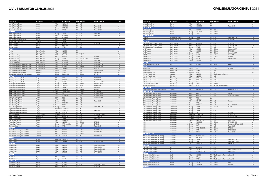| <b>OPERATOR</b>                                                                | <b>LOCATION</b>                  | OTY                                                | <b>AIRCRAFT TYPE</b>         | <b>TYPE SIM OEM</b>                    | <b>VISUAL DISPLAY</b>             | <b>LEVEL</b> |
|--------------------------------------------------------------------------------|----------------------------------|----------------------------------------------------|------------------------------|----------------------------------------|-----------------------------------|--------------|
| Lion Air Training Centre                                                       | Jakarta                          | 4 Airbus                                           | A320 family                  | <b>FFS</b><br>CAE                      |                                   |              |
| Lion Air Training Centre                                                       | Jakarta                          | $\mathbf{1}$<br>ATR                                | ATR 72-500                   | FFS<br>CAE                             | Tropos 6000                       | LD           |
| Lion Air Training Centre                                                       | Jakarta                          | 3<br>Boeing                                        | 737-900ER                    | CAE<br><b>FFS</b>                      | Tropos 6000                       | LD           |
| Sriwijaya Air Training Center                                                  | Jakarta                          | Boeing<br>$\mathbf{1}$                             | 737NG                        | CAE<br><b>FFS</b>                      | Tropos 6000XR                     | LD           |
| <b>IRELAND</b>                                                                 |                                  |                                                    |                              |                                        |                                   |              |
| Airline Flight Academy<br>Airline Flight Academy                               | Dublin<br>Dublin                 | Boeing<br>$\mathbf{1}$<br>$\overline{2}$<br>Airbus | 737 Max 8<br>A320 family     | FFS<br>CAE<br>CAE<br>FFS               | Tropos 6030<br>Tropos 6030        | LD<br>LD     |
| Airline Flight Academy                                                         | Dublin                           | $\mathbf{1}$<br>Airbus                             | A320 family                  | <b>FTD</b>                             |                                   | L1           |
| East Midlands Training (Ryanair)                                               | Dublin                           | Boeing<br>$\mathbf{1}$                             | 737-800                      | <b>MPS</b><br><b>FTD</b>               |                                   |              |
| Shannon Flight Sim Centre                                                      | Shannon                          | Boeing<br>$\mathbf{1}$                             | 737-800                      | FFS                                    |                                   |              |
| Simtech Aviation                                                               | Dublin                           | $\mathbf{1}$<br>Airbus                             | A320-200                     | FFS<br>CAE                             | Tropos 6000                       | LD           |
| Simtech Aviation                                                               | Dublin                           | ATR<br>$\mathbf{1}$                                | ATR 72-600                   | <b>FFS</b><br>Axis                     |                                   | LD           |
| Simtech Aviation                                                               | Dublin                           | Boeing<br>$\mathbf{1}$                             | 737-800                      | <b>MPS</b><br><b>FTD</b>               |                                   | L1           |
| <b>ITALY</b>                                                                   |                                  |                                                    |                              |                                        |                                   |              |
| Alitalia<br>Alitalia                                                           | Rome Fiumicino<br>Rome Fiumicino | 1 Airbus<br>Airbus<br>1                            | A320-200<br>A320-200         | FFS<br>Atlantis<br><b>FTD</b>          |                                   | LD<br>L1     |
| Ansett Aviation Italy                                                          | Milan Malpensa                   | $\mathbf{1}$                                       | <b>BAE Systems Avro RJ85</b> | FFS<br>CAE                             |                                   | LDG          |
| Ansett Aviation Italy                                                          | Milan Malpensa                   | $\mathbf{1}$<br>Airbus                             | A320-200                     | <b>FFS</b><br>L3Harris                 | EP-8100                           | LD           |
| <b>Ansett Aviation Italy</b>                                                   | Milan Malpensa                   | Boeing<br>1                                        | 737-800                      | FFS<br>Rockwell Collins                | EP-8100                           | LD           |
| CAE Milan (EasyJet)                                                            | Milan Malpensa                   | $\mathbf{3}$<br>Airbus                             | A320 family                  | FFS<br>CAE                             | Tropos 6000XR                     |              |
| CAE Milan (EasyJet)                                                            | Milan Malpensa                   | $\mathbf{1}$<br>Airbus                             | A320 family                  | CAE<br><b>FTD</b>                      | Tropos 6000XR                     |              |
| CAE Rome - Alitalia Flight Training Centre                                     | Rome Fiumicino                   | Airbus<br>$\mathbf{1}$                             | A320 family                  | CAE<br><b>FFS</b>                      | <b>Tropos R300/180</b>            | LD           |
| CAE Rome - Alitalia Flight Training Centre                                     | Rome Fiumicino                   | $\mathbf{1}$<br>Airbus                             | A330-200                     | FFS<br>L3Harris                        | Tropos 6000/180                   | LD           |
| CAE Rome - Alitalia Flight Training Centre<br>East Midlands Training (Ryanair) | Rome Fiumicino<br>Bergamo        | Boeing<br>$\mathbf{1}$<br>$\overline{c}$<br>Boeing | 777-200ER<br>737-800         | CAE<br><b>FFS</b><br>CAE<br><b>FFS</b> | Maxvue+<br>Tropos 6222/180        | LD<br>LD     |
| East Midlands Training (Ryanair)                                               | Bergamo                          | 1<br>Boeing                                        | 737-800                      | <b>MPS</b><br><b>FTD</b>               | RSi Raster XT                     | L1           |
| SuperJet International (SJI) Training Center                                   | Venice                           | $\mathbf{1}$<br>Sukhoi                             | Superjet 100                 | FFS<br>L3Harris                        | EPt-100                           | LD           |
| <b>JAPAN</b>                                                                   |                                  |                                                    |                              |                                        |                                   |              |
| ANA Flight Academy/PanAm                                                       | Tokyo                            | 1 Airbus                                           | A320                         | FFS<br>CAE                             | EP-8000/200                       |              |
| ANA Flight Academy/PanAm                                                       | Tokyo                            | Airbus<br>$\mathbf{1}$                             | A320-200                     | L3Harris<br><b>FFS</b>                 | EP-8000/200                       | LD           |
| ANA Flight Academy/PanAm                                                       | Tokyo                            | Boeing<br>1                                        | 737-500                      | CAE<br>FFS                             | ChromaView+/200                   | LD           |
| ANA Flight Academy/PanAm                                                       | Tokyo                            | $\overline{c}$<br>Boeing<br>$\mathbf{1}$           | 737-700W                     | FFS<br>L3Harris                        | EP-1000CT/200                     | LD<br>LD     |
| ANA Flight Academy/PanAm<br>ANA Flight Academy/PanAm                           | Tokyo<br>Tokyo                   | Boeing<br>Boeing<br>1                              | 737-7W/8W<br>747-400         | FFS<br><b>LMCFT</b><br>CAE<br>FFS      | EP-8000/180<br>SPX550/200         | LD           |
| ANA Flight Academy/PanAm                                                       | Tokyo                            | 3<br>Boeing                                        | 767-300/ER                   | L3Harris<br><b>FFS</b>                 | EP-1000CT                         | LD           |
| ANA Flight Academy/PanAm                                                       | Tokyo                            | 3<br>Boeing                                        | 777-200ER/300ER              | <b>FFS</b><br>L3Harris                 | EP-8000/200                       | LD           |
| ANA Flight Academy/PanAm                                                       | Tokyo                            | Boeing<br>1                                        | 787-8                        | FFS<br>L3Harris                        | EP-1000CT/200                     | LC           |
| ANA Flight Academy/PanAm                                                       | Tokyo                            | $\mathbf{1}$<br>DHC                                | Dash 8 Q400                  | CAE<br><b>FFS</b>                      | EP-1000CT/200                     | LD           |
| JAL - CAE Flight Training                                                      | Tokyo                            | Airbus<br>$\mathbf{1}$                             | A320                         | FFS<br>CAE                             | Tropos 6200/200                   | LD           |
| JAL - CAE Flight Training<br>JAL - CAE Flight Training                         | Tokyo                            | Airbus<br>$\mathbf{1}$<br>3<br>Boeing              | A350<br>737-800              | CAE<br>FFS<br>CAE<br>FFS               | Tropos 6023                       | LD           |
| JAL - CAE Flight Training                                                      | Tokyo<br>Tokyo                   | Boeing<br>$\mathbf{1}$                             | 767-300ER                    | <b>FFS</b><br>CAE                      |                                   | LD           |
| JAL - CAE Flight Training                                                      | Tokyo                            | $\overline{c}$<br>Boeing                           | 777-200                      | CAE<br><b>FFS</b>                      |                                   | LD           |
| JAL - CAE Flight Training                                                      | Tokyo                            | $\sqrt{2}$<br>Boeing                               | 787-8                        | <b>FFS</b><br>CAE                      | Tropos 6000/200                   | LC           |
| FlightSafety International (Tokyo)                                             | Tokyo                            | $\mathbf{1}$                                       | Bombardier CRJ200/700        | FFS<br><b>FSI</b>                      |                                   | LD           |
| FlightSafety International (Tokyo)                                             | Tokyo                            | <b>DHC</b><br>$\mathbf{1}$                         | Dash 8 Q400                  | FSI<br><b>FFS</b>                      | Vital X/180                       | LD           |
| FlightSafety International (Tokyo)                                             | Tokyo                            | $\mathbf{1}$<br>Embraer<br>$\mathbf{1}$            | E-170/190                    | FSI<br><b>FFS</b>                      |                                   | LD           |
| Fuji Dream Airlines<br>Japan Air Commuter                                      | Shizuoka airport<br>Kagoshima    | Embraer<br>Saab<br>1                               | E-170<br>Saab 340B           | FFS<br>CAE<br>CAE<br><b>FFS</b>        | Tropos 6000XR/200<br>SPX500HT/180 | LD<br>PII    |
| Japan TransOcean Air                                                           | Okinawa                          | $\mathbf{1}$<br>Boeing                             | 737-400                      | CAE<br>FFS                             | Vital VIIe/225                    |              |
| Nippon Cargo Airlines                                                          | Narita                           | Boeing<br>$\mathbf{1}$                             | 747-400F/8F                  | CAE<br>FFS                             |                                   | LD           |
| Panda Flight Academy                                                           | Tokyo                            | Airbus<br>$\mathbf{1}$                             | A320-200                     | <b>FFS</b><br>L3Harris                 | EP-8000                           | LD           |
| Panda Flight Academy                                                           | Tokyo                            | $\mathbf{1}$<br>Boeing                             | 737-700W/800W                | FFS<br><b>LMCFT</b>                    | EP-8000                           | LD           |
| Skymark Airlines                                                               | Tokyo                            | $\overline{2}$<br>Boeing                           | 737-800                      | CAE<br><b>FFS</b>                      | Tropos 6000                       | LD           |
| <b>JORDAN</b><br>Jordan Airline Training and Simulation                        | Amman                            | 1 Airbus                                           | A310-300                     | <b>FFS</b><br>L3Harris                 | EP-1000C/150                      | LD           |
| Jordan Airline Training and Simulation                                         | Amman                            | 3<br>Airbus                                        | A320-200                     | L3Harris<br><b>FFS</b>                 | EP-1000C/200                      | LD           |
| Jordan Airline Training and Simulation                                         | Amman                            | Airbus<br>$\mathbf{1}$                             | A320-200                     | <b>FTD</b><br>L3Harris                 |                                   |              |
| Jordan Airline Training and Simulation                                         | Amman                            | 3 Embraer                                          | E-170/190                    | FFS FSI                                | EP-1000Ct/200                     | LD           |
| <b>KENYA</b>                                                                   |                                  |                                                    |                              |                                        |                                   |              |
| Kenya Airways                                                                  | Nairobi                          | $\mathbf{1}$                                       | Bombardier Dash 8 Q400       | FFS FSI                                |                                   | LD           |
| Kenya Airways                                                                  | Nairobi                          | 1<br>Boeing                                        | 737-800W                     | FFS CAE                                | Tropos 6200/180                   | LD           |
| <b>KUWAIT</b><br>Kuwait Airways                                                | Kuwait                           | 1 Airbus                                           | A320-200                     | CAE<br><b>FFS</b>                      | Tropos 6023XR/200                 | LD           |
| Kuwait Airways                                                                 | Kuwait                           | 1 Airbus                                           | A320-200                     | CAE<br><b>FTD</b>                      | Tropos 6023XR                     | L1           |
| Kuwait Airways                                                                 | Kuwait                           | Airbus<br>1                                        | A320neo                      | FFS<br>CAE                             | Tropos 6023XR/200                 | LD           |
| Kuwait Airways                                                                 | Kuwait                           | Airbus<br>1                                        | A320neo                      | <b>FTD</b><br>CAE                      | Tropos 6023XR                     | L1           |
| Kuwait Airways                                                                 | Kuwait                           | 1 Airbus                                           | A330-200                     | FTD CAE                                | Tropos 6023XR                     | L1           |
| <b>LATVIA</b>                                                                  |                                  |                                                    |                              |                                        |                                   |              |
| Air Baltic Training                                                            | Riga                             | 1 Airbus                                           | A220                         | <b>FFS</b><br>CAE                      |                                   | LD           |
| Air Baltic Training<br><b>LEBANON</b>                                          | Riga                             | 1 Boeing                                           | 737-300                      | <b>FFS</b><br>CAE                      |                                   | LD           |
| Middle East Airlines                                                           | Beirut                           | 1 Airbus                                           | A320-200                     | FFS                                    |                                   | LD           |
| Middle East Airlines                                                           | Beirut                           | 1 Airbus                                           | A320-200                     | <b>FFS</b><br>CAE                      | Tropos 6000XR/200                 | LD           |
| Middle East Airlines                                                           | Beirut                           | Airbus<br>$\mathbf{1}$                             | A320-200                     | <b>FTD</b>                             | Tropos 6000                       | L1           |

| <b>OPERATOR</b>                                                            | <b>LOCATION</b>              | QTY                             |                   | <b>AIRCRAFT TYPE</b>         |                          | <b>TYPE SIM OEM</b>                               | <b>VISUAL DISPLAY</b>       | <b>LEVEL</b> |
|----------------------------------------------------------------------------|------------------------------|---------------------------------|-------------------|------------------------------|--------------------------|---------------------------------------------------|-----------------------------|--------------|
| Middle East Airlines                                                       | Beirut                       | $\mathbf{1}$                    | Airbus            | A320neo                      | <b>FFS</b>               |                                                   |                             | LD           |
| Middle Fast Airlines                                                       | Beirut                       | $\mathbf{1}$                    | Airbus            | A330-200F                    | <b>FTD</b>               |                                                   | Tropos 6000                 | L1           |
| <b>LITHUANIA</b>                                                           |                              |                                 |                   |                              |                          |                                                   |                             |              |
| <b>BAA Training (Vilnius)</b>                                              | Vilnius                      | 2 Airbus                        |                   | A320-200                     | <b>FFS</b>               | L3Harris                                          |                             |              |
| <b>BAA Training (Vilnius)</b>                                              | Vilnius                      | $\mathbf{1}$                    | Boeing            | 737 Classic                  | <b>FFS</b>               | L3Harris                                          |                             |              |
| <b>BAA Training (Vilnius)</b><br><b>LUXEMBOURG</b>                         | Vilnius                      | $\mathbf{1}$                    | Boeing            | 737NG                        | <b>FFS</b>               | L3Harris                                          |                             |              |
| Cargolux                                                                   | Luxembourg Airport           | $\mathbf{1}$                    | Boeing            | 747-400                      | <b>FFS</b>               | CAE                                               | Tropos 6000/200             | LD           |
| Cargolux                                                                   | Luxembourg Airport           | $\mathbf{1}$                    | Boeing            | 747-8F                       | <b>FFS</b>               | CAE                                               | Tropos 6000IG               | LD           |
| <b>MALAYSIA</b>                                                            |                              |                                 |                   |                              |                          |                                                   |                             |              |
| CAE Kuala Lumpur Training Centre                                           | Kuala Lumpur                 | 5 Airbus                        |                   | A320 family                  | <b>FFS</b>               | CAE                                               | Tropos 6020                 |              |
| CAE Kuala Lumpur Training Centre                                           | Kuala Lumpur                 | $\overline{2}$                  | Airbus            | A330-300                     | <b>FFS</b>               | CAE                                               | Tropos 6000/200             | LD           |
| CAE Kuala Lumpur Training Centre                                           | Kuala Lumpur                 | $\mathbf{1}$                    | Boeing            | 737NG                        | <b>FFS</b>               | CAE                                               | Tropos/180                  | LD           |
| MAB Academy                                                                | Kuala Lumpur                 | $\mathbf{1}$                    | Airbus            | A330-300<br>A380-800         | <b>FFS</b>               | L3Harris<br>L3Harris                              | Image IV-600PT              |              |
| MAB Academy<br>MAB Academy                                                 | Kuala Lumpur<br>Kuala Lumpur | $\mathbf{1}$<br>$\overline{2}$  | Airbus<br>Boeing  | 737-400                      | <b>FFS</b><br><b>FFS</b> | L3Harris                                          | EP-1000CT<br>Image IV-600PT |              |
| MAB Academy                                                                | Kuala Lumpur                 | $\mathbf{1}$                    | Boeing            | 737-800                      | <b>FFS</b>               | CAE                                               | Tropos 6000                 | LD           |
| MAB Academy                                                                | Kuala Lumpur                 | $\mathbf{1}$                    | Boeing            | 747-400                      | <b>FFS</b>               | L3Harris                                          | EP-1000                     | LD           |
| MAB Academy                                                                | Kuala Lumpur                 | $\mathbf{1}$                    | Boeing            | 777-200                      | <b>FFS</b>               | FSI                                               | Vital VIII+/180             | LD           |
| MAB Academy                                                                | Kuala Lumpur                 | $\mathbf{1}$                    | Fokker            | Fokker 50                    | <b>FFS</b>               |                                                   |                             |              |
| <b>MALTA</b>                                                               |                              |                                 |                   |                              |                          |                                                   |                             |              |
| Avion Simliner Flight Training                                             | Luqa                         | 1                               | Airbus            | A320-200                     | <b>FFS</b>               | Avion                                             | RSI xt5                     | LD           |
| <b>MEXICO</b><br>Aeromexico                                                | Mexico City                  | $\mathbf{1}$                    | Boeing            | 787                          | <b>FFS</b>               | <b>LMCFT</b>                                      | EP-8000                     | LD           |
| Aeromexico                                                                 | Mexico City                  | $\mathbf{1}$                    | Boeing            | 737NG                        | <b>FFS</b>               | CAE                                               |                             |              |
| Aeromexico Connect                                                         | Apodaca                      | $\overline{2}$                  | Embraer           | $E-190$                      | <b>FFS</b>               | FSI                                               |                             | LD           |
| Avenger Flight Group                                                       | Cancun                       | $\mathbf{1}$                    | Airbus            | A320-200                     | <b>FFS</b>               | TRU Simulation + Training                         |                             |              |
| Avenger Flight Group                                                       | Monterrey                    | $\mathbf{1}$                    | Airbus            | A320-200                     | <b>FFS</b>               | CAE                                               |                             |              |
| CAE Mexico Training Centre                                                 | Mexico City                  | $\mathbf{1}$                    | Airbus            | A320 family                  | <b>FFS</b>               | CAE                                               |                             |              |
| CAE Mexico Training Centre                                                 | Mexico City                  | $\mathbf{1}$                    | Airbus            | A320 family                  | <b>FFS</b>               | L3Harris                                          |                             | LC           |
| CAE Mexico Training Centre                                                 | Mexico City                  | $\mathbf{1}$                    | Boeing            | 737 Classic                  | <b>FFS</b>               | CAE                                               |                             | LC           |
| CAE Mexico Training Centre<br>InterJet Flight Training                     | Mexico City<br>Mexico City   | $\mathbf{1}$<br>$\mathbf{1}$    | Boeing<br>Airbus  | 757/767<br>A320              | <b>FFS</b><br><b>FFS</b> | L3Harris<br>TRU Simulation + Training             |                             | LD           |
| <b>MYANMAR</b>                                                             |                              |                                 |                   |                              |                          |                                                   |                             |              |
| Asia Golden Phoenix Consultancy Services                                   | Yangon                       | 1 ATR                           |                   | ATR 72-212A                  | <b>FFS</b>               | AXIS                                              | RSi Raster XT4/200          | LD           |
| <b>NETHERLANDS</b>                                                         |                              |                                 |                   |                              |                          |                                                   |                             |              |
| CAE Amsterdam Training Centre                                              | Amsterdam                    | 1 Airbus                        |                   | A300                         | <b>FFS</b>               | CAE                                               | Vital IV                    | LD           |
| CAE Amsterdam Training Centre                                              | Amsterdam                    | $\mathbf{1}$                    | Airbus            | A320-200                     | <b>FFS</b>               | CAE                                               | Tropos 6023XR/200           | LD           |
| CAE Amsterdam Training Centre                                              | Amsterdam                    | $\mathbf{3}$                    | Airbus            | A320                         | <b>FFS</b>               |                                                   |                             | LD           |
| CAE Amsterdam Training Centre                                              | Amsterdam                    | $\mathbf{1}$<br>ATR             | Airbus            | A320ceo/neo                  | <b>FFS</b>               |                                                   |                             | LD<br>LD     |
| CAE Amsterdam Training Centre<br>CAE Amsterdam Training Centre             | Amsterdam<br>Amsterdam       | $\mathbf{1}$<br>$\mathbf{1}$    | Boeing            | ATR 42/72<br>737 Classic     | <b>FFS</b><br><b>FFS</b> | CAE<br>CAE                                        | Maxvue+                     | LD           |
| CAE Amsterdam Training Centre                                              | Amsterdam                    | $\overline{2}$                  | Boeing            | 737-800                      | <b>FFS</b>               | CAE                                               | Tropos R300/180             | LD           |
| CAE Amsterdam Training Centre                                              | Amsterdam                    | $\mathbf{1}$                    | Boeing            | 737-800                      | <b>FFS</b>               | SimCom                                            | RSi Q4                      | LD           |
| CAE Amsterdam Training Centre                                              | Amsterdam                    | 3                               | Boeing            | 737-800                      | <b>FFS</b>               |                                                   |                             | LD           |
| CAE Amsterdam Training Centre                                              | Amsterdam                    | $\mathbf{1}$                    | Boeing            | 747-400                      | <b>FFS</b>               | CAE                                               |                             | LD           |
| CAE Amsterdam Training Centre                                              | Amsterdam                    | $\mathbf{1}$                    | Boeing            | 787                          | FFS                      |                                                   | L3Harris                    | LD           |
| CAE Amsterdam Training Centre                                              | Amsterdam                    | $\mathbf{1}$                    |                   | Bombardier CRJ900/1000       | <b>FFS</b>               | CAE                                               | Tropos 6223                 | LD           |
| CAE Amsterdam Training Centre                                              | Amsterdam                    | $\overline{2}$                  | Embraer           | E-170-100                    | <b>FFS</b>               | CAE                                               | Tropos 6200/180             | LD           |
| CAE Amsterdam Training Centre<br>CAE Amsterdam Training Centre             | Amsterdam<br>Amsterdam       | $\mathbf{1}$<br>$\overline{2}$  | Embraer<br>Fokker | E-190<br>Fokker 70/100       | <b>FFS</b><br><b>FFS</b> | CAE<br>CAE                                        | Maxvue+/180                 | LD<br>LD     |
| <b>KLM</b>                                                                 | Amsterdam                    | $\mathbf{1}$                    | Airbus            | A330-200E                    | <b>FFS</b>               | L3Harris                                          | EP-1000CT/180               | LD           |
| <b>KLM</b>                                                                 | Amsterdam                    | $\overline{2}$                  | Boeing            | 737-800                      | <b>FFS</b>               | CAE                                               | Maxvue+/200, Tropos 6030    | LD           |
| <b>KLM</b>                                                                 | Amsterdam                    | $\mathbf{1}$                    | Boeing            | 747-400                      | <b>FFS</b>               | CAE                                               | Tropos 6220                 | LD           |
| KLM                                                                        | Amsterdam                    | $\overline{2}$                  | Boeing            | 777-200ER/300ER              | FFS                      | L3Harris                                          | EP-8100                     | LD           |
| <b>KLM</b>                                                                 | Amsterdam                    | $\overline{2}$                  | Boeing            | 787-9                        | <b>FFS</b>               | L3Harris                                          | EP-8000/8100                | LD           |
| <b>KLM</b>                                                                 | Amsterdam                    | $\mathbf{1}$                    | Embraer           | E190 E2                      | <b>FFS</b>               | CAE                                               | Tropos 6230                 | LD           |
| <b>NEW ZEALAND</b>                                                         |                              |                                 |                   |                              |                          |                                                   |                             |              |
| Air New Zealand Academy of Learning                                        | Auckland                     | 1 Airbus<br>ATR<br>$\mathbf{1}$ |                   | A319/A320/A321<br>ATR 72-600 | <b>FFS</b>               | CAE<br>CAE                                        |                             | LD<br>LD     |
| Air New Zealand Academy of Learning<br>Air New Zealand Academy of Learning | Auckland<br>Auckland         | 1                               | Boeing            | 777-300                      | <b>FFS</b><br><b>FFS</b> | CAE                                               | Tropos 6400/200             | LD           |
| Air New Zealand Academy of Learning                                        | Auckland                     | $\mathbf{1}$                    | Boeing            | 787-8                        | <b>FFS</b>               | CAE                                               | Tropos 6000XR/200           | LD           |
| Air New Zealand Academy of Learning                                        | Auckland                     | $\mathbf{1}$                    | DHC               | Dash 8 Q300                  | <b>FFS</b>               | FSI                                               | Vital IX/180                | LD           |
| <b>NORWAY</b>                                                              |                              |                                 |                   |                              |                          |                                                   |                             |              |
| CAE Oslo Training Centre                                                   | Oslo                         | $\mathbf{1}$                    | Airbus            | A320 family                  | <b>FFS</b>               | CAE                                               |                             | LD           |
| CAE Oslo Training Centre                                                   | Oslo                         | $\overline{2}$                  | Boeing            | 737-800                      | <b>FFS</b>               | CAE                                               | Maxvue+/180, Tropos 6200    | LD           |
| CAE Oslo Training Centre                                                   | Oslo                         | DHC<br>1                        |                   | Dash 8 Q100/300              | <b>FFS</b>               | CAE                                               | Maxvue/180                  | LDG          |
| <b>OMAN</b>                                                                |                              |                                 |                   |                              |                          |                                                   |                             |              |
| Oman Air Flight Training Centre                                            | Seeb                         | 1 Airbus                        |                   | A330-200                     | <b>FFS</b>               | TRU Simulation + Training aXion/200               |                             | LD           |
| Oman Air Flight Training Centre<br>Oman Air Flight Training Centre         | Seeb<br>Seeb                 | $\mathbf{1}$<br>$\overline{2}$  | Boeing<br>Boeing  | 737 Max<br>737-800W          | FTD<br><b>FFS</b>        | <b>MPS</b><br>TRU Simulation + Training aXion/200 |                             | L1<br>LD     |
| <b>PAKISTAN</b>                                                            |                              |                                 |                   |                              |                          |                                                   |                             |              |
| Pakistan International Airlines                                            | Karachi                      | 1 Boeing                        |                   | 747-200                      | <b>FFS</b>               | L3Harris                                          | SP1/T                       | <b>LGC</b>   |
| Pakistan International Airlines                                            | Karachi                      | $\mathbf{1}$                    | Boeing            | 777-300ER                    |                          | FFS L3Harris                                      | EP-1000CT                   | LD           |
| <b>PANAMA</b>                                                              |                              |                                 |                   |                              |                          |                                                   |                             |              |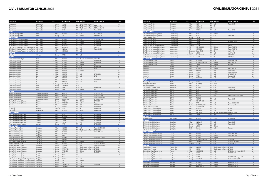| <b>OPERATOR</b>                                    | <b>LOCATION</b>      | OTY                            |          | <b>AIRCRAFT TYPE</b> |            | <b>TYPE SIM OEM</b>                           | <b>VISUAL DISPLAY</b>    | <b>LEVEL</b> |
|----------------------------------------------------|----------------------|--------------------------------|----------|----------------------|------------|-----------------------------------------------|--------------------------|--------------|
| Copa Airlines                                      | Panama City          | $\mathbf{1}$                   | Boeing   | 737 Max 8            | <b>FFS</b> | TRU Simulation + Training                     |                          | LD           |
| Copa Airlines                                      | Panama City          | $\overline{2}$                 | Boeing   | 737NG                | <b>FFS</b> | TRU Simulation + Training RSi RasterFlite     |                          | LD           |
| Copa Airlines                                      | Panama City          | $\overline{2}$                 | Boeing   | 737NG                | <b>FTD</b> | TRU Simulation + Training RSi RasterFlite/150 |                          |              |
| Copa Airlines                                      | Panama City          | 1                              | Embraer  | E-190                | <b>FFS</b> | CAE                                           | Tropos 6000              | LD           |
| <b>PERU</b>                                        |                      |                                |          |                      |            |                                               |                          |              |
| CAE Lima Training Centre                           | Lima                 | $\mathbf{1}$                   | Airbus   | A320-200             | <b>FFS</b> | CAE                                           | ESIG-3350/180            | LD           |
| CAE Lima Training Centre                           | Lima                 |                                | Boeing   | 767                  | <b>FFS</b> | L3Harris                                      | SPX550HT/180             |              |
| <b>PHILIPPINES</b>                                 |                      |                                |          |                      |            |                                               |                          |              |
| Alpha Aviation Group (Philippines)                 | Clark, Manila        | $\mathbf{1}$                   | Airbus   | A320-200             | <b>FFS</b> | CAE                                           | Tropos 6000/200          | LD           |
| Alpha Aviation Group (Philippines)                 | Clark, Manila        | $\mathbf{1}$                   | Airbus   | A320-200             | <b>FFS</b> | L3Harris                                      | EP-8100/200              | LD           |
| Alpha Aviation Group (Philippines)                 | Clark, Manila        | $\mathbf{1}$                   | Airbus   | A320neo              | <b>FFS</b> | L3Harris                                      | EP-8100/200              | LD           |
| Alpha Aviation Group (Philippines)                 | Clark, Manila        | $\mathbf{1}$                   | Airbus   | A330-200E            | <b>FFS</b> | CAE                                           | EP-8000/200              | LD           |
| CAE Clark - Philippine Academy for Av'n Training   | Clark, Manila        | $\overline{2}$                 | Airbus   | A320 family          | <b>FFS</b> | CAE                                           | Maxvue                   | LD           |
| CAE Clark - Philippine Academy for Av'n Training   | Clark, Manila        | $\mathbf{1}$                   | Airbus   | A320neo              | <b>FFS</b> | CAE                                           | Tropos 6000XR            |              |
| CAE Clark - Philippine Academy for Av'n Training   | Clark, Manila        | $\mathbf{1}$                   | ATR      | ATR 72-600           | <b>FFS</b> | CAE                                           |                          | LD           |
| <b>POLAND</b>                                      |                      |                                |          |                      |            |                                               |                          |              |
| Enter Air<br><b>QATAR</b>                          | Warsaw               |                                | 1 Boeing | 737-800              | <b>FFS</b> | CAE                                           |                          | LD           |
|                                                    |                      |                                |          |                      |            |                                               |                          |              |
| Qatar Aeronautical College                         | Doha                 | $\mathbf{1}$                   | Airbus   | A320-200             | <b>FTD</b> | TRU Simulation + Training aXion/200           |                          | L2           |
| Qatar Airways Training                             | Doha                 | $\overline{2}$                 | Airbus   | A320-200             | <b>FFS</b> | CAE                                           | EP-8000/200              | LD           |
| Qatar Airways Training                             | Doha                 | $\mathbf{1}$                   | Airbus   | A320-200             | <b>FFS</b> | L3Harris                                      | EP-8000/200              | LD           |
| Qatar Airways Training                             | Doha                 | $\mathbf{1}$                   | Airbus   | A320-200             | <b>FTD</b> | L3Harris                                      | EP1                      | L1           |
| Qatar Airways Training                             | Doha                 | $\mathbf{1}$                   | Airbus   | A330-200             | <b>FFS</b> | CAE                                           | EP-8000/200              | LD           |
| Qatar Airways Training                             | Doha                 | $\mathbf{1}$                   | Airbus   | A330-200             | <b>FTD</b> | CAE                                           | EP-80                    | L1           |
| Qatar Airways Training                             | Doha                 | $\mathbf{1}$                   | Airbus   | A330-200             | <b>FTD</b> | L3Harris                                      | $\overline{\phantom{a}}$ | L1           |
| Qatar Airways Training                             | Doha                 | $\mathbf{1}$                   | Airbus   | A330-200             | FFS        |                                               |                          | LD           |
| Qatar Airways Training                             | Doha                 | $\overline{2}$                 | Airbus   | A350-900             | <b>FFS</b> | CAE                                           | EP-8100/200              | LD           |
| Qatar Airways Training                             | Doha                 | $\mathbf{1}$                   | Airbus   | A350-900             | <b>FTD</b> | CAE                                           | EP-80                    | L1           |
| Qatar Airways Training                             | Doha                 | $\mathbf{1}$                   | Airbus   | A350-900             | FFS        |                                               |                          | D            |
| Qatar Airways Training                             | Doha                 | $\mathbf{1}$                   | Airbus   | A380-800             | <b>FFS</b> | CAE                                           | EP-8000/200              | LD           |
| Qatar Airways Training                             | Doha                 | $\mathbf{1}$                   | Airbus   | A380-800             | <b>FTD</b> | CAE                                           | EP-80                    | L1           |
| Qatar Airways Training                             | Doha                 | $\mathfrak{Z}$                 | Boeing   | 777-300ER            | FFS        |                                               |                          | LD           |
| Qatar Airways Training                             | Doha                 | $\mathbf{1}$                   | Boeing   | 777-300ER            | <b>FTD</b> |                                               |                          | L1           |
| Qatar Airways Training                             | Doha                 | $\mathbf{1}$                   | Boeing   | 787-8                | <b>FTD</b> | CAE                                           | EP-8000/200              | LD           |
| Qatar Airways Training                             | Doha                 | $\mathbf{1}$                   | Boeing   | 787-8                | <b>FTD</b> | L3Harris                                      | EP1                      | L2           |
| <b>RUSSIA</b>                                      |                      |                                |          |                      |            |                                               |                          |              |
| Aeroflot Flight Training                           | Sheremetyevo Airport |                                | 2 Airbus | A320-200             | <b>FFS</b> | CAE                                           | Tropos 6200/210          | LD           |
| Aeroflot Flight Training                           | Sheremetyevo Airport | $\mathbf{1}$                   | Airbus   | A330-200             | <b>FFS</b> | CAE                                           | Tropos 6220/200          | LD           |
| Aeroflot Flight Training                           | Sheremetyevo Airport | $\mathbf{1}$                   | Boeing   | 737-800W             | <b>FFS</b> | CAE                                           | Tropos 60220XR/200       | LD           |
| Aeroflot Flight Training                           | Sheremetyevo Airport | $\mathbf{1}$                   | Sukhoi   | Superjet 100         | <b>FFS</b> | L3Harris                                      | EP-1000CT/180            | LD           |
| Boeing Flight Services (Moscow)                    | Moscow               | $\mathbf{1}$                   | Boeing   | 737-800W             | <b>FFS</b> | L3Harris                                      | EP-1000CT                | LD           |
| Boeing Flight Services (Moscow)                    | Moscow               | $\mathbf{1}$                   | Boeing   | 777-300ER            | <b>FFS</b> | CAE                                           | Tropos                   | LD           |
| S7 Training                                        | Moscow               | $\overline{c}$                 | Airbus   | A320-200             | FFS        | L3Harris                                      | EP-1000CP/200            | LD           |
| S7 Training                                        | Moscow               | $\mathbf{1}$                   | Boeing   | 737-800W             | <b>FFS</b> | L3Harris                                      | EP-8000/200              | LD           |
| S7 Training                                        | Moscow               | $\mathbf{1}$                   | Embraer  | E-170                | <b>FFS</b> | FSI                                           | EP-8100/200              | LD           |
| Ural Airlines                                      | Ekaterinburg         | $\mathbf{1}$                   | Airbus   | A320-200             | <b>FFS</b> | <b>LMCFT</b>                                  | EP-8000/180              | LD           |
| <b>SAUDI ARABIA</b>                                |                      |                                |          |                      |            |                                               |                          |              |
| Prince Sultan Aviation Academy                     | Jeddah               |                                | 2 Airbus | A320                 | <b>FFS</b> | CAE                                           | EP-1000/200              | LD           |
| Prince Sultan Aviation Academy                     | Jeddah               |                                | Airbus   | A330/A340            | <b>FFS</b> | CAE                                           | EP-1000/200              | LD           |
| Prince Sultan Aviation Academy                     | Jeddah               | $\overline{c}$<br>$\mathbf{1}$ | Boeing   | 747-400              | <b>FFS</b> | L3Harris                                      | EP-1000/200              | LD           |
|                                                    |                      |                                |          | 777-200              |            |                                               |                          | LD           |
| Prince Sultan Aviation Academy                     | Jeddah               | $\mathbf{1}$                   | Boeing   |                      | <b>FFS</b> | L3Harris                                      | EP-1000/200              |              |
| Prince Sultan Aviation Academy                     | Jeddah               | $\mathbf{1}$                   | Boeing   | 777-300              | FFS        | CAE                                           | EP-8100/200              | LD<br>LD     |
| Prince Sultan Aviation Academy<br><b>SINGAPORE</b> | Jeddah               | $\mathbf{1}$                   | Boeing   | 787-9                | <b>FFS</b> | CAE                                           | EP-8100/200              |              |
|                                                    |                      |                                |          |                      |            |                                               |                          |              |
| Airbus Asia Training Centre                        | Singapore            |                                | 1 Airbus | A320-200             | FFS        | CAE                                           | Iropos 6000XK/Z00        | LD           |
| Airbus Asia Training Centre                        | Singapore            | $\mathbf{1}$                   | Airbus   | A320-200             | <b>FFS</b> | TRU Simulation + Training EP-8100/200         |                          | LD           |
| Airbus Asia Training Centre                        | Singapore            | $\mathbf{1}$                   | Airbus   | A330-200             | <b>FFS</b> | CAE                                           | Tropos 6200/210          | LD           |
| Airbus Asia Training Centre                        | Singapore            | $\mathbf{1}$                   | Airbus   | A330-200             | FFS        |                                               |                          | LD           |
| Airbus Asia Training Centre                        | Singapore            | $\mathbf{1}$                   | Airbus   | A350                 | FFS        |                                               |                          | LD           |
| Airbus Asia Training Centre                        | Singapore            | $\overline{2}$                 | Airbus   | A350-900             | <b>FFS</b> | CAE                                           | Tropos 6200XR/200        | LD           |
| Airbus Asia Training Centre                        | Singapore            | $\mathbf{1}$                   | Airbus   | A380-800             | FFS        |                                               |                          | LD           |
| ATR Training Center (Singapore)                    | Singapore            | $\mathbf{1}$                   | ATR      | ATR72                | <b>FFS</b> | L3Harris                                      | Tropos R6220/200         | LD           |
| Aviation Safety and Training                       | Singapore            | $\mathbf{1}$                   | Airbus   | A320-200             | <b>FFS</b> | CAE                                           | Tropos 6221XR/200        | LD           |
| Aviation Safety and Training                       | Singapore            | $\mathbf{1}$                   | Boeing   | 737-800W             | <b>FFS</b> | CAE                                           | Tropos 6220XR/200        | LD           |
| Boeing Flight Services (Singapore)                 | Singapore            | $\mathbf{1}$                   | Boeing   | 737 Max 8            | <b>FFS</b> | TRU Simulation + Training EP-8100             |                          | LC           |
| Boeing Flight Services (Singapore)                 | Singapore            | $\overline{c}$                 | Boeing   | 737-700/800          | <b>FFS</b> | TRU Simulation + Training EP-8000             |                          | LD           |
| Boeing Flight Services (Singapore)                 | Singapore            | 1                              | Boeing   | 777-300ER            | <b>FFS</b> | L3Harris                                      | EP-8000/200              | LD           |
| Boeing Flight Services (Singapore)                 | Singapore            | $\overline{c}$                 | Boeing   | 787-9                | <b>FFS</b> | L3Harris                                      | EP-8000                  | LD           |
| Boeing Flight Services (Singapore)                 | Singapore            | 1                              | Boeing   | 787-9                | FFS        |                                               |                          | LD           |
| Boeing Flight Services (Singapore)                 | Singapore            | $\overline{c}$                 | Boeing   | 787-9                | <b>FTD</b> |                                               |                          | L1           |
| CAE Singapore - Singapore CAE Flight Training      | Singapore            | $\mathbf{1}$                   | Boeing   | 737 Max              | <b>FFS</b> | CAE                                           |                          |              |
| CAE Singapore - Singapore CAE Flight Training      | Singapore            | $\mathbf{1}$                   | Boeing   | 747                  | <b>FFS</b> | L3Harris                                      |                          |              |
| CAE Singapore - Singapore CAE Flight Training      | Singapore            | 1                              | Boeing   | 787                  | <b>FFS</b> | CAE                                           |                          |              |
| CAE Singapore - Singapore CAE Flight Training      | Singapore            | $\overline{c}$                 | Boeing   | 777-200/300          | <b>FFS</b> | CAE                                           | Tropos 6000              | LD           |
| CAE Singapore - Singapore CAE Flight Training      | Singapore            | $\mathbf{1}$                   | Boeing   | 777-200ER            | <b>FFS</b> | L3Harris                                      |                          | LD           |

| <b>OPERATOR</b><br><b>LOCATION</b><br>QTY<br><b>VISUAL DISPLAY</b><br><b>AIRCRAFT TYPE</b><br><b>TYPE SIM OEM</b><br>Airbus<br>A320<br><b>FFS</b><br>CAE<br>Haite Aviation Training<br>Tropos 6000<br>Singapore<br>$\mathbf{1}$<br>Airbus<br><b>FFS</b><br>FSI<br>A320 family<br>Haite Aviation Training<br>Singapore<br>1<br>Airbus<br>A320 family<br>Singapore<br>IPT<br>Haite Aviation Training<br>1<br>737-800W<br><b>FFS</b><br>CAE<br>Haite Aviation Training<br>Singapore<br>$\mathbf{1}$<br>Boeing<br>Tropos 6000<br><b>SOUTH AFRICA</b><br>CAE Johannesburg Training Centre<br>Airbus<br>A320<br><b>FFS</b><br>L3Harris<br>Johannesburg<br>$\mathbf{1}$<br>Airbus<br>A330<br><b>FFS</b><br>CAE<br>CAE Johannesburg Training Centre<br>$\mathbf{1}$<br>Tropos 6000<br>Johannesburg<br><b>FFS</b><br>Comair Training Centre<br>$\mathbf{1}$<br>Boeing<br>737-200<br>Johannesburg<br>737-300/400/500<br><b>FFS</b><br>Comair Training Centre<br>Johannesburg<br>Boeing<br>$\mathbf{1}$<br><b>FFS</b><br>Comair Training Centre<br>Johannesburg<br>$\mathbf{1}$<br>Boeing<br>737-800<br>EP-8000CT/200<br><b>FTD</b><br>Johannesburg<br>$\mathbf{1}$<br>Boeing<br>737-800<br>Comair Training Centre<br><b>FFS</b><br>FlightSafety International (Johannesburg)<br>Johannesburg<br>Embraer<br>ERJ-145<br>FSI<br>Vital 8<br>1<br>$\overline{c}$<br><b>ATR</b><br>ATR 42-300/500<br><b>FFS</b><br>SIMAERO Johannesburg Training Centre<br>L3Harris<br><b>Tropos R300/180</b><br>Johannesburg<br>$\overline{2}$<br>ATR<br>ATR 72-200<br><b>FFS</b><br>L3Harris<br><b>Tropos R300/180</b><br>SIMAERO Johannesburg Training Centre<br>Johannesburg<br>FSI<br>SIMAERO Johannesburg Training Centre<br>Johannesburg<br>Beechcraft<br>Beech 1900D<br><b>FFS</b><br>Vital IX/180<br>$\mathbf{1}$<br>MD-82<br><b>FFS</b><br>CAE<br>SIMAERO Johannesburg Training Centre<br>Johannesburg<br>$\mathbf{1}$<br>Boeing<br>Vital VIII/180<br>DHC<br>$\overline{c}$<br>FSI<br>Johannesburg<br>Dash 8-100/300<br><b>FFS</b><br>Vital IX/180<br>SIMAERO Johannesburg Training Centre<br><b>FFS</b><br>FSI<br>SIMAERO Johannesburg Training Centre<br>Johannesburg<br>Embraer<br>ERJ-145<br>Vital VIII/180<br>1<br><b>SOUTH KOREA</b><br><b>CAE Seoul Training Centre</b><br>2 Airbus<br>A320 family<br><b>FFS</b><br>CAE<br>Seoul<br>Tropos 6000/200<br>A330-200/A340-300<br>L3Harris<br>ESIG-3350/180<br><b>CAE Seoul Training Centre</b><br>Seoul<br>Airbus<br><b>FFS</b><br>$\mathbf{1}$<br>Seoul<br>3<br>CAE Seoul Training Centre<br>Boeing<br>737NG<br><b>FFS</b><br>L3Harris<br>EP-1000CT<br>787<br>CAE<br>Korean Air<br>$\mathbf{1}$<br>Airbus<br><b>FFS</b><br>Inchon<br>Korean Air<br>Inchon<br>Airbus<br>A330-300<br><b>FFS</b><br>L3Harris<br>ESIG-3350/180<br>1<br><b>FFS</b><br>Korean Air<br>Inchon<br>$\mathbf{1}$<br>Airbus<br>A380-800<br>CAE<br>Tropos 6000<br>Korean Air<br>Inchon<br>Boeing<br>737-900<br><b>FFS</b><br>CAE<br>Tropos 6000/180<br>$\mathbf{1}$<br>747-400<br><b>FFS</b><br>CAE<br>SPX500HT/150<br>Korean Air<br>Inchon<br>$\overline{c}$<br>Boeing<br>777-200<br>Korean Air<br>Inchon<br>$\mathbf{1}$<br>Boeing<br><b>FFS</b><br>CAE<br>Maxvue/180<br>CAE<br>Korean Air<br>Inchon<br>$\mathbf{1}$<br>Boeing<br>777-300ER<br><b>FFS</b><br>Tropos 6000<br><b>SPAIN</b><br>Mallorca<br>737NG<br><b>FFS</b><br>CAE<br>Boeing<br>Air Europa Training Centre<br>$\mathbf{1}$<br>Madrid<br>$\mathbf{1}$<br>Airbus<br>A320 family<br><b>FTD</b><br>Simloc<br>Aerodynamics Academy<br><b>BAA Training (Spain)</b><br>Airbus<br>A320<br><b>FFS</b><br>CAE<br>Barcelona<br>$\mathbf{1}$<br>$\overline{c}$<br>CAE<br>CAE Barcelona Training Centre<br>Airbus<br>A320-200<br><b>FFS</b><br>Tropos 6023<br>Barcelona<br>CAE<br>CAE Madrid Training Centre<br>Madrid<br>$\mathbf{1}$<br>Airbus<br>A320<br><b>FFS</b><br>Tropos 6000<br>Madrid<br>Airbus<br>A320<br><b>FFS</b><br>L3Harris<br><b>CAE Madrid Training Centre</b><br>1<br>Airbus<br>A320<br>CAE Madrid Training Centre<br>Madrid<br>1<br><b>FFS</b><br><b>LMCFT</b><br>CAE Madrid Training Centre<br>Madrid<br>3<br>Airbus<br>A330-300<br><b>FFS</b><br>CAE<br>Maxvue+/180, Tropos 6022<br>Madrid<br>Airbus<br>A330-200<br><b>FFS</b><br><b>CAE Madrid Training Centre</b><br>$\mathbf{1}$<br><b>FFS</b><br>CAE<br>CAE Madrid Training Centre<br>Madrid<br>$\mathbf{1}$<br>Airbus<br>A350-900<br>Tropos 6000<br>ATR<br>CAE Madrid Training Centre<br>Madrid<br>$\mathbf{1}$<br>ATR 42/72-600<br><b>FFS</b><br>Madrid<br>Boeing<br>787-9<br><b>FFS</b><br>CAE<br>Tropos 6023XR/200<br><b>CAE Madrid Training Centre</b><br>1<br>Bombardier CRJ200/900/1000<br><b>FFS</b><br>CAE<br>CAE Madrid Training Centre<br>Madrid<br>Maxvue+/150<br>DHC<br>CAE Madrid Training Centre<br>Madrid<br>$\mathbf{1}$<br>Dash 8 100/300<br>FFS<br>A320-200<br>Global Training & Aviation (Spain)<br>Madrid<br>Airbus<br><b>FFS</b><br>Indra<br>Invis <sub>2</sub><br>ATR<br>ATR 72-500<br><b>FFS</b><br>Global Training & Aviation (Spain)<br>Madrid<br>Indra<br>Invis <sub>2</sub><br>$\mathbf{1}$ | <b>LEVEL</b><br>LD<br>LD<br>LCG<br>LDG<br>LD<br>LD<br>LC<br>LC<br>LD<br>LDG<br>LCG<br>LD<br>LD<br>LD<br>LD<br>LD<br>LD<br>LD<br>LD<br>LD<br>LD<br>LD |
|--------------------------------------------------------------------------------------------------------------------------------------------------------------------------------------------------------------------------------------------------------------------------------------------------------------------------------------------------------------------------------------------------------------------------------------------------------------------------------------------------------------------------------------------------------------------------------------------------------------------------------------------------------------------------------------------------------------------------------------------------------------------------------------------------------------------------------------------------------------------------------------------------------------------------------------------------------------------------------------------------------------------------------------------------------------------------------------------------------------------------------------------------------------------------------------------------------------------------------------------------------------------------------------------------------------------------------------------------------------------------------------------------------------------------------------------------------------------------------------------------------------------------------------------------------------------------------------------------------------------------------------------------------------------------------------------------------------------------------------------------------------------------------------------------------------------------------------------------------------------------------------------------------------------------------------------------------------------------------------------------------------------------------------------------------------------------------------------------------------------------------------------------------------------------------------------------------------------------------------------------------------------------------------------------------------------------------------------------------------------------------------------------------------------------------------------------------------------------------------------------------------------------------------------------------------------------------------------------------------------------------------------------------------------------------------------------------------------------------------------------------------------------------------------------------------------------------------------------------------------------------------------------------------------------------------------------------------------------------------------------------------------------------------------------------------------------------------------------------------------------------------------------------------------------------------------------------------------------------------------------------------------------------------------------------------------------------------------------------------------------------------------------------------------------------------------------------------------------------------------------------------------------------------------------------------------------------------------------------------------------------------------------------------------------------------------------------------------------------------------------------------------------------------------------------------------------------------------------------------------------------------------------------------------------------------------------------------------------------------------------------------------------------------------------------------------------------------------------------------------------------------------------------------------------------------------------------------------------------------------------------------------------------------------------------------------------------------------------------------------------------------------------------------------------------------------------------------------------------------------------------------------------------------------------------------------------------------------------------------------------------------------------------------------------------------------------------------------------------------------------------------------------------------------------------------------------------------------------------------------------------------------------------------------------------------------------------------------------------------------------------------------------------------------------------|------------------------------------------------------------------------------------------------------------------------------------------------------|
|                                                                                                                                                                                                                                                                                                                                                                                                                                                                                                                                                                                                                                                                                                                                                                                                                                                                                                                                                                                                                                                                                                                                                                                                                                                                                                                                                                                                                                                                                                                                                                                                                                                                                                                                                                                                                                                                                                                                                                                                                                                                                                                                                                                                                                                                                                                                                                                                                                                                                                                                                                                                                                                                                                                                                                                                                                                                                                                                                                                                                                                                                                                                                                                                                                                                                                                                                                                                                                                                                                                                                                                                                                                                                                                                                                                                                                                                                                                                                                                                                                                                                                                                                                                                                                                                                                                                                                                                                                                                                                                                                                                                                                                                                                                                                                                                                                                                                                                                                                                                                                                        |                                                                                                                                                      |
|                                                                                                                                                                                                                                                                                                                                                                                                                                                                                                                                                                                                                                                                                                                                                                                                                                                                                                                                                                                                                                                                                                                                                                                                                                                                                                                                                                                                                                                                                                                                                                                                                                                                                                                                                                                                                                                                                                                                                                                                                                                                                                                                                                                                                                                                                                                                                                                                                                                                                                                                                                                                                                                                                                                                                                                                                                                                                                                                                                                                                                                                                                                                                                                                                                                                                                                                                                                                                                                                                                                                                                                                                                                                                                                                                                                                                                                                                                                                                                                                                                                                                                                                                                                                                                                                                                                                                                                                                                                                                                                                                                                                                                                                                                                                                                                                                                                                                                                                                                                                                                                        |                                                                                                                                                      |
|                                                                                                                                                                                                                                                                                                                                                                                                                                                                                                                                                                                                                                                                                                                                                                                                                                                                                                                                                                                                                                                                                                                                                                                                                                                                                                                                                                                                                                                                                                                                                                                                                                                                                                                                                                                                                                                                                                                                                                                                                                                                                                                                                                                                                                                                                                                                                                                                                                                                                                                                                                                                                                                                                                                                                                                                                                                                                                                                                                                                                                                                                                                                                                                                                                                                                                                                                                                                                                                                                                                                                                                                                                                                                                                                                                                                                                                                                                                                                                                                                                                                                                                                                                                                                                                                                                                                                                                                                                                                                                                                                                                                                                                                                                                                                                                                                                                                                                                                                                                                                                                        |                                                                                                                                                      |
|                                                                                                                                                                                                                                                                                                                                                                                                                                                                                                                                                                                                                                                                                                                                                                                                                                                                                                                                                                                                                                                                                                                                                                                                                                                                                                                                                                                                                                                                                                                                                                                                                                                                                                                                                                                                                                                                                                                                                                                                                                                                                                                                                                                                                                                                                                                                                                                                                                                                                                                                                                                                                                                                                                                                                                                                                                                                                                                                                                                                                                                                                                                                                                                                                                                                                                                                                                                                                                                                                                                                                                                                                                                                                                                                                                                                                                                                                                                                                                                                                                                                                                                                                                                                                                                                                                                                                                                                                                                                                                                                                                                                                                                                                                                                                                                                                                                                                                                                                                                                                                                        |                                                                                                                                                      |
|                                                                                                                                                                                                                                                                                                                                                                                                                                                                                                                                                                                                                                                                                                                                                                                                                                                                                                                                                                                                                                                                                                                                                                                                                                                                                                                                                                                                                                                                                                                                                                                                                                                                                                                                                                                                                                                                                                                                                                                                                                                                                                                                                                                                                                                                                                                                                                                                                                                                                                                                                                                                                                                                                                                                                                                                                                                                                                                                                                                                                                                                                                                                                                                                                                                                                                                                                                                                                                                                                                                                                                                                                                                                                                                                                                                                                                                                                                                                                                                                                                                                                                                                                                                                                                                                                                                                                                                                                                                                                                                                                                                                                                                                                                                                                                                                                                                                                                                                                                                                                                                        |                                                                                                                                                      |
|                                                                                                                                                                                                                                                                                                                                                                                                                                                                                                                                                                                                                                                                                                                                                                                                                                                                                                                                                                                                                                                                                                                                                                                                                                                                                                                                                                                                                                                                                                                                                                                                                                                                                                                                                                                                                                                                                                                                                                                                                                                                                                                                                                                                                                                                                                                                                                                                                                                                                                                                                                                                                                                                                                                                                                                                                                                                                                                                                                                                                                                                                                                                                                                                                                                                                                                                                                                                                                                                                                                                                                                                                                                                                                                                                                                                                                                                                                                                                                                                                                                                                                                                                                                                                                                                                                                                                                                                                                                                                                                                                                                                                                                                                                                                                                                                                                                                                                                                                                                                                                                        |                                                                                                                                                      |
|                                                                                                                                                                                                                                                                                                                                                                                                                                                                                                                                                                                                                                                                                                                                                                                                                                                                                                                                                                                                                                                                                                                                                                                                                                                                                                                                                                                                                                                                                                                                                                                                                                                                                                                                                                                                                                                                                                                                                                                                                                                                                                                                                                                                                                                                                                                                                                                                                                                                                                                                                                                                                                                                                                                                                                                                                                                                                                                                                                                                                                                                                                                                                                                                                                                                                                                                                                                                                                                                                                                                                                                                                                                                                                                                                                                                                                                                                                                                                                                                                                                                                                                                                                                                                                                                                                                                                                                                                                                                                                                                                                                                                                                                                                                                                                                                                                                                                                                                                                                                                                                        |                                                                                                                                                      |
|                                                                                                                                                                                                                                                                                                                                                                                                                                                                                                                                                                                                                                                                                                                                                                                                                                                                                                                                                                                                                                                                                                                                                                                                                                                                                                                                                                                                                                                                                                                                                                                                                                                                                                                                                                                                                                                                                                                                                                                                                                                                                                                                                                                                                                                                                                                                                                                                                                                                                                                                                                                                                                                                                                                                                                                                                                                                                                                                                                                                                                                                                                                                                                                                                                                                                                                                                                                                                                                                                                                                                                                                                                                                                                                                                                                                                                                                                                                                                                                                                                                                                                                                                                                                                                                                                                                                                                                                                                                                                                                                                                                                                                                                                                                                                                                                                                                                                                                                                                                                                                                        |                                                                                                                                                      |
|                                                                                                                                                                                                                                                                                                                                                                                                                                                                                                                                                                                                                                                                                                                                                                                                                                                                                                                                                                                                                                                                                                                                                                                                                                                                                                                                                                                                                                                                                                                                                                                                                                                                                                                                                                                                                                                                                                                                                                                                                                                                                                                                                                                                                                                                                                                                                                                                                                                                                                                                                                                                                                                                                                                                                                                                                                                                                                                                                                                                                                                                                                                                                                                                                                                                                                                                                                                                                                                                                                                                                                                                                                                                                                                                                                                                                                                                                                                                                                                                                                                                                                                                                                                                                                                                                                                                                                                                                                                                                                                                                                                                                                                                                                                                                                                                                                                                                                                                                                                                                                                        |                                                                                                                                                      |
|                                                                                                                                                                                                                                                                                                                                                                                                                                                                                                                                                                                                                                                                                                                                                                                                                                                                                                                                                                                                                                                                                                                                                                                                                                                                                                                                                                                                                                                                                                                                                                                                                                                                                                                                                                                                                                                                                                                                                                                                                                                                                                                                                                                                                                                                                                                                                                                                                                                                                                                                                                                                                                                                                                                                                                                                                                                                                                                                                                                                                                                                                                                                                                                                                                                                                                                                                                                                                                                                                                                                                                                                                                                                                                                                                                                                                                                                                                                                                                                                                                                                                                                                                                                                                                                                                                                                                                                                                                                                                                                                                                                                                                                                                                                                                                                                                                                                                                                                                                                                                                                        |                                                                                                                                                      |
|                                                                                                                                                                                                                                                                                                                                                                                                                                                                                                                                                                                                                                                                                                                                                                                                                                                                                                                                                                                                                                                                                                                                                                                                                                                                                                                                                                                                                                                                                                                                                                                                                                                                                                                                                                                                                                                                                                                                                                                                                                                                                                                                                                                                                                                                                                                                                                                                                                                                                                                                                                                                                                                                                                                                                                                                                                                                                                                                                                                                                                                                                                                                                                                                                                                                                                                                                                                                                                                                                                                                                                                                                                                                                                                                                                                                                                                                                                                                                                                                                                                                                                                                                                                                                                                                                                                                                                                                                                                                                                                                                                                                                                                                                                                                                                                                                                                                                                                                                                                                                                                        |                                                                                                                                                      |
|                                                                                                                                                                                                                                                                                                                                                                                                                                                                                                                                                                                                                                                                                                                                                                                                                                                                                                                                                                                                                                                                                                                                                                                                                                                                                                                                                                                                                                                                                                                                                                                                                                                                                                                                                                                                                                                                                                                                                                                                                                                                                                                                                                                                                                                                                                                                                                                                                                                                                                                                                                                                                                                                                                                                                                                                                                                                                                                                                                                                                                                                                                                                                                                                                                                                                                                                                                                                                                                                                                                                                                                                                                                                                                                                                                                                                                                                                                                                                                                                                                                                                                                                                                                                                                                                                                                                                                                                                                                                                                                                                                                                                                                                                                                                                                                                                                                                                                                                                                                                                                                        |                                                                                                                                                      |
|                                                                                                                                                                                                                                                                                                                                                                                                                                                                                                                                                                                                                                                                                                                                                                                                                                                                                                                                                                                                                                                                                                                                                                                                                                                                                                                                                                                                                                                                                                                                                                                                                                                                                                                                                                                                                                                                                                                                                                                                                                                                                                                                                                                                                                                                                                                                                                                                                                                                                                                                                                                                                                                                                                                                                                                                                                                                                                                                                                                                                                                                                                                                                                                                                                                                                                                                                                                                                                                                                                                                                                                                                                                                                                                                                                                                                                                                                                                                                                                                                                                                                                                                                                                                                                                                                                                                                                                                                                                                                                                                                                                                                                                                                                                                                                                                                                                                                                                                                                                                                                                        |                                                                                                                                                      |
|                                                                                                                                                                                                                                                                                                                                                                                                                                                                                                                                                                                                                                                                                                                                                                                                                                                                                                                                                                                                                                                                                                                                                                                                                                                                                                                                                                                                                                                                                                                                                                                                                                                                                                                                                                                                                                                                                                                                                                                                                                                                                                                                                                                                                                                                                                                                                                                                                                                                                                                                                                                                                                                                                                                                                                                                                                                                                                                                                                                                                                                                                                                                                                                                                                                                                                                                                                                                                                                                                                                                                                                                                                                                                                                                                                                                                                                                                                                                                                                                                                                                                                                                                                                                                                                                                                                                                                                                                                                                                                                                                                                                                                                                                                                                                                                                                                                                                                                                                                                                                                                        |                                                                                                                                                      |
|                                                                                                                                                                                                                                                                                                                                                                                                                                                                                                                                                                                                                                                                                                                                                                                                                                                                                                                                                                                                                                                                                                                                                                                                                                                                                                                                                                                                                                                                                                                                                                                                                                                                                                                                                                                                                                                                                                                                                                                                                                                                                                                                                                                                                                                                                                                                                                                                                                                                                                                                                                                                                                                                                                                                                                                                                                                                                                                                                                                                                                                                                                                                                                                                                                                                                                                                                                                                                                                                                                                                                                                                                                                                                                                                                                                                                                                                                                                                                                                                                                                                                                                                                                                                                                                                                                                                                                                                                                                                                                                                                                                                                                                                                                                                                                                                                                                                                                                                                                                                                                                        |                                                                                                                                                      |
|                                                                                                                                                                                                                                                                                                                                                                                                                                                                                                                                                                                                                                                                                                                                                                                                                                                                                                                                                                                                                                                                                                                                                                                                                                                                                                                                                                                                                                                                                                                                                                                                                                                                                                                                                                                                                                                                                                                                                                                                                                                                                                                                                                                                                                                                                                                                                                                                                                                                                                                                                                                                                                                                                                                                                                                                                                                                                                                                                                                                                                                                                                                                                                                                                                                                                                                                                                                                                                                                                                                                                                                                                                                                                                                                                                                                                                                                                                                                                                                                                                                                                                                                                                                                                                                                                                                                                                                                                                                                                                                                                                                                                                                                                                                                                                                                                                                                                                                                                                                                                                                        |                                                                                                                                                      |
|                                                                                                                                                                                                                                                                                                                                                                                                                                                                                                                                                                                                                                                                                                                                                                                                                                                                                                                                                                                                                                                                                                                                                                                                                                                                                                                                                                                                                                                                                                                                                                                                                                                                                                                                                                                                                                                                                                                                                                                                                                                                                                                                                                                                                                                                                                                                                                                                                                                                                                                                                                                                                                                                                                                                                                                                                                                                                                                                                                                                                                                                                                                                                                                                                                                                                                                                                                                                                                                                                                                                                                                                                                                                                                                                                                                                                                                                                                                                                                                                                                                                                                                                                                                                                                                                                                                                                                                                                                                                                                                                                                                                                                                                                                                                                                                                                                                                                                                                                                                                                                                        |                                                                                                                                                      |
|                                                                                                                                                                                                                                                                                                                                                                                                                                                                                                                                                                                                                                                                                                                                                                                                                                                                                                                                                                                                                                                                                                                                                                                                                                                                                                                                                                                                                                                                                                                                                                                                                                                                                                                                                                                                                                                                                                                                                                                                                                                                                                                                                                                                                                                                                                                                                                                                                                                                                                                                                                                                                                                                                                                                                                                                                                                                                                                                                                                                                                                                                                                                                                                                                                                                                                                                                                                                                                                                                                                                                                                                                                                                                                                                                                                                                                                                                                                                                                                                                                                                                                                                                                                                                                                                                                                                                                                                                                                                                                                                                                                                                                                                                                                                                                                                                                                                                                                                                                                                                                                        |                                                                                                                                                      |
|                                                                                                                                                                                                                                                                                                                                                                                                                                                                                                                                                                                                                                                                                                                                                                                                                                                                                                                                                                                                                                                                                                                                                                                                                                                                                                                                                                                                                                                                                                                                                                                                                                                                                                                                                                                                                                                                                                                                                                                                                                                                                                                                                                                                                                                                                                                                                                                                                                                                                                                                                                                                                                                                                                                                                                                                                                                                                                                                                                                                                                                                                                                                                                                                                                                                                                                                                                                                                                                                                                                                                                                                                                                                                                                                                                                                                                                                                                                                                                                                                                                                                                                                                                                                                                                                                                                                                                                                                                                                                                                                                                                                                                                                                                                                                                                                                                                                                                                                                                                                                                                        |                                                                                                                                                      |
|                                                                                                                                                                                                                                                                                                                                                                                                                                                                                                                                                                                                                                                                                                                                                                                                                                                                                                                                                                                                                                                                                                                                                                                                                                                                                                                                                                                                                                                                                                                                                                                                                                                                                                                                                                                                                                                                                                                                                                                                                                                                                                                                                                                                                                                                                                                                                                                                                                                                                                                                                                                                                                                                                                                                                                                                                                                                                                                                                                                                                                                                                                                                                                                                                                                                                                                                                                                                                                                                                                                                                                                                                                                                                                                                                                                                                                                                                                                                                                                                                                                                                                                                                                                                                                                                                                                                                                                                                                                                                                                                                                                                                                                                                                                                                                                                                                                                                                                                                                                                                                                        |                                                                                                                                                      |
|                                                                                                                                                                                                                                                                                                                                                                                                                                                                                                                                                                                                                                                                                                                                                                                                                                                                                                                                                                                                                                                                                                                                                                                                                                                                                                                                                                                                                                                                                                                                                                                                                                                                                                                                                                                                                                                                                                                                                                                                                                                                                                                                                                                                                                                                                                                                                                                                                                                                                                                                                                                                                                                                                                                                                                                                                                                                                                                                                                                                                                                                                                                                                                                                                                                                                                                                                                                                                                                                                                                                                                                                                                                                                                                                                                                                                                                                                                                                                                                                                                                                                                                                                                                                                                                                                                                                                                                                                                                                                                                                                                                                                                                                                                                                                                                                                                                                                                                                                                                                                                                        |                                                                                                                                                      |
|                                                                                                                                                                                                                                                                                                                                                                                                                                                                                                                                                                                                                                                                                                                                                                                                                                                                                                                                                                                                                                                                                                                                                                                                                                                                                                                                                                                                                                                                                                                                                                                                                                                                                                                                                                                                                                                                                                                                                                                                                                                                                                                                                                                                                                                                                                                                                                                                                                                                                                                                                                                                                                                                                                                                                                                                                                                                                                                                                                                                                                                                                                                                                                                                                                                                                                                                                                                                                                                                                                                                                                                                                                                                                                                                                                                                                                                                                                                                                                                                                                                                                                                                                                                                                                                                                                                                                                                                                                                                                                                                                                                                                                                                                                                                                                                                                                                                                                                                                                                                                                                        |                                                                                                                                                      |
|                                                                                                                                                                                                                                                                                                                                                                                                                                                                                                                                                                                                                                                                                                                                                                                                                                                                                                                                                                                                                                                                                                                                                                                                                                                                                                                                                                                                                                                                                                                                                                                                                                                                                                                                                                                                                                                                                                                                                                                                                                                                                                                                                                                                                                                                                                                                                                                                                                                                                                                                                                                                                                                                                                                                                                                                                                                                                                                                                                                                                                                                                                                                                                                                                                                                                                                                                                                                                                                                                                                                                                                                                                                                                                                                                                                                                                                                                                                                                                                                                                                                                                                                                                                                                                                                                                                                                                                                                                                                                                                                                                                                                                                                                                                                                                                                                                                                                                                                                                                                                                                        |                                                                                                                                                      |
|                                                                                                                                                                                                                                                                                                                                                                                                                                                                                                                                                                                                                                                                                                                                                                                                                                                                                                                                                                                                                                                                                                                                                                                                                                                                                                                                                                                                                                                                                                                                                                                                                                                                                                                                                                                                                                                                                                                                                                                                                                                                                                                                                                                                                                                                                                                                                                                                                                                                                                                                                                                                                                                                                                                                                                                                                                                                                                                                                                                                                                                                                                                                                                                                                                                                                                                                                                                                                                                                                                                                                                                                                                                                                                                                                                                                                                                                                                                                                                                                                                                                                                                                                                                                                                                                                                                                                                                                                                                                                                                                                                                                                                                                                                                                                                                                                                                                                                                                                                                                                                                        |                                                                                                                                                      |
|                                                                                                                                                                                                                                                                                                                                                                                                                                                                                                                                                                                                                                                                                                                                                                                                                                                                                                                                                                                                                                                                                                                                                                                                                                                                                                                                                                                                                                                                                                                                                                                                                                                                                                                                                                                                                                                                                                                                                                                                                                                                                                                                                                                                                                                                                                                                                                                                                                                                                                                                                                                                                                                                                                                                                                                                                                                                                                                                                                                                                                                                                                                                                                                                                                                                                                                                                                                                                                                                                                                                                                                                                                                                                                                                                                                                                                                                                                                                                                                                                                                                                                                                                                                                                                                                                                                                                                                                                                                                                                                                                                                                                                                                                                                                                                                                                                                                                                                                                                                                                                                        |                                                                                                                                                      |
|                                                                                                                                                                                                                                                                                                                                                                                                                                                                                                                                                                                                                                                                                                                                                                                                                                                                                                                                                                                                                                                                                                                                                                                                                                                                                                                                                                                                                                                                                                                                                                                                                                                                                                                                                                                                                                                                                                                                                                                                                                                                                                                                                                                                                                                                                                                                                                                                                                                                                                                                                                                                                                                                                                                                                                                                                                                                                                                                                                                                                                                                                                                                                                                                                                                                                                                                                                                                                                                                                                                                                                                                                                                                                                                                                                                                                                                                                                                                                                                                                                                                                                                                                                                                                                                                                                                                                                                                                                                                                                                                                                                                                                                                                                                                                                                                                                                                                                                                                                                                                                                        |                                                                                                                                                      |
|                                                                                                                                                                                                                                                                                                                                                                                                                                                                                                                                                                                                                                                                                                                                                                                                                                                                                                                                                                                                                                                                                                                                                                                                                                                                                                                                                                                                                                                                                                                                                                                                                                                                                                                                                                                                                                                                                                                                                                                                                                                                                                                                                                                                                                                                                                                                                                                                                                                                                                                                                                                                                                                                                                                                                                                                                                                                                                                                                                                                                                                                                                                                                                                                                                                                                                                                                                                                                                                                                                                                                                                                                                                                                                                                                                                                                                                                                                                                                                                                                                                                                                                                                                                                                                                                                                                                                                                                                                                                                                                                                                                                                                                                                                                                                                                                                                                                                                                                                                                                                                                        |                                                                                                                                                      |
|                                                                                                                                                                                                                                                                                                                                                                                                                                                                                                                                                                                                                                                                                                                                                                                                                                                                                                                                                                                                                                                                                                                                                                                                                                                                                                                                                                                                                                                                                                                                                                                                                                                                                                                                                                                                                                                                                                                                                                                                                                                                                                                                                                                                                                                                                                                                                                                                                                                                                                                                                                                                                                                                                                                                                                                                                                                                                                                                                                                                                                                                                                                                                                                                                                                                                                                                                                                                                                                                                                                                                                                                                                                                                                                                                                                                                                                                                                                                                                                                                                                                                                                                                                                                                                                                                                                                                                                                                                                                                                                                                                                                                                                                                                                                                                                                                                                                                                                                                                                                                                                        |                                                                                                                                                      |
|                                                                                                                                                                                                                                                                                                                                                                                                                                                                                                                                                                                                                                                                                                                                                                                                                                                                                                                                                                                                                                                                                                                                                                                                                                                                                                                                                                                                                                                                                                                                                                                                                                                                                                                                                                                                                                                                                                                                                                                                                                                                                                                                                                                                                                                                                                                                                                                                                                                                                                                                                                                                                                                                                                                                                                                                                                                                                                                                                                                                                                                                                                                                                                                                                                                                                                                                                                                                                                                                                                                                                                                                                                                                                                                                                                                                                                                                                                                                                                                                                                                                                                                                                                                                                                                                                                                                                                                                                                                                                                                                                                                                                                                                                                                                                                                                                                                                                                                                                                                                                                                        |                                                                                                                                                      |
|                                                                                                                                                                                                                                                                                                                                                                                                                                                                                                                                                                                                                                                                                                                                                                                                                                                                                                                                                                                                                                                                                                                                                                                                                                                                                                                                                                                                                                                                                                                                                                                                                                                                                                                                                                                                                                                                                                                                                                                                                                                                                                                                                                                                                                                                                                                                                                                                                                                                                                                                                                                                                                                                                                                                                                                                                                                                                                                                                                                                                                                                                                                                                                                                                                                                                                                                                                                                                                                                                                                                                                                                                                                                                                                                                                                                                                                                                                                                                                                                                                                                                                                                                                                                                                                                                                                                                                                                                                                                                                                                                                                                                                                                                                                                                                                                                                                                                                                                                                                                                                                        | L1                                                                                                                                                   |
|                                                                                                                                                                                                                                                                                                                                                                                                                                                                                                                                                                                                                                                                                                                                                                                                                                                                                                                                                                                                                                                                                                                                                                                                                                                                                                                                                                                                                                                                                                                                                                                                                                                                                                                                                                                                                                                                                                                                                                                                                                                                                                                                                                                                                                                                                                                                                                                                                                                                                                                                                                                                                                                                                                                                                                                                                                                                                                                                                                                                                                                                                                                                                                                                                                                                                                                                                                                                                                                                                                                                                                                                                                                                                                                                                                                                                                                                                                                                                                                                                                                                                                                                                                                                                                                                                                                                                                                                                                                                                                                                                                                                                                                                                                                                                                                                                                                                                                                                                                                                                                                        | LD<br>LD                                                                                                                                             |
|                                                                                                                                                                                                                                                                                                                                                                                                                                                                                                                                                                                                                                                                                                                                                                                                                                                                                                                                                                                                                                                                                                                                                                                                                                                                                                                                                                                                                                                                                                                                                                                                                                                                                                                                                                                                                                                                                                                                                                                                                                                                                                                                                                                                                                                                                                                                                                                                                                                                                                                                                                                                                                                                                                                                                                                                                                                                                                                                                                                                                                                                                                                                                                                                                                                                                                                                                                                                                                                                                                                                                                                                                                                                                                                                                                                                                                                                                                                                                                                                                                                                                                                                                                                                                                                                                                                                                                                                                                                                                                                                                                                                                                                                                                                                                                                                                                                                                                                                                                                                                                                        | LD                                                                                                                                                   |
|                                                                                                                                                                                                                                                                                                                                                                                                                                                                                                                                                                                                                                                                                                                                                                                                                                                                                                                                                                                                                                                                                                                                                                                                                                                                                                                                                                                                                                                                                                                                                                                                                                                                                                                                                                                                                                                                                                                                                                                                                                                                                                                                                                                                                                                                                                                                                                                                                                                                                                                                                                                                                                                                                                                                                                                                                                                                                                                                                                                                                                                                                                                                                                                                                                                                                                                                                                                                                                                                                                                                                                                                                                                                                                                                                                                                                                                                                                                                                                                                                                                                                                                                                                                                                                                                                                                                                                                                                                                                                                                                                                                                                                                                                                                                                                                                                                                                                                                                                                                                                                                        | LD                                                                                                                                                   |
|                                                                                                                                                                                                                                                                                                                                                                                                                                                                                                                                                                                                                                                                                                                                                                                                                                                                                                                                                                                                                                                                                                                                                                                                                                                                                                                                                                                                                                                                                                                                                                                                                                                                                                                                                                                                                                                                                                                                                                                                                                                                                                                                                                                                                                                                                                                                                                                                                                                                                                                                                                                                                                                                                                                                                                                                                                                                                                                                                                                                                                                                                                                                                                                                                                                                                                                                                                                                                                                                                                                                                                                                                                                                                                                                                                                                                                                                                                                                                                                                                                                                                                                                                                                                                                                                                                                                                                                                                                                                                                                                                                                                                                                                                                                                                                                                                                                                                                                                                                                                                                                        | LD                                                                                                                                                   |
|                                                                                                                                                                                                                                                                                                                                                                                                                                                                                                                                                                                                                                                                                                                                                                                                                                                                                                                                                                                                                                                                                                                                                                                                                                                                                                                                                                                                                                                                                                                                                                                                                                                                                                                                                                                                                                                                                                                                                                                                                                                                                                                                                                                                                                                                                                                                                                                                                                                                                                                                                                                                                                                                                                                                                                                                                                                                                                                                                                                                                                                                                                                                                                                                                                                                                                                                                                                                                                                                                                                                                                                                                                                                                                                                                                                                                                                                                                                                                                                                                                                                                                                                                                                                                                                                                                                                                                                                                                                                                                                                                                                                                                                                                                                                                                                                                                                                                                                                                                                                                                                        | LD                                                                                                                                                   |
|                                                                                                                                                                                                                                                                                                                                                                                                                                                                                                                                                                                                                                                                                                                                                                                                                                                                                                                                                                                                                                                                                                                                                                                                                                                                                                                                                                                                                                                                                                                                                                                                                                                                                                                                                                                                                                                                                                                                                                                                                                                                                                                                                                                                                                                                                                                                                                                                                                                                                                                                                                                                                                                                                                                                                                                                                                                                                                                                                                                                                                                                                                                                                                                                                                                                                                                                                                                                                                                                                                                                                                                                                                                                                                                                                                                                                                                                                                                                                                                                                                                                                                                                                                                                                                                                                                                                                                                                                                                                                                                                                                                                                                                                                                                                                                                                                                                                                                                                                                                                                                                        | LD                                                                                                                                                   |
|                                                                                                                                                                                                                                                                                                                                                                                                                                                                                                                                                                                                                                                                                                                                                                                                                                                                                                                                                                                                                                                                                                                                                                                                                                                                                                                                                                                                                                                                                                                                                                                                                                                                                                                                                                                                                                                                                                                                                                                                                                                                                                                                                                                                                                                                                                                                                                                                                                                                                                                                                                                                                                                                                                                                                                                                                                                                                                                                                                                                                                                                                                                                                                                                                                                                                                                                                                                                                                                                                                                                                                                                                                                                                                                                                                                                                                                                                                                                                                                                                                                                                                                                                                                                                                                                                                                                                                                                                                                                                                                                                                                                                                                                                                                                                                                                                                                                                                                                                                                                                                                        | LD                                                                                                                                                   |
|                                                                                                                                                                                                                                                                                                                                                                                                                                                                                                                                                                                                                                                                                                                                                                                                                                                                                                                                                                                                                                                                                                                                                                                                                                                                                                                                                                                                                                                                                                                                                                                                                                                                                                                                                                                                                                                                                                                                                                                                                                                                                                                                                                                                                                                                                                                                                                                                                                                                                                                                                                                                                                                                                                                                                                                                                                                                                                                                                                                                                                                                                                                                                                                                                                                                                                                                                                                                                                                                                                                                                                                                                                                                                                                                                                                                                                                                                                                                                                                                                                                                                                                                                                                                                                                                                                                                                                                                                                                                                                                                                                                                                                                                                                                                                                                                                                                                                                                                                                                                                                                        | LD                                                                                                                                                   |
|                                                                                                                                                                                                                                                                                                                                                                                                                                                                                                                                                                                                                                                                                                                                                                                                                                                                                                                                                                                                                                                                                                                                                                                                                                                                                                                                                                                                                                                                                                                                                                                                                                                                                                                                                                                                                                                                                                                                                                                                                                                                                                                                                                                                                                                                                                                                                                                                                                                                                                                                                                                                                                                                                                                                                                                                                                                                                                                                                                                                                                                                                                                                                                                                                                                                                                                                                                                                                                                                                                                                                                                                                                                                                                                                                                                                                                                                                                                                                                                                                                                                                                                                                                                                                                                                                                                                                                                                                                                                                                                                                                                                                                                                                                                                                                                                                                                                                                                                                                                                                                                        | LD                                                                                                                                                   |
|                                                                                                                                                                                                                                                                                                                                                                                                                                                                                                                                                                                                                                                                                                                                                                                                                                                                                                                                                                                                                                                                                                                                                                                                                                                                                                                                                                                                                                                                                                                                                                                                                                                                                                                                                                                                                                                                                                                                                                                                                                                                                                                                                                                                                                                                                                                                                                                                                                                                                                                                                                                                                                                                                                                                                                                                                                                                                                                                                                                                                                                                                                                                                                                                                                                                                                                                                                                                                                                                                                                                                                                                                                                                                                                                                                                                                                                                                                                                                                                                                                                                                                                                                                                                                                                                                                                                                                                                                                                                                                                                                                                                                                                                                                                                                                                                                                                                                                                                                                                                                                                        | LD                                                                                                                                                   |
|                                                                                                                                                                                                                                                                                                                                                                                                                                                                                                                                                                                                                                                                                                                                                                                                                                                                                                                                                                                                                                                                                                                                                                                                                                                                                                                                                                                                                                                                                                                                                                                                                                                                                                                                                                                                                                                                                                                                                                                                                                                                                                                                                                                                                                                                                                                                                                                                                                                                                                                                                                                                                                                                                                                                                                                                                                                                                                                                                                                                                                                                                                                                                                                                                                                                                                                                                                                                                                                                                                                                                                                                                                                                                                                                                                                                                                                                                                                                                                                                                                                                                                                                                                                                                                                                                                                                                                                                                                                                                                                                                                                                                                                                                                                                                                                                                                                                                                                                                                                                                                                        | LD<br>LD                                                                                                                                             |
|                                                                                                                                                                                                                                                                                                                                                                                                                                                                                                                                                                                                                                                                                                                                                                                                                                                                                                                                                                                                                                                                                                                                                                                                                                                                                                                                                                                                                                                                                                                                                                                                                                                                                                                                                                                                                                                                                                                                                                                                                                                                                                                                                                                                                                                                                                                                                                                                                                                                                                                                                                                                                                                                                                                                                                                                                                                                                                                                                                                                                                                                                                                                                                                                                                                                                                                                                                                                                                                                                                                                                                                                                                                                                                                                                                                                                                                                                                                                                                                                                                                                                                                                                                                                                                                                                                                                                                                                                                                                                                                                                                                                                                                                                                                                                                                                                                                                                                                                                                                                                                                        | LD                                                                                                                                                   |
| ATR<br>Global Training & Aviation (Spain)<br>Madrid<br>ATR 72-600<br><b>FFS</b><br>TRU Simulation + Training Simthetic Axion<br>$\mathbf{1}$                                                                                                                                                                                                                                                                                                                                                                                                                                                                                                                                                                                                                                                                                                                                                                                                                                                                                                                                                                                                                                                                                                                                                                                                                                                                                                                                                                                                                                                                                                                                                                                                                                                                                                                                                                                                                                                                                                                                                                                                                                                                                                                                                                                                                                                                                                                                                                                                                                                                                                                                                                                                                                                                                                                                                                                                                                                                                                                                                                                                                                                                                                                                                                                                                                                                                                                                                                                                                                                                                                                                                                                                                                                                                                                                                                                                                                                                                                                                                                                                                                                                                                                                                                                                                                                                                                                                                                                                                                                                                                                                                                                                                                                                                                                                                                                                                                                                                                           | LD                                                                                                                                                   |
| Global Training & Aviation (Spain)<br>Madrid<br>Boeing<br>737-800<br><b>FFS</b><br>Indra<br>Invis <sub>3</sub>                                                                                                                                                                                                                                                                                                                                                                                                                                                                                                                                                                                                                                                                                                                                                                                                                                                                                                                                                                                                                                                                                                                                                                                                                                                                                                                                                                                                                                                                                                                                                                                                                                                                                                                                                                                                                                                                                                                                                                                                                                                                                                                                                                                                                                                                                                                                                                                                                                                                                                                                                                                                                                                                                                                                                                                                                                                                                                                                                                                                                                                                                                                                                                                                                                                                                                                                                                                                                                                                                                                                                                                                                                                                                                                                                                                                                                                                                                                                                                                                                                                                                                                                                                                                                                                                                                                                                                                                                                                                                                                                                                                                                                                                                                                                                                                                                                                                                                                                         | LD                                                                                                                                                   |
| <b>SRI LANKA</b>                                                                                                                                                                                                                                                                                                                                                                                                                                                                                                                                                                                                                                                                                                                                                                                                                                                                                                                                                                                                                                                                                                                                                                                                                                                                                                                                                                                                                                                                                                                                                                                                                                                                                                                                                                                                                                                                                                                                                                                                                                                                                                                                                                                                                                                                                                                                                                                                                                                                                                                                                                                                                                                                                                                                                                                                                                                                                                                                                                                                                                                                                                                                                                                                                                                                                                                                                                                                                                                                                                                                                                                                                                                                                                                                                                                                                                                                                                                                                                                                                                                                                                                                                                                                                                                                                                                                                                                                                                                                                                                                                                                                                                                                                                                                                                                                                                                                                                                                                                                                                                       |                                                                                                                                                      |
| SriLankan Airlines<br>1 Airbus<br>A330-200<br><b>FFS</b><br><b>LMCFT</b><br>EP-8000/200<br>Katunayake                                                                                                                                                                                                                                                                                                                                                                                                                                                                                                                                                                                                                                                                                                                                                                                                                                                                                                                                                                                                                                                                                                                                                                                                                                                                                                                                                                                                                                                                                                                                                                                                                                                                                                                                                                                                                                                                                                                                                                                                                                                                                                                                                                                                                                                                                                                                                                                                                                                                                                                                                                                                                                                                                                                                                                                                                                                                                                                                                                                                                                                                                                                                                                                                                                                                                                                                                                                                                                                                                                                                                                                                                                                                                                                                                                                                                                                                                                                                                                                                                                                                                                                                                                                                                                                                                                                                                                                                                                                                                                                                                                                                                                                                                                                                                                                                                                                                                                                                                  | LD                                                                                                                                                   |
| <b>SWEDEN</b>                                                                                                                                                                                                                                                                                                                                                                                                                                                                                                                                                                                                                                                                                                                                                                                                                                                                                                                                                                                                                                                                                                                                                                                                                                                                                                                                                                                                                                                                                                                                                                                                                                                                                                                                                                                                                                                                                                                                                                                                                                                                                                                                                                                                                                                                                                                                                                                                                                                                                                                                                                                                                                                                                                                                                                                                                                                                                                                                                                                                                                                                                                                                                                                                                                                                                                                                                                                                                                                                                                                                                                                                                                                                                                                                                                                                                                                                                                                                                                                                                                                                                                                                                                                                                                                                                                                                                                                                                                                                                                                                                                                                                                                                                                                                                                                                                                                                                                                                                                                                                                          |                                                                                                                                                      |
| Stockholm<br>Airbus<br>A320 family<br><b>FFS</b><br>CAE<br>CAE Stockholm Training Centre<br>$\mathbf{1}$<br>Tropos 6023                                                                                                                                                                                                                                                                                                                                                                                                                                                                                                                                                                                                                                                                                                                                                                                                                                                                                                                                                                                                                                                                                                                                                                                                                                                                                                                                                                                                                                                                                                                                                                                                                                                                                                                                                                                                                                                                                                                                                                                                                                                                                                                                                                                                                                                                                                                                                                                                                                                                                                                                                                                                                                                                                                                                                                                                                                                                                                                                                                                                                                                                                                                                                                                                                                                                                                                                                                                                                                                                                                                                                                                                                                                                                                                                                                                                                                                                                                                                                                                                                                                                                                                                                                                                                                                                                                                                                                                                                                                                                                                                                                                                                                                                                                                                                                                                                                                                                                                                |                                                                                                                                                      |
| CAE<br>CAE Stockholm Training Centre<br>Stockholm<br>Boeing<br>737 Classic<br><b>FFS</b><br>$\mathbf{1}$<br>Tropos 6023                                                                                                                                                                                                                                                                                                                                                                                                                                                                                                                                                                                                                                                                                                                                                                                                                                                                                                                                                                                                                                                                                                                                                                                                                                                                                                                                                                                                                                                                                                                                                                                                                                                                                                                                                                                                                                                                                                                                                                                                                                                                                                                                                                                                                                                                                                                                                                                                                                                                                                                                                                                                                                                                                                                                                                                                                                                                                                                                                                                                                                                                                                                                                                                                                                                                                                                                                                                                                                                                                                                                                                                                                                                                                                                                                                                                                                                                                                                                                                                                                                                                                                                                                                                                                                                                                                                                                                                                                                                                                                                                                                                                                                                                                                                                                                                                                                                                                                                                |                                                                                                                                                      |
| CAE Stockholm Training Centre<br>Stockholm<br>Boeing<br>MD-82<br><b>FFS</b><br>L3Harris<br>1                                                                                                                                                                                                                                                                                                                                                                                                                                                                                                                                                                                                                                                                                                                                                                                                                                                                                                                                                                                                                                                                                                                                                                                                                                                                                                                                                                                                                                                                                                                                                                                                                                                                                                                                                                                                                                                                                                                                                                                                                                                                                                                                                                                                                                                                                                                                                                                                                                                                                                                                                                                                                                                                                                                                                                                                                                                                                                                                                                                                                                                                                                                                                                                                                                                                                                                                                                                                                                                                                                                                                                                                                                                                                                                                                                                                                                                                                                                                                                                                                                                                                                                                                                                                                                                                                                                                                                                                                                                                                                                                                                                                                                                                                                                                                                                                                                                                                                                                                           |                                                                                                                                                      |
| <b>FFS</b><br>CAE<br>CAE Stockholm Training Centre<br>DHC<br>Stockholm<br>1<br>Dash 8<br>Maxvue+<br><b>FFS</b><br>CAE Stockholm Training Centre<br>Stockholm<br>$\mathbf{1}$<br>Saab<br>Saab 340                                                                                                                                                                                                                                                                                                                                                                                                                                                                                                                                                                                                                                                                                                                                                                                                                                                                                                                                                                                                                                                                                                                                                                                                                                                                                                                                                                                                                                                                                                                                                                                                                                                                                                                                                                                                                                                                                                                                                                                                                                                                                                                                                                                                                                                                                                                                                                                                                                                                                                                                                                                                                                                                                                                                                                                                                                                                                                                                                                                                                                                                                                                                                                                                                                                                                                                                                                                                                                                                                                                                                                                                                                                                                                                                                                                                                                                                                                                                                                                                                                                                                                                                                                                                                                                                                                                                                                                                                                                                                                                                                                                                                                                                                                                                                                                                                                                       |                                                                                                                                                      |
| <b>SWITZERLAND</b>                                                                                                                                                                                                                                                                                                                                                                                                                                                                                                                                                                                                                                                                                                                                                                                                                                                                                                                                                                                                                                                                                                                                                                                                                                                                                                                                                                                                                                                                                                                                                                                                                                                                                                                                                                                                                                                                                                                                                                                                                                                                                                                                                                                                                                                                                                                                                                                                                                                                                                                                                                                                                                                                                                                                                                                                                                                                                                                                                                                                                                                                                                                                                                                                                                                                                                                                                                                                                                                                                                                                                                                                                                                                                                                                                                                                                                                                                                                                                                                                                                                                                                                                                                                                                                                                                                                                                                                                                                                                                                                                                                                                                                                                                                                                                                                                                                                                                                                                                                                                                                     |                                                                                                                                                      |
| Lufthansa Aviation Training (Zurich)<br>Zurich<br>Airbus<br>A220-100<br><b>FFS</b><br>CAE<br>Tropos 6222 XR<br>$\mathbf{1}$                                                                                                                                                                                                                                                                                                                                                                                                                                                                                                                                                                                                                                                                                                                                                                                                                                                                                                                                                                                                                                                                                                                                                                                                                                                                                                                                                                                                                                                                                                                                                                                                                                                                                                                                                                                                                                                                                                                                                                                                                                                                                                                                                                                                                                                                                                                                                                                                                                                                                                                                                                                                                                                                                                                                                                                                                                                                                                                                                                                                                                                                                                                                                                                                                                                                                                                                                                                                                                                                                                                                                                                                                                                                                                                                                                                                                                                                                                                                                                                                                                                                                                                                                                                                                                                                                                                                                                                                                                                                                                                                                                                                                                                                                                                                                                                                                                                                                                                            | LD                                                                                                                                                   |
| Airbus<br>L3Harris<br>Lufthansa Aviation Training (Zurich)<br>Zurich<br>A320-200<br><b>FFS</b><br>Tropos 6222/180<br>$\mathbf{1}$                                                                                                                                                                                                                                                                                                                                                                                                                                                                                                                                                                                                                                                                                                                                                                                                                                                                                                                                                                                                                                                                                                                                                                                                                                                                                                                                                                                                                                                                                                                                                                                                                                                                                                                                                                                                                                                                                                                                                                                                                                                                                                                                                                                                                                                                                                                                                                                                                                                                                                                                                                                                                                                                                                                                                                                                                                                                                                                                                                                                                                                                                                                                                                                                                                                                                                                                                                                                                                                                                                                                                                                                                                                                                                                                                                                                                                                                                                                                                                                                                                                                                                                                                                                                                                                                                                                                                                                                                                                                                                                                                                                                                                                                                                                                                                                                                                                                                                                      | LD                                                                                                                                                   |
| A320-200<br>L3Harris<br>Lufthansa Aviation Training (Zurich)<br>Zurich<br>Airbus<br><b>FTD</b><br>1                                                                                                                                                                                                                                                                                                                                                                                                                                                                                                                                                                                                                                                                                                                                                                                                                                                                                                                                                                                                                                                                                                                                                                                                                                                                                                                                                                                                                                                                                                                                                                                                                                                                                                                                                                                                                                                                                                                                                                                                                                                                                                                                                                                                                                                                                                                                                                                                                                                                                                                                                                                                                                                                                                                                                                                                                                                                                                                                                                                                                                                                                                                                                                                                                                                                                                                                                                                                                                                                                                                                                                                                                                                                                                                                                                                                                                                                                                                                                                                                                                                                                                                                                                                                                                                                                                                                                                                                                                                                                                                                                                                                                                                                                                                                                                                                                                                                                                                                                    | L2                                                                                                                                                   |
| <b>FFS</b><br>CAE<br>Lufthansa Aviation Training (Zurich)<br>Zurich<br>1<br>Airbus<br>A330-200/A340-300<br>Tropos 6000                                                                                                                                                                                                                                                                                                                                                                                                                                                                                                                                                                                                                                                                                                                                                                                                                                                                                                                                                                                                                                                                                                                                                                                                                                                                                                                                                                                                                                                                                                                                                                                                                                                                                                                                                                                                                                                                                                                                                                                                                                                                                                                                                                                                                                                                                                                                                                                                                                                                                                                                                                                                                                                                                                                                                                                                                                                                                                                                                                                                                                                                                                                                                                                                                                                                                                                                                                                                                                                                                                                                                                                                                                                                                                                                                                                                                                                                                                                                                                                                                                                                                                                                                                                                                                                                                                                                                                                                                                                                                                                                                                                                                                                                                                                                                                                                                                                                                                                                 | LD                                                                                                                                                   |
| CAE<br>Lufthansa Aviation Training (Zurich)<br>Zurich<br>$\mathbf{1}$<br>Boeing<br>777-300ER<br><b>FFS</b><br>Tropos 6222XR/180                                                                                                                                                                                                                                                                                                                                                                                                                                                                                                                                                                                                                                                                                                                                                                                                                                                                                                                                                                                                                                                                                                                                                                                                                                                                                                                                                                                                                                                                                                                                                                                                                                                                                                                                                                                                                                                                                                                                                                                                                                                                                                                                                                                                                                                                                                                                                                                                                                                                                                                                                                                                                                                                                                                                                                                                                                                                                                                                                                                                                                                                                                                                                                                                                                                                                                                                                                                                                                                                                                                                                                                                                                                                                                                                                                                                                                                                                                                                                                                                                                                                                                                                                                                                                                                                                                                                                                                                                                                                                                                                                                                                                                                                                                                                                                                                                                                                                                                        | LD                                                                                                                                                   |
| CAE<br>Lufthansa Aviation Training (Zurich)<br>Zurich<br>Embraer<br>ERJ-145<br><b>FFS</b><br>Tropos 6000XR                                                                                                                                                                                                                                                                                                                                                                                                                                                                                                                                                                                                                                                                                                                                                                                                                                                                                                                                                                                                                                                                                                                                                                                                                                                                                                                                                                                                                                                                                                                                                                                                                                                                                                                                                                                                                                                                                                                                                                                                                                                                                                                                                                                                                                                                                                                                                                                                                                                                                                                                                                                                                                                                                                                                                                                                                                                                                                                                                                                                                                                                                                                                                                                                                                                                                                                                                                                                                                                                                                                                                                                                                                                                                                                                                                                                                                                                                                                                                                                                                                                                                                                                                                                                                                                                                                                                                                                                                                                                                                                                                                                                                                                                                                                                                                                                                                                                                                                                             | LD                                                                                                                                                   |
| <b>TAIWAN</b>                                                                                                                                                                                                                                                                                                                                                                                                                                                                                                                                                                                                                                                                                                                                                                                                                                                                                                                                                                                                                                                                                                                                                                                                                                                                                                                                                                                                                                                                                                                                                                                                                                                                                                                                                                                                                                                                                                                                                                                                                                                                                                                                                                                                                                                                                                                                                                                                                                                                                                                                                                                                                                                                                                                                                                                                                                                                                                                                                                                                                                                                                                                                                                                                                                                                                                                                                                                                                                                                                                                                                                                                                                                                                                                                                                                                                                                                                                                                                                                                                                                                                                                                                                                                                                                                                                                                                                                                                                                                                                                                                                                                                                                                                                                                                                                                                                                                                                                                                                                                                                          |                                                                                                                                                      |
| <b>Ansett Aviation Training</b><br>Taoyuan City<br>Airbus<br>A320-200<br>TRU Simulation + Training EP-8000<br>$\mathbf{1}$<br><b>FFS</b>                                                                                                                                                                                                                                                                                                                                                                                                                                                                                                                                                                                                                                                                                                                                                                                                                                                                                                                                                                                                                                                                                                                                                                                                                                                                                                                                                                                                                                                                                                                                                                                                                                                                                                                                                                                                                                                                                                                                                                                                                                                                                                                                                                                                                                                                                                                                                                                                                                                                                                                                                                                                                                                                                                                                                                                                                                                                                                                                                                                                                                                                                                                                                                                                                                                                                                                                                                                                                                                                                                                                                                                                                                                                                                                                                                                                                                                                                                                                                                                                                                                                                                                                                                                                                                                                                                                                                                                                                                                                                                                                                                                                                                                                                                                                                                                                                                                                                                               | LD                                                                                                                                                   |
| ATR<br>ATR72<br><b>Ansett Aviation Training</b><br>Taoyuan City<br>TRU Simulation + Training EP-8100<br>1<br><b>FFS</b><br>$\overline{c}$<br>Airbus<br>A330-200/300<br>CAE<br>China Airlines Flight Training Center<br>Taoyuan<br><b>FFS</b><br>EP-8000 LCOS, Tropos 6000XR                                                                                                                                                                                                                                                                                                                                                                                                                                                                                                                                                                                                                                                                                                                                                                                                                                                                                                                                                                                                                                                                                                                                                                                                                                                                                                                                                                                                                                                                                                                                                                                                                                                                                                                                                                                                                                                                                                                                                                                                                                                                                                                                                                                                                                                                                                                                                                                                                                                                                                                                                                                                                                                                                                                                                                                                                                                                                                                                                                                                                                                                                                                                                                                                                                                                                                                                                                                                                                                                                                                                                                                                                                                                                                                                                                                                                                                                                                                                                                                                                                                                                                                                                                                                                                                                                                                                                                                                                                                                                                                                                                                                                                                                                                                                                                            | LD<br>LD                                                                                                                                             |
| CAE<br>EP-8000 LCOS<br>China Airlines Flight Training Center<br>Taoyuan<br>$\mathbf{1}$<br>Boeing<br>737-800<br><b>FFS</b>                                                                                                                                                                                                                                                                                                                                                                                                                                                                                                                                                                                                                                                                                                                                                                                                                                                                                                                                                                                                                                                                                                                                                                                                                                                                                                                                                                                                                                                                                                                                                                                                                                                                                                                                                                                                                                                                                                                                                                                                                                                                                                                                                                                                                                                                                                                                                                                                                                                                                                                                                                                                                                                                                                                                                                                                                                                                                                                                                                                                                                                                                                                                                                                                                                                                                                                                                                                                                                                                                                                                                                                                                                                                                                                                                                                                                                                                                                                                                                                                                                                                                                                                                                                                                                                                                                                                                                                                                                                                                                                                                                                                                                                                                                                                                                                                                                                                                                                             | LD                                                                                                                                                   |
| CAE<br>China Airlines Flight Training Center<br>Taoyuan<br>Boeing<br>737-800<br><b>FTD</b><br>$\mathbf{1}$                                                                                                                                                                                                                                                                                                                                                                                                                                                                                                                                                                                                                                                                                                                                                                                                                                                                                                                                                                                                                                                                                                                                                                                                                                                                                                                                                                                                                                                                                                                                                                                                                                                                                                                                                                                                                                                                                                                                                                                                                                                                                                                                                                                                                                                                                                                                                                                                                                                                                                                                                                                                                                                                                                                                                                                                                                                                                                                                                                                                                                                                                                                                                                                                                                                                                                                                                                                                                                                                                                                                                                                                                                                                                                                                                                                                                                                                                                                                                                                                                                                                                                                                                                                                                                                                                                                                                                                                                                                                                                                                                                                                                                                                                                                                                                                                                                                                                                                                             |                                                                                                                                                      |
| $\overline{c}$<br>747-400<br>CAE<br>China Airlines Flight Training Center<br>Taoyuan<br><b>FFS</b><br>EP-8000 LCOS, Tropos R300<br>Boeing                                                                                                                                                                                                                                                                                                                                                                                                                                                                                                                                                                                                                                                                                                                                                                                                                                                                                                                                                                                                                                                                                                                                                                                                                                                                                                                                                                                                                                                                                                                                                                                                                                                                                                                                                                                                                                                                                                                                                                                                                                                                                                                                                                                                                                                                                                                                                                                                                                                                                                                                                                                                                                                                                                                                                                                                                                                                                                                                                                                                                                                                                                                                                                                                                                                                                                                                                                                                                                                                                                                                                                                                                                                                                                                                                                                                                                                                                                                                                                                                                                                                                                                                                                                                                                                                                                                                                                                                                                                                                                                                                                                                                                                                                                                                                                                                                                                                                                              |                                                                                                                                                      |
| L3Harris<br>RSi Raster XT4EP, DLP<br>China Airlines Flight Training Center<br>Taoyuan<br>$\mathbf{1}$<br>Boeing<br>777-300ER<br><b>FFS</b>                                                                                                                                                                                                                                                                                                                                                                                                                                                                                                                                                                                                                                                                                                                                                                                                                                                                                                                                                                                                                                                                                                                                                                                                                                                                                                                                                                                                                                                                                                                                                                                                                                                                                                                                                                                                                                                                                                                                                                                                                                                                                                                                                                                                                                                                                                                                                                                                                                                                                                                                                                                                                                                                                                                                                                                                                                                                                                                                                                                                                                                                                                                                                                                                                                                                                                                                                                                                                                                                                                                                                                                                                                                                                                                                                                                                                                                                                                                                                                                                                                                                                                                                                                                                                                                                                                                                                                                                                                                                                                                                                                                                                                                                                                                                                                                                                                                                                                             | L6<br>LD                                                                                                                                             |
| <b>THAILAND</b>                                                                                                                                                                                                                                                                                                                                                                                                                                                                                                                                                                                                                                                                                                                                                                                                                                                                                                                                                                                                                                                                                                                                                                                                                                                                                                                                                                                                                                                                                                                                                                                                                                                                                                                                                                                                                                                                                                                                                                                                                                                                                                                                                                                                                                                                                                                                                                                                                                                                                                                                                                                                                                                                                                                                                                                                                                                                                                                                                                                                                                                                                                                                                                                                                                                                                                                                                                                                                                                                                                                                                                                                                                                                                                                                                                                                                                                                                                                                                                                                                                                                                                                                                                                                                                                                                                                                                                                                                                                                                                                                                                                                                                                                                                                                                                                                                                                                                                                                                                                                                                        | LD                                                                                                                                                   |
| Bangkok<br>2 Airbus<br>A320-200<br>L3Harris<br>Asian Aviation Training Center<br><b>FFS</b><br>RSi Raster XT4/200                                                                                                                                                                                                                                                                                                                                                                                                                                                                                                                                                                                                                                                                                                                                                                                                                                                                                                                                                                                                                                                                                                                                                                                                                                                                                                                                                                                                                                                                                                                                                                                                                                                                                                                                                                                                                                                                                                                                                                                                                                                                                                                                                                                                                                                                                                                                                                                                                                                                                                                                                                                                                                                                                                                                                                                                                                                                                                                                                                                                                                                                                                                                                                                                                                                                                                                                                                                                                                                                                                                                                                                                                                                                                                                                                                                                                                                                                                                                                                                                                                                                                                                                                                                                                                                                                                                                                                                                                                                                                                                                                                                                                                                                                                                                                                                                                                                                                                                                      |                                                                                                                                                      |
| L3Harris<br>Asian Aviation Training Center<br>Bangkok<br>Airbus<br>A330-200E<br><b>FFS</b><br>RSi Raster XT4/200<br>$\mathbf{1}$                                                                                                                                                                                                                                                                                                                                                                                                                                                                                                                                                                                                                                                                                                                                                                                                                                                                                                                                                                                                                                                                                                                                                                                                                                                                                                                                                                                                                                                                                                                                                                                                                                                                                                                                                                                                                                                                                                                                                                                                                                                                                                                                                                                                                                                                                                                                                                                                                                                                                                                                                                                                                                                                                                                                                                                                                                                                                                                                                                                                                                                                                                                                                                                                                                                                                                                                                                                                                                                                                                                                                                                                                                                                                                                                                                                                                                                                                                                                                                                                                                                                                                                                                                                                                                                                                                                                                                                                                                                                                                                                                                                                                                                                                                                                                                                                                                                                                                                       | LD                                                                                                                                                   |
| ATR 42-300/500<br>Asian Aviation Training Center<br>Bangkok<br>$\overline{2}$<br>ATR<br><b>FFS</b><br>L3Harris<br>RSi Raster XT4/185                                                                                                                                                                                                                                                                                                                                                                                                                                                                                                                                                                                                                                                                                                                                                                                                                                                                                                                                                                                                                                                                                                                                                                                                                                                                                                                                                                                                                                                                                                                                                                                                                                                                                                                                                                                                                                                                                                                                                                                                                                                                                                                                                                                                                                                                                                                                                                                                                                                                                                                                                                                                                                                                                                                                                                                                                                                                                                                                                                                                                                                                                                                                                                                                                                                                                                                                                                                                                                                                                                                                                                                                                                                                                                                                                                                                                                                                                                                                                                                                                                                                                                                                                                                                                                                                                                                                                                                                                                                                                                                                                                                                                                                                                                                                                                                                                                                                                                                   | LD<br>LC                                                                                                                                             |

. . . . . . . . . . . . . . .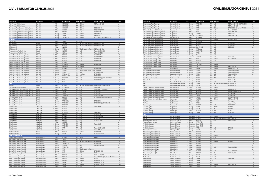| <b>OPERATOR</b>                               | <b>LOCATION</b>        | QTY                                    | <b>AIRCRAFT TYPE</b>  | <b>TYPE SIM OEM</b>                     | <b>VISUAL DISPLAY</b>                                    | <b>LEVEL</b> |
|-----------------------------------------------|------------------------|----------------------------------------|-----------------------|-----------------------------------------|----------------------------------------------------------|--------------|
| Asian Aviation Training Center                | Bangkok                | 4 ATR                                  | ATR 72-212A           | <b>FFS</b><br>L3Harris                  | RSi Raster XT4/200                                       | LD           |
| Asian Aviation Training Center                | Bangkok                | ATR<br>$\mathbf{1}$                    | ATR 72-212A           | <b>FTD</b><br>L3Harris                  |                                                          | L1           |
| Thai Airways Flight Simulator Training Center | Bangkok                | Airbus<br>$\mathbf{1}$                 | A300-600R             | L3Harris<br><b>FFS</b>                  | ESIG-3350/180                                            | LD           |
| Thai Airways Flight Simulator Training Center | Bangkok                | $\overline{2}$<br>Airbus               | A330/340              | <b>FFS</b><br>L3Harris                  | ESIG-3350GT/180                                          | LD           |
| Thai Airways Flight Simulator Training Center | Bangkok                | Airbus<br>$\mathbf{1}$                 | A380-800              | CAE<br><b>FFS</b>                       | EP-8000/200                                              | LD           |
| Thai Airways Flight Simulator Training Center | Bangkok                | Boeing<br>$\mathbf{1}$                 | 737-400               | L3Harris<br><b>FFS</b>                  | SPX550HT/150                                             | LD           |
| Thai Airways Flight Simulator Training Center | Bangkok                | $\mathbf{1}$<br>Boeing                 | 747-400               | L3Harris<br><b>FFS</b>                  | SPX550/150                                               | LD           |
| Thai Airways Flight Simulator Training Center | Bangkok                | $\overline{2}$<br>Boeing               | 777-200/300           | L3Harris<br><b>FFS</b>                  | ESIG-3350GT/180, EP-8000/200                             | LD           |
| <b>TURKEY</b>                                 |                        |                                        |                       |                                         |                                                          |              |
| CAE Pegasus                                   |                        | Boeing<br>1                            | 737NG                 | <b>FFS</b><br>CAE                       |                                                          |              |
| IFTC (Antalya)                                | Antalya                | Boeing<br>$\mathbf{1}$                 | 737-800W              | <b>FFS</b>                              | TRU Simulation + Training RSi Raster XT Flite            | LD           |
| IFTC (Istanbul)                               | Istanbul               | Airbus<br>$\mathbf{1}$<br>$\mathbf{1}$ | A320-200              | <b>FFS</b>                              | TRU Simulation + Training RSi Raster XT Flite            | LD<br>D      |
| IFTC (Istanbul)<br>IFTC (Istanbul)            | Istanbul<br>Istanbul   | Airbus<br>$\overline{2}$<br>Boeing     | A320-200<br>737-800W  | <b>FFS</b><br><b>FFS</b>                | TRU Simulation + Training RSi Raster XT Flite            | LD           |
| Pegasus Aviation Technologies                 | Kurtköy                | Airbus<br>$\mathbf{1}$                 | A320-200              | CAE<br><b>FFS</b>                       | Tropos 6200XR/200                                        | LD           |
| Pegasus Aviation Technologies                 | Kurtköy                | $\overline{2}$<br>Airbus               | A320neo               | CAE<br><b>FFS</b>                       | Tropos 6200/200                                          | LD           |
| Turkish Airlines Flight Training Centre       | Istanbul               | $\overline{2}$<br>Airbus               | A320-200              | CAE<br><b>FFS</b>                       | EP-8100/200                                              | LD           |
| Turkish Airlines Flight Training Centre       | Istanbul               | 3<br>Airbus                            | A320-200              | L3Harris<br><b>FFS</b>                  | EP-8100/1000CT                                           | LD           |
| Turkish Airlines Flight Training Centre       | Istanbul               | $\overline{2}$<br>Airbus               | A320neo               | CAE<br><b>FFS</b>                       | EP-8100/200                                              | LD           |
| Turkish Airlines Flight Training Centre       | Istanbul               | Airbus<br>$\mathbf{1}$                 | A330-200              | CAE<br><b>FFS</b>                       | EP-8100/200                                              | LD           |
| Turkish Airlines Flight Training Centre       | Istanbul               | 3<br>Airbus                            | A330-200              | FFS                                     |                                                          | LD           |
| Turkish Airlines Flight Training Centre       | Istanbul               | Airbus<br>$\mathbf{1}$                 | A330-200E             | <b>FFS</b><br>L3Harris                  | EP-8000/200                                              | LD           |
| Turkish Airlines Flight Training Centre       | Istanbul               | $\overline{2}$<br>Airbus               | A340-300E             | <b>FTD</b><br>L3Harris                  |                                                          | LD           |
| Turkish Airlines Flight Training Centre       | Istanbul               | Airbus<br>$\mathbf{1}$                 | A350-900              | <b>FFS</b><br>CAE                       | EP-8100/200                                              | LD           |
| Turkish Airlines Flight Training Centre       | Istanbul               | $\overline{c}$<br>Boeing               | 737 Max 8             | <b>FFS</b>                              | TRU Simulation + Training EP-8100/200                    | LD           |
| Turkish Airlines Flight Training Centre       | Istanbul               | 3<br>Boeing                            | 737-800               | CAE<br><b>FFS</b>                       | EP-1000CT/8000                                           | LD           |
| Turkish Airlines Flight Training Centre       | Istanbul               | Boeing<br>$\mathbf{1}$                 | 737-800W SFP          | Havelsan<br><b>FFS</b>                  | EP-8100/200                                              | LD           |
| Turkish Airlines Flight Training Centre       | Istanbul               | $\mathbf{1}$<br>Boeing                 | 737-800W SFP          | L3Harris<br><b>FFS</b>                  | EP-8100/200                                              | LD           |
| Turkish Airlines Flight Training Centre       | Istanbul               | 3<br>Boeing                            | 777-300ER             | <b>FFS</b><br>CAE                       | EP-8000/200 (2), EP-1000CT/200                           | LD           |
| Turkish Airlines Flight Training Centre       | Istanbul               | Boeing<br>$\mathbf{1}$                 | 787-9                 | CAE<br><b>FFS</b>                       | EP-8100/200                                              | LD           |
| Turkish Airlines Flight Training Centre       | Istanbul               | $\mathbf{1}$<br>Boeing                 | 787-9                 | FFS                                     |                                                          | LD           |
| <b>UAE</b><br>Air Arabia                      | Sharjah                | 2 Airbus                               | A320-200              | <b>FFS</b>                              | TRU Simulation + Training Simthetig/200, Rsi RasterFlite | LD           |
| CAE Abu Dhabi Training Centre                 | Abu Dhabi              | $\mathbf{1}$<br>Embraer                | ERJ-135/145           | <b>FFS</b><br>CAE                       | Tropos 6000XR                                            | LD           |
| CAE Dubai Silicon Oasis - Emirates-CAE FTC    | Dubai                  | $\overline{2}$<br>Airbus               | A320-200              | CAE<br><b>FFS</b>                       | Tropos R300, Tropos 6023                                 | LD           |
| CAE Dubai Silicon Oasis - Emirates-CAE FTC    | Dubai                  | 3<br>Boeing                            | 737-800               | CAE<br><b>FFS</b>                       | Tropos 6023                                              | LD           |
| CAE Dubai Silicon Oasis - Emirates-CAE FTC    | Dubai                  | $\mathbf{1}$<br>Boeing                 | 737 Max               | <b>FFS</b><br>CAE                       | Tropos 6023                                              | LD           |
| CAE Dubai Silicon Oasis - Emirates-CAE FTC    | Dubai                  | $\mathbf{1}$<br>Boeing                 | 777-200ER             | CAE<br><b>FFS</b>                       | Tropos R300/200                                          | LD           |
| <b>Emirates Training Center</b>               | Dubai                  | $\overline{4}$<br>Airbus               | A380-800              | <b>FFS</b><br>CAE                       | EP-8000/200 (3), Tropos 6220/200                         | LD           |
| <b>Emirates Training Center</b>               | Dubai                  | Airbus<br>$\mathbf{1}$                 | A380-800              | CAE<br><b>FTD</b>                       |                                                          | L1           |
| <b>Emirates Training Center</b>               | Dubai                  | $\mathbf{1}$<br>Boeing                 | 777-200 IGW           | <b>FFS</b><br>CAE                       | EP-8000/180                                              | LDG          |
| <b>Emirates Training Center</b>               | Dubai                  | 5<br>Boeing                            | 777-300ER             | CAE<br><b>FFS</b>                       | EP-8000/200 (4), EP-8000/180                             | LD           |
| <b>Emirates Training Center</b>               | Dubai                  | $\mathbf{1}$<br>Boeing                 | 777-300ER             | <b>FTD</b><br>CAE                       |                                                          | L1           |
| Etihad Airways                                | Abu Dhabi              | 3<br>Airbus                            | A320-200              | CAE<br><b>FFS</b>                       | Tropos 6221                                              | LD           |
| Etihad Airways                                | Abu Dhabi              | $\overline{2}$<br>Airbus               | A320-200              | CAE<br><b>FTD</b>                       |                                                          | L1           |
| Etihad Airways                                | Abu Dhabi              | $\mathbf{1}$<br>Airbus                 | A330-200              | <b>FTD</b><br>CAE                       |                                                          | L1           |
| Etihad Airways                                | Abu Dhabi              | $\mathbf{1}$<br>Airbus                 | A330-200E             | <b>FFS</b><br>CAE                       | Tropos 6222                                              | LD           |
| Etihad Airways                                | Abu Dhabi              | Airbus<br>$\mathbf{1}$                 | A340-600              | CAE<br><b>FFS</b>                       | Tropos 6222                                              | LD           |
| Etihad Airways                                | Abu Dhabi              | Airbus<br>$\mathbf{1}$                 | A350-900              | <b>FFS</b><br>CAE                       | Tropos 6023/200                                          | LD           |
| Etihad Airways                                | Abu Dhabi              | $\mathbf{1}$<br>Airbus                 | A350-900              | CAE<br><b>FTD</b>                       | Tropos 6000                                              | L1           |
| Etihad Airways                                | Abu Dhabi              | Airbus<br>$\mathbf{1}$<br>$\mathbf{1}$ | A380-800              | <b>FFS</b><br>CAE                       | Tropos 6222 XR 2                                         | LD<br>L1     |
| Etihad Airways<br>Etihad Airways              | Abu Dhabi<br>Abu Dhabi | Airbus<br>$\overline{2}$<br>Boeing     | A380-800<br>777-300ER | <b>FTD</b><br>CAE<br><b>FFS</b><br>CAE  |                                                          | LD           |
| Etihad Airways                                | Abu Dhabi              | Boeing<br>$\mathbf{1}$                 | 777-300ER             | <b>FTD</b><br>CAE                       | Tropos 6221                                              | L1           |
| Etihad Airways                                | Abu Dhabi              | 3<br>Boeing                            | 787-9                 | CAE<br>FFS                              | Tropos 6000 XR/200                                       | LD           |
| Etihad Airways                                | Abu Dhabi              | $\overline{2}$<br>Boeing               | 787-9                 | CAE<br><b>FTD</b>                       | Tropos 6000XR                                            | L1           |
| Pier Seven Aviation FZC                       | Sharjah                | Airbus<br>$\mathbf{1}$                 | A320-200              | FFS<br>L3Harris                         | EP-1000/180                                              | LD           |
| Pier Seven Aviation FZC                       | Sharjah                | $\mathbf{1}$<br>Boeing                 | 737-300               | FFS<br>FSI                              | RSi Raster XT/180                                        | LCG          |
| <b>UNITED KINGDOM</b>                         |                        |                                        |                       |                                         |                                                          |              |
| Avion IAGO Flight Training                    | London Gatwick         | 1 Airbus                               | A320-200              | <b>FFS</b><br>Avion                     | RSI xt5                                                  | LD           |
| Boeing Flight Services (Gatwick)              | London Gatwick         | $\mathbf{1}$<br>Boeing                 | 737 Max 8             | CAE<br><b>FFS</b>                       |                                                          | D            |
| Boeing Flight Services (Gatwick)              | London Gatwick         | $\sqrt{2}$<br>Boeing                   | 737 Max 8             | <b>FFS</b><br>TRU Simulation + Training | EP-8100/200                                              | LD           |
| Boeing Flight Services (Gatwick)              | London Gatwick         | $\mathbf{1}$<br>Boeing                 | 737-700/800           | <b>FFS</b><br><b>FSI</b>                | EP-8000/180                                              | LD           |
| Boeing Flight Services (Gatwick)              | London Gatwick         | 1<br>Boeing                            | 737-800W              | <b>MPS</b><br><b>FTD</b>                | RSi Raster XT/200                                        | L2           |
| Boeing Flight Services (Gatwick)              | London Gatwick         | $\mathbf{1}$<br>Boeing                 | 777-200/300           | CAE<br><b>FFS</b>                       |                                                          | LD           |
| Boeing Flight Services (Gatwick)              | London Gatwick         | $\overline{c}$<br>Boeing               | 777X                  | <b>FFS</b><br>TRU Simulation + Training |                                                          |              |
| Boeing Flight Services (Gatwick)              | London Gatwick         | 4<br>Boeing                            | 787-9                 | <b>FFS</b><br>L3Harris                  | EP-8100CT/200                                            | LD           |
| Boeing Flight Services (Gatwick)              | London Gatwick         | 3<br>Boeing                            | 787-9                 | L3Harris<br><b>FTD</b>                  | EP-80                                                    | L1           |
| British Airways Flight Training               | London Heathrow        | Airbus<br>$\mathbf{1}$                 | A320-200              | CAE<br><b>FFS</b>                       | RSi Raster XT/200                                        | LD           |
| British Airways Flight Training               | London Heathrow        | 3 Airbus                               | A320-200              | L3Harris<br><b>FFS</b>                  | ESIG-3350/180 (2), RSi Raster XT4/200                    | LD           |
| British Airways Flight Training               | London Heathrow        | $\mathbf{1}$<br>Airbus                 | A350-900              | L3Harris<br><b>FFS</b>                  | <b>RS200</b>                                             | LD           |
| British Airways Flight Training               | London Heathrow        | Airbus<br>1                            | A380-800              | L3Harris<br><b>FFS</b>                  | RSi Raster XT4/200                                       | LD           |
| British Airways Flight Training               | London Heathrow        | $\overline{2}$<br>Boeing               | 747-400               | <b>FFS</b><br>CAE                       | RSi Raster XT4/150                                       | LCG          |
| British Airways Flight Training               | London Heathrow        | $\mathbf{1}$<br>Boeing                 | 747-400               | L3Harris<br><b>FFS</b>                  | Rsi Raster XT4/150                                       | LDG          |
| British Airways Flight Training               | London Heathrow        | $\mathbf{1}$<br>Boeing                 | 777-200               | CAE<br><b>FTD</b>                       |                                                          | $L^2$        |

| <b>OPERATOR</b>                                                          | <b>LOCATION</b>                                              | OTY                          |                     | <b>AIRCRAFT TYPE</b>       |                          | <b>TYPE SIM OEM</b>                     | <b>VISUAL DISPLAY</b>               | <b>LEVEL</b> |
|--------------------------------------------------------------------------|--------------------------------------------------------------|------------------------------|---------------------|----------------------------|--------------------------|-----------------------------------------|-------------------------------------|--------------|
| British Airways Flight Training                                          | London Heathrow                                              |                              | 3 Boeing            | 777-200ER                  | <b>FFS</b>               | CAE                                     | RSi Raster XT4/180 (2), EP-1000/150 | LD           |
| British Airways Flight Training                                          | London Heathrow                                              | $\mathbf{1}$                 | Boeing              | 787-8                      | <b>FFS</b>               | CAE                                     | RSi Raster XT4/200                  | LD           |
| British Airways Flight Training                                          | London Heathrow                                              | $\overline{2}$               | Boeing              | 787-9                      | <b>FFS</b>               | L3Harris                                | EP-8000/200, RSi Raster XT5/200     | LD           |
| CAE London Burgess Hill Training Center                                  | <b>Burgess Hill</b>                                          | $\overline{1}$               | Airbus              | A320                       | <b>FFS</b>               | CAE                                     | Tropos 6000/200                     | LD           |
| CAE London Burgess Hill Training Center                                  | <b>Burgess Hill</b>                                          | $\mathbf{1}$                 | Airbus              | A320                       | <b>FFS</b>               | CAE                                     | Tropos 6000/180                     | LD           |
| CAE London Burgess Hill Training Center                                  | <b>Burgess Hill</b>                                          | $\mathbf{1}$                 | Boeing              | 747-400/8                  | <b>FFS</b>               | CAE                                     | SPX500/180                          | LD           |
| CAE London Burgess Hill Training Center                                  | <b>Burgess Hill</b>                                          | $\mathbf{1}$                 | Embraer             | ERJ-135/145                | FFS                      | CAE                                     | <b>Tropos R300/180</b>              | LD           |
| CAE London Gatwick Training Centre                                       | London Gatwick                                               | 5                            | Airbus              | A320 family                | FFS                      | CAE                                     |                                     | LD           |
| CAE London Gatwick Training Centre                                       | London Gatwick                                               | $\mathbf{1}$                 | Airbus              | A320                       | <b>FFS</b>               | L3Harris                                | EP-1000CT/200                       | LD           |
| CAE London Gatwick Training Centre                                       | London Gatwick                                               | $\mathbf{1}$                 | Airbus              | A320 family                | FFS                      |                                         |                                     | LD           |
| CAE London Gatwick Training Centre                                       | London Gatwick                                               | $\mathbf{1}$                 | Airbus              | A330-200                   | <b>FFS</b>               | CAE                                     | Tropos 6023                         | LD           |
| CAE London Gatwick Training Centre                                       | London Gatwick                                               | $\mathbf{1}$                 | Airbus              | A350                       | <b>FFS</b>               | CAE                                     | Tropos 6023                         | LD           |
| CAE London Gatwick Training Centre                                       | London Gatwick                                               | $\mathbf{1}$<br>$\mathbf{1}$ |                     | BAE Systems BAe 146-200    | FFS<br>FFS               | CAE<br>CAE                              | <b>ESIG-3350</b>                    | LD           |
| CAE London Gatwick Training Centre<br>CAE London Gatwick Training Centre | London Gatwick<br>London Gatwick                             | $\overline{c}$               | Boeing<br>Boeing    | 737 Classic<br>737-700/800 | <b>FFS</b>               | CAE                                     |                                     |              |
| CAE London Gatwick Training Centre                                       | London Gatwick                                               | $\mathbf{1}$                 | Boeing              | 767-300                    | FFS                      | CAE                                     |                                     |              |
| CAE London Gatwick Training Centre                                       | London Gatwick                                               | $\mathbf{1}$                 | Boeing              | 787                        | FFS                      | CAE                                     |                                     | LD           |
| CAE London Gatwick Training Centre                                       | London Gatwick                                               | $\mathbf{1}$                 | Embraer             | E-170/190                  | <b>FFS</b>               | CAE                                     | Tropos/180                          | LD           |
| CAE Manchester Training Centre                                           | Manchester                                                   | $\mathbf{1}$                 | Airbus              | A320                       | FFS                      | L3Harris                                | ESIG-3350/180                       | LD           |
| CAE Manchester Training Centre                                           | Manchester                                                   | $\mathbf{1}$                 | Airbus              | A320-200                   | FFS                      | CAE                                     |                                     | LD           |
| CAE Manchester Training Centre                                           | Manchester                                                   | $\mathbf{1}$                 | Airbus              | A330                       | FFS                      |                                         |                                     | LD           |
| CAE Manchester Training Centre                                           | Manchester                                                   | $\mathbf{1}$                 | Boeing              | 737 Classic                | <b>FFS</b>               | L3Harris                                |                                     |              |
| CAE Manchester Training Centre                                           | Manchester                                                   | $\mathbf{1}$                 | Boeing              | 757                        | <b>FFS</b>               | L3Harris                                | ESIG-3250/150                       | LB/C         |
| Cardiff Aviation                                                         | Cardiff Rhoose                                               | $\mathbf{1}$                 | Boeing              | 747-400                    | <b>FFS</b>               | L3Harris                                | RSi Raster XT5/150                  | LCG          |
| East Midlands Training (Ryanair)                                         | London Stansted                                              | 6                            | Boeing              | 737-800                    | FFS                      | CAE                                     | Tropos 6000XR/6200                  | LD           |
| East Midlands Training (Ryanair)                                         | London Stansted                                              | 3                            | Boeing              | 737 Max 8                  | FFS                      | CAE                                     | Tropos 6000XR/200                   | LD           |
| East Midlands Training (Ryanair)                                         | East Midlands Airport                                        | $\mathbf{1}$                 | Boeing              | 737-800                    | <b>FFS</b>               | CAE                                     | Tropos 6200/180                     | LB           |
| East Midlands Training (Ryanair)                                         | London Stansted                                              | 3                            | Boeing              | 737-800                    | <b>FTD</b>               | <b>MPS</b>                              | RSi Raster XT4                      | L1           |
| East Midlands Training (Ryanair)                                         | East Midlands Airport                                        | $\overline{2}$               | Boeing              | 737-800                    | <b>FTD</b>               | <b>MPS</b>                              | RSi XT4/200                         | L2           |
| Jet Masterclass                                                          | London Gatwick                                               | $\mathbf{1}$                 | Boeing              | 737-800                    | <b>FTD</b>               |                                         | RSi Raster XT                       | L1           |
| Jet2<br>Jet2                                                             | Leeds Bradford Int'l airport<br>Leeds Bradford Int'l airport | $\overline{1}$               | Boeing              | 737-800<br>737-800         | <b>FFS</b><br><b>FFS</b> | L3Harris<br>TRU Simulation + Training   | RSi Raster XT5<br>RSi Raster XT4    | LD<br>LD     |
| Jet2                                                                     | Leeds Bradford Int'l airport                                 | $\mathbf{1}$<br>$\mathbf{1}$ | Boeing              | 757-200                    | <b>FFS</b>               | CAE                                     | RSi Raster XT4                      | LCG          |
| L3Harris Commercial Aviation (London)                                    | London Gatwick                                               | $\overline{2}$               | Boeing<br>Airbus    | A320-200                   | <b>FFS</b>               | L3Harris                                |                                     | LD           |
| L3Harris Commercial Aviation (London)                                    | London Gatwick                                               | $\mathbf{1}$                 | Airbus              | A320-200                   | FFS                      | <b>LMCFT</b>                            | RSi Raster XT4                      | LD           |
| L3Harris Commercial Aviation (London)                                    | London Gatwick                                               | $\mathbf{1}$                 | Airbus              | A320-200                   | <b>FTD</b>               | L3Harris                                | RSi Raster XT4 Lite/200             | L1           |
| L3Harris Commercial Aviation (London)                                    | London Gatwick                                               | $\mathbf{1}$                 | Airbus              | A330-200                   | <b>FFS</b>               | L3Harris                                | Epic 88 XT5                         | LD           |
| L3Harris Commercial Aviation (London)                                    | London Gatwick                                               | $\mathbf{1}$                 | Boeing              | 737-700                    | <b>FTD</b>               | L3Harris                                | RSi Raster XT                       | L2           |
| L3Harris Commercial Aviation (London)                                    | London Gatwick                                               | $\overline{c}$               | Boeing              | 737-800                    | <b>FFS</b>               | L3Harris                                | RSi Raster XT5/200                  | LD           |
| L3Harris Commercial Aviation (Southampton)                               | Southampton                                                  | $\mathbf{1}$                 | Airbus              | A320-200                   | <b>FFS</b>               | L3Harris                                | RSi Raster XT4/180                  | LD           |
| PMFlight                                                                 | Redhill Airport                                              | $\mathbf{1}$                 | Airbus              | A320                       | <b>FTD</b>               |                                         | 160 degree                          |              |
| PMFlight                                                                 | Redhill Airport                                              | $\mathbf{1}$                 | Boeing              | 737-800                    | <b>FTD</b>               |                                         | 4 channel Vital                     | LD           |
| Quadrant Systems                                                         | <b>Burgess Hill</b>                                          | $\mathbf{1}$                 | Airbus              | A320-200                   | <b>FFS</b>               | CAE                                     | EP-1000/180                         | LD           |
| Quadrant Systems                                                         | <b>Burgess Hill</b>                                          | $\mathbf{1}$                 | Boeing              | 737-800                    | <b>FFS</b>               | <b>LMCFT</b>                            | EP-8000                             | LD           |
| Quadrant Systems                                                         | <b>Burgess Hill</b>                                          | $\mathbf{1}$                 | Boeing              | 757-200                    | <b>FFS</b>               | FSI                                     | EP-1000                             | LD           |
| VA Airline Training                                                      | Cambridge                                                    | $\mathbf{1}$                 | Airbus              | A320-200                   | <b>FTD</b>               | <b>MPS</b>                              | RSI XT5                             | L1           |
| VA Airline Training                                                      | Cambridge                                                    | $\mathbf{1}$                 | Boeing              | 737-800                    | <b>FTD</b>               | <b>MPS</b>                              | <b>RSi XT4/200</b>                  | L1           |
| <b>USA</b><br>ABX Air                                                    | Wilmington, Ohio                                             |                              | 1 M Douglas DC-8-62 |                            | <b>FTD</b>               | L3Harris                                | SP1/4w                              | LB           |
| ABX Air                                                                  | Wilmington, Ohio                                             | $\mathbf{1}$                 | M Douglas DC-9-30   |                            | <b>FFS</b>               | TRU Simulation + Training ESIG-3350/180 |                                     | LC           |
| AeroStar Training Services                                               | Kissimmee, Florida                                           | $\mathbf{1}$                 | Airbus              | A320-232                   | <b>FFS</b>               | CAE                                     | Maxvue+/180                         | LD           |
| AeroStar Training Services                                               | Kissimmee, Florida                                           | $\overline{2}$               | Boeing              | 737-700/800                | <b>FFS</b>               |                                         |                                     | LD           |
| Air Training Support                                                     | Denver, Colorado                                             | $\mathbf{1}$                 |                     | Beechcraft Beech 1900D     | <b>FFS</b>               |                                         |                                     | LD           |
| Air Training Support                                                     | Denver, Colorado                                             | $\overline{2}$               |                     | Beechcraft Beech 1900D     | <b>FTD</b>               |                                         |                                     | LC           |
| Air Training Support                                                     | Denver, Colorado                                             | $\mathbf{1}$                 | Boeing              | 747-200                    | <b>FFS</b>               | CAE                                     | EP-1000                             | LC           |
| Airborne Training Services                                               | Wilmington, Ohio                                             | $\mathbf{1}$                 | Boeing              | 767-200                    | <b>FFS</b>               | CAE                                     | SP3/4w                              | LC           |
| Airbus Training Centre (Denver)                                          | Denver, Colorado                                             | 1                            | Airbus              | A320-200                   | <b>FFS</b>               | <b>FSI</b>                              |                                     | LD           |
| Airbus Training Centre (Denver)                                          | Denver, Colorado                                             | $\overline{2}$               | Airbus              | A320-200                   | FFS                      |                                         |                                     | LD           |
| Airbus Training Centre (Denver)                                          | Denver, Colorado                                             | $\mathbf{1}$                 | Airbus              | A320neo                    | <b>FFS</b>               | L3Harris                                |                                     | LD           |
| Airbus Training Centre (Miami)                                           | Miami, Florida                                               | $\overline{c}$               | Airbus              | A320-200                   | <b>FFS</b>               | CAE                                     |                                     | LD           |
| Airbus Training Centre (Miami)                                           | Miami, Florida                                               |                              | 2 Airbus            | A320-200                   | <b>FFS</b>               | FSI                                     |                                     | LD           |
| Airbus Training Centre (Miami)                                           | Miami, Florida                                               |                              | 3 Airbus            | A320-200                   | FFS                      | L3Harris                                | EP-8000CT                           | LD           |
| Airbus Training Centre (Miami)                                           | Miami, Florida                                               | $\overline{2}$               | Airbus              | A320-200                   | FFS                      |                                         |                                     | LD           |
| Airbus Training Centre (Miami)                                           | Miami, Florida                                               |                              | 3 Airbus            | A320-200                   | <b>FTD</b>               |                                         |                                     | L4           |
| Airbus Training Centre (Miami)                                           | Miami, Florida                                               | $\mathbf{1}$                 | Airbus              | A330-200                   | FFS                      | CAE                                     | Tropos 6000/200                     | LD           |
| Airbus Training Centre (Miami)                                           | Miami, Florida                                               | $\overline{2}$               | Airbus              | A330-200                   | <b>FTD</b>               |                                         |                                     | L4           |
| Airbus Training Centre (Miami)                                           | Miami, Florida                                               | $\mathbf{1}$                 | Airbus              | A340-300                   | <b>FFS</b>               | CAE                                     | Tropos 6000/200                     | LD           |
| Airbus Training Centre (Miami)                                           | Miami, Florida                                               | $\mathbf{1}$                 | Airbus              | A350-900                   | <b>FFS</b>               | FSI                                     | Vital 1100/200                      | LD           |
| Alaska Airlines<br>Alaska Airlines                                       | Seattle, Washington<br>Seattle, Washington                   | $\mathbf{1}$<br>$\mathbf{1}$ | Boeing              | 737-700<br>737-700         | <b>FFS</b><br><b>FTD</b> | L3Harris<br>L3Harris                    |                                     | LD<br>L5     |
| Alaska Airlines                                                          | Seattle, Washington                                          | $\mathbf{1}$                 | Boeing<br>Boeing    | 737-800                    | FFS                      | CAE                                     | Tropos 6000                         | LD           |
| Alaska Airlines                                                          | Seattle, Washington                                          | $\mathbf{1}$                 | Boeing              | 737-800                    | <b>FTD</b>               |                                         |                                     | L5           |
| Alaska Airlines                                                          | Seattle, Washington                                          | $\overline{2}$               | Boeing              | 737-900                    | <b>FFS</b>               |                                         |                                     | LD           |
| Alaska Airlines                                                          | Seattle, Washington                                          | $\mathbf{1}$                 | Boeing              | 737NG                      | <b>FFS</b>               | L3Harris                                | ESIG-3800/180                       | LD           |
| Alaska Airlines                                                          | Seattle, Washington                                          | 1                            | Boeing              | 737 Max 9                  | <b>FFS</b>               | CAE                                     |                                     | LD           |
|                                                                          |                                                              |                              |                     |                            |                          |                                         |                                     |              |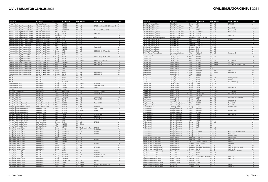| <b>OPERATOR</b>                              | <b>LOCATION</b>           | OTY            |                   | <b>AIRCRAFT TYPE</b>  |            | <b>TYPE SIM OEM</b>               | <b>VISUAL DISPLAY</b>                  | <b>LEVEL</b>   |
|----------------------------------------------|---------------------------|----------------|-------------------|-----------------------|------------|-----------------------------------|----------------------------------------|----------------|
| Allegiant Airlines                           | Las Vegas, Nevada         |                | 1 Airbus          | A320-200              | FFS        |                                   |                                        | LD             |
| American Airlines Flight Academy (Charlotte) | Charlotte, North Carolina | 4              | Airbus            | A320-200              | <b>FFS</b> | CAE                               | SPX200/4w, Tropos 6000 (2), Maxvue+180 | LD             |
| American Airlines Flight Academy (Charlotte) | Charlotte, North Carolina |                | 2 Airbus          | A320-232              | <b>FTD</b> | CAE                               |                                        | L4             |
| American Airlines Flight Academy (Charlotte) | Charlotte, North Carolina | $\overline{2}$ | Airbus            | A330-223/323          | <b>FFS</b> | CAE                               | Maxvue+/180, Tropos 6000               | LD             |
| American Airlines Flight Academy (Charlotte) | Charlotte, North Carolina |                | 3 Airbus          | A330-243              | <b>FTD</b> | CAE                               |                                        | L4             |
| American Airlines Flight Academy (Charlotte) | Charlotte, North Carolina | $\mathbf{1}$   | Boeing            | 757-200               | <b>FFS</b> | CAE                               | Vital IV/4w                            | LC             |
| American Airlines Flight Academy (Charlotte) | Charlotte, North Carolina | $\overline{1}$ | Bombardier CRJ900 |                       | FFS        | CAE                               |                                        | LD             |
| American Airlines Flight Academy (Charlotte) | Charlotte, North Carolina | $\mathbf{1}$   | Embraer           | $E-170$               | <b>FFS</b> | CAE                               | Maxvue                                 | LD             |
| American Airlines Flight Academy (Charlotte) | Charlotte, North Carolina | $\overline{2}$ | Embraer           | E-190                 | <b>FTD</b> | CAE                               |                                        | L4             |
| American Airlines Flight Academy (Charlotte) | Charlotte, North Carolina | $\overline{1}$ | Embraer           | ERJ-145               | <b>FFS</b> | CAE                               |                                        | LD             |
| American Airlines Flight Academy (Dallas)    | Dallas/Fort Worth, Texas  | 6              | Airbus            | A320-200              | FFS        | CAE                               |                                        | LD             |
|                                              |                           |                |                   |                       |            |                                   |                                        | LD             |
| American Airlines Flight Academy (Dallas)    | Dallas/Fort Worth, Texas  | $\overline{2}$ | Airbus            | A320-200              | FFS        |                                   |                                        |                |
| American Airlines Flight Academy (Dallas)    | Dallas/Fort Worth, Texas  | $\overline{1}$ | Airbus            | A320-232              | FFS        | CAE                               | Tropos 6000                            | LD             |
| American Airlines Flight Academy (Dallas)    | Dallas/Fort Worth, Texas  | $\overline{4}$ | Airbus            | A320-232              | FTD        | CAE                               |                                        | L4             |
| American Airlines Flight Academy (Dallas)    | Dallas/Fort Worth, Texas  | $\overline{7}$ | Boeing            | 737-800               | <b>FFS</b> | CAE                               | ESIG-3350/180 (4), Tropos (1)          | LD             |
| American Airlines Flight Academy (Dallas)    | Dallas/Fort Worth, Texas  | $\overline{1}$ | Boeing            | 737-800               | <b>FFS</b> |                                   |                                        | LD             |
| American Airlines Flight Academy (Dallas)    | Dallas/Fort Worth, Texas  | 1              | Boeing            | 737 Max 8             | <b>FFS</b> | CAE                               |                                        | D              |
| American Airlines Flight Academy (Dallas)    | Dallas/Fort Worth, Texas  | $\overline{c}$ | Boeing            | 757-200               | <b>FFS</b> | CAE                               | SPX200T/150, SPX500HT/150              | LD             |
| American Airlines Flight Academy (Dallas)    | Dallas/Fort Worth, Texas  | $\overline{1}$ | Boeing            | 757-200               | <b>FTD</b> | CAE                               |                                        | L5             |
| American Airlines Flight Academy (Dallas)    | Dallas/Fort Worth, Texas  | $\mathbf{1}$   | Boeing            | 767-200               | <b>FFS</b> | L3Harris                          | SP1/4w, ESIG-3350/4W                   | LC             |
| American Airlines Flight Academy (Dallas)    | Dallas/Fort Worth, Texas  | $\mathbf{1}$   | Boeing            | 767-300ER             | FFS        | CAE                               | ESIG-3350/180                          | LD             |
| American Airlines Flight Academy (Dallas)    | Dallas/Fort Worth, Texas  | 3              | Boeing            | 777-200               | FFS        | CAE                               | ESIG-3350/180                          | LD             |
| American Airlines Flight Academy (Dallas)    | Dallas/Fort Worth, Texas  | 1              | Boeing            | 777-300ER             | <b>FFS</b> | CAE                               |                                        | LD             |
| American Airlines Flight Academy (Dallas)    | Dallas/Fort Worth, Texas  | $\overline{c}$ | Boeing            | 787-8                 | <b>FFS</b> | CAE                               |                                        | LD             |
| American Airlines Flight Academy (Dallas)    | Dallas/Fort Worth, Texas  | 3              | Boeing            | 787-9                 | FFS        |                                   |                                        | LD             |
| American Airlines Flight Academy (Dallas)    | Dallas/Fort Worth, Texas  | $\mathbf{1}$   | Boeing            | MD-82                 | <b>FFS</b> | CAE                               | ESIG-3350/4w                           | LD             |
| American Airlines Flight Academy (Dallas)    | Dallas/Fort Worth, Texas  | $\overline{2}$ | Embraer           | ERJ-145               | <b>FFS</b> | CAE                               | ESIG-3350/180                          | LD             |
| Atlas Air                                    | Miami, Florida            | $\mathbf{1}$   | Boeing            | 747-400               | <b>FTD</b> | CAE                               |                                        | L4             |
| Atlas Air                                    | Miami, Florida            | $\mathbf{1}$   | Boeing            | 747-400               | <b>FTD</b> | L3Harris                          |                                        | L5             |
| Atlas Air                                    | Miami, Florida            | $\mathbf{1}$   | Boeing            | 747-8                 | <b>FTD</b> | CAE                               |                                        | L4             |
| Atlas Air                                    | Miami, Florida            | $\mathbf{1}$   | Boeing            | 767-300ER             | <b>FTD</b> |                                   |                                        | L4             |
| Atlas Air/PanAm (Miami)                      | Miami, Florida            | $\mathbf{1}$   | Boeing            | 747-200               | <b>FFS</b> | L3Harris                          | RSi Raster XT                          | LC             |
| Atlas Air/PanAm (Miami)                      | Miami, Florida            | $\mathbf{1}$   | Boeing            | 747-400               | <b>FFS</b> | CAE                               | Tropos 6000/Lcos                       | LC             |
| Atlas Air/PanAm (Miami)                      | Miami, Florida            | $\mathbf{1}$   | Boeing            | 747-400F              | <b>FFS</b> | L3Harris                          | Tropos                                 | LD             |
| ATP Jets                                     | Dallas, Texas             | 5              |                   | Bombardier CRJ100/200 | <b>FTD</b> |                                   |                                        | L4             |
| ATR Training Center (Miami)                  | Miami, Florida            | $\mathbf{1}$   | <b>ATR</b>        | ATR 72-212A           | <b>FFS</b> | CAE                               | Tropos 6220XR/200                      | LD             |
| Avenger Flight Group                         | Dallas, Texas             | $\overline{2}$ | Boeing            | 767-300ER             | <b>FFS</b> | CAE                               | Tropos 6000XR                          | LD             |
| Avenger Flight Group                         | Dallas, Texas             | $\mathbf{1}$   | Boeing            | 767-300ER             | <b>FTD</b> |                                   |                                        | L4             |
| Avenger Flight Group                         | Dallas, Texas             | $\mathbf{1}$   | Boeing            | 777-300ER             | <b>FFS</b> | CAE                               | Tropos 6000XR                          | LD             |
| Avenger Flight Group                         | Dallas, Texas             | $\overline{1}$ | Embraer           | ERJ-145               | FFS        | CAE                               | Tropos 6000XR                          | LD             |
| Avenger Flight Group                         | Dallas, Texas             | $\mathbf{1}$   | Embraer           | <b>ERJ-145</b>        | <b>FTD</b> | CAE                               |                                        | L4             |
| Avenger Flight Group (Fort Lauderdale)       | Fort Lauderdale, Florida  | $\overline{2}$ | Airbus            | A320-200              | <b>FFS</b> | CAE                               | Tropos 6000XR                          | LD             |
| Avenger Flight Group (Fort Lauderdale)       | Fort Lauderdale, Florida  | 2              | Airbus            | A320-200              | <b>FFS</b> | L3Harris                          |                                        | LD             |
| Avenger Flight Group (Fort Lauderdale)       | Fort Lauderdale, Florida  | $\mathbf{1}$   | Airbus            | A320-200              | <b>FTD</b> | <b>MPS</b>                        | Raster XT5                             | L <sub>5</sub> |
|                                              |                           | $\overline{2}$ |                   | A320-200              | <b>FFS</b> | CAE                               |                                        | LD             |
| Avenger Flight Group (Fort Worth)            | Fort Worth, Texas         | $\mathbf{1}$   | Airbus            |                       |            | <b>LMCFT</b>                      | Tropos 6000XR<br>EP-8000               | L <sub>5</sub> |
| Avenger Flight Group (Fort Worth)            | Fort Worth, Texas         |                | Airbus            | A320-200              | <b>FTD</b> |                                   |                                        |                |
| Avenger Flight Group (Fort Worth)            | Fort Worth, Texas         | $\mathbf{1}$   | Airbus            | A320-200              | FFS        |                                   |                                        | LD             |
| Avenger Flight Group (Fort Worth)            | Fort Worth, Texas         | $\overline{2}$ | Boeing            | 737-800               | <b>FFS</b> | CAE                               | Tropos 6000XR                          | LD             |
| Avenger Flight Group (Fort Worth)            | Fort Worth, Texas         | $\mathbf{1}$   | Boeing            | 737-800               | <b>FTD</b> | <b>MPS</b>                        | Raster XT4                             | L <sub>5</sub> |
| Avenger Flight Group (Fort Worth)            | Fort Worth, Texas         | $\mathbf{1}$   | Boeing            | 787-9                 | <b>FFS</b> | CAE                               | Tropos 6000XR                          | LD             |
| Avenger Flight Group (Fort Worth)            | Fort Worth, Texas         |                | Boeing            | 787-9                 | <b>FTD</b> |                                   |                                        | L <sub>5</sub> |
| Avenger Flight Group (Fort Worth)            | Fort Worth, Texas         | $\mathbf{1}$   | Embraer           | $E-170$               | <b>FFS</b> | CAE                               | EP-8000                                | LD             |
| Avenger Flight Group (Las Vegas)             | Las Vegas, Nevada         | 1              | Airbus            | A320-200              | <b>FFS</b> | L3Harris                          |                                        | LD             |
| Avenger Flight Group (Las Vegas)             | Las Vegas, Nevada         | $\overline{2}$ | Airbus            | A320-200              | FFS        |                                   |                                        | LD             |
| Boeing Flight Services (Miami)               | Miami, Florida            | 3              | Boeing            | 737 Max 8             | <b>FFS</b> | TRU Simulation + Training EP-8100 |                                        | LD             |
| Boeing Flight Services (Miami)               | Miami, Florida            | $\mathbf{1}$   | Boeing            | 737-300               |            | FFS FSI                           | EP-1000/4W                             | LC             |
| Boeing Flight Services (Miami)               | Miami, Florida            | $\overline{4}$ | Boeing            | 737-700/800           | <b>FFS</b> | CAE                               | EP-8000                                | LD             |
| Boeing Flight Services (Miami)               | Miami, Florida            |                | Boeing            | 737-700/800           | <b>FFS</b> | <b>FSI</b>                        | EP-8000                                | LD             |
| Boeing Flight Services (Miami)               | Miami, Florida            | 1              | Boeing            | 737-800               | FFS        |                                   |                                        | LD             |
| Boeing Flight Services (Miami)               | Miami, Florida            |                | Boeing            | 747-400               | <b>FFS</b> | CAE                               |                                        | LD             |
| Boeing Flight Services (Miami)               | Miami, Florida            | $\mathbf{1}$   | Boeing            | 747-400F              | <b>FFS</b> | CAE                               | EP-1000CT                              | LD             |
| Boeing Flight Services (Miami)               | Miami, Florida            | $\mathbf{1}$   | Boeing            | 747-400F              | FTD        | CAE                               |                                        | L4             |
| Boeing Flight Services (Miami)               | Miami, Florida            |                | Boeing            | 747-8                 | <b>FFS</b> | CAE                               | EP-1000CT                              | LD             |
| Boeing Flight Services (Miami)               | Miami, Florida            | $\overline{1}$ | Boeing            | 747-8                 | <b>FTD</b> | CAE                               |                                        | L4             |
| Boeing Flight Services (Miami)               | Miami, Florida            | 1              | Boeing            | 747-8F                | <b>FFS</b> | CAE                               | EP-1000CT                              | LD             |
| Boeing Flight Services (Miami)               | Miami, Florida            |                | Boeing            | 747-8F                | <b>FTD</b> |                                   |                                        | L4             |
| Boeing Flight Services (Miami)               | Miami, Florida            | $\mathbf{1}$   | Boeing            | 757-200               | <b>FFS</b> | CAE                               | Vital VIII                             | LD             |
| Boeing Flight Services (Miami)               | Miami, Florida            | $\mathbf{1}$   | Boeing            | 757-200               | <b>FFS</b> | FSI                               | EP-1000CT                              | LC             |
| Boeing Flight Services (Miami)               | Miami, Florida            | $\overline{c}$ | Boeing            | 767-300ER             | <b>FFS</b> | CAE                               | EP-1000CT, Vital VIII                  | LC             |
| Boeing Flight Services (Miami)               | Miami, Florida            | $\overline{1}$ | Boeing            | 767-300ER             | <b>FFS</b> | <b>FSI</b>                        | EP-1000CT/4W                           | LC             |
| Boeing Flight Services (Miami)               | Miami, Florida            | 1              | Boeing            | 767-300ER             | <b>FFS</b> |                                   |                                        | LD             |
| Boeing Flight Services (Miami)               | Miami, Florida            | $\overline{c}$ | Boeing            | 777-200/300ER         | <b>FFS</b> | CAE                               | EP-1000CT                              | LD             |
| Boeing Flight Services (Miami)               | Miami, Florida            | $\overline{c}$ | Boeing            | 787-8/9               | <b>FTD</b> | L3Harris                          | EP1                                    | L5             |
| Boeing Flight Services (Miami)               | Miami, Florida            |                | 4 Boeing          | 787-9                 | <b>FFS</b> | L3Harris                          | EP-1000CT/200 (2), EP8100/200          | LD             |
| Boeing Flight Services (Miami)               | Miami, Florida            |                | 1 Boeing          | 787-9                 |            | FTD L3Harris                      | $EP-1$                                 | L1             |
|                                              |                           |                |                   |                       |            |                                   |                                        |                |

| <b>OPERATOR</b>                                                                    | <b>LOCATION</b>                                      | <b>OTY</b>                       |                              | <b>AIRCRAFT TYPE</b>                              |                          | <b>TYPE SIM OEM</b> | <b>VISUAL DISPLAY</b>                           | <b>LEVEL</b> |
|------------------------------------------------------------------------------------|------------------------------------------------------|----------------------------------|------------------------------|---------------------------------------------------|--------------------------|---------------------|-------------------------------------------------|--------------|
| Boeing Flight Services (Miami)                                                     | Miami, Florida                                       | $\overline{1}$                   | Boeing                       | MD-11                                             | <b>FFS</b>               | CAE                 | EP-1000CT                                       | LD           |
| CAE Dallas East Training Centre                                                    | Dallas/Fort Worth, Texas                             | $\mathbf{1}$                     | Airbus                       | A320                                              | <b>FFS</b>               | CAE                 |                                                 |              |
| CAE Dallas East Training Centre                                                    | Dallas/Fort Worth, Texas                             | $\overline{2}$                   | Boeing                       | 737 Max                                           | <b>FFS</b>               | CAE                 | Tropos 6023                                     | LC interim   |
| CAE Dallas East Training Centre                                                    | Dallas/Fort Worth, Texas                             | $\mathbf{1}$                     | Boeing                       | 737-800                                           | <b>FFS</b>               | CAE                 | Maxvue+/180                                     | LD           |
| CAE Dallas East Training Centre                                                    | Dallas/Fort Worth, Texas                             | $\mathbf{1}$                     | Embraer                      | ERJ-135/145                                       | <b>FFS</b>               | CAE                 | Maxvue+/180                                     | LD<br>LD     |
| CAE Dallas East Training Centre<br>CAE Dallas East Training Centre                 | Dallas/Fort Worth, Texas<br>Dallas/Fort Worth, Texas | $\mathbf{1}$<br>$\mathbf{1}$     | Embraer<br>Embraer           | E-170-100<br>E-170/190                            | <b>FTD</b><br><b>FFS</b> | CAE                 | Tropos/180                                      | LD           |
| CAE Minneapolis St-Paul Training Centre                                            | Eagan, Minneapolis                                   | 3                                |                              | Bombardier CRJ200/700/900/1000                    | <b>FFS</b>               | CAE                 |                                                 | LD           |
| CAE Phoenix Training Centre                                                        | Phoenix, Arizona                                     | $\mathbf{1}$                     | Boeing                       | 737-800                                           | <b>FFS</b>               | CAE                 | EP-8000                                         | LD           |
| CAE Phoenix Training Centre                                                        | Phoenix, Arizona                                     | $\mathbf{1}$                     | Boeing                       | 737-800                                           | <b>FTD</b>               | CAE                 |                                                 | L4           |
| CAE Phoenix Training Centre                                                        | Phoenix, Arizona                                     | 3                                |                              | Bombardier CRJ200/700                             | <b>FFS</b>               | CAE                 |                                                 | LD           |
| CAE Phoenix Training Centre                                                        | Phoenix, Arizona                                     | $\mathbf{1}$                     |                              | Bombardier CRJ700/900                             | <b>FTD</b>               | CAE                 |                                                 | L4           |
| CAE Phoenix Training Centre                                                        | Phoenix, Arizona                                     | $\mathbf{1}$<br>$\mathbf{1}$     | Embraer<br>Bombardier E-170  | ERJ-145                                           | <b>FFS</b><br><b>FTD</b> | CAE<br>CAE          |                                                 | LD<br>L4     |
| CAE Phoenix Training Centre<br>CAE Phoenix Training Centre                         | Phoenix, Arizona<br>Phoenix, Arizona                 | $\mathbf{1}$                     | Embraer                      | $E-170$                                           | <b>FFS</b>               | CAE                 |                                                 | LD           |
| CAE San Francisco Training Centre                                                  | San Francisco, California                            | $\mathbf{1}$                     | Airbus                       | A320 family                                       | FFS                      | CAE                 | Maxvue+/180                                     | LD           |
| Crew Pilot Training                                                                | Freeport, Florida                                    | $\mathbf{1}$                     | Boeing                       | 737-800                                           | <b>FTD</b>               |                     |                                                 | L4           |
| Delta Air Lines                                                                    | Atlanta, Georgia                                     | $\overline{2}$                   | Airbus                       | A220-100                                          | <b>FFS</b>               | CAE                 |                                                 | LD           |
| Delta Air Lines                                                                    | Atlanta, Georgia                                     | $\mathbf{1}$                     | Airbus                       | A220-100                                          | <b>FTD</b>               |                     |                                                 | L7           |
| Delta Air Lines                                                                    | Atlanta, Georgia                                     | $\mathbf{1}$                     | Airbus                       | A320-200                                          | FFS                      | CAE                 | ESIG-3350/180                                   | LD           |
| Delta Air Lines                                                                    | Atlanta, Georgia                                     | $\mathbf{1}$                     | Airbus                       | A320-200                                          | <b>FFS</b>               | L3Harris            | SPX250CT                                        | LD           |
| Delta Air Lines<br>Delta Air Lines                                                 | Atlanta, Georgia<br>Atlanta, Georgia                 | $\mathbf{1}$<br>$\overline{2}$   | Airbus<br>Airbus             | A320-200<br>A320-200                              | FFS<br>FFS               | L3Harris            | SPX500HT/150, SPX250CT/4w                       | LC<br>LD     |
| Delta Air Lines                                                                    | Atlanta, Georgia                                     | $\overline{2}$                   | Airbus                       | A320-200                                          | <b>FTD</b>               |                     |                                                 | L7           |
| Delta Air Lines                                                                    | Atlanta, Georgia                                     | $\mathbf{1}$                     | Airbus                       | A330/A340                                         | <b>FFS</b>               | CAE                 | Vital VIII                                      | LD           |
| Delta Air Lines                                                                    | Atlanta, Georgia                                     | $\overline{2}$                   | Airbus                       | A330-300                                          | <b>FFS</b>               | L3Harris            | ESIG-3350/180                                   | LD           |
| Delta Air Lines                                                                    | Atlanta, Georgia                                     | $\mathbf{1}$                     | Airbus                       | A350-900                                          | FFS                      |                     |                                                 | LD           |
| Delta Air Lines                                                                    | Atlanta, Georgia                                     | $\mathbf{1}$                     | Airbus                       | A350-900                                          | <b>FTD</b>               |                     |                                                 | L7           |
| Delta Air Lines                                                                    | Atlanta, Georgia                                     | $\mathbf{1}$                     | Boeing                       | 717-200                                           | FFS                      | CAE                 | Vital VIII, EP-8000                             | LD           |
| Delta Air Lines<br>Delta Air Lines                                                 | Atlanta, Georgia<br>Atlanta, Georgia                 | 1<br>5                           | Boeing<br>Boeing             | 717-200<br>737-800                                | <b>FFS</b><br><b>FFS</b> | FSI<br>CAE          | Vital VIII<br>ESIG-3350/180 (3)                 | LD<br>LD     |
| Delta Air Lines                                                                    | Atlanta, Georgia                                     | $\overline{c}$                   | Boeing                       | 737-800                                           | <b>FTD</b>               | CAE                 |                                                 | L5/6         |
| Delta Air Lines                                                                    | Atlanta, Georgia                                     | 1                                | Boeing                       | 737-900                                           | <b>FTD</b>               |                     |                                                 | L7           |
| Delta Air Lines                                                                    | Atlanta, Georgia                                     | $\mathbf{1}$                     | Boeing                       | 757-200                                           | <b>FFS</b>               | CAE                 | SPX500HT/150                                    | LC           |
| Delta Air Lines                                                                    | Atlanta, Georgia                                     | $\mathbf{1}$                     | Boeing                       | 757-200                                           | <b>FTD</b>               | CAE                 |                                                 | L5           |
| Delta Air Lines                                                                    | Atlanta, Georgia                                     | $\overline{c}$                   | Boeing                       | 757-200                                           | <b>FFS</b>               | L3Harris            | SPX250CT/4w                                     | LC           |
| Delta Air Lines                                                                    | Atlanta, Georgia                                     | $\overline{4}$                   | Boeing                       | 767-300/400ER                                     | <b>FFS</b>               | CAE                 | ESIG-3350/180                                   | LD           |
| Delta Air Lines<br>Delta Air Lines                                                 | Atlanta, Georgia<br>Atlanta, Georgia                 | $\overline{c}$<br>$\overline{c}$ | Boeing<br>Boeing             | 767-300ER<br>777-200                              | <b>FTD</b><br><b>FFS</b> | CAE<br>CAE          | ESIG-3350/180, EP-1000CT                        | L5/6<br>LD   |
| Delta Air Lines                                                                    | Atlanta, Georgia                                     | $\mathbf{1}$                     | Boeing                       | 777-200                                           | <b>FTD</b>               | CAE                 |                                                 | L5           |
| Delta Air Lines                                                                    | Atlanta, Georgia                                     | $\overline{2}$                   | Boeing                       | MD-88/90                                          | <b>FFS</b>               | CAE                 | SPX550HT/150                                    | LD           |
| FAA, Simulation Branch                                                             | Oklahoma City, Oklahoma                              | $\mathbf{1}$                     | Airbus                       | A330-200                                          | FFS                      | CAE                 | Tropos 6000                                     | LD           |
| FAA, Simulation Branch                                                             | Oklahoma City, Oklahoma                              | $\mathbf{1}$                     | Boeing                       | 737-800                                           | <b>FFS</b>               | CAE                 | Tropos/180                                      | LD           |
| FedEx (Anchorage)                                                                  | Anchorage, Alaska                                    | $\mathbf{1}$                     | Boeing                       | MD-11F                                            | FFS                      | CAE                 | EP-1000CT/150                                   | LD           |
| FedEx (Memphis)                                                                    | Memphis, Tennessee                                   | $\overline{2}$                   | Airbus                       | A300-600F                                         | FFS                      | CAE                 |                                                 | LD           |
| FedEx (Memphis)<br>FedEx (Memphis)                                                 | Memphis, Tennessee<br>Memphis, Tennessee             | $\mathbf{1}$<br>$\mathbf{1}$     | Airbus<br>Airbus             | A300-600F<br>A310-300                             | <b>FFS</b><br>FFS        | L3Harris<br>CAE     | EP-1000CT/150                                   | L6<br>LC     |
| FedEx (Memphis)                                                                    | Memphis, Tennessee                                   | $\overline{4}$                   | Boeing                       | 757-200                                           | <b>FFS</b>               | CAE                 | ESIG-3350/180                                   | LD           |
| FedEx (Memphis)                                                                    | Memphis, Tennessee                                   | $\mathbf{1}$                     | Boeing                       | 757-200                                           | <b>FTD</b>               | CAE                 |                                                 | L6           |
| FedEx (Memphis)                                                                    | Memphis, Tennessee                                   | $\mathbf{1}$                     | Boeing                       | 757-200                                           | <b>FFS</b>               |                     |                                                 | LD           |
| FedEx (Memphis)                                                                    | Memphis, Tennessee                                   | 1                                | Boeing                       | 757-200                                           | <b>FTD</b>               |                     |                                                 | L6           |
| FedEx (Memphis)                                                                    | Memphis, Tennessee                                   | $\mathbf{1}$                     | Boeing                       | 767-300                                           | <b>FFS</b>               | CAE                 |                                                 | LD           |
| FedEx (Memphis)                                                                    | Memphis, Tennessee                                   | $\overline{4}$                   | Boeing                       | 767-300                                           | <b>FFS</b>               |                     |                                                 | LD           |
| FedEx (Memphis)                                                                    | Memphis, Tennessee                                   | $\mathbf{1}$                     | Boeing                       | 767-300                                           | <b>FTD</b>               |                     |                                                 | L6           |
| FedEx (Memphis)<br>FedEx (Memphis)                                                 | Memphis, Tennessee<br>Memphis, Tennessee             | 4<br>$\mathbf{1}$                | Boeing<br>Boeing             | 777F<br>777F                                      | <b>FFS</b><br><b>FTD</b> | CAE<br>CAE          |                                                 | LD<br>L6     |
| FedEx (Memphis)                                                                    | Memphis, Tennessee                                   | $\overline{c}$                   | Boeing                       | MD-10-30F                                         | <b>FFS</b>               | CAE                 | Maxvue+/150, EP-1000CT/150                      | LC           |
| FedEx (Memphis)                                                                    | Memphis, Tennessee                                   | $\overline{c}$                   | Boeing                       | MD-11F                                            | <b>FTD</b>               | CAE                 | Maxvue+/150                                     | L6           |
| FedEx (Memphis)                                                                    | Memphis, Tennessee                                   | 3                                | Boeing                       | MD-11F                                            | FFS                      | CAE                 | EP-1000CT/150                                   | LD           |
| FlightSafety International (Atlanta)                                               | Atlanta, Georgia                                     | 3                                |                              | Bombardier CRJ100/200                             | <b>FFS</b>               | FSI                 | Vital VIII+/180                                 | LD           |
| FlightSafety International (Atlanta)                                               | Atlanta, Georgia                                     | $\mathbf{1}$                     | Bombardier CRJ700            |                                                   | <b>FFS</b>               | FSI                 | Vital 1100/180                                  | LD           |
| FlightSafety International (Atlanta)                                               | Atlanta, Georgia                                     | 3                                | $DHC$                        | Dash 8-100/200/300                                | <b>FFS</b>               | FSI                 | Vital VIII/180                                  | LC           |
| FlightSafety International (Atlanta)                                               | Atlanta, Georgia                                     | $\mathbf{1}$                     | Embraer                      | EMB-120 Brasilia                                  | <b>FFS</b>               | FSI                 | Vital IV/4w                                     | LC           |
| FlightSafety International (Atlanta)<br>FlightSafety International (Cincinnati)    | Atlanta, Georgia<br>Erlanger, Kentucky               | $\mathbf{1}$<br>$\overline{4}$   | Embraer                      | ERJ-145<br>Bombardier CRJ100/200/700/900/1000 FFS | <b>FFS</b>               | FSI<br>FSI          | Vital VIII+<br>Vital VIII/180 (3), Vital IX/180 | LD<br>LD     |
| FlightSafety International (Cincinnati)                                            | Erlanger, Kentucky                                   | $\mathbf{1}$                     | Embraer                      | ERJ-145                                           | <b>FFS</b>               | FSI                 | Vital VIII/180                                  | LD           |
| FlightSafety International (Cincinnati)                                            | Erlanger, Kentucky                                   | $\overline{2}$                   | Embraer                      | $E-170$                                           | <b>FFS</b>               | FSI                 | Vital X/200, Vital 1100/200                     | LD           |
| FlightSafety International (Denver)                                                | Denver, Colorado                                     | $\mathbf{1}$                     | Boeing                       | 737-800                                           | <b>FFS</b>               | CAE                 |                                                 | LD           |
| FlightSafety International (Denver)                                                | Denver, Colorado                                     | $\mathbf{1}$                     | Boeing                       | 787-9                                             | <b>FFS</b>               | CAE                 |                                                 | LD           |
| FlightSafety International (Denver)                                                | Denver, Colorado                                     | $\overline{c}$                   |                              | Bombardier CRJ100/200/700/900/1000 FFS            |                          | FSI                 | Vital 1100                                      | LD           |
| FlightSafety International (Denver)                                                | Denver, Colorado                                     | 3                                | Embraer                      | E-170                                             | <b>FFS</b>               | FSI                 | Vital 1100                                      | LD           |
| FlightSafety International (Denver)                                                | Denver, Colorado                                     | $\overline{c}$                   | Embraer                      | $E-170$                                           | <b>FTD</b>               | FSI                 |                                                 | L4           |
| FlightSafety International (Fort Worth)<br>FlightSafety International (Fort Worth) | Fort Worth, Texas<br>Dallas, Texas                   | $\mathbf{1}$<br>$\mathbf{1}$     | Bombardier CRJ900<br>Embraer | E-170                                             | <b>FFS</b><br><b>FFS</b> | FSI<br>FSI          | Vital IX                                        | LD<br>LD     |
| FlightSafety International (Fort Worth)                                            | Dallas, Texas                                        |                                  | Embraer                      | <b>ERJ-145</b>                                    | FFS FSI                  |                     | Vital IX/180                                    | LD           |
|                                                                                    |                                                      |                                  |                              |                                                   |                          |                     |                                                 |              |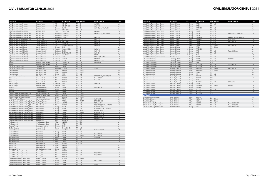| <b>OPERATOR</b>                                                                      | <b>LOCATION</b>                                | OTY                            |                    | <b>AIRCRAFT TYPE</b>              |                          | <b>TYPE SIM OEM</b> | <b>VISUAL DISPLAY</b>              | <b>LEVEL</b>   |
|--------------------------------------------------------------------------------------|------------------------------------------------|--------------------------------|--------------------|-----------------------------------|--------------------------|---------------------|------------------------------------|----------------|
| FlightSafety International (Houston)                                                 | Houston, Texas                                 |                                | 2 ATR              | ATR 42/72                         | <b>FFS</b>               | FSI                 | Vital X/4w                         | LC             |
| FlightSafety International (Houston)                                                 | Houston, Texas                                 | $\overline{2}$                 | ATR                | ATR 42/72-500                     | <b>FFS</b>               | FSI                 | Vital IX/180                       | LD             |
| FlightSafety International (Houston)                                                 | Houston, Texas                                 | 3                              | Embraer            | ERJ-145                           | <b>FFS</b>               | FSI                 | Vital 1100, Vital VIII, Vital IX   | LD             |
| FlightSafety International (Houston)                                                 | Houston, Texas                                 | $\mathbf{1}$                   | Embraer            | EMB-145-145                       | <b>FTD</b>               | CAE                 |                                    | L6             |
| FlightSafety International (Houston)                                                 | Houston, Texas                                 | 1                              | Saab               | Saab SF-340                       | <b>FFS</b>               | FSI                 | Vital VII/4w                       | LD             |
| FlightSafety International (Salt Lake City)                                          | Salt Lake, Utah                                | 3                              |                    | Bombardier CRJ100/200             | <b>FFS</b>               | FSI                 | Vital VIII/180 (2), Vital VIII/180 | LD             |
| FlightSafety International (Salt Lake City)                                          | Salt Lake, Utah                                | 3                              |                    | Bombardier CRJ200/700             | <b>FTD</b>               | FSI                 |                                    | L4             |
| FlightSafety International (Salt Lake City)                                          | Salt Lake, Utah                                | $\overline{2}$                 | Bombardier CRJ700  |                                   | <b>FFS</b>               | FSI                 | Vital X/180                        | LD             |
| FlightSafety International (Salt Lake City)                                          | Salt Lake, Utah                                | $\mathbf{1}$                   | Embraer            | ERJ-170                           | <b>FFS</b>               | FSI                 | Vital 1100                         | LD             |
| FlightSafety International (Seattle)                                                 | Seattle, Washington                            | $\mathbf{1}$                   | Beechcraft         | Beech 1900D                       | <b>FFS</b>               | FSI                 | Vital VII/4w                       | LD             |
| FlightSafety International (Seattle)                                                 | Seattle, Washington                            | 3                              | DHC                | Dash 8 Q400<br>Dash 8-100/200/300 | <b>FFS</b>               | FSI                 | Vital IX/180                       | LD<br>LD       |
| FlightSafety International (Seattle)<br>FlightSafety International (Seattle)         | Seattle, Washington<br>Seattle, Washington     | $\overline{2}$<br>$\mathbf{1}$ | DHC<br>Embraer     | E-170                             | <b>FFS</b><br><b>FFS</b> | FSI<br>FSI          | Vital X/180                        | LD             |
| FlightSafety International (Seattle)                                                 | Seattle, Washington                            | $\overline{2}$                 | Jetstream          | Jetstream 31/32                   | <b>FFS</b>               | FSI                 | Vital IV/4w                        | LC             |
| FlightSafety International (St Louis)                                                | St Louis, Missouri                             | $\mathbf{1}$                   | Bombardier CRJ200  |                                   | <b>FFS</b>               | FSI                 | Vital IX/180                       | LD             |
| FlightSafety International (St Louis)                                                | St Louis, Missouri                             | 3                              |                    | Bombardier CRJ550/700/900         | <b>FFS</b>               | FSI                 | Vital 1100                         | LD             |
| FlightSafety International (St Louis)                                                | St Louis, Missouri                             | $\overline{2}$                 |                    | Bombardier CRJ550/700             | <b>FFS</b>               | FSI                 | Vital X                            | LD             |
| FlightSafety International (St Louis)                                                | St Louis, Missouri                             | 8                              | Embraer            | E-170                             | <b>FFS</b>               | FSI                 | Vital 1100, IX, X/200              | LD             |
| FlightSafety International (St Louis)                                                | St Louis, Missouri                             | $\overline{2}$                 | Embraer            | E-170/190                         | <b>FFS</b>               | FSI                 | Vital IX/180                       | LD             |
| FlightSafety International (St Louis)                                                | St Louis, Missouri                             | 3                              | Embraer            | ERJ-145                           | <b>FFS</b>               | FSI                 | Vital VIII, IX, X/180              | LD             |
| FlyRight                                                                             | Concord, North Carolina                        | $\mathbf{1}$                   | DHC                | Dash 8-100A                       | <b>FFS</b>               | CAE                 | Image IIT/4w                       | LC             |
| FlyRight                                                                             | Concord, North Carolina                        | $\overline{2}$                 | DHC                | Dash 8-300                        | <b>FFS</b>               | CAE                 |                                    | LC             |
| Global One Training Group                                                            | Sanford, Florida                               | 1                              | Boeing             | 737-3B7                           | <b>FFS</b>               | CAE                 |                                    | LC             |
| Global One Training Group                                                            | Sanford, Florida                               | $\mathbf{1}$                   | M Douglas DC-10-10 |                                   | <b>FFS</b>               | CAE                 | SP1/4w                             | LC             |
| Hawaiian Airlines                                                                    | Honolulu, Hawaii                               | $\mathbf{1}$                   | Airbus             | A320-200                          | <b>FFS</b>               | <b>LMCFT</b>        |                                    | LD             |
| Hawaiian Airlines                                                                    | Honolulu, Hawaii                               | $\mathbf{1}$                   | Airbus             | A330-200                          | <b>FFS</b>               | <b>LMCFT</b>        |                                    | LD             |
| Hawaiian Airlines                                                                    | Honolulu, Hawaii                               | $\mathbf{1}$                   | Boeing             | 787-9                             | <b>FFS</b>               | CAE                 |                                    | LD             |
| International Aviation Services                                                      | Miami, Florida                                 | $\overline{2}$                 | Boeing             | 747-400                           | <b>FFS</b>               | CAE                 | SPX500HT/150, ESIG-3350/150        | LD             |
| JetBlue Airways                                                                      | Orlando, Florida                               | 3                              | Airbus             | A220-300                          | <b>FFS</b>               | CAE                 | Tropos 6000XR                      | LD             |
| JetBlue Airways                                                                      | Orlando, Florida                               | 5                              | Airbus             | A320-232                          | <b>FFS</b>               | CAE                 | Tropos/180                         | LD             |
| JetBlue Airways                                                                      | Orlando, Florida                               | 6                              | Airbus             | A320-232                          | <b>FTD</b>               | CAE                 |                                    | L <sub>5</sub> |
| JetBlue Airways                                                                      | Orlando, Florida                               | $\overline{2}$                 | Embraer            | E-190                             | <b>FFS</b>               | CAE                 | Tropos/180                         | LD             |
| JetBlue Airways                                                                      | Orlando, Florida                               | $\overline{2}$                 | Embraer            | E-190                             | <b>FTD</b>               | CAE                 |                                    | L <sub>5</sub> |
| Kalitta Air                                                                          | Ypsilanti, Michigan                            | $\mathbf{1}$                   | Boeing             | 747-400                           | <b>FFS</b>               | CAE                 | SPX500HT/150                       | LD             |
| Kalitta Air                                                                          | Ypsilanti, Michigan                            | $\mathbf{1}$                   | Boeing             | 747-400                           | <b>FFS</b>               | CAE                 |                                    | LC             |
| Kalitta Air                                                                          | Ypsilanti, Michigan                            | $\mathbf{1}$                   | Boeing             | 747-400                           | <b>FTD</b>               | CAE                 |                                    | L <sub>5</sub> |
| L3Harris Commercial Aviation (Arlington)                                             | Arlington, Washington                          | $\mathbf{1}$                   | Boeing             | 737-800                           | <b>FFS</b>               | L3Harris            |                                    | LD             |
| L3Harris Commercial Aviation (Dallas)                                                | Dallas/Fort Worth, Texas                       | $\mathbf{1}$                   | Airbus             | A320-200                          | <b>FTD</b>               | L3Harris            |                                    | L4             |
| L3Harris Commercial Aviation (Sanford)<br>NASA Ames Research Center                  | Sanford, Florida                               | $\mathbf{1}$                   | Airbus             | A320-200<br>747-400               | <b>FTD</b><br><b>FFS</b> | L3Harris<br>CAE     | Vital VIII/180                     | L4<br>LD       |
| PanAm International Flight Academy (Las Vegas)                                       | San Francisco, California<br>Las Vegas, Nevada | $\mathbf{1}$<br>$\mathbf{1}$   | Boeing<br>Boeing   | 737-800W                          | <b>FFS</b>               | <b>LMCFT</b>        | EP-1000CT/200                      | LD             |
| PanAm International Flight Academy (Las Vegas)                                       | Las Vegas, Nevada                              | $\mathbf{1}$                   | Boeing             | MD-87/88                          | <b>FFS</b>               | CAE                 | RSi Raster XT4                     | LC             |
| PanAm International Flight Academy (Miami)                                           | Miami, Florida                                 | $\overline{2}$                 | Airbus             | A320-200                          | <b>FFS</b>               | CAE                 | ESIG-3350GT, Rsi Raster XT4/200    | LD             |
| PanAm International Flight Academy (Miami)                                           | Miami, Florida                                 | $\mathbf{1}$                   | Boeing             | 737-200                           | <b>FFS</b>               | CAE                 | RSi Raster NX1/4w                  | LC             |
| PanAm International Flight Academy (Miami)                                           | Miami, Florida                                 | $\overline{c}$                 | Boeing             | 737-400                           | <b>FFS</b>               | CAE                 | RSi Raster XT3/180, SPX200/4W      | LC             |
| PanAm International Flight Academy (Miami)                                           | Miami, Florida                                 | $\overline{2}$                 | Boeing             | 737-800W                          | <b>FFS</b>               | <b>LMCFT</b>        | EP-1000CT/200                      | LD             |
| PanAm International Flight Academy (Miami)                                           | Miami, Florida                                 | $\mathbf{1}$                   | Boeing             | 747-400                           | <b>FFS</b>               | L3Harris            | RSi Raster XT4/200                 | LD             |
| PanAm International Flight Academy (Miami)                                           | Miami, Florida                                 | $\overline{2}$                 | Boeing             | 767-200                           | <b>FFS</b>               | CAE                 | RSi Raster XT3/150                 | LC             |
| PanAm International Flight Academy (Miami)                                           | Miami, Florida                                 | $\overline{2}$                 | Boeing             | 777-200ER                         | <b>FFS</b>               | CAE                 | RSI Raster XT4/200                 | LD             |
| PanAm International Flight Academy (Miami)                                           | Miami, Florida                                 | $\mathbf{1}$                   | Saab               | Saab 340B                         | <b>FFS</b>               | CAE                 | MAXVUE+/150                        | LD             |
| PanAm International Flight Academy (Miami)                                           | Miami, Florida                                 | $\mathbf{1}$                   | Saab               | Saab 340B                         | <b>FFS</b>               | CAE                 | SPX200T                            | LC             |
| Purdue University                                                                    | West Lafayatte, Indiana                        | $\mathbf{1}$                   | Airbus             | A320-200                          | <b>FTD</b>               | <b>MPS</b>          |                                    | L <sub>5</sub> |
| Purdue University                                                                    | West Lafayatte, Indiana                        | $\mathbf{1}$                   | Boeing             | 737-800                           |                          | FTD MPS             |                                    | L <sub>5</sub> |
| Republic Airways                                                                     | Indianapolis, Indiana                          | 5                              | Embraer            | $E-170$                           | <b>FTD</b>               |                     |                                    | L4             |
| SimCom (Orlando)                                                                     | Orlando, Florida                               | $\mathbf{1}$                   | Dornier            | Dornier 328-300                   |                          | FFS CAE             |                                    | LD             |
| SimCom (Orlando)                                                                     | Orlando, Florida                               | $\mathbf{1}$                   | Saab               | Saab 2000                         |                          | FFS FSI             | RSi Raster XT/180                  | LDG            |
| Southwest Airlines                                                                   | Dallas, Texas                                  | $\overline{2}$                 | Boeing             | 737-700                           |                          | FTD CAE             |                                    | L6             |
| Southwest Airlines                                                                   | Dallas, Texas                                  | 4                              | Boeing             | 737-700                           | <b>FFS</b>               | CAE                 | ESIG-3350/180                      | LD             |
| Southwest Airlines                                                                   | Dallas, Texas                                  | $\mathbf{1}$                   | Boeing             | 737-700                           | <b>FFS</b>               | L3Harris            | ESIG-3350/180                      | LD             |
| Southwest Airlines                                                                   | Dallas, Texas                                  | 3                              | Boeing             | 737-800                           | <b>FFS</b>               | CAE                 | Tropos 6000                        | LD             |
| Southwest Airlines                                                                   | Dallas, Texas                                  | 8                              | Boeing             | 737-800                           | <b>FFS</b>               |                     |                                    | LD             |
| Southwest Airlines                                                                   | Dallas, Texas                                  | 9                              | Boeing             | 737 Max 8                         |                          | FFS CAE             |                                    | LD             |
| <b>Spirit Airlines</b>                                                               | Miramar, Florida                               | $\mathbf{1}$                   | Airbus             | A320-200                          |                          | FTD CAE             |                                    | L4             |
| <b>Spirit Airlines</b>                                                               | Miramar, Florida                               | 5                              | Airbus             | A320-200                          | <b>FTD</b>               |                     |                                    | L4             |
| <b>Spirit Airlines</b>                                                               | Miramar, Florida                               | $\mathbf{1}$                   | Airbus             | A320-200                          | FFS                      |                     |                                    | LD             |
| Sun Country Airlines                                                                 | Mendota Heights, Minnesota                     | $\mathbf{1}$                   | Boeing             | 737-800                           | <b>FFS</b>               |                     |                                    | LD             |
| United Airlines Training Center (Denver)                                             | Denver, Colorado                               | $\mathbf{1}$                   | Airbus             | A320-200                          |                          | FTD CAE             |                                    | L5             |
| United Airlines Training Center (Denver)                                             | Denver, Colorado                               | $\mathbf{1}$                   | Airbus             | A320-200                          | <b>FFS</b>               | CAE                 | ESIG-3350/150                      | LD             |
| United Airlines Training Center (Denver)                                             | Denver, Colorado                               | $\overline{4}$                 | Airbus             | A320-200                          | <b>FFS</b>               | L3Harris            | ESIG-3350/150                      | LD             |
| United Airlines Training Center (Denver)                                             | Denver, Colorado                               | $\mathbf{1}$                   | Airbus             | A320-200                          | <b>FFS</b>               |                     |                                    | LD             |
| United Airlines Training Center (Denver)                                             | Denver, Colorado                               | $\mathbf{1}$                   | Airbus             | A320-200                          |                          | FTD L3Harris        |                                    | L5<br>LD       |
| United Airlines Training Center (Denver)<br>United Airlines Training Center (Denver) | Denver, Colorado                               | $\overline{2}$                 | Boeing             | 737-300                           | <b>FFS</b><br><b>FFS</b> | CAE<br>CAE          | SP3-T, SPX550                      | LD             |
|                                                                                      | Denver, Colorado                               | 1                              | Boeing             | 737-800                           |                          | FFS CAE             |                                    | LD             |
| United Airlines Training Center (Denver)                                             | Denver, Colorado                               |                                | 4 Boeing           | 737-800                           |                          |                     | Tropos                             |                |

| <b>OPERATOR</b>                           | <b>LOCATION</b>      | QTY                      | <b>AIRCRAFT TYPE</b> | <b>TYPE SIM OEM</b>    | <b>VISUAL DISPLAY</b>       | <b>LEVEL</b>   |
|-------------------------------------------|----------------------|--------------------------|----------------------|------------------------|-----------------------------|----------------|
| United Airlines Training Center (Denver)  | Denver, Colorado     | 2 Boeing                 | 737-800              | FTD CAE                |                             | L <sub>5</sub> |
| United Airlines Training Center (Denver)  | Denver, Colorado     | Boeing<br>$\mathbf{1}$   | 737-800              | <b>FTD</b>             |                             | L5             |
| United Airlines Training Center (Denver)  | Denver, Colorado     | 3<br>Boeing              | 737-900ER            | CAE<br><b>FFS</b>      |                             | LD             |
| United Airlines Training Center (Denver)  | Denver, Colorado     | $\overline{3}$<br>Boeing | 737 Max 9            | CAE<br><b>FFS</b>      |                             | LD             |
| United Airlines Training Center (Denver)  | Denver, Colorado     | 3<br>Boeing              | 737 Max 9            | CAE<br><b>FTD</b>      |                             | 15             |
| United Airlines Training Center (Denver)  | Denver, Colorado     | 3<br>Boeing              | 757-200              | CAE<br><b>FFS</b>      | SPX500/150 (2), SPX250/4w   | LD             |
| United Airlines Training Center (Denver)  | Denver, Colorado     | $\overline{2}$<br>Boeing | 757-200              | CAE<br>FTD             |                             | L5             |
| United Airlines Training Center (Denver)  | Denver, Colorado     | $\overline{2}$<br>Boeing | 767-300ER            | CAE<br><b>FFS</b>      | SP-X 500/150, ESIG-3350/150 | LC             |
| United Airlines Training Center (Denver)  | Denver, Colorado     | $\overline{2}$<br>Boeina | 767-400ER            | CAE<br><b>FFS</b>      | Maxvue+/180                 | LD             |
| United Airlines Training Center (Denver)  | Denver, Colorado     | $\overline{3}$<br>Boeing | 777-200              | CAE<br><b>FFS</b>      | ESIG-3350/150               | LD             |
| United Airlines Training Center (Denver)  | Denver, Colorado     | Boeing                   | 777-200              | CAE<br>FTD             |                             | L6             |
| United Airlines Training Center (Denver)  | Denver, Colorado     | Boeing<br>$\mathbf{1}$   | 777-200              | <b>FFS</b><br>L3Harris | ESIG-3350/150               | LD             |
| United Airlines Training Center (Denver)  | Denver, Colorado     | Boeing                   | 777-200              | L3Harris<br><b>FTD</b> |                             | L5             |
| United Airlines Training Center (Denver)  | Denver, Colorado     | $\overline{2}$<br>Boeing | 777-300ER            | <b>FFS</b>             |                             | LD             |
| United Airlines Training Center (Denver)  | Denver, Colorado     | Boeing                   | 787-8                | CAE<br><b>FFS</b>      | Tropos 6000LCos             | LD             |
| United Airlines Training Center (Denver)  | Denver, Colorado     | $\overline{2}$<br>Boeing | 787-8                | <b>FTD</b><br>CAF      |                             | L <sub>5</sub> |
| United Airlines Training Center (Denver)  | Denver, Colorado     | 3<br>Boeing              | 787-9                | FFS                    |                             | LD             |
| United Airlines Training Center (Houston) | Houston, Texas       | Boeing                   | 737-800              | FFS<br>CAE             |                             | LD             |
| UPS Airlines (Anchorage)                  | Anchorage, Alaska    | Boeing                   | 747-400              | CAE<br><b>FFS</b>      | EP-1000CT                   | LD             |
| UPS Airlines (Anchorage)                  | Anchorage, Alaska    | Boeing<br>$\mathbf{1}$   | 747-400F             | <b>FTD</b><br>CAE      |                             | L4             |
| UPS Airlines (Anchorage)                  | Anchorage, Alaska    | $\mathbf{1}$<br>Boeing   | 747-8                | <b>FTD</b>             |                             | L4             |
| UPS Airlines (Anchorage)                  | Anchorage, Alaska    | Boeing                   | MD-11-11F            | CAE<br><b>FFS</b>      | SPX500HT/150                | LD             |
| UPS Airlines (Anchorage)                  | Anchorage, Alaska    | Boeing<br>$\mathbf{1}$   | MD-11-11F            | CAE<br><b>FTD</b>      |                             | L4             |
| UPS Airlines (Louisville)                 | Louisville, Kentucky | 2 Airbus                 | A300-600F            | L3Harris<br><b>FFS</b> | ESIG-3800/180               | LD             |
| UPS Airlines (Louisville)                 | Louisville, Kentucky | Airbus<br>$\mathbf{1}$   | A300-B4600           | L3Harris<br><b>FTD</b> |                             | L4             |
| <b>UPS Airlines (Louisville)</b>          | Louisville, Kentucky | Boeing                   | 757-200              | FFS                    |                             | LD             |
| <b>UPS Airlines (Louisville)</b>          | Louisville, Kentucky | Boeing<br>$\mathbf{1}$   | 757                  | <b>FFS</b><br>CAE      |                             | LD             |
| <b>UPS Airlines (Louisville)</b>          | Louisville, Kentucky | Boeing<br>$\mathbf{1}$   | 747-400F             | CAE<br><b>FTD</b>      |                             | L4             |
| <b>UPS Airlines (Louisville)</b>          | Louisville, Kentucky | Boeing<br>$\mathbf{1}$   | 747-400F             | <b>FTD</b>             |                             | LD             |
| <b>UPS Airlines (Louisville)</b>          | Louisville, Kentucky | Boeing                   | 747-8                | <b>FTD</b>             |                             | L4             |
| <b>UPS Airlines (Louisville)</b>          | Louisville, Kentucky | Boeing<br>$\mathbf{1}$   | 757-200PF            | FFS<br>CAE             | SPX250/150                  | LD             |
| UPS Airlines (Louisville)                 | Louisville, Kentucky | $\overline{2}$<br>Boeing | 767-300              | <b>FTD</b>             |                             | L4             |
| <b>UPS Airlines (Louisville)</b>          | Louisville, Kentucky | Boeing                   | 767-300ER            | <b>FFS</b><br>L3Harris | EP-1000CT                   | ID             |
| UPS Airlines (Louisville)                 | Louisville, Kentucky | Boeing                   | 767-300F             | <b>FFS</b>             |                             | LD             |
| UPS Airlines (Louisville)                 | Louisville, Kentucky | Boeing<br>$\mathbf{1}$   | MD-11-11             | <b>FFS</b><br>CAE      |                             | LD             |
| UPS Airlines (Louisville)                 | Louisville, Kentucky | Boeina                   | MD-11-11             | <b>FFS</b>             |                             | LD             |
| UPS Airlines (Louisville)                 | Louisville, Kentucky | Boeing                   | MD-11-11F            | <b>FTD</b>             |                             | L4             |
| <b>VIETNAM</b>                            |                      |                          |                      |                        |                             |                |
| Airbus Training Centre Vietnam            | Ho Chi Minh City     | Airbus                   | A320-200             | FFS                    |                             | LD             |
| <b>BAA Training (Vietnam)</b>             | Ho Chi Minh City     | Airbus                   | A320 family          | <b>FFS</b><br>L3Harris |                             | LD             |
| <b>BAA Training (Vietnam)</b>             | Ho Chi Minh City     | Airbus<br>$\mathbf{1}$   | A320neo              | L3Harris<br><b>FFS</b> |                             | LD             |
| CAE Ho Chi Minh City Training Centre      | Ho Chi Minh City     | Airbus<br>$\mathbf{1}$   | A320-200             | <b>FFS</b><br>CAE      | Tropos 6023XR/200           | LD             |
| CAE Ho Chi Minh City Training Centre      | Ho Chi Minh City     | Airbus                   | A350-900             | <b>FFS</b><br>CAE      | Tropos 6023R/200            | LD             |
| CAE Ho Chi Minh City Training Centre      | Ho Chi Minh City     | $\mathbf{1}$<br>Boeing   | 787-9                | CAE<br><b>FFS</b>      | Tropos 6023XR/200           | LD             |